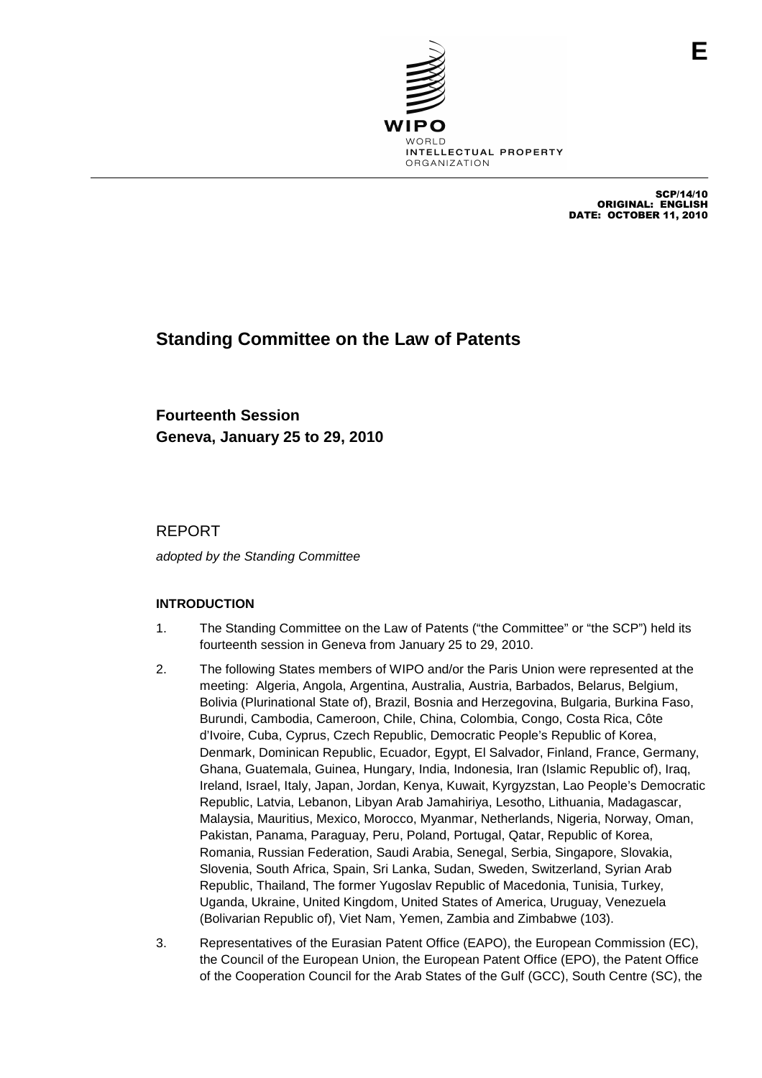

SCP/14/10 ORIGINAL: ENGLISH DATE: OCTOBER 11, 2010

# **Standing Committee on the Law of Patents**

**Fourteenth Session Geneva, January 25 to 29, 2010**

REPORT

adopted by the Standing Committee

# **INTRODUCTION**

- 1. The Standing Committee on the Law of Patents ("the Committee" or "the SCP") held its fourteenth session in Geneva from January 25 to 29, 2010.
- 2. The following States members of WIPO and/or the Paris Union were represented at the meeting: Algeria, Angola, Argentina, Australia, Austria, Barbados, Belarus, Belgium, Bolivia (Plurinational State of), Brazil, Bosnia and Herzegovina, Bulgaria, Burkina Faso, Burundi, Cambodia, Cameroon, Chile, China, Colombia, Congo, Costa Rica, Côte d'Ivoire, Cuba, Cyprus, Czech Republic, Democratic People's Republic of Korea, Denmark, Dominican Republic, Ecuador, Egypt, El Salvador, Finland, France, Germany, Ghana, Guatemala, Guinea, Hungary, India, Indonesia, Iran (Islamic Republic of), Iraq, Ireland, Israel, Italy, Japan, Jordan, Kenya, Kuwait, Kyrgyzstan, Lao People's Democratic Republic, Latvia, Lebanon, Libyan Arab Jamahiriya, Lesotho, Lithuania, Madagascar, Malaysia, Mauritius, Mexico, Morocco, Myanmar, Netherlands, Nigeria, Norway, Oman, Pakistan, Panama, Paraguay, Peru, Poland, Portugal, Qatar, Republic of Korea, Romania, Russian Federation, Saudi Arabia, Senegal, Serbia, Singapore, Slovakia, Slovenia, South Africa, Spain, Sri Lanka, Sudan, Sweden, Switzerland, Syrian Arab Republic, Thailand, The former Yugoslav Republic of Macedonia, Tunisia, Turkey, Uganda, Ukraine, United Kingdom, United States of America, Uruguay, Venezuela (Bolivarian Republic of), Viet Nam, Yemen, Zambia and Zimbabwe (103).
- 3. Representatives of the Eurasian Patent Office (EAPO), the European Commission (EC), the Council of the European Union, the European Patent Office (EPO), the Patent Office of the Cooperation Council for the Arab States of the Gulf (GCC), South Centre (SC), the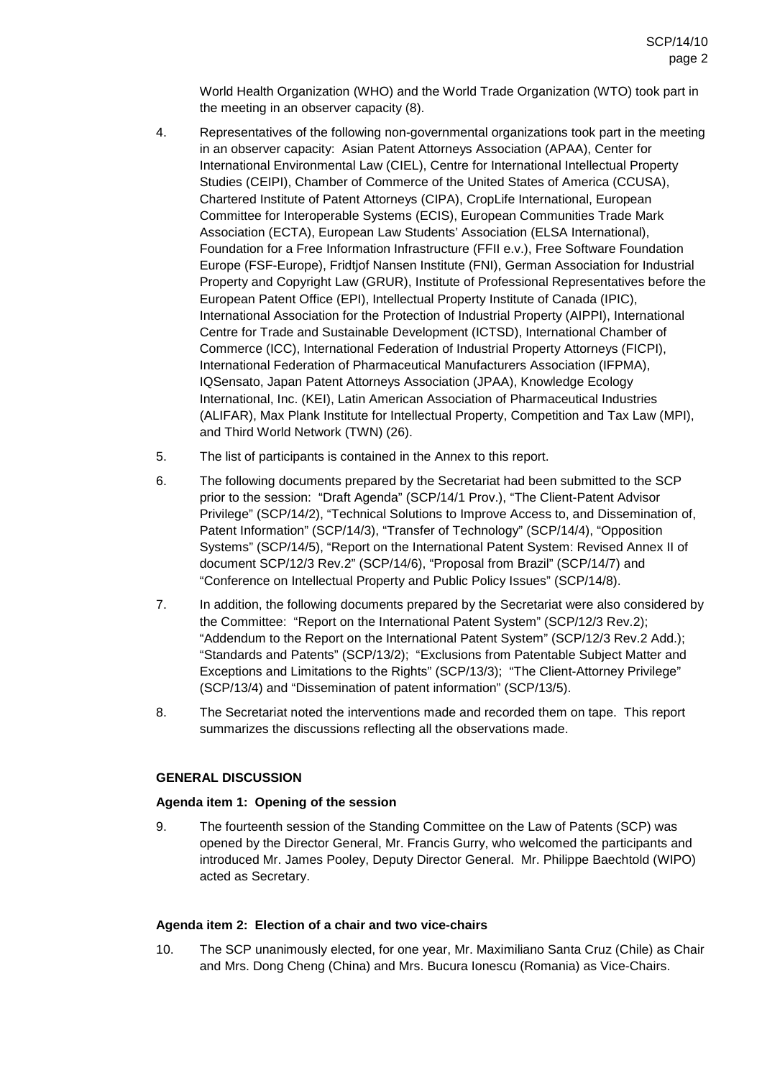World Health Organization (WHO) and the World Trade Organization (WTO) took part in the meeting in an observer capacity (8).

- 4. Representatives of the following non-governmental organizations took part in the meeting in an observer capacity: Asian Patent Attorneys Association (APAA), Center for International Environmental Law (CIEL), Centre for International Intellectual Property Studies (CEIPI), Chamber of Commerce of the United States of America (CCUSA), Chartered Institute of Patent Attorneys (CIPA), CropLife International, European Committee for Interoperable Systems (ECIS), European Communities Trade Mark Association (ECTA), European Law Students' Association (ELSA International), Foundation for a Free Information Infrastructure (FFII e.v.), Free Software Foundation Europe (FSF-Europe), Fridtjof Nansen Institute (FNI), German Association for Industrial Property and Copyright Law (GRUR), Institute of Professional Representatives before the European Patent Office (EPI), Intellectual Property Institute of Canada (IPIC), International Association for the Protection of Industrial Property (AIPPI), International Centre for Trade and Sustainable Development (ICTSD), International Chamber of Commerce (ICC), International Federation of Industrial Property Attorneys (FICPI), International Federation of Pharmaceutical Manufacturers Association (IFPMA), IQSensato, Japan Patent Attorneys Association (JPAA), Knowledge Ecology International, Inc. (KEI), Latin American Association of Pharmaceutical Industries (ALIFAR), Max Plank Institute for Intellectual Property, Competition and Tax Law (MPI), and Third World Network (TWN) (26).
- 5. The list of participants is contained in the Annex to this report.
- 6. The following documents prepared by the Secretariat had been submitted to the SCP prior to the session: "Draft Agenda" (SCP/14/1 Prov.), "The Client-Patent Advisor Privilege" (SCP/14/2), "Technical Solutions to Improve Access to, and Dissemination of, Patent Information" (SCP/14/3), "Transfer of Technology" (SCP/14/4), "Opposition Systems" (SCP/14/5), "Report on the International Patent System: Revised Annex II of document SCP/12/3 Rev.2" (SCP/14/6), "Proposal from Brazil" (SCP/14/7) and "Conference on Intellectual Property and Public Policy Issues" (SCP/14/8).
- 7. In addition, the following documents prepared by the Secretariat were also considered by the Committee: "Report on the International Patent System" (SCP/12/3 Rev.2); "Addendum to the Report on the International Patent System" (SCP/12/3 Rev.2 Add.); "Standards and Patents" (SCP/13/2); "Exclusions from Patentable Subject Matter and Exceptions and Limitations to the Rights" (SCP/13/3); "The Client-Attorney Privilege" (SCP/13/4) and "Dissemination of patent information" (SCP/13/5).
- 8. The Secretariat noted the interventions made and recorded them on tape. This report summarizes the discussions reflecting all the observations made.

# **GENERAL DISCUSSION**

#### **Agenda item 1: Opening of the session**

9. The fourteenth session of the Standing Committee on the Law of Patents (SCP) was opened by the Director General, Mr. Francis Gurry, who welcomed the participants and introduced Mr. James Pooley, Deputy Director General. Mr. Philippe Baechtold (WIPO) acted as Secretary.

#### **Agenda item 2: Election of a chair and two vice-chairs**

10. The SCP unanimously elected, for one year, Mr. Maximiliano Santa Cruz (Chile) as Chair and Mrs. Dong Cheng (China) and Mrs. Bucura Ionescu (Romania) as Vice-Chairs.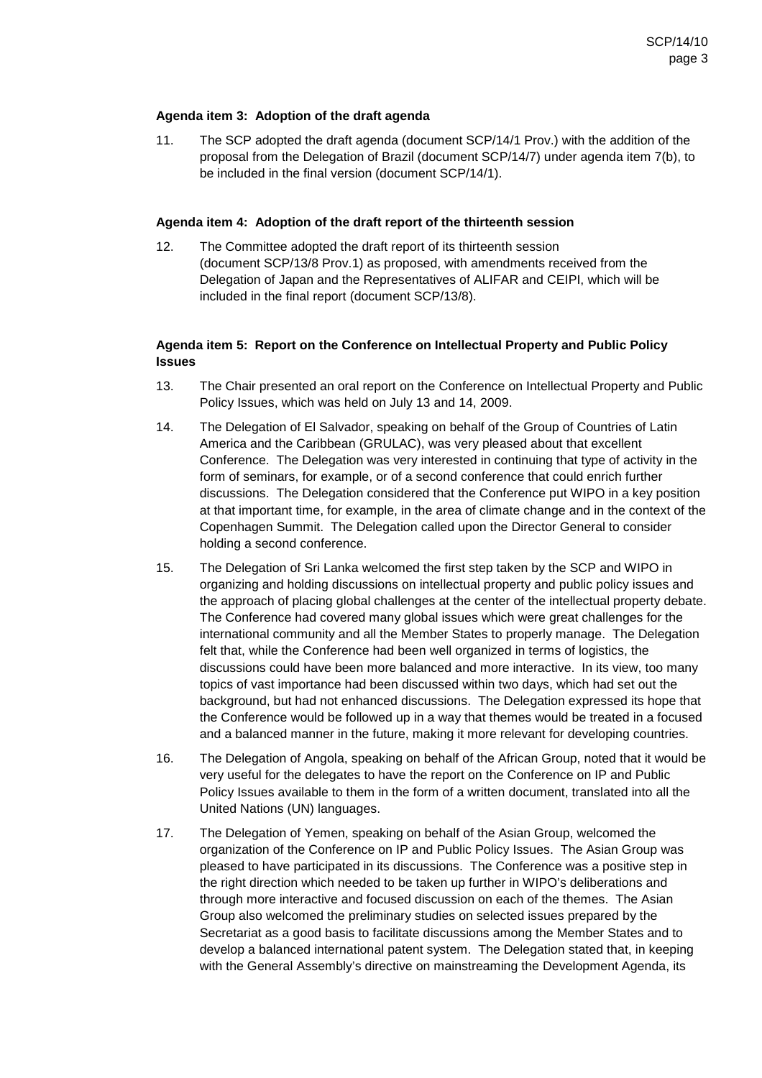#### **Agenda item 3: Adoption of the draft agenda**

11. The SCP adopted the draft agenda (document SCP/14/1 Prov.) with the addition of the proposal from the Delegation of Brazil (document SCP/14/7) under agenda item 7(b), to be included in the final version (document SCP/14/1).

#### **Agenda item 4: Adoption of the draft report of the thirteenth session**

12. The Committee adopted the draft report of its thirteenth session (document SCP/13/8 Prov.1) as proposed, with amendments received from the Delegation of Japan and the Representatives of ALIFAR and CEIPI, which will be included in the final report (document SCP/13/8).

# **Agenda item 5: Report on the Conference on Intellectual Property and Public Policy Issues**

- 13. The Chair presented an oral report on the Conference on Intellectual Property and Public Policy Issues, which was held on July 13 and 14, 2009.
- 14. The Delegation of El Salvador, speaking on behalf of the Group of Countries of Latin America and the Caribbean (GRULAC), was very pleased about that excellent Conference. The Delegation was very interested in continuing that type of activity in the form of seminars, for example, or of a second conference that could enrich further discussions. The Delegation considered that the Conference put WIPO in a key position at that important time, for example, in the area of climate change and in the context of the Copenhagen Summit. The Delegation called upon the Director General to consider holding a second conference.
- 15. The Delegation of Sri Lanka welcomed the first step taken by the SCP and WIPO in organizing and holding discussions on intellectual property and public policy issues and the approach of placing global challenges at the center of the intellectual property debate. The Conference had covered many global issues which were great challenges for the international community and all the Member States to properly manage. The Delegation felt that, while the Conference had been well organized in terms of logistics, the discussions could have been more balanced and more interactive. In its view, too many topics of vast importance had been discussed within two days, which had set out the background, but had not enhanced discussions. The Delegation expressed its hope that the Conference would be followed up in a way that themes would be treated in a focused and a balanced manner in the future, making it more relevant for developing countries.
- 16. The Delegation of Angola, speaking on behalf of the African Group, noted that it would be very useful for the delegates to have the report on the Conference on IP and Public Policy Issues available to them in the form of a written document, translated into all the United Nations (UN) languages.
- 17. The Delegation of Yemen, speaking on behalf of the Asian Group, welcomed the organization of the Conference on IP and Public Policy Issues. The Asian Group was pleased to have participated in its discussions. The Conference was a positive step in the right direction which needed to be taken up further in WIPO's deliberations and through more interactive and focused discussion on each of the themes. The Asian Group also welcomed the preliminary studies on selected issues prepared by the Secretariat as a good basis to facilitate discussions among the Member States and to develop a balanced international patent system. The Delegation stated that, in keeping with the General Assembly's directive on mainstreaming the Development Agenda, its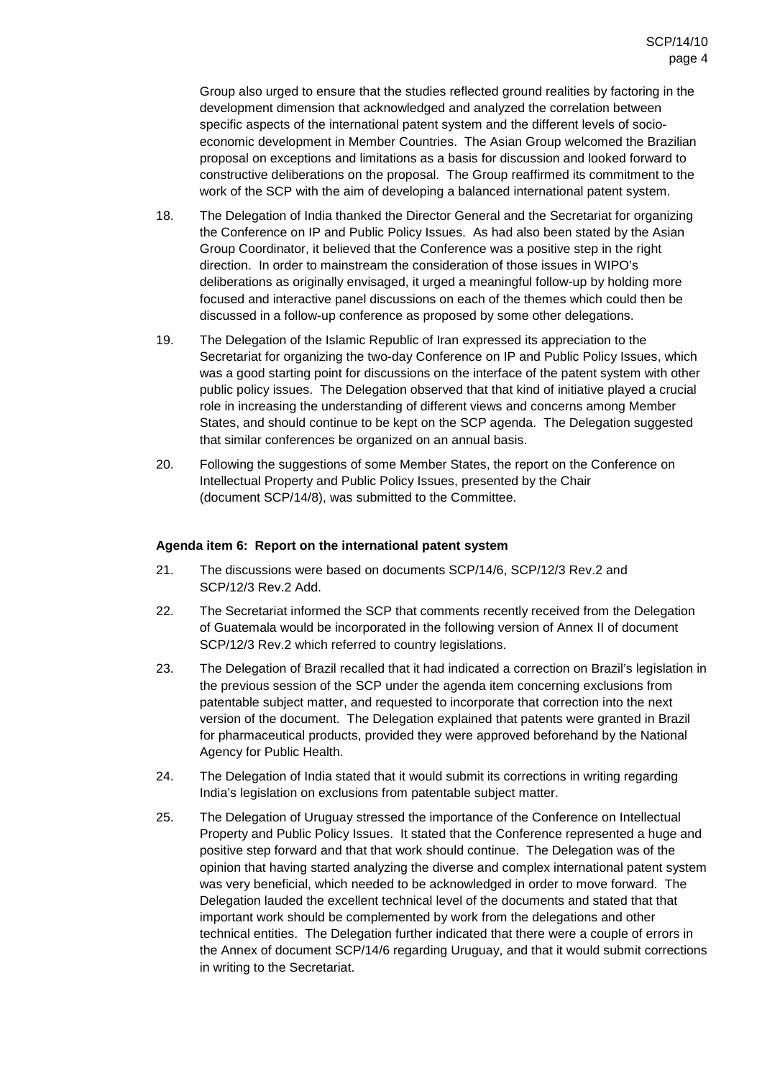Group also urged to ensure that the studies reflected ground realities by factoring in the development dimension that acknowledged and analyzed the correlation between specific aspects of the international patent system and the different levels of socioeconomic development in Member Countries. The Asian Group welcomed the Brazilian proposal on exceptions and limitations as a basis for discussion and looked forward to constructive deliberations on the proposal. The Group reaffirmed its commitment to the work of the SCP with the aim of developing a balanced international patent system.

- 18. The Delegation of India thanked the Director General and the Secretariat for organizing the Conference on IP and Public Policy Issues. As had also been stated by the Asian Group Coordinator, it believed that the Conference was a positive step in the right direction. In order to mainstream the consideration of those issues in WIPO's deliberations as originally envisaged, it urged a meaningful follow-up by holding more focused and interactive panel discussions on each of the themes which could then be discussed in a follow-up conference as proposed by some other delegations.
- 19. The Delegation of the Islamic Republic of Iran expressed its appreciation to the Secretariat for organizing the two-day Conference on IP and Public Policy Issues, which was a good starting point for discussions on the interface of the patent system with other public policy issues. The Delegation observed that that kind of initiative played a crucial role in increasing the understanding of different views and concerns among Member States, and should continue to be kept on the SCP agenda. The Delegation suggested that similar conferences be organized on an annual basis.
- 20. Following the suggestions of some Member States, the report on the Conference on Intellectual Property and Public Policy Issues, presented by the Chair (document SCP/14/8), was submitted to the Committee.

# **Agenda item 6: Report on the international patent system**

- 21. The discussions were based on documents SCP/14/6, SCP/12/3 Rev.2 and SCP/12/3 Rev.2 Add.
- 22. The Secretariat informed the SCP that comments recently received from the Delegation of Guatemala would be incorporated in the following version of Annex II of document SCP/12/3 Rev.2 which referred to country legislations.
- 23. The Delegation of Brazil recalled that it had indicated a correction on Brazil's legislation in the previous session of the SCP under the agenda item concerning exclusions from patentable subject matter, and requested to incorporate that correction into the next version of the document. The Delegation explained that patents were granted in Brazil for pharmaceutical products, provided they were approved beforehand by the National Agency for Public Health.
- 24. The Delegation of India stated that it would submit its corrections in writing regarding India's legislation on exclusions from patentable subject matter.
- 25. The Delegation of Uruguay stressed the importance of the Conference on Intellectual Property and Public Policy Issues. It stated that the Conference represented a huge and positive step forward and that that work should continue. The Delegation was of the opinion that having started analyzing the diverse and complex international patent system was very beneficial, which needed to be acknowledged in order to move forward. The Delegation lauded the excellent technical level of the documents and stated that that important work should be complemented by work from the delegations and other technical entities. The Delegation further indicated that there were a couple of errors in the Annex of document SCP/14/6 regarding Uruguay, and that it would submit corrections in writing to the Secretariat.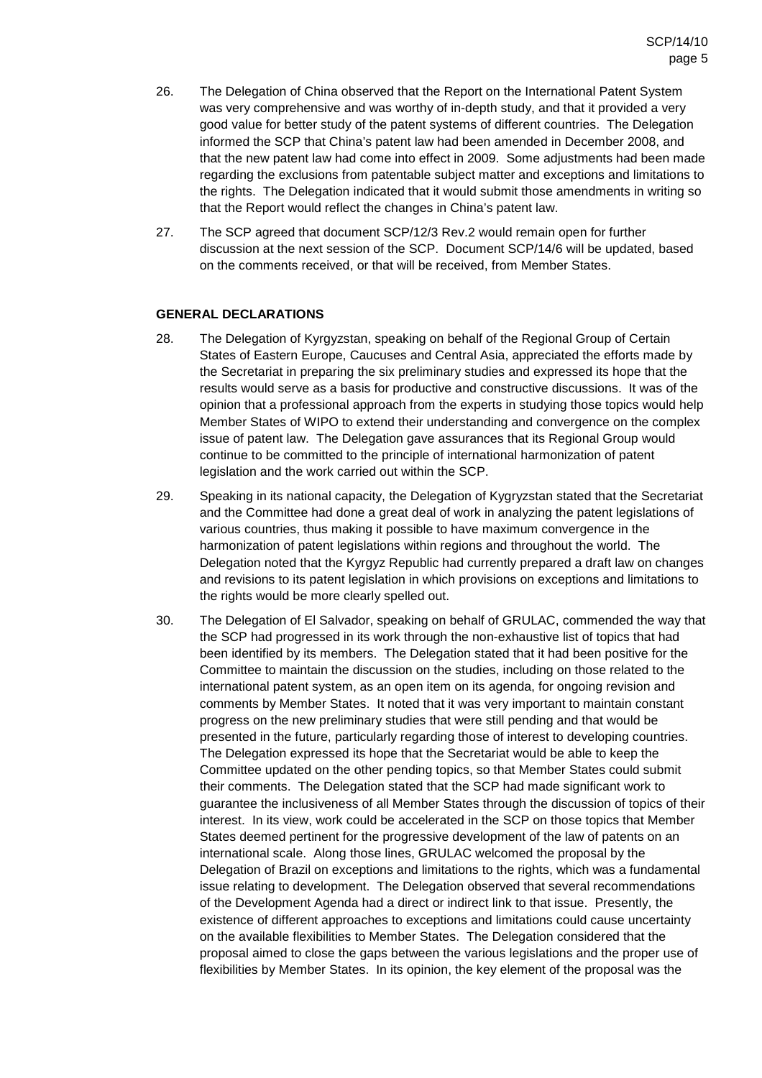- 26. The Delegation of China observed that the Report on the International Patent System was very comprehensive and was worthy of in-depth study, and that it provided a very good value for better study of the patent systems of different countries. The Delegation informed the SCP that China's patent law had been amended in December 2008, and that the new patent law had come into effect in 2009. Some adjustments had been made regarding the exclusions from patentable subject matter and exceptions and limitations to the rights. The Delegation indicated that it would submit those amendments in writing so that the Report would reflect the changes in China's patent law.
- 27. The SCP agreed that document SCP/12/3 Rev.2 would remain open for further discussion at the next session of the SCP. Document SCP/14/6 will be updated, based on the comments received, or that will be received, from Member States.

# **GENERAL DECLARATIONS**

- 28. The Delegation of Kyrgyzstan, speaking on behalf of the Regional Group of Certain States of Eastern Europe, Caucuses and Central Asia, appreciated the efforts made by the Secretariat in preparing the six preliminary studies and expressed its hope that the results would serve as a basis for productive and constructive discussions. It was of the opinion that a professional approach from the experts in studying those topics would help Member States of WIPO to extend their understanding and convergence on the complex issue of patent law. The Delegation gave assurances that its Regional Group would continue to be committed to the principle of international harmonization of patent legislation and the work carried out within the SCP.
- 29. Speaking in its national capacity, the Delegation of Kygryzstan stated that the Secretariat and the Committee had done a great deal of work in analyzing the patent legislations of various countries, thus making it possible to have maximum convergence in the harmonization of patent legislations within regions and throughout the world. The Delegation noted that the Kyrgyz Republic had currently prepared a draft law on changes and revisions to its patent legislation in which provisions on exceptions and limitations to the rights would be more clearly spelled out.
- 30. The Delegation of El Salvador, speaking on behalf of GRULAC, commended the way that the SCP had progressed in its work through the non-exhaustive list of topics that had been identified by its members. The Delegation stated that it had been positive for the Committee to maintain the discussion on the studies, including on those related to the international patent system, as an open item on its agenda, for ongoing revision and comments by Member States. It noted that it was very important to maintain constant progress on the new preliminary studies that were still pending and that would be presented in the future, particularly regarding those of interest to developing countries. The Delegation expressed its hope that the Secretariat would be able to keep the Committee updated on the other pending topics, so that Member States could submit their comments. The Delegation stated that the SCP had made significant work to guarantee the inclusiveness of all Member States through the discussion of topics of their interest. In its view, work could be accelerated in the SCP on those topics that Member States deemed pertinent for the progressive development of the law of patents on an international scale. Along those lines, GRULAC welcomed the proposal by the Delegation of Brazil on exceptions and limitations to the rights, which was a fundamental issue relating to development. The Delegation observed that several recommendations of the Development Agenda had a direct or indirect link to that issue. Presently, the existence of different approaches to exceptions and limitations could cause uncertainty on the available flexibilities to Member States. The Delegation considered that the proposal aimed to close the gaps between the various legislations and the proper use of flexibilities by Member States. In its opinion, the key element of the proposal was the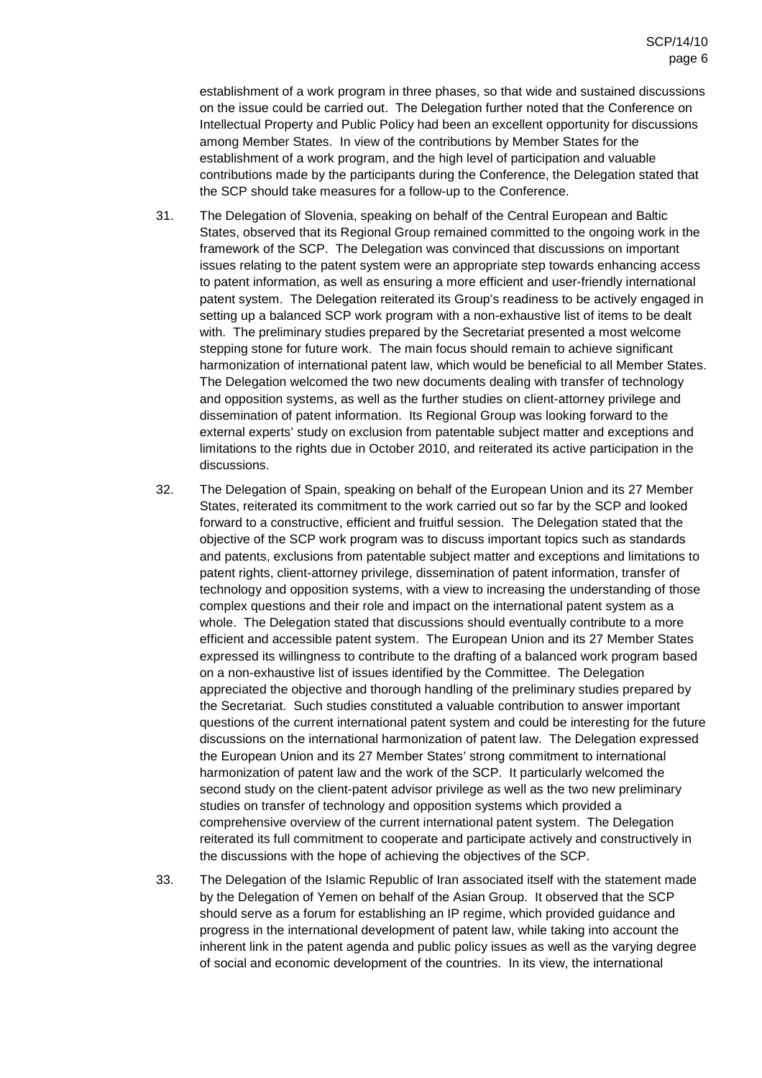establishment of a work program in three phases, so that wide and sustained discussions on the issue could be carried out. The Delegation further noted that the Conference on Intellectual Property and Public Policy had been an excellent opportunity for discussions among Member States. In view of the contributions by Member States for the establishment of a work program, and the high level of participation and valuable contributions made by the participants during the Conference, the Delegation stated that the SCP should take measures for a follow-up to the Conference.

- 31. The Delegation of Slovenia, speaking on behalf of the Central European and Baltic States, observed that its Regional Group remained committed to the ongoing work in the framework of the SCP. The Delegation was convinced that discussions on important issues relating to the patent system were an appropriate step towards enhancing access to patent information, as well as ensuring a more efficient and user-friendly international patent system. The Delegation reiterated its Group's readiness to be actively engaged in setting up a balanced SCP work program with a non-exhaustive list of items to be dealt with. The preliminary studies prepared by the Secretariat presented a most welcome stepping stone for future work. The main focus should remain to achieve significant harmonization of international patent law, which would be beneficial to all Member States. The Delegation welcomed the two new documents dealing with transfer of technology and opposition systems, as well as the further studies on client-attorney privilege and dissemination of patent information. Its Regional Group was looking forward to the external experts' study on exclusion from patentable subject matter and exceptions and limitations to the rights due in October 2010, and reiterated its active participation in the discussions.
- 32. The Delegation of Spain, speaking on behalf of the European Union and its 27 Member States, reiterated its commitment to the work carried out so far by the SCP and looked forward to a constructive, efficient and fruitful session. The Delegation stated that the objective of the SCP work program was to discuss important topics such as standards and patents, exclusions from patentable subject matter and exceptions and limitations to patent rights, client-attorney privilege, dissemination of patent information, transfer of technology and opposition systems, with a view to increasing the understanding of those complex questions and their role and impact on the international patent system as a whole. The Delegation stated that discussions should eventually contribute to a more efficient and accessible patent system. The European Union and its 27 Member States expressed its willingness to contribute to the drafting of a balanced work program based on a non-exhaustive list of issues identified by the Committee. The Delegation appreciated the objective and thorough handling of the preliminary studies prepared by the Secretariat. Such studies constituted a valuable contribution to answer important questions of the current international patent system and could be interesting for the future discussions on the international harmonization of patent law. The Delegation expressed the European Union and its 27 Member States' strong commitment to international harmonization of patent law and the work of the SCP. It particularly welcomed the second study on the client-patent advisor privilege as well as the two new preliminary studies on transfer of technology and opposition systems which provided a comprehensive overview of the current international patent system. The Delegation reiterated its full commitment to cooperate and participate actively and constructively in the discussions with the hope of achieving the objectives of the SCP.
- 33. The Delegation of the Islamic Republic of Iran associated itself with the statement made by the Delegation of Yemen on behalf of the Asian Group. It observed that the SCP should serve as a forum for establishing an IP regime, which provided guidance and progress in the international development of patent law, while taking into account the inherent link in the patent agenda and public policy issues as well as the varying degree of social and economic development of the countries. In its view, the international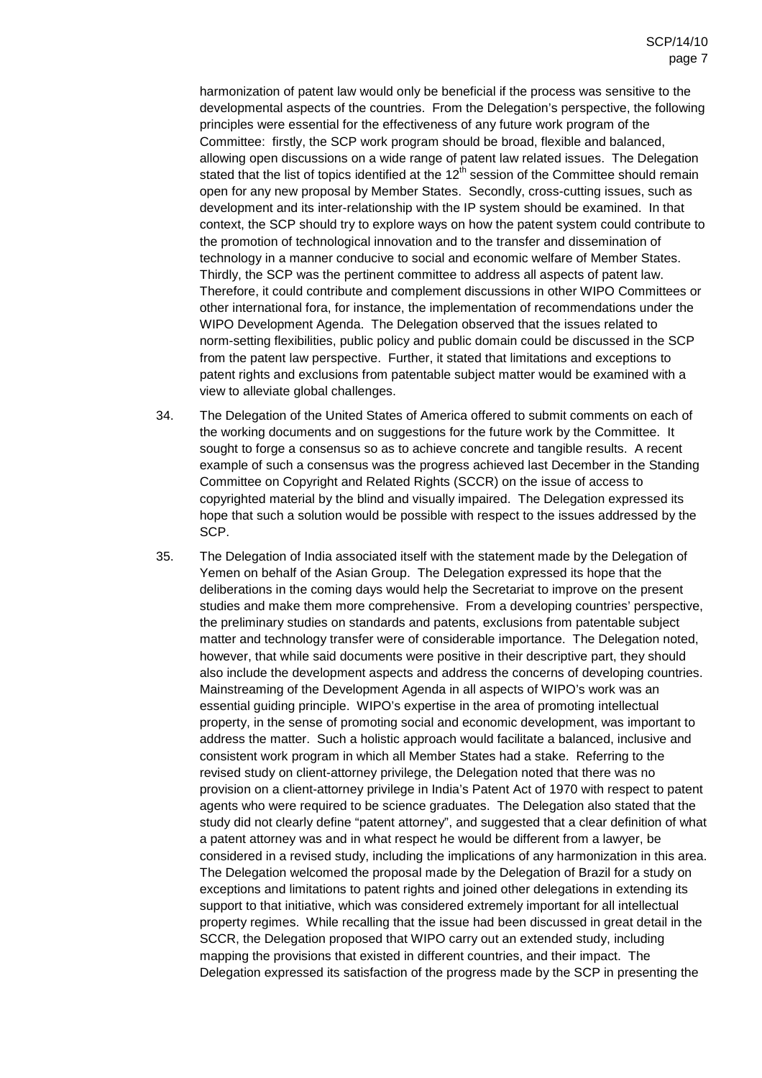harmonization of patent law would only be beneficial if the process was sensitive to the developmental aspects of the countries. From the Delegation's perspective, the following principles were essential for the effectiveness of any future work program of the Committee: firstly, the SCP work program should be broad, flexible and balanced, allowing open discussions on a wide range of patent law related issues. The Delegation stated that the list of topics identified at the  $12<sup>th</sup>$  session of the Committee should remain open for any new proposal by Member States. Secondly, cross-cutting issues, such as development and its inter-relationship with the IP system should be examined. In that context, the SCP should try to explore ways on how the patent system could contribute to the promotion of technological innovation and to the transfer and dissemination of technology in a manner conducive to social and economic welfare of Member States. Thirdly, the SCP was the pertinent committee to address all aspects of patent law. Therefore, it could contribute and complement discussions in other WIPO Committees or other international fora, for instance, the implementation of recommendations under the WIPO Development Agenda. The Delegation observed that the issues related to norm-setting flexibilities, public policy and public domain could be discussed in the SCP from the patent law perspective. Further, it stated that limitations and exceptions to patent rights and exclusions from patentable subject matter would be examined with a view to alleviate global challenges.

- 34. The Delegation of the United States of America offered to submit comments on each of the working documents and on suggestions for the future work by the Committee. It sought to forge a consensus so as to achieve concrete and tangible results. A recent example of such a consensus was the progress achieved last December in the Standing Committee on Copyright and Related Rights (SCCR) on the issue of access to copyrighted material by the blind and visually impaired. The Delegation expressed its hope that such a solution would be possible with respect to the issues addressed by the SCP.
- 35. The Delegation of India associated itself with the statement made by the Delegation of Yemen on behalf of the Asian Group. The Delegation expressed its hope that the deliberations in the coming days would help the Secretariat to improve on the present studies and make them more comprehensive. From a developing countries' perspective, the preliminary studies on standards and patents, exclusions from patentable subject matter and technology transfer were of considerable importance. The Delegation noted, however, that while said documents were positive in their descriptive part, they should also include the development aspects and address the concerns of developing countries. Mainstreaming of the Development Agenda in all aspects of WIPO's work was an essential guiding principle. WIPO's expertise in the area of promoting intellectual property, in the sense of promoting social and economic development, was important to address the matter. Such a holistic approach would facilitate a balanced, inclusive and consistent work program in which all Member States had a stake. Referring to the revised study on client-attorney privilege, the Delegation noted that there was no provision on a client-attorney privilege in India's Patent Act of 1970 with respect to patent agents who were required to be science graduates. The Delegation also stated that the study did not clearly define "patent attorney", and suggested that a clear definition of what a patent attorney was and in what respect he would be different from a lawyer, be considered in a revised study, including the implications of any harmonization in this area. The Delegation welcomed the proposal made by the Delegation of Brazil for a study on exceptions and limitations to patent rights and joined other delegations in extending its support to that initiative, which was considered extremely important for all intellectual property regimes. While recalling that the issue had been discussed in great detail in the SCCR, the Delegation proposed that WIPO carry out an extended study, including mapping the provisions that existed in different countries, and their impact. The Delegation expressed its satisfaction of the progress made by the SCP in presenting the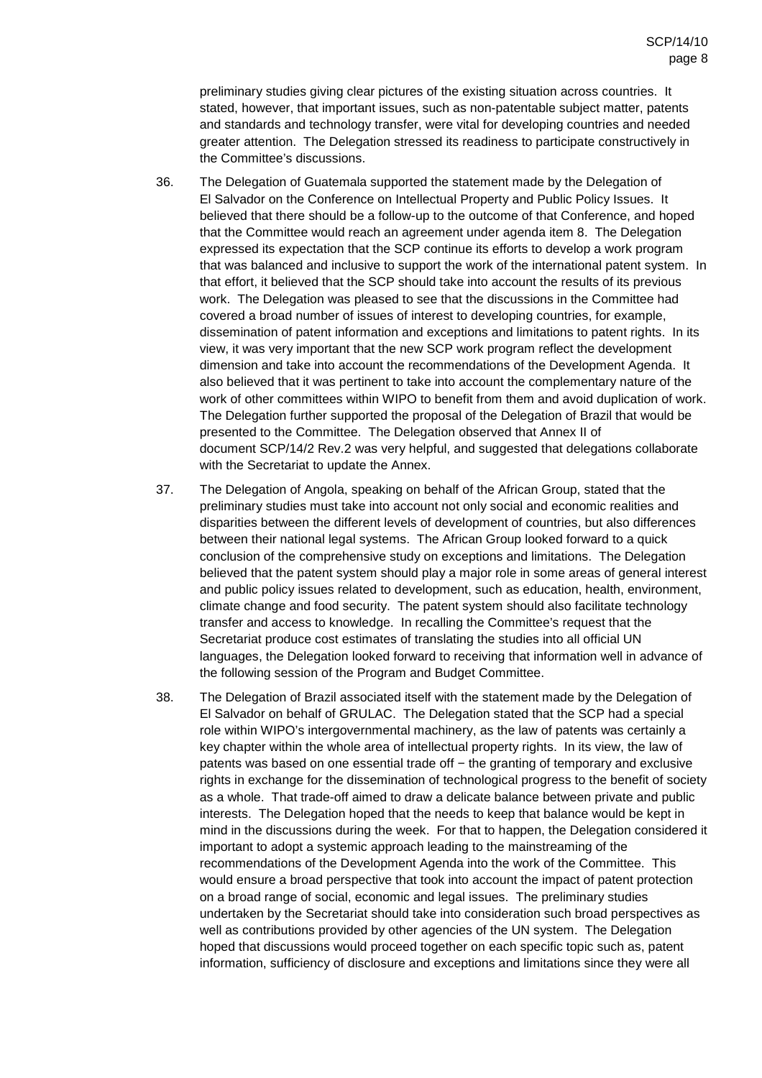preliminary studies giving clear pictures of the existing situation across countries. It stated, however, that important issues, such as non-patentable subject matter, patents and standards and technology transfer, were vital for developing countries and needed greater attention. The Delegation stressed its readiness to participate constructively in the Committee's discussions.

- 36. The Delegation of Guatemala supported the statement made by the Delegation of El Salvador on the Conference on Intellectual Property and Public Policy Issues. It believed that there should be a follow-up to the outcome of that Conference, and hoped that the Committee would reach an agreement under agenda item 8. The Delegation expressed its expectation that the SCP continue its efforts to develop a work program that was balanced and inclusive to support the work of the international patent system. In that effort, it believed that the SCP should take into account the results of its previous work. The Delegation was pleased to see that the discussions in the Committee had covered a broad number of issues of interest to developing countries, for example, dissemination of patent information and exceptions and limitations to patent rights. In its view, it was very important that the new SCP work program reflect the development dimension and take into account the recommendations of the Development Agenda. It also believed that it was pertinent to take into account the complementary nature of the work of other committees within WIPO to benefit from them and avoid duplication of work. The Delegation further supported the proposal of the Delegation of Brazil that would be presented to the Committee. The Delegation observed that Annex II of document SCP/14/2 Rev.2 was very helpful, and suggested that delegations collaborate with the Secretariat to update the Annex.
- 37. The Delegation of Angola, speaking on behalf of the African Group, stated that the preliminary studies must take into account not only social and economic realities and disparities between the different levels of development of countries, but also differences between their national legal systems. The African Group looked forward to a quick conclusion of the comprehensive study on exceptions and limitations. The Delegation believed that the patent system should play a major role in some areas of general interest and public policy issues related to development, such as education, health, environment, climate change and food security. The patent system should also facilitate technology transfer and access to knowledge. In recalling the Committee's request that the Secretariat produce cost estimates of translating the studies into all official UN languages, the Delegation looked forward to receiving that information well in advance of the following session of the Program and Budget Committee.
- 38. The Delegation of Brazil associated itself with the statement made by the Delegation of El Salvador on behalf of GRULAC. The Delegation stated that the SCP had a special role within WIPO's intergovernmental machinery, as the law of patents was certainly a key chapter within the whole area of intellectual property rights. In its view, the law of patents was based on one essential trade off – the granting of temporary and exclusive rights in exchange for the dissemination of technological progress to the benefit of society as a whole. That trade-off aimed to draw a delicate balance between private and public interests. The Delegation hoped that the needs to keep that balance would be kept in mind in the discussions during the week. For that to happen, the Delegation considered it important to adopt a systemic approach leading to the mainstreaming of the recommendations of the Development Agenda into the work of the Committee. This would ensure a broad perspective that took into account the impact of patent protection on a broad range of social, economic and legal issues. The preliminary studies undertaken by the Secretariat should take into consideration such broad perspectives as well as contributions provided by other agencies of the UN system. The Delegation hoped that discussions would proceed together on each specific topic such as, patent information, sufficiency of disclosure and exceptions and limitations since they were all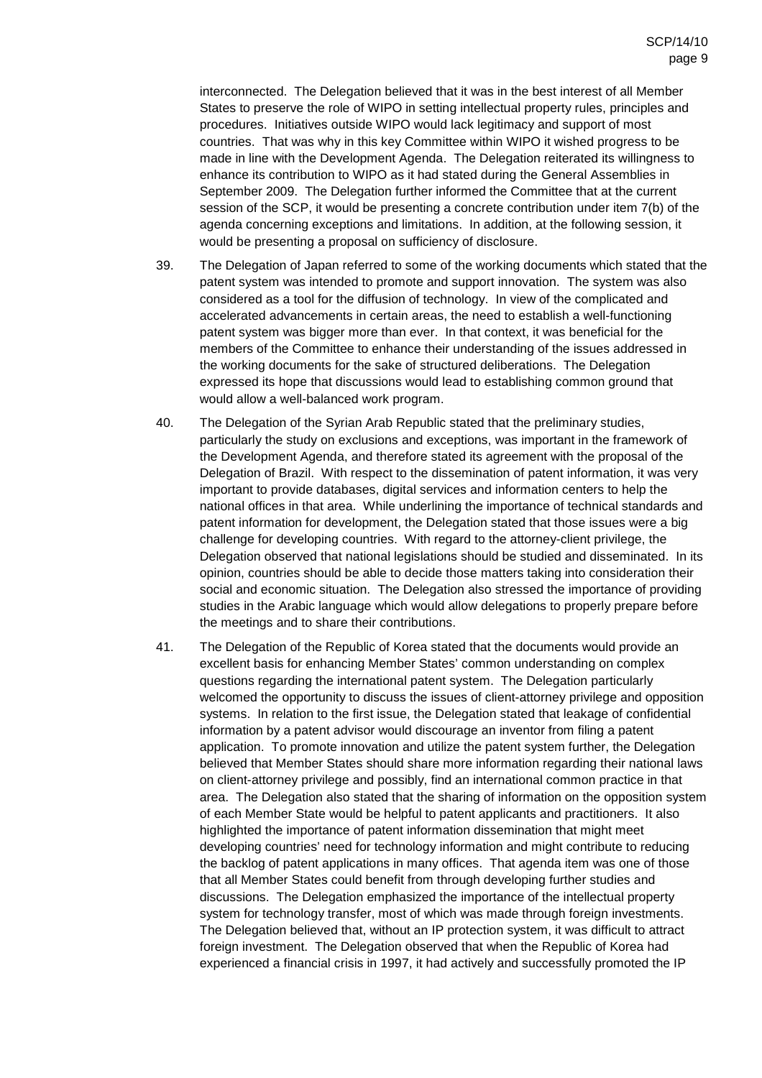interconnected. The Delegation believed that it was in the best interest of all Member States to preserve the role of WIPO in setting intellectual property rules, principles and procedures. Initiatives outside WIPO would lack legitimacy and support of most countries. That was why in this key Committee within WIPO it wished progress to be made in line with the Development Agenda. The Delegation reiterated its willingness to enhance its contribution to WIPO as it had stated during the General Assemblies in September 2009. The Delegation further informed the Committee that at the current session of the SCP, it would be presenting a concrete contribution under item 7(b) of the agenda concerning exceptions and limitations. In addition, at the following session, it would be presenting a proposal on sufficiency of disclosure.

- 39. The Delegation of Japan referred to some of the working documents which stated that the patent system was intended to promote and support innovation. The system was also considered as a tool for the diffusion of technology. In view of the complicated and accelerated advancements in certain areas, the need to establish a well-functioning patent system was bigger more than ever. In that context, it was beneficial for the members of the Committee to enhance their understanding of the issues addressed in the working documents for the sake of structured deliberations. The Delegation expressed its hope that discussions would lead to establishing common ground that would allow a well-balanced work program.
- 40. The Delegation of the Syrian Arab Republic stated that the preliminary studies, particularly the study on exclusions and exceptions, was important in the framework of the Development Agenda, and therefore stated its agreement with the proposal of the Delegation of Brazil. With respect to the dissemination of patent information, it was very important to provide databases, digital services and information centers to help the national offices in that area. While underlining the importance of technical standards and patent information for development, the Delegation stated that those issues were a big challenge for developing countries. With regard to the attorney-client privilege, the Delegation observed that national legislations should be studied and disseminated. In its opinion, countries should be able to decide those matters taking into consideration their social and economic situation. The Delegation also stressed the importance of providing studies in the Arabic language which would allow delegations to properly prepare before the meetings and to share their contributions.
- 41. The Delegation of the Republic of Korea stated that the documents would provide an excellent basis for enhancing Member States' common understanding on complex questions regarding the international patent system. The Delegation particularly welcomed the opportunity to discuss the issues of client-attorney privilege and opposition systems. In relation to the first issue, the Delegation stated that leakage of confidential information by a patent advisor would discourage an inventor from filing a patent application. To promote innovation and utilize the patent system further, the Delegation believed that Member States should share more information regarding their national laws on client-attorney privilege and possibly, find an international common practice in that area. The Delegation also stated that the sharing of information on the opposition system of each Member State would be helpful to patent applicants and practitioners. It also highlighted the importance of patent information dissemination that might meet developing countries' need for technology information and might contribute to reducing the backlog of patent applications in many offices. That agenda item was one of those that all Member States could benefit from through developing further studies and discussions. The Delegation emphasized the importance of the intellectual property system for technology transfer, most of which was made through foreign investments. The Delegation believed that, without an IP protection system, it was difficult to attract foreign investment. The Delegation observed that when the Republic of Korea had experienced a financial crisis in 1997, it had actively and successfully promoted the IP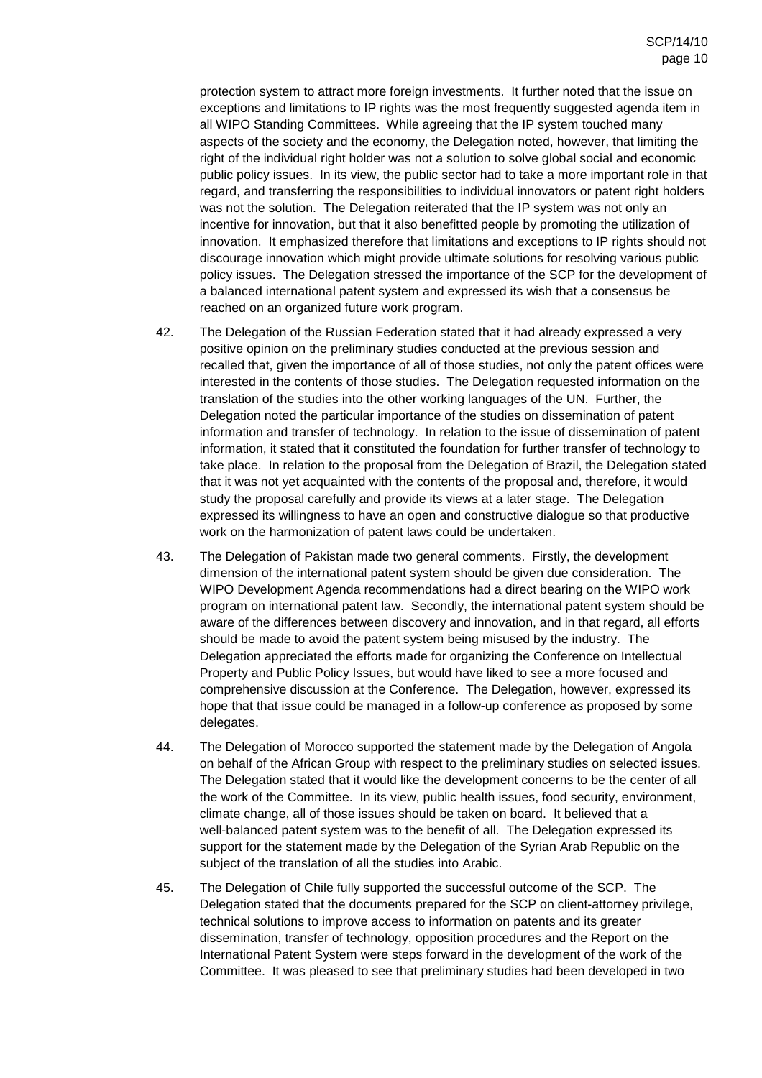protection system to attract more foreign investments. It further noted that the issue on exceptions and limitations to IP rights was the most frequently suggested agenda item in all WIPO Standing Committees. While agreeing that the IP system touched many aspects of the society and the economy, the Delegation noted, however, that limiting the right of the individual right holder was not a solution to solve global social and economic public policy issues. In its view, the public sector had to take a more important role in that regard, and transferring the responsibilities to individual innovators or patent right holders was not the solution. The Delegation reiterated that the IP system was not only an incentive for innovation, but that it also benefitted people by promoting the utilization of innovation. It emphasized therefore that limitations and exceptions to IP rights should not discourage innovation which might provide ultimate solutions for resolving various public policy issues. The Delegation stressed the importance of the SCP for the development of a balanced international patent system and expressed its wish that a consensus be reached on an organized future work program.

- 42. The Delegation of the Russian Federation stated that it had already expressed a very positive opinion on the preliminary studies conducted at the previous session and recalled that, given the importance of all of those studies, not only the patent offices were interested in the contents of those studies. The Delegation requested information on the translation of the studies into the other working languages of the UN. Further, the Delegation noted the particular importance of the studies on dissemination of patent information and transfer of technology. In relation to the issue of dissemination of patent information, it stated that it constituted the foundation for further transfer of technology to take place. In relation to the proposal from the Delegation of Brazil, the Delegation stated that it was not yet acquainted with the contents of the proposal and, therefore, it would study the proposal carefully and provide its views at a later stage. The Delegation expressed its willingness to have an open and constructive dialogue so that productive work on the harmonization of patent laws could be undertaken.
- 43. The Delegation of Pakistan made two general comments. Firstly, the development dimension of the international patent system should be given due consideration. The WIPO Development Agenda recommendations had a direct bearing on the WIPO work program on international patent law. Secondly, the international patent system should be aware of the differences between discovery and innovation, and in that regard, all efforts should be made to avoid the patent system being misused by the industry. The Delegation appreciated the efforts made for organizing the Conference on Intellectual Property and Public Policy Issues, but would have liked to see a more focused and comprehensive discussion at the Conference. The Delegation, however, expressed its hope that that issue could be managed in a follow-up conference as proposed by some delegates.
- 44. The Delegation of Morocco supported the statement made by the Delegation of Angola on behalf of the African Group with respect to the preliminary studies on selected issues. The Delegation stated that it would like the development concerns to be the center of all the work of the Committee. In its view, public health issues, food security, environment, climate change, all of those issues should be taken on board. It believed that a well-balanced patent system was to the benefit of all. The Delegation expressed its support for the statement made by the Delegation of the Syrian Arab Republic on the subject of the translation of all the studies into Arabic.
- 45. The Delegation of Chile fully supported the successful outcome of the SCP. The Delegation stated that the documents prepared for the SCP on client-attorney privilege, technical solutions to improve access to information on patents and its greater dissemination, transfer of technology, opposition procedures and the Report on the International Patent System were steps forward in the development of the work of the Committee. It was pleased to see that preliminary studies had been developed in two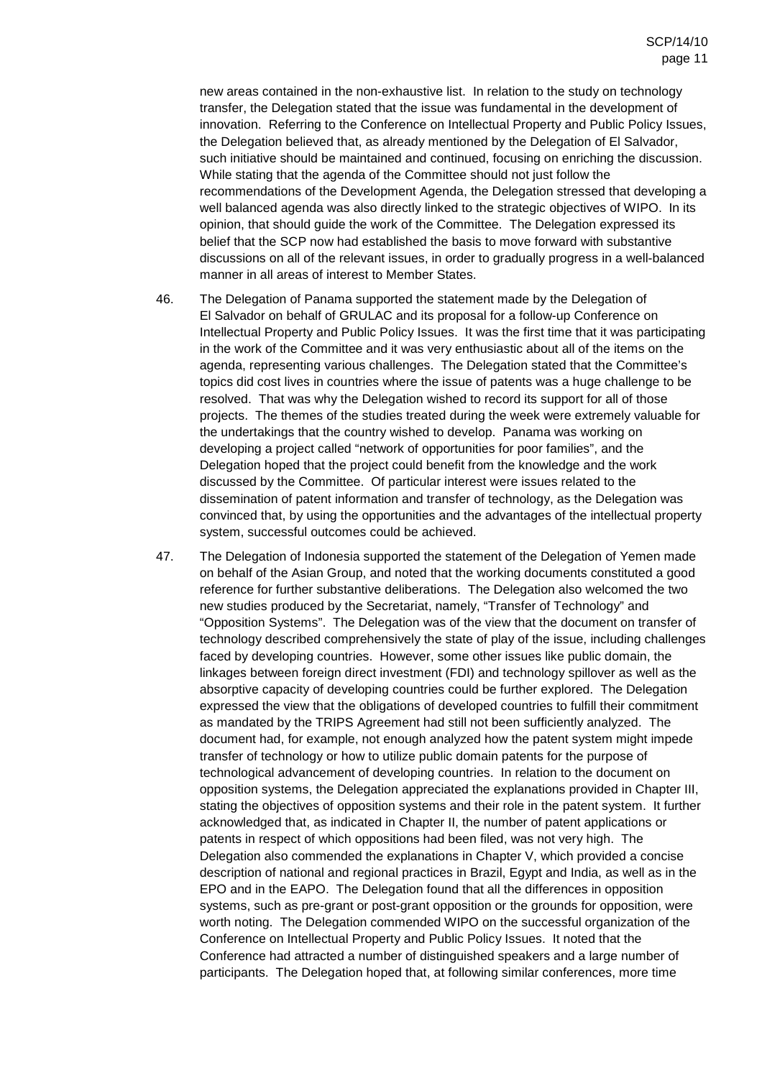new areas contained in the non-exhaustive list. In relation to the study on technology transfer, the Delegation stated that the issue was fundamental in the development of innovation. Referring to the Conference on Intellectual Property and Public Policy Issues, the Delegation believed that, as already mentioned by the Delegation of El Salvador, such initiative should be maintained and continued, focusing on enriching the discussion. While stating that the agenda of the Committee should not just follow the recommendations of the Development Agenda, the Delegation stressed that developing a well balanced agenda was also directly linked to the strategic objectives of WIPO. In its opinion, that should guide the work of the Committee. The Delegation expressed its belief that the SCP now had established the basis to move forward with substantive discussions on all of the relevant issues, in order to gradually progress in a well-balanced manner in all areas of interest to Member States.

- 46. The Delegation of Panama supported the statement made by the Delegation of El Salvador on behalf of GRULAC and its proposal for a follow-up Conference on Intellectual Property and Public Policy Issues. It was the first time that it was participating in the work of the Committee and it was very enthusiastic about all of the items on the agenda, representing various challenges. The Delegation stated that the Committee's topics did cost lives in countries where the issue of patents was a huge challenge to be resolved. That was why the Delegation wished to record its support for all of those projects. The themes of the studies treated during the week were extremely valuable for the undertakings that the country wished to develop. Panama was working on developing a project called "network of opportunities for poor families", and the Delegation hoped that the project could benefit from the knowledge and the work discussed by the Committee. Of particular interest were issues related to the dissemination of patent information and transfer of technology, as the Delegation was convinced that, by using the opportunities and the advantages of the intellectual property system, successful outcomes could be achieved.
- 47. The Delegation of Indonesia supported the statement of the Delegation of Yemen made on behalf of the Asian Group, and noted that the working documents constituted a good reference for further substantive deliberations. The Delegation also welcomed the two new studies produced by the Secretariat, namely, "Transfer of Technology" and "Opposition Systems". The Delegation was of the view that the document on transfer of technology described comprehensively the state of play of the issue, including challenges faced by developing countries. However, some other issues like public domain, the linkages between foreign direct investment (FDI) and technology spillover as well as the absorptive capacity of developing countries could be further explored. The Delegation expressed the view that the obligations of developed countries to fulfill their commitment as mandated by the TRIPS Agreement had still not been sufficiently analyzed. The document had, for example, not enough analyzed how the patent system might impede transfer of technology or how to utilize public domain patents for the purpose of technological advancement of developing countries. In relation to the document on opposition systems, the Delegation appreciated the explanations provided in Chapter III, stating the objectives of opposition systems and their role in the patent system. It further acknowledged that, as indicated in Chapter II, the number of patent applications or patents in respect of which oppositions had been filed, was not very high. The Delegation also commended the explanations in Chapter V, which provided a concise description of national and regional practices in Brazil, Egypt and India, as well as in the EPO and in the EAPO. The Delegation found that all the differences in opposition systems, such as pre-grant or post-grant opposition or the grounds for opposition, were worth noting. The Delegation commended WIPO on the successful organization of the Conference on Intellectual Property and Public Policy Issues. It noted that the Conference had attracted a number of distinguished speakers and a large number of participants. The Delegation hoped that, at following similar conferences, more time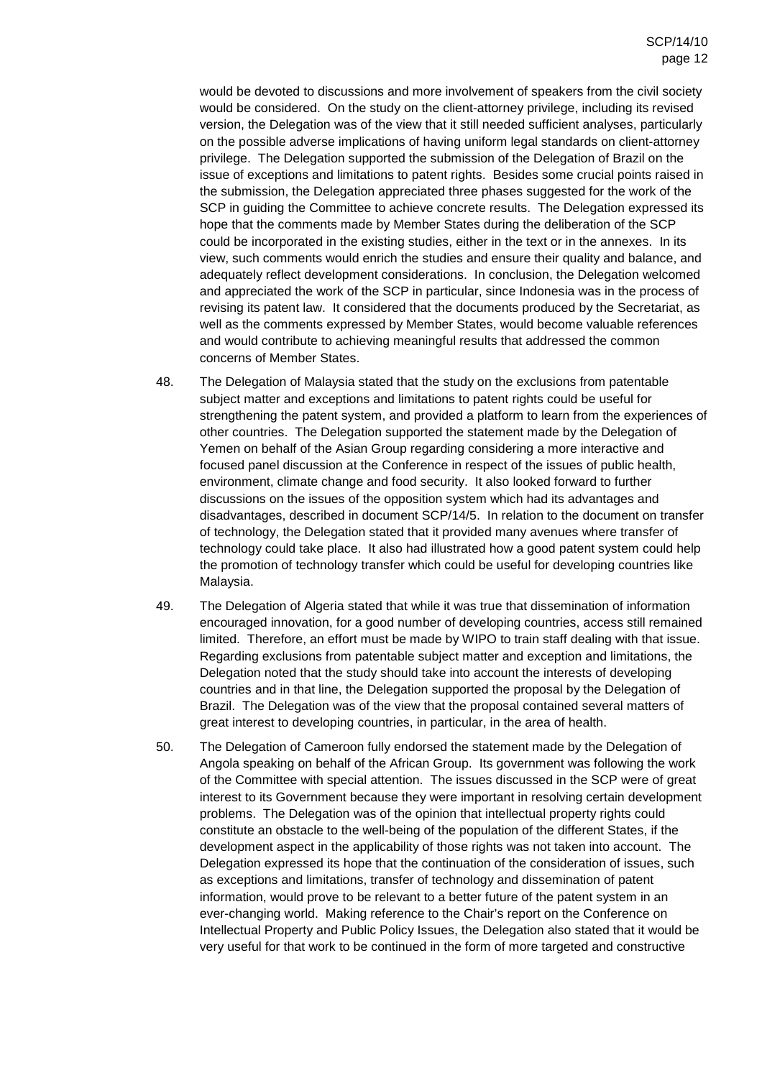would be devoted to discussions and more involvement of speakers from the civil society would be considered. On the study on the client-attorney privilege, including its revised version, the Delegation was of the view that it still needed sufficient analyses, particularly on the possible adverse implications of having uniform legal standards on client-attorney privilege. The Delegation supported the submission of the Delegation of Brazil on the issue of exceptions and limitations to patent rights. Besides some crucial points raised in the submission, the Delegation appreciated three phases suggested for the work of the SCP in guiding the Committee to achieve concrete results. The Delegation expressed its hope that the comments made by Member States during the deliberation of the SCP could be incorporated in the existing studies, either in the text or in the annexes. In its view, such comments would enrich the studies and ensure their quality and balance, and adequately reflect development considerations. In conclusion, the Delegation welcomed and appreciated the work of the SCP in particular, since Indonesia was in the process of revising its patent law. It considered that the documents produced by the Secretariat, as well as the comments expressed by Member States, would become valuable references and would contribute to achieving meaningful results that addressed the common concerns of Member States.

- 48. The Delegation of Malaysia stated that the study on the exclusions from patentable subject matter and exceptions and limitations to patent rights could be useful for strengthening the patent system, and provided a platform to learn from the experiences of other countries. The Delegation supported the statement made by the Delegation of Yemen on behalf of the Asian Group regarding considering a more interactive and focused panel discussion at the Conference in respect of the issues of public health, environment, climate change and food security. It also looked forward to further discussions on the issues of the opposition system which had its advantages and disadvantages, described in document SCP/14/5. In relation to the document on transfer of technology, the Delegation stated that it provided many avenues where transfer of technology could take place. It also had illustrated how a good patent system could help the promotion of technology transfer which could be useful for developing countries like Malaysia.
- 49. The Delegation of Algeria stated that while it was true that dissemination of information encouraged innovation, for a good number of developing countries, access still remained limited. Therefore, an effort must be made by WIPO to train staff dealing with that issue. Regarding exclusions from patentable subject matter and exception and limitations, the Delegation noted that the study should take into account the interests of developing countries and in that line, the Delegation supported the proposal by the Delegation of Brazil. The Delegation was of the view that the proposal contained several matters of great interest to developing countries, in particular, in the area of health.
- 50. The Delegation of Cameroon fully endorsed the statement made by the Delegation of Angola speaking on behalf of the African Group. Its government was following the work of the Committee with special attention. The issues discussed in the SCP were of great interest to its Government because they were important in resolving certain development problems. The Delegation was of the opinion that intellectual property rights could constitute an obstacle to the well-being of the population of the different States, if the development aspect in the applicability of those rights was not taken into account. The Delegation expressed its hope that the continuation of the consideration of issues, such as exceptions and limitations, transfer of technology and dissemination of patent information, would prove to be relevant to a better future of the patent system in an ever-changing world. Making reference to the Chair's report on the Conference on Intellectual Property and Public Policy Issues, the Delegation also stated that it would be very useful for that work to be continued in the form of more targeted and constructive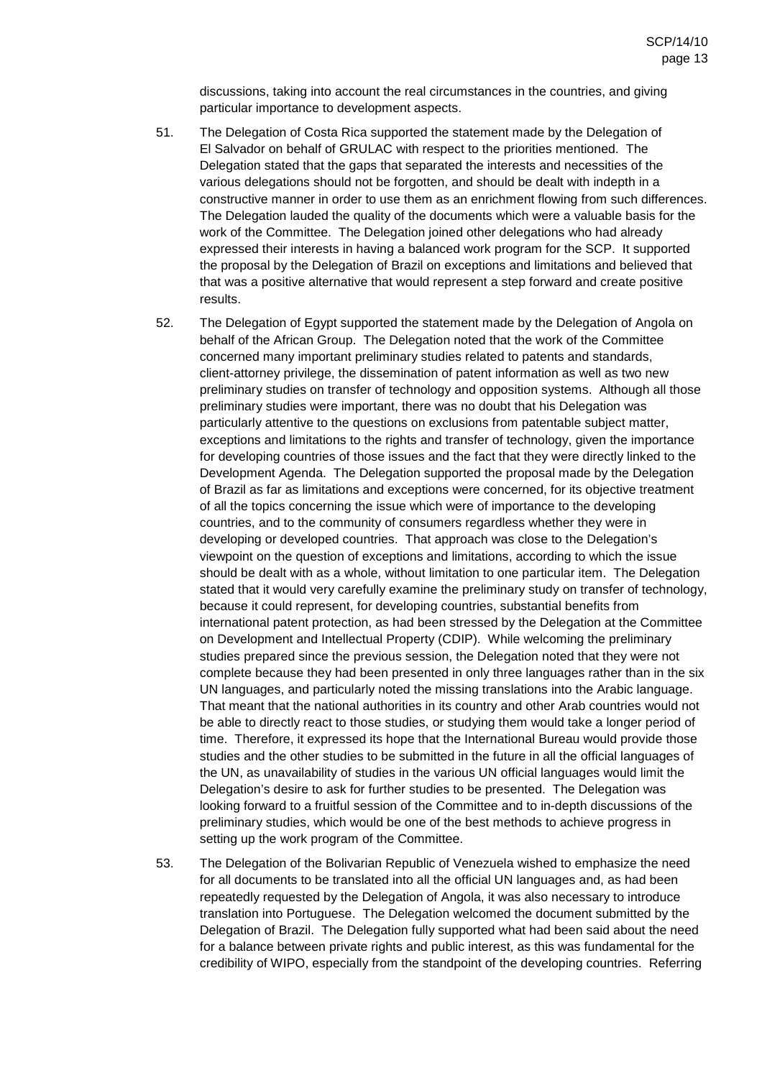discussions, taking into account the real circumstances in the countries, and giving particular importance to development aspects.

- 51. The Delegation of Costa Rica supported the statement made by the Delegation of El Salvador on behalf of GRULAC with respect to the priorities mentioned. The Delegation stated that the gaps that separated the interests and necessities of the various delegations should not be forgotten, and should be dealt with indepth in a constructive manner in order to use them as an enrichment flowing from such differences. The Delegation lauded the quality of the documents which were a valuable basis for the work of the Committee. The Delegation joined other delegations who had already expressed their interests in having a balanced work program for the SCP. It supported the proposal by the Delegation of Brazil on exceptions and limitations and believed that that was a positive alternative that would represent a step forward and create positive results.
- 52. The Delegation of Egypt supported the statement made by the Delegation of Angola on behalf of the African Group. The Delegation noted that the work of the Committee concerned many important preliminary studies related to patents and standards, client-attorney privilege, the dissemination of patent information as well as two new preliminary studies on transfer of technology and opposition systems. Although all those preliminary studies were important, there was no doubt that his Delegation was particularly attentive to the questions on exclusions from patentable subject matter, exceptions and limitations to the rights and transfer of technology, given the importance for developing countries of those issues and the fact that they were directly linked to the Development Agenda. The Delegation supported the proposal made by the Delegation of Brazil as far as limitations and exceptions were concerned, for its objective treatment of all the topics concerning the issue which were of importance to the developing countries, and to the community of consumers regardless whether they were in developing or developed countries. That approach was close to the Delegation's viewpoint on the question of exceptions and limitations, according to which the issue should be dealt with as a whole, without limitation to one particular item. The Delegation stated that it would very carefully examine the preliminary study on transfer of technology, because it could represent, for developing countries, substantial benefits from international patent protection, as had been stressed by the Delegation at the Committee on Development and Intellectual Property (CDIP). While welcoming the preliminary studies prepared since the previous session, the Delegation noted that they were not complete because they had been presented in only three languages rather than in the six UN languages, and particularly noted the missing translations into the Arabic language. That meant that the national authorities in its country and other Arab countries would not be able to directly react to those studies, or studying them would take a longer period of time. Therefore, it expressed its hope that the International Bureau would provide those studies and the other studies to be submitted in the future in all the official languages of the UN, as unavailability of studies in the various UN official languages would limit the Delegation's desire to ask for further studies to be presented. The Delegation was looking forward to a fruitful session of the Committee and to in-depth discussions of the preliminary studies, which would be one of the best methods to achieve progress in setting up the work program of the Committee.
- 53. The Delegation of the Bolivarian Republic of Venezuela wished to emphasize the need for all documents to be translated into all the official UN languages and, as had been repeatedly requested by the Delegation of Angola, it was also necessary to introduce translation into Portuguese. The Delegation welcomed the document submitted by the Delegation of Brazil. The Delegation fully supported what had been said about the need for a balance between private rights and public interest, as this was fundamental for the credibility of WIPO, especially from the standpoint of the developing countries. Referring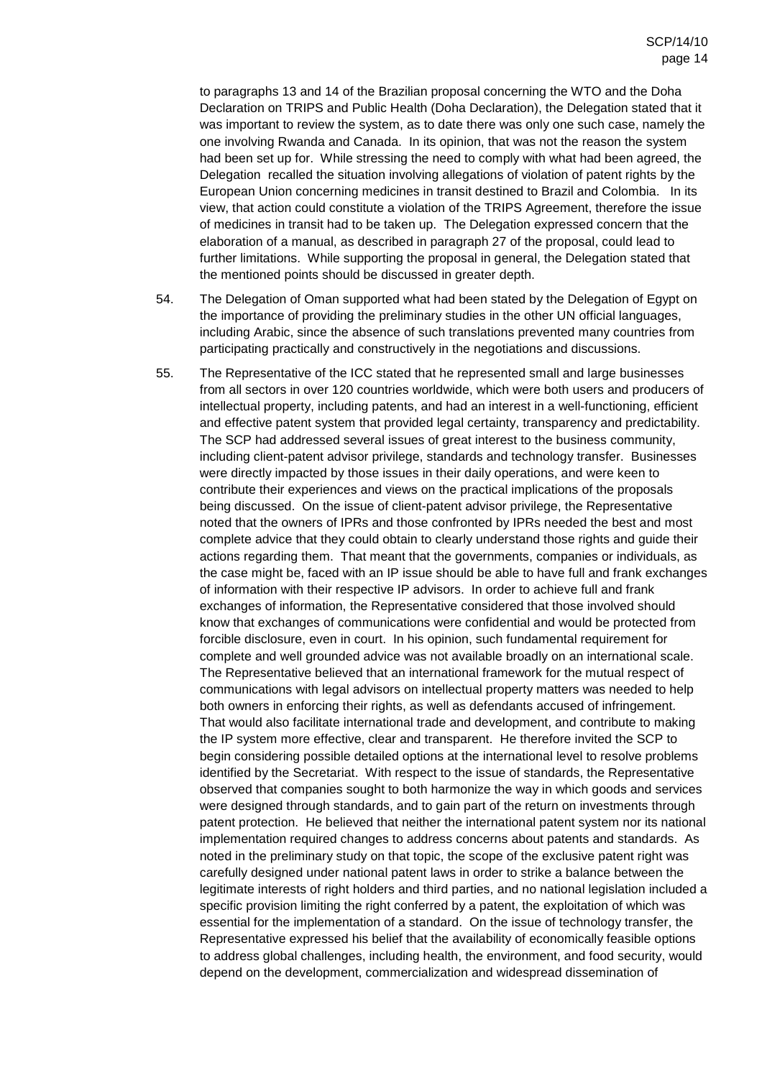to paragraphs 13 and 14 of the Brazilian proposal concerning the WTO and the Doha Declaration on TRIPS and Public Health (Doha Declaration), the Delegation stated that it was important to review the system, as to date there was only one such case, namely the one involving Rwanda and Canada. In its opinion, that was not the reason the system had been set up for. While stressing the need to comply with what had been agreed, the Delegation recalled the situation involving allegations of violation of patent rights by the European Union concerning medicines in transit destined to Brazil and Colombia. In its view, that action could constitute a violation of the TRIPS Agreement, therefore the issue of medicines in transit had to be taken up. The Delegation expressed concern that the elaboration of a manual, as described in paragraph 27 of the proposal, could lead to further limitations. While supporting the proposal in general, the Delegation stated that the mentioned points should be discussed in greater depth.

- 54. The Delegation of Oman supported what had been stated by the Delegation of Egypt on the importance of providing the preliminary studies in the other UN official languages, including Arabic, since the absence of such translations prevented many countries from participating practically and constructively in the negotiations and discussions.
- 55. The Representative of the ICC stated that he represented small and large businesses from all sectors in over 120 countries worldwide, which were both users and producers of intellectual property, including patents, and had an interest in a well-functioning, efficient and effective patent system that provided legal certainty, transparency and predictability. The SCP had addressed several issues of great interest to the business community, including client-patent advisor privilege, standards and technology transfer. Businesses were directly impacted by those issues in their daily operations, and were keen to contribute their experiences and views on the practical implications of the proposals being discussed. On the issue of client-patent advisor privilege, the Representative noted that the owners of IPRs and those confronted by IPRs needed the best and most complete advice that they could obtain to clearly understand those rights and guide their actions regarding them. That meant that the governments, companies or individuals, as the case might be, faced with an IP issue should be able to have full and frank exchanges of information with their respective IP advisors. In order to achieve full and frank exchanges of information, the Representative considered that those involved should know that exchanges of communications were confidential and would be protected from forcible disclosure, even in court. In his opinion, such fundamental requirement for complete and well grounded advice was not available broadly on an international scale. The Representative believed that an international framework for the mutual respect of communications with legal advisors on intellectual property matters was needed to help both owners in enforcing their rights, as well as defendants accused of infringement. That would also facilitate international trade and development, and contribute to making the IP system more effective, clear and transparent. He therefore invited the SCP to begin considering possible detailed options at the international level to resolve problems identified by the Secretariat. With respect to the issue of standards, the Representative observed that companies sought to both harmonize the way in which goods and services were designed through standards, and to gain part of the return on investments through patent protection. He believed that neither the international patent system nor its national implementation required changes to address concerns about patents and standards. As noted in the preliminary study on that topic, the scope of the exclusive patent right was carefully designed under national patent laws in order to strike a balance between the legitimate interests of right holders and third parties, and no national legislation included a specific provision limiting the right conferred by a patent, the exploitation of which was essential for the implementation of a standard. On the issue of technology transfer, the Representative expressed his belief that the availability of economically feasible options to address global challenges, including health, the environment, and food security, would depend on the development, commercialization and widespread dissemination of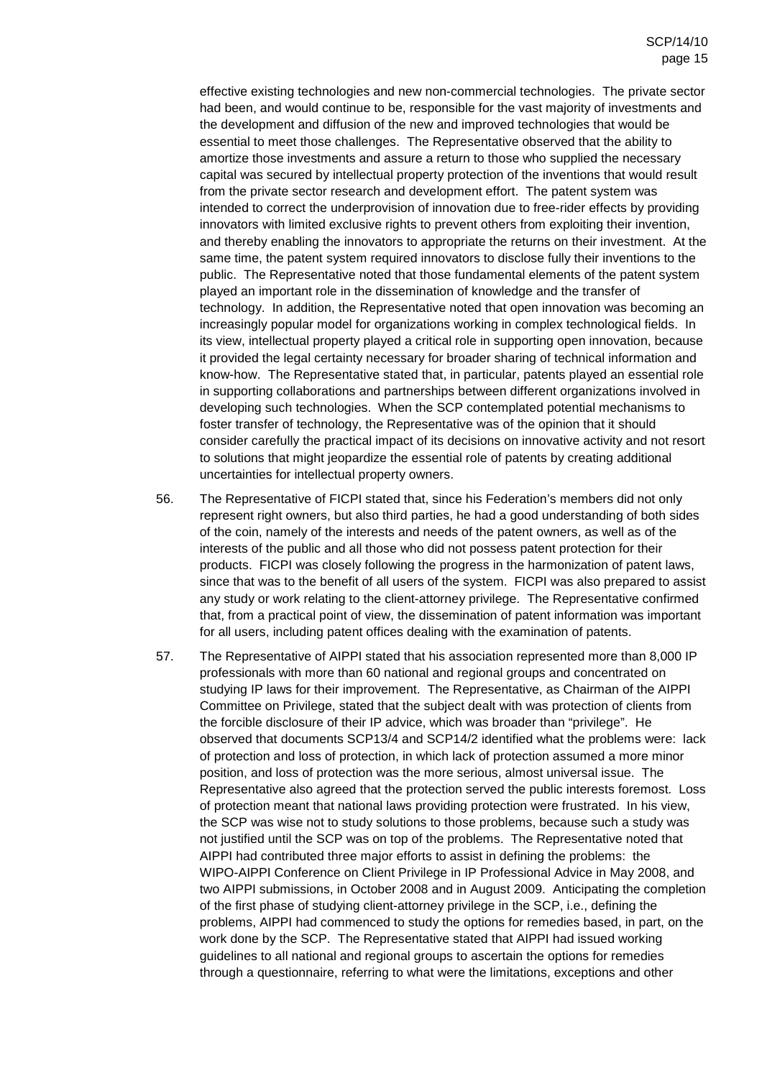effective existing technologies and new non-commercial technologies. The private sector had been, and would continue to be, responsible for the vast majority of investments and the development and diffusion of the new and improved technologies that would be essential to meet those challenges. The Representative observed that the ability to amortize those investments and assure a return to those who supplied the necessary capital was secured by intellectual property protection of the inventions that would result from the private sector research and development effort. The patent system was intended to correct the underprovision of innovation due to free-rider effects by providing innovators with limited exclusive rights to prevent others from exploiting their invention, and thereby enabling the innovators to appropriate the returns on their investment. At the same time, the patent system required innovators to disclose fully their inventions to the public. The Representative noted that those fundamental elements of the patent system played an important role in the dissemination of knowledge and the transfer of technology. In addition, the Representative noted that open innovation was becoming an increasingly popular model for organizations working in complex technological fields. In its view, intellectual property played a critical role in supporting open innovation, because it provided the legal certainty necessary for broader sharing of technical information and know-how. The Representative stated that, in particular, patents played an essential role in supporting collaborations and partnerships between different organizations involved in developing such technologies. When the SCP contemplated potential mechanisms to foster transfer of technology, the Representative was of the opinion that it should consider carefully the practical impact of its decisions on innovative activity and not resort to solutions that might jeopardize the essential role of patents by creating additional uncertainties for intellectual property owners.

- 56. The Representative of FICPI stated that, since his Federation's members did not only represent right owners, but also third parties, he had a good understanding of both sides of the coin, namely of the interests and needs of the patent owners, as well as of the interests of the public and all those who did not possess patent protection for their products. FICPI was closely following the progress in the harmonization of patent laws, since that was to the benefit of all users of the system. FICPI was also prepared to assist any study or work relating to the client-attorney privilege. The Representative confirmed that, from a practical point of view, the dissemination of patent information was important for all users, including patent offices dealing with the examination of patents.
- 57. The Representative of AIPPI stated that his association represented more than 8,000 IP professionals with more than 60 national and regional groups and concentrated on studying IP laws for their improvement. The Representative, as Chairman of the AIPPI Committee on Privilege, stated that the subject dealt with was protection of clients from the forcible disclosure of their IP advice, which was broader than "privilege". He observed that documents SCP13/4 and SCP14/2 identified what the problems were: lack of protection and loss of protection, in which lack of protection assumed a more minor position, and loss of protection was the more serious, almost universal issue. The Representative also agreed that the protection served the public interests foremost. Loss of protection meant that national laws providing protection were frustrated. In his view, the SCP was wise not to study solutions to those problems, because such a study was not justified until the SCP was on top of the problems. The Representative noted that AIPPI had contributed three major efforts to assist in defining the problems: the WIPO-AIPPI Conference on Client Privilege in IP Professional Advice in May 2008, and two AIPPI submissions, in October 2008 and in August 2009. Anticipating the completion of the first phase of studying client-attorney privilege in the SCP, i.e., defining the problems, AIPPI had commenced to study the options for remedies based, in part, on the work done by the SCP. The Representative stated that AIPPI had issued working guidelines to all national and regional groups to ascertain the options for remedies through a questionnaire, referring to what were the limitations, exceptions and other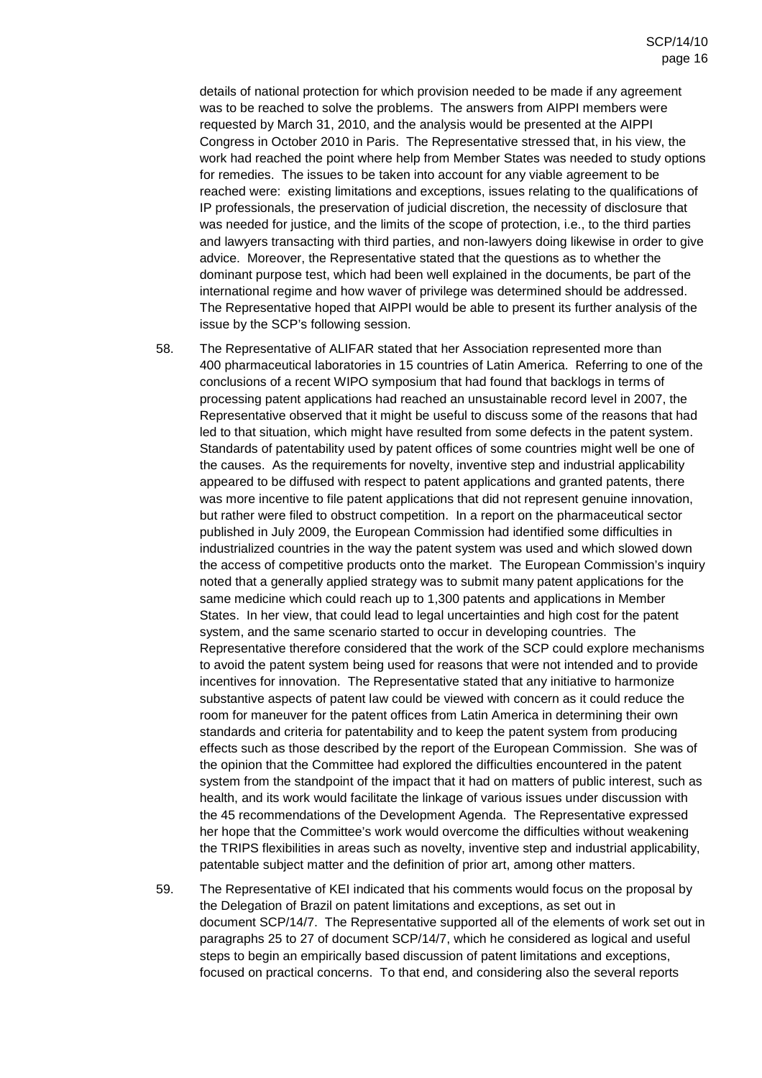details of national protection for which provision needed to be made if any agreement was to be reached to solve the problems. The answers from AIPPI members were requested by March 31, 2010, and the analysis would be presented at the AIPPI Congress in October 2010 in Paris. The Representative stressed that, in his view, the work had reached the point where help from Member States was needed to study options for remedies. The issues to be taken into account for any viable agreement to be reached were: existing limitations and exceptions, issues relating to the qualifications of IP professionals, the preservation of judicial discretion, the necessity of disclosure that was needed for justice, and the limits of the scope of protection, i.e., to the third parties and lawyers transacting with third parties, and non-lawyers doing likewise in order to give advice. Moreover, the Representative stated that the questions as to whether the dominant purpose test, which had been well explained in the documents, be part of the international regime and how waver of privilege was determined should be addressed. The Representative hoped that AIPPI would be able to present its further analysis of the issue by the SCP's following session.

- 58. The Representative of ALIFAR stated that her Association represented more than 400 pharmaceutical laboratories in 15 countries of Latin America. Referring to one of the conclusions of a recent WIPO symposium that had found that backlogs in terms of processing patent applications had reached an unsustainable record level in 2007, the Representative observed that it might be useful to discuss some of the reasons that had led to that situation, which might have resulted from some defects in the patent system. Standards of patentability used by patent offices of some countries might well be one of the causes. As the requirements for novelty, inventive step and industrial applicability appeared to be diffused with respect to patent applications and granted patents, there was more incentive to file patent applications that did not represent genuine innovation, but rather were filed to obstruct competition. In a report on the pharmaceutical sector published in July 2009, the European Commission had identified some difficulties in industrialized countries in the way the patent system was used and which slowed down the access of competitive products onto the market. The European Commission's inquiry noted that a generally applied strategy was to submit many patent applications for the same medicine which could reach up to 1,300 patents and applications in Member States. In her view, that could lead to legal uncertainties and high cost for the patent system, and the same scenario started to occur in developing countries. The Representative therefore considered that the work of the SCP could explore mechanisms to avoid the patent system being used for reasons that were not intended and to provide incentives for innovation. The Representative stated that any initiative to harmonize substantive aspects of patent law could be viewed with concern as it could reduce the room for maneuver for the patent offices from Latin America in determining their own standards and criteria for patentability and to keep the patent system from producing effects such as those described by the report of the European Commission. She was of the opinion that the Committee had explored the difficulties encountered in the patent system from the standpoint of the impact that it had on matters of public interest, such as health, and its work would facilitate the linkage of various issues under discussion with the 45 recommendations of the Development Agenda. The Representative expressed her hope that the Committee's work would overcome the difficulties without weakening the TRIPS flexibilities in areas such as novelty, inventive step and industrial applicability, patentable subject matter and the definition of prior art, among other matters.
- 59. The Representative of KEI indicated that his comments would focus on the proposal by the Delegation of Brazil on patent limitations and exceptions, as set out in document SCP/14/7. The Representative supported all of the elements of work set out in paragraphs 25 to 27 of document SCP/14/7, which he considered as logical and useful steps to begin an empirically based discussion of patent limitations and exceptions, focused on practical concerns. To that end, and considering also the several reports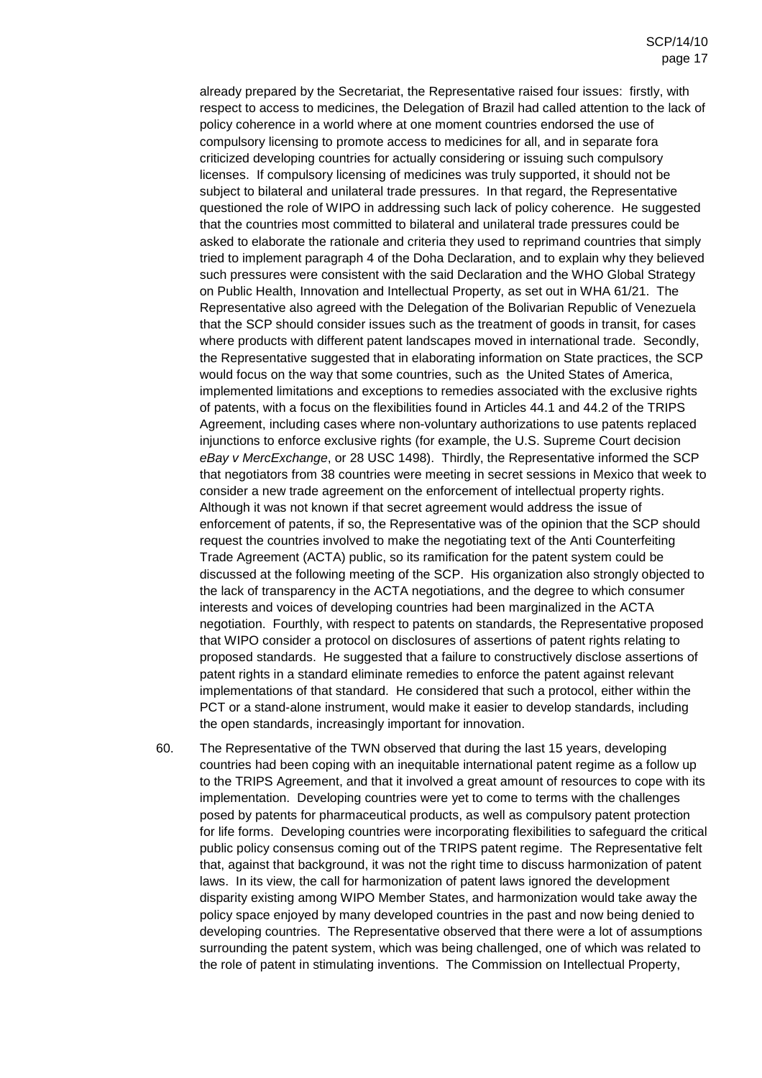already prepared by the Secretariat, the Representative raised four issues: firstly, with respect to access to medicines, the Delegation of Brazil had called attention to the lack of policy coherence in a world where at one moment countries endorsed the use of compulsory licensing to promote access to medicines for all, and in separate fora criticized developing countries for actually considering or issuing such compulsory licenses. If compulsory licensing of medicines was truly supported, it should not be subject to bilateral and unilateral trade pressures. In that regard, the Representative questioned the role of WIPO in addressing such lack of policy coherence. He suggested that the countries most committed to bilateral and unilateral trade pressures could be asked to elaborate the rationale and criteria they used to reprimand countries that simply tried to implement paragraph 4 of the Doha Declaration, and to explain why they believed such pressures were consistent with the said Declaration and the WHO Global Strategy on Public Health, Innovation and Intellectual Property, as set out in WHA 61/21. The Representative also agreed with the Delegation of the Bolivarian Republic of Venezuela that the SCP should consider issues such as the treatment of goods in transit, for cases where products with different patent landscapes moved in international trade. Secondly, the Representative suggested that in elaborating information on State practices, the SCP would focus on the way that some countries, such as the United States of America, implemented limitations and exceptions to remedies associated with the exclusive rights of patents, with a focus on the flexibilities found in Articles 44.1 and 44.2 of the TRIPS Agreement, including cases where non-voluntary authorizations to use patents replaced injunctions to enforce exclusive rights (for example, the U.S. Supreme Court decision eBay v MercExchange, or 28 USC 1498). Thirdly, the Representative informed the SCP that negotiators from 38 countries were meeting in secret sessions in Mexico that week to consider a new trade agreement on the enforcement of intellectual property rights. Although it was not known if that secret agreement would address the issue of enforcement of patents, if so, the Representative was of the opinion that the SCP should request the countries involved to make the negotiating text of the Anti Counterfeiting Trade Agreement (ACTA) public, so its ramification for the patent system could be discussed at the following meeting of the SCP. His organization also strongly objected to the lack of transparency in the ACTA negotiations, and the degree to which consumer interests and voices of developing countries had been marginalized in the ACTA negotiation. Fourthly, with respect to patents on standards, the Representative proposed that WIPO consider a protocol on disclosures of assertions of patent rights relating to proposed standards. He suggested that a failure to constructively disclose assertions of patent rights in a standard eliminate remedies to enforce the patent against relevant implementations of that standard. He considered that such a protocol, either within the PCT or a stand-alone instrument, would make it easier to develop standards, including the open standards, increasingly important for innovation.

60. The Representative of the TWN observed that during the last 15 years, developing countries had been coping with an inequitable international patent regime as a follow up to the TRIPS Agreement, and that it involved a great amount of resources to cope with its implementation. Developing countries were yet to come to terms with the challenges posed by patents for pharmaceutical products, as well as compulsory patent protection for life forms. Developing countries were incorporating flexibilities to safeguard the critical public policy consensus coming out of the TRIPS patent regime. The Representative felt that, against that background, it was not the right time to discuss harmonization of patent laws. In its view, the call for harmonization of patent laws ignored the development disparity existing among WIPO Member States, and harmonization would take away the policy space enjoyed by many developed countries in the past and now being denied to developing countries. The Representative observed that there were a lot of assumptions surrounding the patent system, which was being challenged, one of which was related to the role of patent in stimulating inventions. The Commission on Intellectual Property,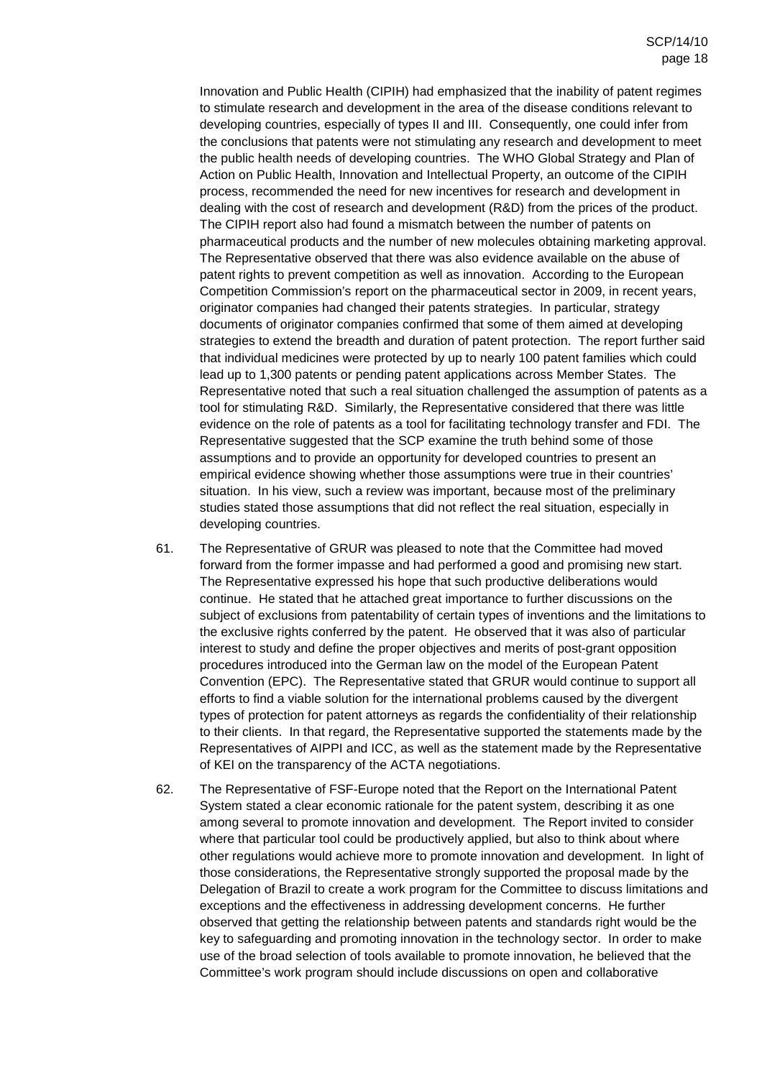Innovation and Public Health (CIPIH) had emphasized that the inability of patent regimes to stimulate research and development in the area of the disease conditions relevant to developing countries, especially of types II and III. Consequently, one could infer from the conclusions that patents were not stimulating any research and development to meet the public health needs of developing countries. The WHO Global Strategy and Plan of Action on Public Health, Innovation and Intellectual Property, an outcome of the CIPIH process, recommended the need for new incentives for research and development in dealing with the cost of research and development (R&D) from the prices of the product. The CIPIH report also had found a mismatch between the number of patents on pharmaceutical products and the number of new molecules obtaining marketing approval. The Representative observed that there was also evidence available on the abuse of patent rights to prevent competition as well as innovation. According to the European Competition Commission's report on the pharmaceutical sector in 2009, in recent years, originator companies had changed their patents strategies. In particular, strategy documents of originator companies confirmed that some of them aimed at developing strategies to extend the breadth and duration of patent protection. The report further said that individual medicines were protected by up to nearly 100 patent families which could lead up to 1,300 patents or pending patent applications across Member States. The Representative noted that such a real situation challenged the assumption of patents as a tool for stimulating R&D. Similarly, the Representative considered that there was little evidence on the role of patents as a tool for facilitating technology transfer and FDI. The Representative suggested that the SCP examine the truth behind some of those assumptions and to provide an opportunity for developed countries to present an empirical evidence showing whether those assumptions were true in their countries' situation. In his view, such a review was important, because most of the preliminary studies stated those assumptions that did not reflect the real situation, especially in developing countries.

- 61. The Representative of GRUR was pleased to note that the Committee had moved forward from the former impasse and had performed a good and promising new start. The Representative expressed his hope that such productive deliberations would continue. He stated that he attached great importance to further discussions on the subject of exclusions from patentability of certain types of inventions and the limitations to the exclusive rights conferred by the patent. He observed that it was also of particular interest to study and define the proper objectives and merits of post-grant opposition procedures introduced into the German law on the model of the European Patent Convention (EPC). The Representative stated that GRUR would continue to support all efforts to find a viable solution for the international problems caused by the divergent types of protection for patent attorneys as regards the confidentiality of their relationship to their clients. In that regard, the Representative supported the statements made by the Representatives of AIPPI and ICC, as well as the statement made by the Representative of KEI on the transparency of the ACTA negotiations.
- 62. The Representative of FSF-Europe noted that the Report on the International Patent System stated a clear economic rationale for the patent system, describing it as one among several to promote innovation and development. The Report invited to consider where that particular tool could be productively applied, but also to think about where other regulations would achieve more to promote innovation and development. In light of those considerations, the Representative strongly supported the proposal made by the Delegation of Brazil to create a work program for the Committee to discuss limitations and exceptions and the effectiveness in addressing development concerns. He further observed that getting the relationship between patents and standards right would be the key to safeguarding and promoting innovation in the technology sector. In order to make use of the broad selection of tools available to promote innovation, he believed that the Committee's work program should include discussions on open and collaborative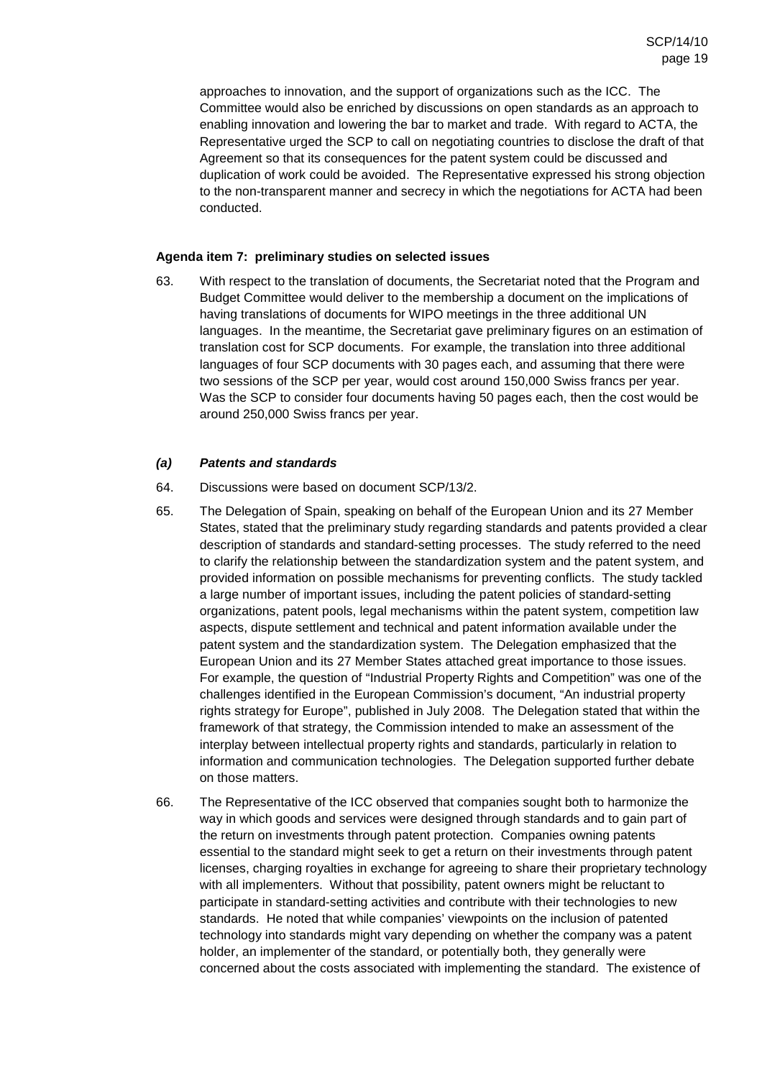approaches to innovation, and the support of organizations such as the ICC. The Committee would also be enriched by discussions on open standards as an approach to enabling innovation and lowering the bar to market and trade. With regard to ACTA, the Representative urged the SCP to call on negotiating countries to disclose the draft of that Agreement so that its consequences for the patent system could be discussed and duplication of work could be avoided. The Representative expressed his strong objection to the non-transparent manner and secrecy in which the negotiations for ACTA had been conducted.

#### **Agenda item 7: preliminary studies on selected issues**

63. With respect to the translation of documents, the Secretariat noted that the Program and Budget Committee would deliver to the membership a document on the implications of having translations of documents for WIPO meetings in the three additional UN languages. In the meantime, the Secretariat gave preliminary figures on an estimation of translation cost for SCP documents. For example, the translation into three additional languages of four SCP documents with 30 pages each, and assuming that there were two sessions of the SCP per year, would cost around 150,000 Swiss francs per year. Was the SCP to consider four documents having 50 pages each, then the cost would be around 250,000 Swiss francs per year.

#### **(a) Patents and standards**

- 64. Discussions were based on document SCP/13/2.
- 65. The Delegation of Spain, speaking on behalf of the European Union and its 27 Member States, stated that the preliminary study regarding standards and patents provided a clear description of standards and standard-setting processes. The study referred to the need to clarify the relationship between the standardization system and the patent system, and provided information on possible mechanisms for preventing conflicts. The study tackled a large number of important issues, including the patent policies of standard-setting organizations, patent pools, legal mechanisms within the patent system, competition law aspects, dispute settlement and technical and patent information available under the patent system and the standardization system. The Delegation emphasized that the European Union and its 27 Member States attached great importance to those issues. For example, the question of "Industrial Property Rights and Competition" was one of the challenges identified in the European Commission's document, "An industrial property rights strategy for Europe", published in July 2008. The Delegation stated that within the framework of that strategy, the Commission intended to make an assessment of the interplay between intellectual property rights and standards, particularly in relation to information and communication technologies. The Delegation supported further debate on those matters.
- 66. The Representative of the ICC observed that companies sought both to harmonize the way in which goods and services were designed through standards and to gain part of the return on investments through patent protection. Companies owning patents essential to the standard might seek to get a return on their investments through patent licenses, charging royalties in exchange for agreeing to share their proprietary technology with all implementers. Without that possibility, patent owners might be reluctant to participate in standard-setting activities and contribute with their technologies to new standards. He noted that while companies' viewpoints on the inclusion of patented technology into standards might vary depending on whether the company was a patent holder, an implementer of the standard, or potentially both, they generally were concerned about the costs associated with implementing the standard. The existence of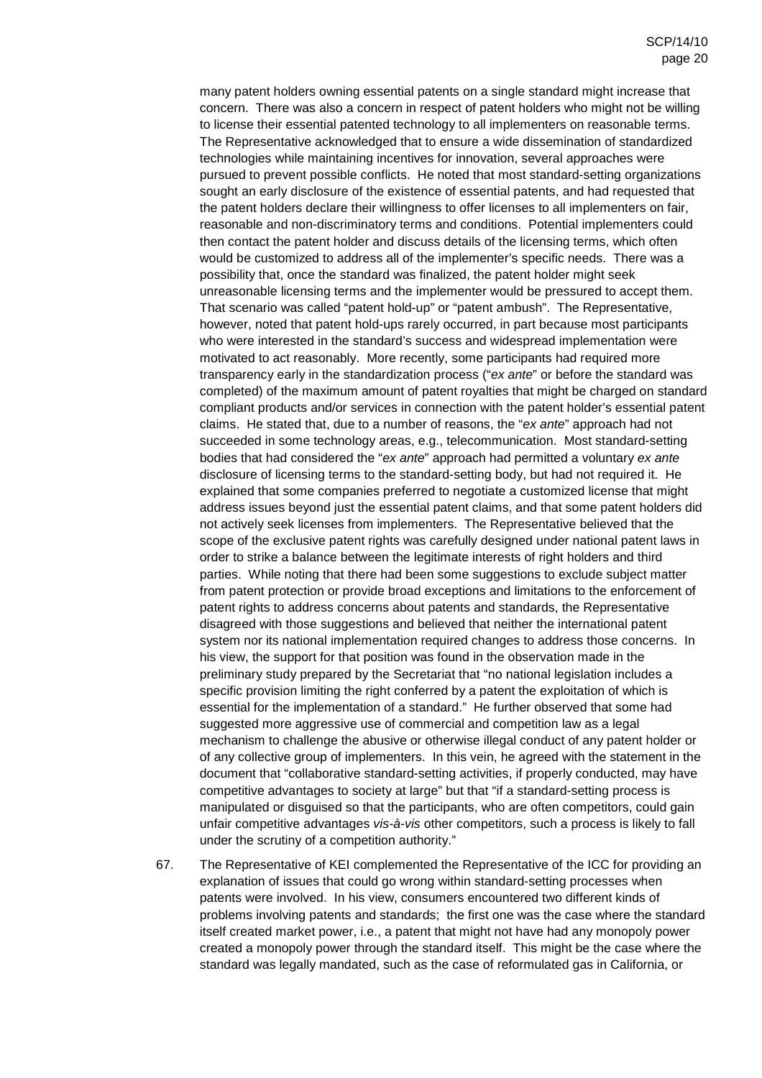many patent holders owning essential patents on a single standard might increase that concern. There was also a concern in respect of patent holders who might not be willing to license their essential patented technology to all implementers on reasonable terms. The Representative acknowledged that to ensure a wide dissemination of standardized technologies while maintaining incentives for innovation, several approaches were pursued to prevent possible conflicts. He noted that most standard-setting organizations sought an early disclosure of the existence of essential patents, and had requested that the patent holders declare their willingness to offer licenses to all implementers on fair, reasonable and non-discriminatory terms and conditions. Potential implementers could then contact the patent holder and discuss details of the licensing terms, which often would be customized to address all of the implementer's specific needs. There was a possibility that, once the standard was finalized, the patent holder might seek unreasonable licensing terms and the implementer would be pressured to accept them. That scenario was called "patent hold-up" or "patent ambush". The Representative, however, noted that patent hold-ups rarely occurred, in part because most participants who were interested in the standard's success and widespread implementation were motivated to act reasonably. More recently, some participants had required more transparency early in the standardization process ("ex ante" or before the standard was completed) of the maximum amount of patent royalties that might be charged on standard compliant products and/or services in connection with the patent holder's essential patent claims. He stated that, due to a number of reasons, the "ex ante" approach had not succeeded in some technology areas, e.g., telecommunication. Most standard-setting bodies that had considered the "ex ante" approach had permitted a voluntary ex ante disclosure of licensing terms to the standard-setting body, but had not required it. He explained that some companies preferred to negotiate a customized license that might address issues beyond just the essential patent claims, and that some patent holders did not actively seek licenses from implementers. The Representative believed that the scope of the exclusive patent rights was carefully designed under national patent laws in order to strike a balance between the legitimate interests of right holders and third parties. While noting that there had been some suggestions to exclude subject matter from patent protection or provide broad exceptions and limitations to the enforcement of patent rights to address concerns about patents and standards, the Representative disagreed with those suggestions and believed that neither the international patent system nor its national implementation required changes to address those concerns. In his view, the support for that position was found in the observation made in the preliminary study prepared by the Secretariat that "no national legislation includes a specific provision limiting the right conferred by a patent the exploitation of which is essential for the implementation of a standard." He further observed that some had suggested more aggressive use of commercial and competition law as a legal mechanism to challenge the abusive or otherwise illegal conduct of any patent holder or of any collective group of implementers. In this vein, he agreed with the statement in the document that "collaborative standard-setting activities, if properly conducted, may have competitive advantages to society at large" but that "if a standard-setting process is manipulated or disguised so that the participants, who are often competitors, could gain unfair competitive advantages vis-à-vis other competitors, such a process is likely to fall under the scrutiny of a competition authority."

67. The Representative of KEI complemented the Representative of the ICC for providing an explanation of issues that could go wrong within standard-setting processes when patents were involved. In his view, consumers encountered two different kinds of problems involving patents and standards; the first one was the case where the standard itself created market power, i.e., a patent that might not have had any monopoly power created a monopoly power through the standard itself. This might be the case where the standard was legally mandated, such as the case of reformulated gas in California, or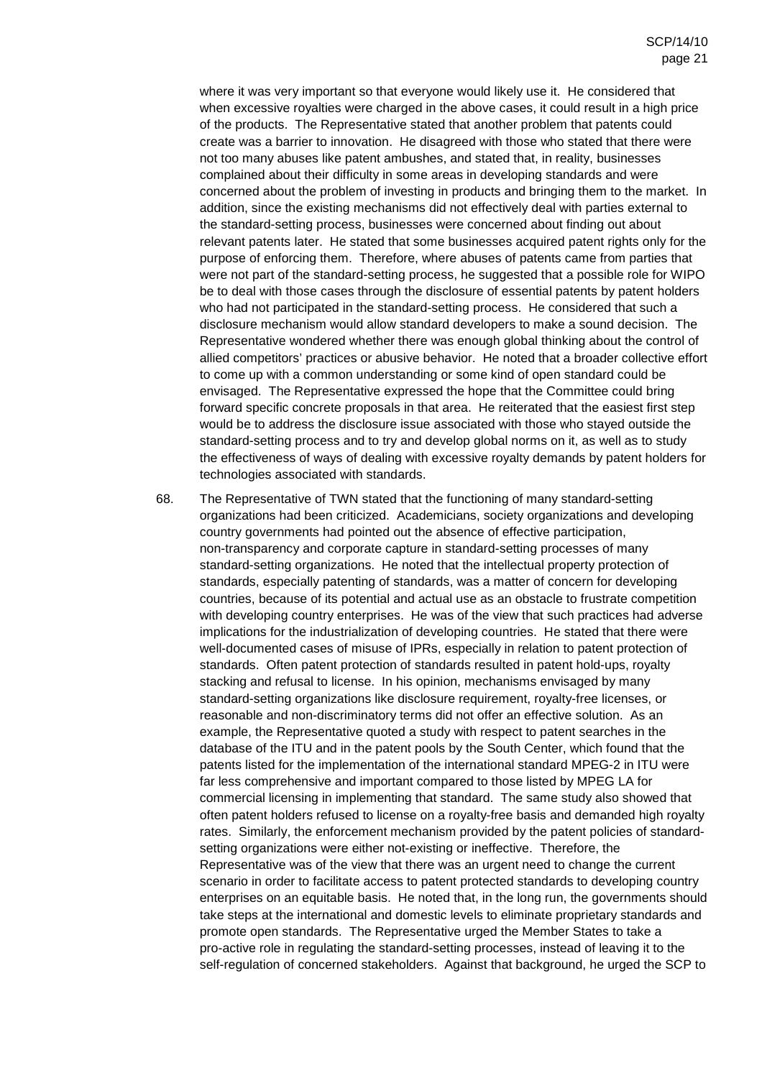where it was very important so that everyone would likely use it. He considered that when excessive royalties were charged in the above cases, it could result in a high price of the products. The Representative stated that another problem that patents could create was a barrier to innovation. He disagreed with those who stated that there were not too many abuses like patent ambushes, and stated that, in reality, businesses complained about their difficulty in some areas in developing standards and were concerned about the problem of investing in products and bringing them to the market. In addition, since the existing mechanisms did not effectively deal with parties external to the standard-setting process, businesses were concerned about finding out about relevant patents later. He stated that some businesses acquired patent rights only for the purpose of enforcing them. Therefore, where abuses of patents came from parties that were not part of the standard-setting process, he suggested that a possible role for WIPO be to deal with those cases through the disclosure of essential patents by patent holders who had not participated in the standard-setting process. He considered that such a disclosure mechanism would allow standard developers to make a sound decision. The Representative wondered whether there was enough global thinking about the control of allied competitors' practices or abusive behavior. He noted that a broader collective effort to come up with a common understanding or some kind of open standard could be envisaged. The Representative expressed the hope that the Committee could bring forward specific concrete proposals in that area. He reiterated that the easiest first step would be to address the disclosure issue associated with those who stayed outside the standard-setting process and to try and develop global norms on it, as well as to study the effectiveness of ways of dealing with excessive royalty demands by patent holders for technologies associated with standards.

68. The Representative of TWN stated that the functioning of many standard-setting organizations had been criticized. Academicians, society organizations and developing country governments had pointed out the absence of effective participation, non-transparency and corporate capture in standard-setting processes of many standard-setting organizations. He noted that the intellectual property protection of standards, especially patenting of standards, was a matter of concern for developing countries, because of its potential and actual use as an obstacle to frustrate competition with developing country enterprises. He was of the view that such practices had adverse implications for the industrialization of developing countries. He stated that there were well-documented cases of misuse of IPRs, especially in relation to patent protection of standards. Often patent protection of standards resulted in patent hold-ups, royalty stacking and refusal to license. In his opinion, mechanisms envisaged by many standard-setting organizations like disclosure requirement, royalty-free licenses, or reasonable and non-discriminatory terms did not offer an effective solution. As an example, the Representative quoted a study with respect to patent searches in the database of the ITU and in the patent pools by the South Center, which found that the patents listed for the implementation of the international standard MPEG-2 in ITU were far less comprehensive and important compared to those listed by MPEG LA for commercial licensing in implementing that standard. The same study also showed that often patent holders refused to license on a royalty-free basis and demanded high royalty rates. Similarly, the enforcement mechanism provided by the patent policies of standardsetting organizations were either not-existing or ineffective. Therefore, the Representative was of the view that there was an urgent need to change the current scenario in order to facilitate access to patent protected standards to developing country enterprises on an equitable basis. He noted that, in the long run, the governments should take steps at the international and domestic levels to eliminate proprietary standards and promote open standards. The Representative urged the Member States to take a pro-active role in regulating the standard-setting processes, instead of leaving it to the self-regulation of concerned stakeholders. Against that background, he urged the SCP to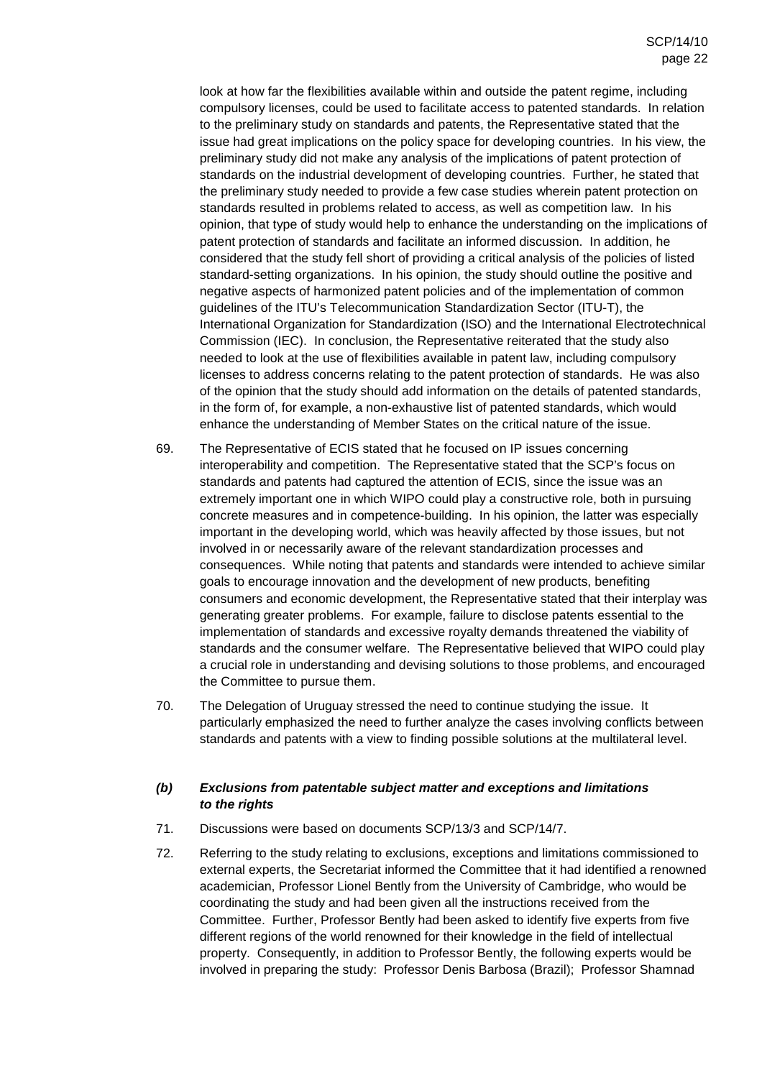look at how far the flexibilities available within and outside the patent regime, including compulsory licenses, could be used to facilitate access to patented standards. In relation to the preliminary study on standards and patents, the Representative stated that the issue had great implications on the policy space for developing countries. In his view, the preliminary study did not make any analysis of the implications of patent protection of standards on the industrial development of developing countries. Further, he stated that the preliminary study needed to provide a few case studies wherein patent protection on standards resulted in problems related to access, as well as competition law. In his opinion, that type of study would help to enhance the understanding on the implications of patent protection of standards and facilitate an informed discussion. In addition, he considered that the study fell short of providing a critical analysis of the policies of listed standard-setting organizations. In his opinion, the study should outline the positive and negative aspects of harmonized patent policies and of the implementation of common guidelines of the ITU's Telecommunication Standardization Sector (ITU-T), the International Organization for Standardization (ISO) and the International Electrotechnical Commission (IEC). In conclusion, the Representative reiterated that the study also needed to look at the use of flexibilities available in patent law, including compulsory licenses to address concerns relating to the patent protection of standards. He was also of the opinion that the study should add information on the details of patented standards, in the form of, for example, a non-exhaustive list of patented standards, which would enhance the understanding of Member States on the critical nature of the issue.

- 69. The Representative of ECIS stated that he focused on IP issues concerning interoperability and competition. The Representative stated that the SCP's focus on standards and patents had captured the attention of ECIS, since the issue was an extremely important one in which WIPO could play a constructive role, both in pursuing concrete measures and in competence-building. In his opinion, the latter was especially important in the developing world, which was heavily affected by those issues, but not involved in or necessarily aware of the relevant standardization processes and consequences. While noting that patents and standards were intended to achieve similar goals to encourage innovation and the development of new products, benefiting consumers and economic development, the Representative stated that their interplay was generating greater problems. For example, failure to disclose patents essential to the implementation of standards and excessive royalty demands threatened the viability of standards and the consumer welfare. The Representative believed that WIPO could play a crucial role in understanding and devising solutions to those problems, and encouraged the Committee to pursue them.
- 70. The Delegation of Uruguay stressed the need to continue studying the issue. It particularly emphasized the need to further analyze the cases involving conflicts between standards and patents with a view to finding possible solutions at the multilateral level.

#### **(b) Exclusions from patentable subject matter and exceptions and limitations to the rights**

- 71. Discussions were based on documents SCP/13/3 and SCP/14/7.
- 72. Referring to the study relating to exclusions, exceptions and limitations commissioned to external experts, the Secretariat informed the Committee that it had identified a renowned academician, Professor Lionel Bently from the University of Cambridge, who would be coordinating the study and had been given all the instructions received from the Committee. Further, Professor Bently had been asked to identify five experts from five different regions of the world renowned for their knowledge in the field of intellectual property. Consequently, in addition to Professor Bently, the following experts would be involved in preparing the study: Professor Denis Barbosa (Brazil); Professor Shamnad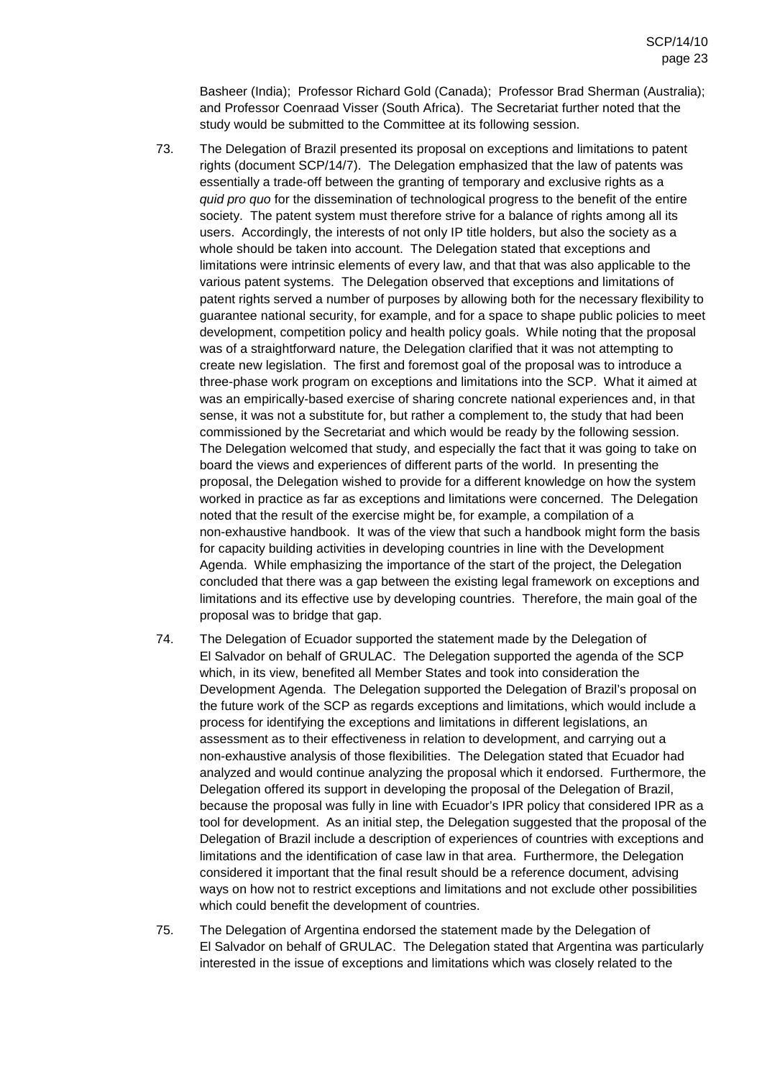Basheer (India); Professor Richard Gold (Canada); Professor Brad Sherman (Australia); and Professor Coenraad Visser (South Africa). The Secretariat further noted that the study would be submitted to the Committee at its following session.

- 73. The Delegation of Brazil presented its proposal on exceptions and limitations to patent rights (document SCP/14/7). The Delegation emphasized that the law of patents was essentially a trade-off between the granting of temporary and exclusive rights as a quid pro quo for the dissemination of technological progress to the benefit of the entire society. The patent system must therefore strive for a balance of rights among all its users. Accordingly, the interests of not only IP title holders, but also the society as a whole should be taken into account. The Delegation stated that exceptions and limitations were intrinsic elements of every law, and that that was also applicable to the various patent systems. The Delegation observed that exceptions and limitations of patent rights served a number of purposes by allowing both for the necessary flexibility to guarantee national security, for example, and for a space to shape public policies to meet development, competition policy and health policy goals. While noting that the proposal was of a straightforward nature, the Delegation clarified that it was not attempting to create new legislation. The first and foremost goal of the proposal was to introduce a three-phase work program on exceptions and limitations into the SCP. What it aimed at was an empirically-based exercise of sharing concrete national experiences and, in that sense, it was not a substitute for, but rather a complement to, the study that had been commissioned by the Secretariat and which would be ready by the following session. The Delegation welcomed that study, and especially the fact that it was going to take on board the views and experiences of different parts of the world. In presenting the proposal, the Delegation wished to provide for a different knowledge on how the system worked in practice as far as exceptions and limitations were concerned. The Delegation noted that the result of the exercise might be, for example, a compilation of a non-exhaustive handbook. It was of the view that such a handbook might form the basis for capacity building activities in developing countries in line with the Development Agenda. While emphasizing the importance of the start of the project, the Delegation concluded that there was a gap between the existing legal framework on exceptions and limitations and its effective use by developing countries. Therefore, the main goal of the proposal was to bridge that gap.
- 74. The Delegation of Ecuador supported the statement made by the Delegation of El Salvador on behalf of GRULAC. The Delegation supported the agenda of the SCP which, in its view, benefited all Member States and took into consideration the Development Agenda. The Delegation supported the Delegation of Brazil's proposal on the future work of the SCP as regards exceptions and limitations, which would include a process for identifying the exceptions and limitations in different legislations, an assessment as to their effectiveness in relation to development, and carrying out a non-exhaustive analysis of those flexibilities. The Delegation stated that Ecuador had analyzed and would continue analyzing the proposal which it endorsed. Furthermore, the Delegation offered its support in developing the proposal of the Delegation of Brazil, because the proposal was fully in line with Ecuador's IPR policy that considered IPR as a tool for development. As an initial step, the Delegation suggested that the proposal of the Delegation of Brazil include a description of experiences of countries with exceptions and limitations and the identification of case law in that area. Furthermore, the Delegation considered it important that the final result should be a reference document, advising ways on how not to restrict exceptions and limitations and not exclude other possibilities which could benefit the development of countries.
- 75. The Delegation of Argentina endorsed the statement made by the Delegation of El Salvador on behalf of GRULAC. The Delegation stated that Argentina was particularly interested in the issue of exceptions and limitations which was closely related to the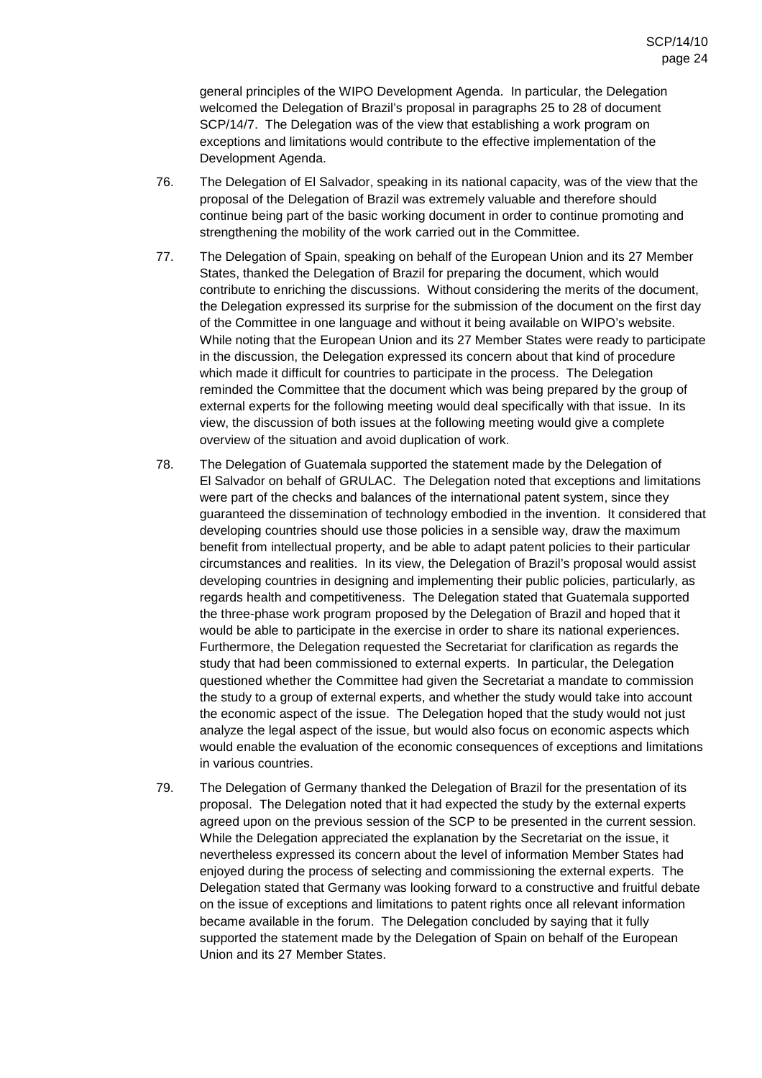general principles of the WIPO Development Agenda. In particular, the Delegation welcomed the Delegation of Brazil's proposal in paragraphs 25 to 28 of document SCP/14/7. The Delegation was of the view that establishing a work program on exceptions and limitations would contribute to the effective implementation of the Development Agenda.

- 76. The Delegation of El Salvador, speaking in its national capacity, was of the view that the proposal of the Delegation of Brazil was extremely valuable and therefore should continue being part of the basic working document in order to continue promoting and strengthening the mobility of the work carried out in the Committee.
- 77. The Delegation of Spain, speaking on behalf of the European Union and its 27 Member States, thanked the Delegation of Brazil for preparing the document, which would contribute to enriching the discussions. Without considering the merits of the document, the Delegation expressed its surprise for the submission of the document on the first day of the Committee in one language and without it being available on WIPO's website. While noting that the European Union and its 27 Member States were ready to participate in the discussion, the Delegation expressed its concern about that kind of procedure which made it difficult for countries to participate in the process. The Delegation reminded the Committee that the document which was being prepared by the group of external experts for the following meeting would deal specifically with that issue. In its view, the discussion of both issues at the following meeting would give a complete overview of the situation and avoid duplication of work.
- 78. The Delegation of Guatemala supported the statement made by the Delegation of El Salvador on behalf of GRULAC. The Delegation noted that exceptions and limitations were part of the checks and balances of the international patent system, since they guaranteed the dissemination of technology embodied in the invention. It considered that developing countries should use those policies in a sensible way, draw the maximum benefit from intellectual property, and be able to adapt patent policies to their particular circumstances and realities. In its view, the Delegation of Brazil's proposal would assist developing countries in designing and implementing their public policies, particularly, as regards health and competitiveness. The Delegation stated that Guatemala supported the three-phase work program proposed by the Delegation of Brazil and hoped that it would be able to participate in the exercise in order to share its national experiences. Furthermore, the Delegation requested the Secretariat for clarification as regards the study that had been commissioned to external experts. In particular, the Delegation questioned whether the Committee had given the Secretariat a mandate to commission the study to a group of external experts, and whether the study would take into account the economic aspect of the issue. The Delegation hoped that the study would not just analyze the legal aspect of the issue, but would also focus on economic aspects which would enable the evaluation of the economic consequences of exceptions and limitations in various countries.
- 79. The Delegation of Germany thanked the Delegation of Brazil for the presentation of its proposal. The Delegation noted that it had expected the study by the external experts agreed upon on the previous session of the SCP to be presented in the current session. While the Delegation appreciated the explanation by the Secretariat on the issue, it nevertheless expressed its concern about the level of information Member States had enjoyed during the process of selecting and commissioning the external experts. The Delegation stated that Germany was looking forward to a constructive and fruitful debate on the issue of exceptions and limitations to patent rights once all relevant information became available in the forum. The Delegation concluded by saying that it fully supported the statement made by the Delegation of Spain on behalf of the European Union and its 27 Member States.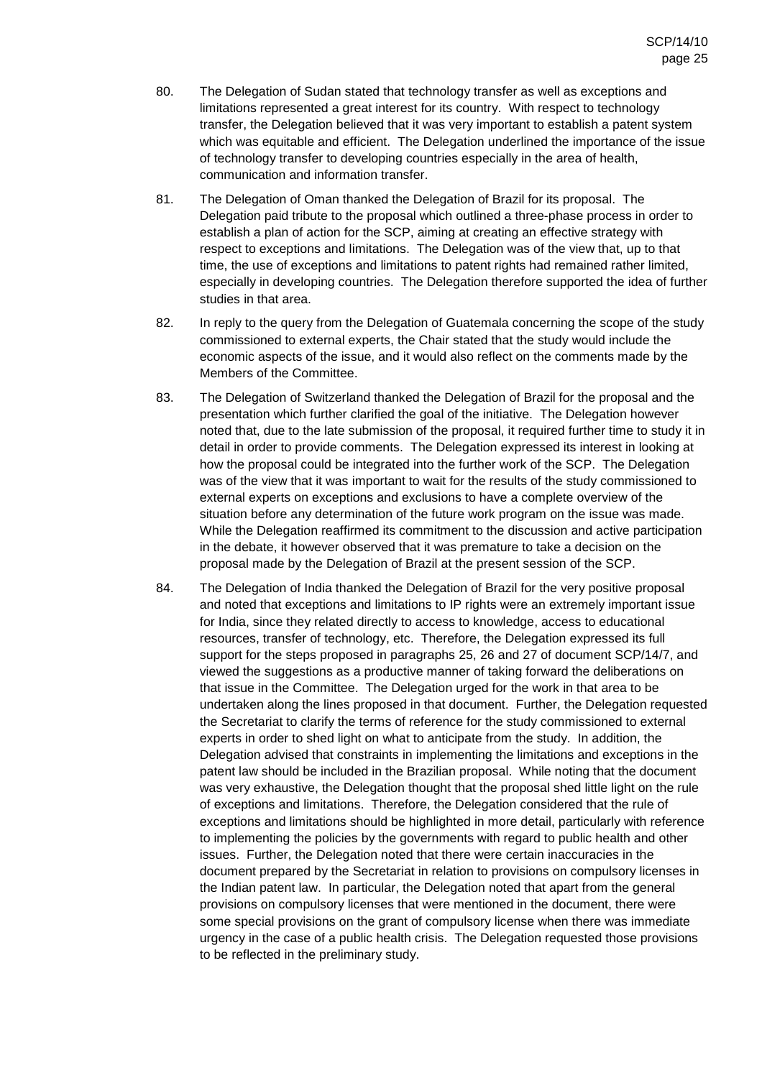- 80. The Delegation of Sudan stated that technology transfer as well as exceptions and limitations represented a great interest for its country. With respect to technology transfer, the Delegation believed that it was very important to establish a patent system which was equitable and efficient. The Delegation underlined the importance of the issue of technology transfer to developing countries especially in the area of health, communication and information transfer.
- 81. The Delegation of Oman thanked the Delegation of Brazil for its proposal. The Delegation paid tribute to the proposal which outlined a three-phase process in order to establish a plan of action for the SCP, aiming at creating an effective strategy with respect to exceptions and limitations. The Delegation was of the view that, up to that time, the use of exceptions and limitations to patent rights had remained rather limited, especially in developing countries. The Delegation therefore supported the idea of further studies in that area.
- 82. In reply to the query from the Delegation of Guatemala concerning the scope of the study commissioned to external experts, the Chair stated that the study would include the economic aspects of the issue, and it would also reflect on the comments made by the Members of the Committee.
- 83. The Delegation of Switzerland thanked the Delegation of Brazil for the proposal and the presentation which further clarified the goal of the initiative. The Delegation however noted that, due to the late submission of the proposal, it required further time to study it in detail in order to provide comments. The Delegation expressed its interest in looking at how the proposal could be integrated into the further work of the SCP. The Delegation was of the view that it was important to wait for the results of the study commissioned to external experts on exceptions and exclusions to have a complete overview of the situation before any determination of the future work program on the issue was made. While the Delegation reaffirmed its commitment to the discussion and active participation in the debate, it however observed that it was premature to take a decision on the proposal made by the Delegation of Brazil at the present session of the SCP.
- 84. The Delegation of India thanked the Delegation of Brazil for the very positive proposal and noted that exceptions and limitations to IP rights were an extremely important issue for India, since they related directly to access to knowledge, access to educational resources, transfer of technology, etc. Therefore, the Delegation expressed its full support for the steps proposed in paragraphs 25, 26 and 27 of document SCP/14/7, and viewed the suggestions as a productive manner of taking forward the deliberations on that issue in the Committee. The Delegation urged for the work in that area to be undertaken along the lines proposed in that document. Further, the Delegation requested the Secretariat to clarify the terms of reference for the study commissioned to external experts in order to shed light on what to anticipate from the study. In addition, the Delegation advised that constraints in implementing the limitations and exceptions in the patent law should be included in the Brazilian proposal. While noting that the document was very exhaustive, the Delegation thought that the proposal shed little light on the rule of exceptions and limitations. Therefore, the Delegation considered that the rule of exceptions and limitations should be highlighted in more detail, particularly with reference to implementing the policies by the governments with regard to public health and other issues. Further, the Delegation noted that there were certain inaccuracies in the document prepared by the Secretariat in relation to provisions on compulsory licenses in the Indian patent law. In particular, the Delegation noted that apart from the general provisions on compulsory licenses that were mentioned in the document, there were some special provisions on the grant of compulsory license when there was immediate urgency in the case of a public health crisis. The Delegation requested those provisions to be reflected in the preliminary study.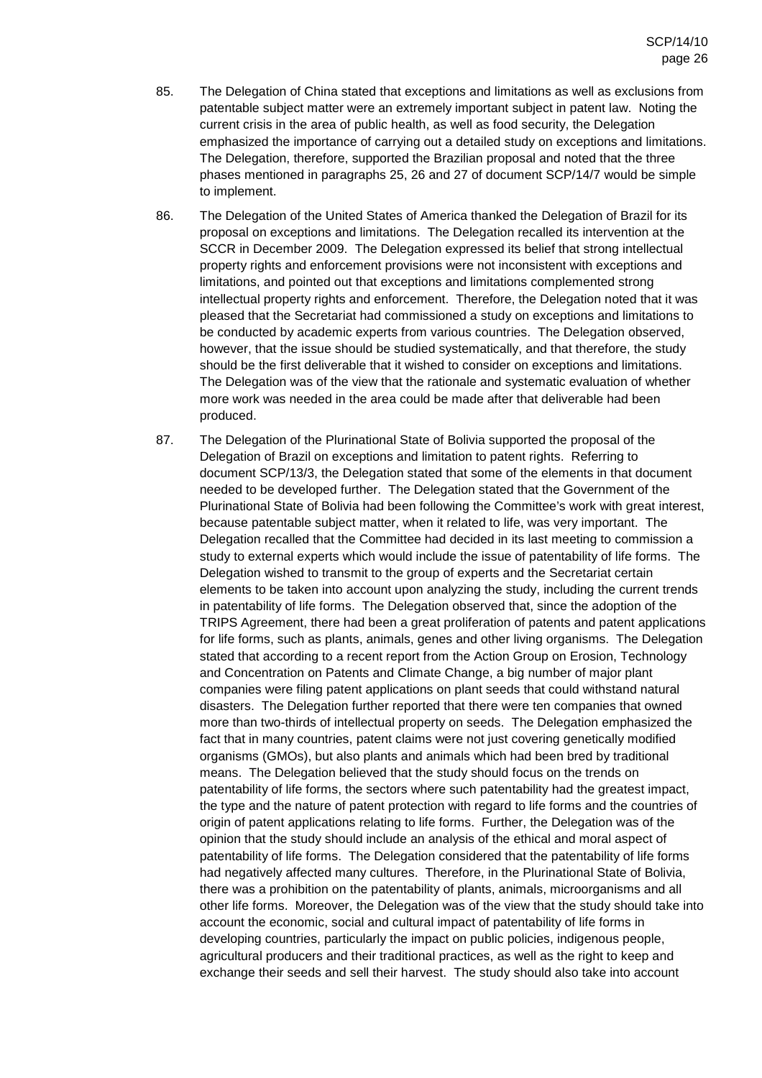- 85. The Delegation of China stated that exceptions and limitations as well as exclusions from patentable subject matter were an extremely important subject in patent law. Noting the current crisis in the area of public health, as well as food security, the Delegation emphasized the importance of carrying out a detailed study on exceptions and limitations. The Delegation, therefore, supported the Brazilian proposal and noted that the three phases mentioned in paragraphs 25, 26 and 27 of document SCP/14/7 would be simple to implement.
- 86. The Delegation of the United States of America thanked the Delegation of Brazil for its proposal on exceptions and limitations. The Delegation recalled its intervention at the SCCR in December 2009. The Delegation expressed its belief that strong intellectual property rights and enforcement provisions were not inconsistent with exceptions and limitations, and pointed out that exceptions and limitations complemented strong intellectual property rights and enforcement. Therefore, the Delegation noted that it was pleased that the Secretariat had commissioned a study on exceptions and limitations to be conducted by academic experts from various countries. The Delegation observed, however, that the issue should be studied systematically, and that therefore, the study should be the first deliverable that it wished to consider on exceptions and limitations. The Delegation was of the view that the rationale and systematic evaluation of whether more work was needed in the area could be made after that deliverable had been produced.
- 87. The Delegation of the Plurinational State of Bolivia supported the proposal of the Delegation of Brazil on exceptions and limitation to patent rights. Referring to document SCP/13/3, the Delegation stated that some of the elements in that document needed to be developed further. The Delegation stated that the Government of the Plurinational State of Bolivia had been following the Committee's work with great interest, because patentable subject matter, when it related to life, was very important. The Delegation recalled that the Committee had decided in its last meeting to commission a study to external experts which would include the issue of patentability of life forms. The Delegation wished to transmit to the group of experts and the Secretariat certain elements to be taken into account upon analyzing the study, including the current trends in patentability of life forms. The Delegation observed that, since the adoption of the TRIPS Agreement, there had been a great proliferation of patents and patent applications for life forms, such as plants, animals, genes and other living organisms. The Delegation stated that according to a recent report from the Action Group on Erosion, Technology and Concentration on Patents and Climate Change, a big number of major plant companies were filing patent applications on plant seeds that could withstand natural disasters. The Delegation further reported that there were ten companies that owned more than two-thirds of intellectual property on seeds. The Delegation emphasized the fact that in many countries, patent claims were not just covering genetically modified organisms (GMOs), but also plants and animals which had been bred by traditional means. The Delegation believed that the study should focus on the trends on patentability of life forms, the sectors where such patentability had the greatest impact, the type and the nature of patent protection with regard to life forms and the countries of origin of patent applications relating to life forms. Further, the Delegation was of the opinion that the study should include an analysis of the ethical and moral aspect of patentability of life forms. The Delegation considered that the patentability of life forms had negatively affected many cultures. Therefore, in the Plurinational State of Bolivia, there was a prohibition on the patentability of plants, animals, microorganisms and all other life forms. Moreover, the Delegation was of the view that the study should take into account the economic, social and cultural impact of patentability of life forms in developing countries, particularly the impact on public policies, indigenous people, agricultural producers and their traditional practices, as well as the right to keep and exchange their seeds and sell their harvest. The study should also take into account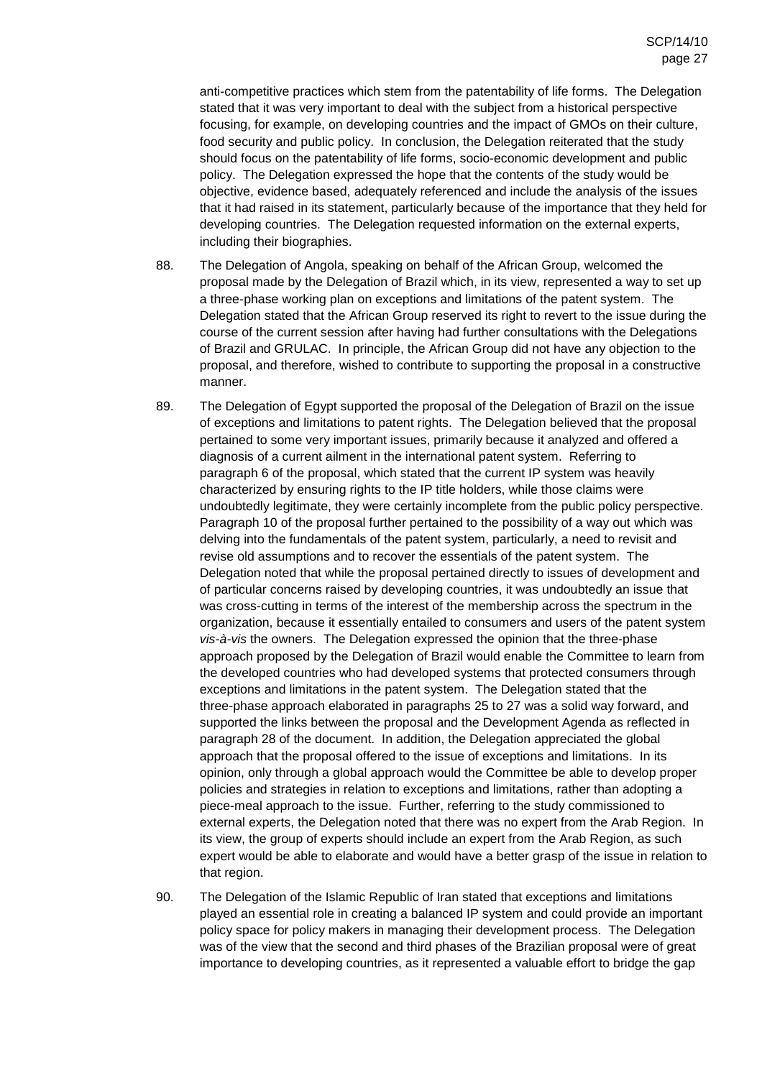anti-competitive practices which stem from the patentability of life forms. The Delegation stated that it was very important to deal with the subject from a historical perspective focusing, for example, on developing countries and the impact of GMOs on their culture, food security and public policy. In conclusion, the Delegation reiterated that the study should focus on the patentability of life forms, socio-economic development and public policy. The Delegation expressed the hope that the contents of the study would be objective, evidence based, adequately referenced and include the analysis of the issues that it had raised in its statement, particularly because of the importance that they held for developing countries. The Delegation requested information on the external experts, including their biographies.

- 88. The Delegation of Angola, speaking on behalf of the African Group, welcomed the proposal made by the Delegation of Brazil which, in its view, represented a way to set up a three-phase working plan on exceptions and limitations of the patent system. The Delegation stated that the African Group reserved its right to revert to the issue during the course of the current session after having had further consultations with the Delegations of Brazil and GRULAC. In principle, the African Group did not have any objection to the proposal, and therefore, wished to contribute to supporting the proposal in a constructive manner.
- 89. The Delegation of Egypt supported the proposal of the Delegation of Brazil on the issue of exceptions and limitations to patent rights. The Delegation believed that the proposal pertained to some very important issues, primarily because it analyzed and offered a diagnosis of a current ailment in the international patent system. Referring to paragraph 6 of the proposal, which stated that the current IP system was heavily characterized by ensuring rights to the IP title holders, while those claims were undoubtedly legitimate, they were certainly incomplete from the public policy perspective. Paragraph 10 of the proposal further pertained to the possibility of a way out which was delving into the fundamentals of the patent system, particularly, a need to revisit and revise old assumptions and to recover the essentials of the patent system. The Delegation noted that while the proposal pertained directly to issues of development and of particular concerns raised by developing countries, it was undoubtedly an issue that was cross-cutting in terms of the interest of the membership across the spectrum in the organization, because it essentially entailed to consumers and users of the patent system vis-à-vis the owners. The Delegation expressed the opinion that the three-phase approach proposed by the Delegation of Brazil would enable the Committee to learn from the developed countries who had developed systems that protected consumers through exceptions and limitations in the patent system. The Delegation stated that the three-phase approach elaborated in paragraphs 25 to 27 was a solid way forward, and supported the links between the proposal and the Development Agenda as reflected in paragraph 28 of the document. In addition, the Delegation appreciated the global approach that the proposal offered to the issue of exceptions and limitations. In its opinion, only through a global approach would the Committee be able to develop proper policies and strategies in relation to exceptions and limitations, rather than adopting a piece-meal approach to the issue. Further, referring to the study commissioned to external experts, the Delegation noted that there was no expert from the Arab Region. In its view, the group of experts should include an expert from the Arab Region, as such expert would be able to elaborate and would have a better grasp of the issue in relation to that region.
- 90. The Delegation of the Islamic Republic of Iran stated that exceptions and limitations played an essential role in creating a balanced IP system and could provide an important policy space for policy makers in managing their development process. The Delegation was of the view that the second and third phases of the Brazilian proposal were of great importance to developing countries, as it represented a valuable effort to bridge the gap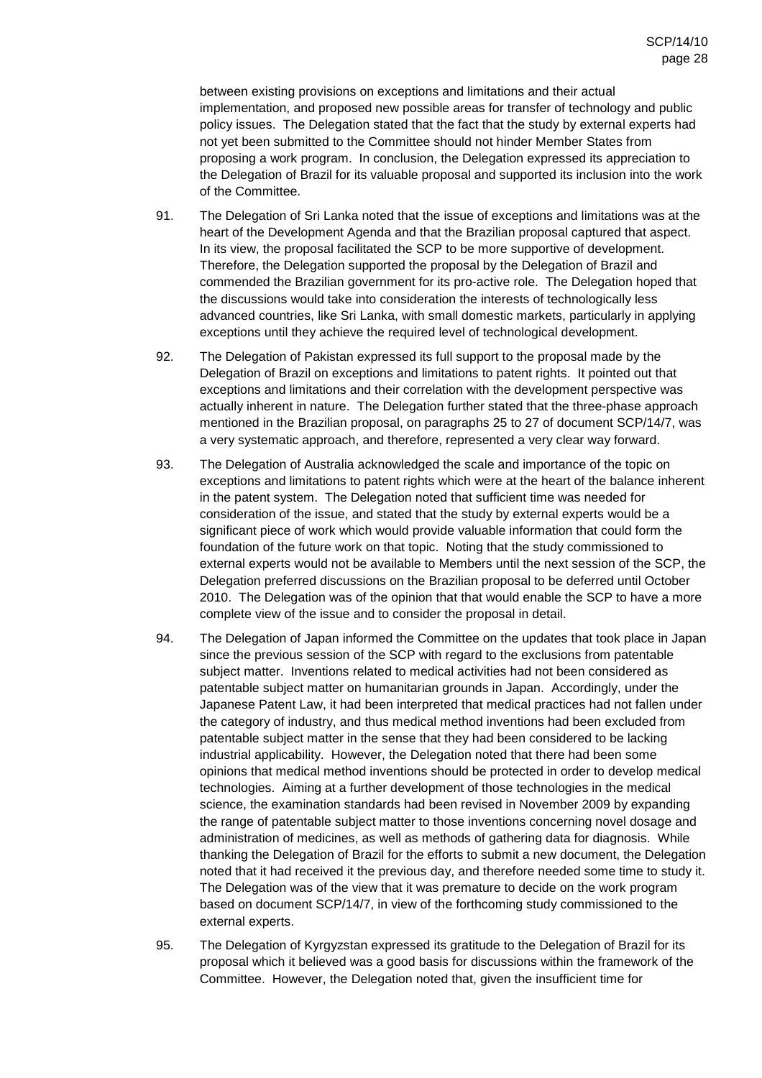between existing provisions on exceptions and limitations and their actual implementation, and proposed new possible areas for transfer of technology and public policy issues. The Delegation stated that the fact that the study by external experts had not yet been submitted to the Committee should not hinder Member States from proposing a work program. In conclusion, the Delegation expressed its appreciation to the Delegation of Brazil for its valuable proposal and supported its inclusion into the work of the Committee.

- 91. The Delegation of Sri Lanka noted that the issue of exceptions and limitations was at the heart of the Development Agenda and that the Brazilian proposal captured that aspect. In its view, the proposal facilitated the SCP to be more supportive of development. Therefore, the Delegation supported the proposal by the Delegation of Brazil and commended the Brazilian government for its pro-active role. The Delegation hoped that the discussions would take into consideration the interests of technologically less advanced countries, like Sri Lanka, with small domestic markets, particularly in applying exceptions until they achieve the required level of technological development.
- 92. The Delegation of Pakistan expressed its full support to the proposal made by the Delegation of Brazil on exceptions and limitations to patent rights. It pointed out that exceptions and limitations and their correlation with the development perspective was actually inherent in nature. The Delegation further stated that the three-phase approach mentioned in the Brazilian proposal, on paragraphs 25 to 27 of document SCP/14/7, was a very systematic approach, and therefore, represented a very clear way forward.
- 93. The Delegation of Australia acknowledged the scale and importance of the topic on exceptions and limitations to patent rights which were at the heart of the balance inherent in the patent system. The Delegation noted that sufficient time was needed for consideration of the issue, and stated that the study by external experts would be a significant piece of work which would provide valuable information that could form the foundation of the future work on that topic. Noting that the study commissioned to external experts would not be available to Members until the next session of the SCP, the Delegation preferred discussions on the Brazilian proposal to be deferred until October 2010. The Delegation was of the opinion that that would enable the SCP to have a more complete view of the issue and to consider the proposal in detail.
- 94. The Delegation of Japan informed the Committee on the updates that took place in Japan since the previous session of the SCP with regard to the exclusions from patentable subject matter. Inventions related to medical activities had not been considered as patentable subject matter on humanitarian grounds in Japan. Accordingly, under the Japanese Patent Law, it had been interpreted that medical practices had not fallen under the category of industry, and thus medical method inventions had been excluded from patentable subject matter in the sense that they had been considered to be lacking industrial applicability. However, the Delegation noted that there had been some opinions that medical method inventions should be protected in order to develop medical technologies. Aiming at a further development of those technologies in the medical science, the examination standards had been revised in November 2009 by expanding the range of patentable subject matter to those inventions concerning novel dosage and administration of medicines, as well as methods of gathering data for diagnosis. While thanking the Delegation of Brazil for the efforts to submit a new document, the Delegation noted that it had received it the previous day, and therefore needed some time to study it. The Delegation was of the view that it was premature to decide on the work program based on document SCP/14/7, in view of the forthcoming study commissioned to the external experts.
- 95. The Delegation of Kyrgyzstan expressed its gratitude to the Delegation of Brazil for its proposal which it believed was a good basis for discussions within the framework of the Committee. However, the Delegation noted that, given the insufficient time for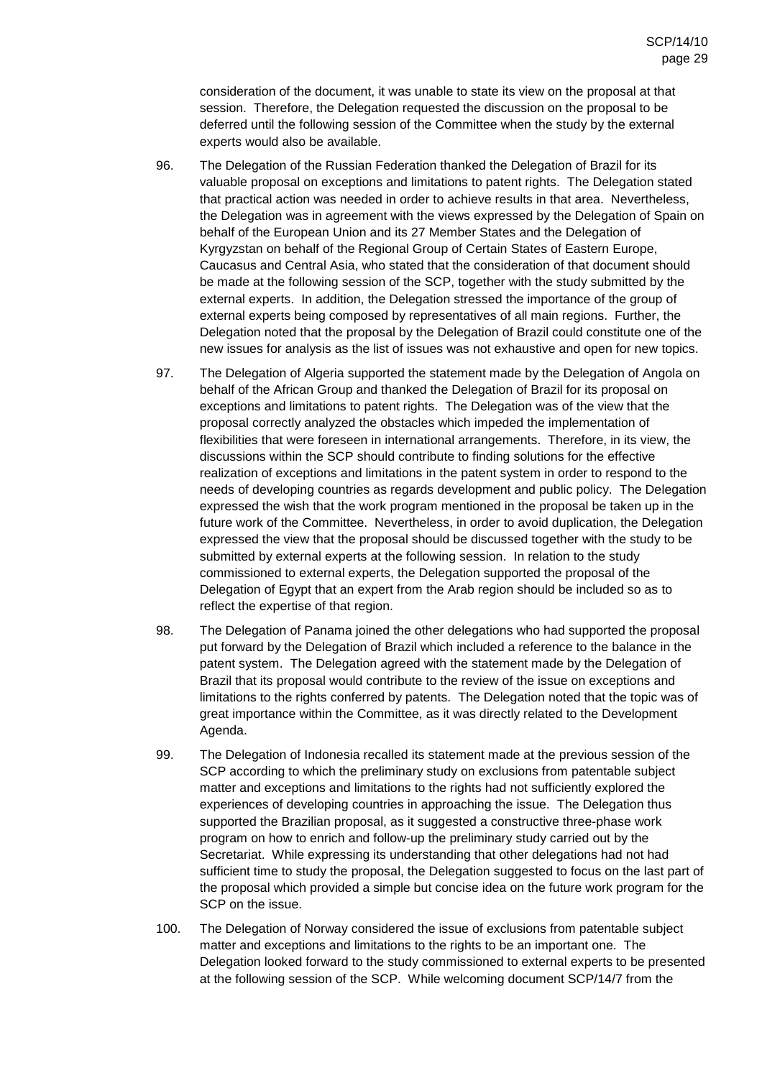consideration of the document, it was unable to state its view on the proposal at that session. Therefore, the Delegation requested the discussion on the proposal to be deferred until the following session of the Committee when the study by the external experts would also be available.

- 96. The Delegation of the Russian Federation thanked the Delegation of Brazil for its valuable proposal on exceptions and limitations to patent rights. The Delegation stated that practical action was needed in order to achieve results in that area. Nevertheless, the Delegation was in agreement with the views expressed by the Delegation of Spain on behalf of the European Union and its 27 Member States and the Delegation of Kyrgyzstan on behalf of the Regional Group of Certain States of Eastern Europe, Caucasus and Central Asia, who stated that the consideration of that document should be made at the following session of the SCP, together with the study submitted by the external experts. In addition, the Delegation stressed the importance of the group of external experts being composed by representatives of all main regions. Further, the Delegation noted that the proposal by the Delegation of Brazil could constitute one of the new issues for analysis as the list of issues was not exhaustive and open for new topics.
- 97. The Delegation of Algeria supported the statement made by the Delegation of Angola on behalf of the African Group and thanked the Delegation of Brazil for its proposal on exceptions and limitations to patent rights. The Delegation was of the view that the proposal correctly analyzed the obstacles which impeded the implementation of flexibilities that were foreseen in international arrangements. Therefore, in its view, the discussions within the SCP should contribute to finding solutions for the effective realization of exceptions and limitations in the patent system in order to respond to the needs of developing countries as regards development and public policy. The Delegation expressed the wish that the work program mentioned in the proposal be taken up in the future work of the Committee. Nevertheless, in order to avoid duplication, the Delegation expressed the view that the proposal should be discussed together with the study to be submitted by external experts at the following session. In relation to the study commissioned to external experts, the Delegation supported the proposal of the Delegation of Egypt that an expert from the Arab region should be included so as to reflect the expertise of that region.
- 98. The Delegation of Panama joined the other delegations who had supported the proposal put forward by the Delegation of Brazil which included a reference to the balance in the patent system. The Delegation agreed with the statement made by the Delegation of Brazil that its proposal would contribute to the review of the issue on exceptions and limitations to the rights conferred by patents. The Delegation noted that the topic was of great importance within the Committee, as it was directly related to the Development Agenda.
- 99. The Delegation of Indonesia recalled its statement made at the previous session of the SCP according to which the preliminary study on exclusions from patentable subject matter and exceptions and limitations to the rights had not sufficiently explored the experiences of developing countries in approaching the issue. The Delegation thus supported the Brazilian proposal, as it suggested a constructive three-phase work program on how to enrich and follow-up the preliminary study carried out by the Secretariat. While expressing its understanding that other delegations had not had sufficient time to study the proposal, the Delegation suggested to focus on the last part of the proposal which provided a simple but concise idea on the future work program for the SCP on the issue.
- 100. The Delegation of Norway considered the issue of exclusions from patentable subject matter and exceptions and limitations to the rights to be an important one. The Delegation looked forward to the study commissioned to external experts to be presented at the following session of the SCP. While welcoming document SCP/14/7 from the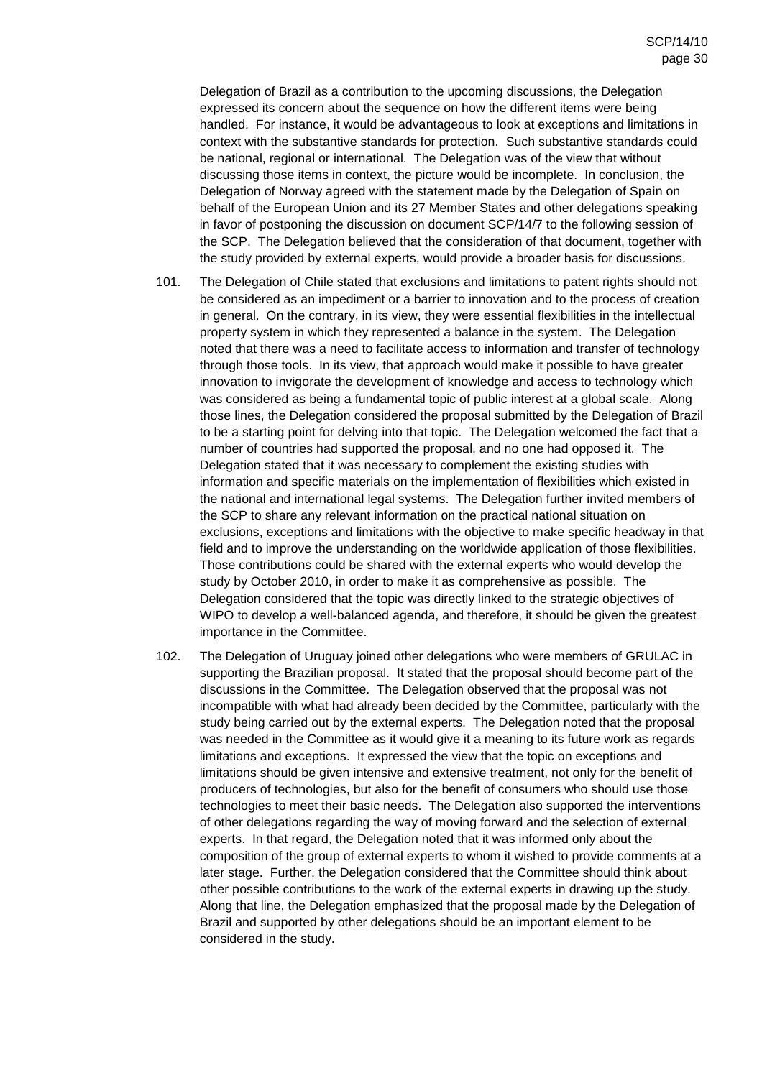Delegation of Brazil as a contribution to the upcoming discussions, the Delegation expressed its concern about the sequence on how the different items were being handled. For instance, it would be advantageous to look at exceptions and limitations in context with the substantive standards for protection. Such substantive standards could be national, regional or international. The Delegation was of the view that without discussing those items in context, the picture would be incomplete. In conclusion, the Delegation of Norway agreed with the statement made by the Delegation of Spain on behalf of the European Union and its 27 Member States and other delegations speaking in favor of postponing the discussion on document SCP/14/7 to the following session of the SCP. The Delegation believed that the consideration of that document, together with the study provided by external experts, would provide a broader basis for discussions.

- 101. The Delegation of Chile stated that exclusions and limitations to patent rights should not be considered as an impediment or a barrier to innovation and to the process of creation in general. On the contrary, in its view, they were essential flexibilities in the intellectual property system in which they represented a balance in the system. The Delegation noted that there was a need to facilitate access to information and transfer of technology through those tools. In its view, that approach would make it possible to have greater innovation to invigorate the development of knowledge and access to technology which was considered as being a fundamental topic of public interest at a global scale. Along those lines, the Delegation considered the proposal submitted by the Delegation of Brazil to be a starting point for delving into that topic. The Delegation welcomed the fact that a number of countries had supported the proposal, and no one had opposed it. The Delegation stated that it was necessary to complement the existing studies with information and specific materials on the implementation of flexibilities which existed in the national and international legal systems. The Delegation further invited members of the SCP to share any relevant information on the practical national situation on exclusions, exceptions and limitations with the objective to make specific headway in that field and to improve the understanding on the worldwide application of those flexibilities. Those contributions could be shared with the external experts who would develop the study by October 2010, in order to make it as comprehensive as possible. The Delegation considered that the topic was directly linked to the strategic objectives of WIPO to develop a well-balanced agenda, and therefore, it should be given the greatest importance in the Committee.
- 102. The Delegation of Uruguay joined other delegations who were members of GRULAC in supporting the Brazilian proposal. It stated that the proposal should become part of the discussions in the Committee. The Delegation observed that the proposal was not incompatible with what had already been decided by the Committee, particularly with the study being carried out by the external experts. The Delegation noted that the proposal was needed in the Committee as it would give it a meaning to its future work as regards limitations and exceptions. It expressed the view that the topic on exceptions and limitations should be given intensive and extensive treatment, not only for the benefit of producers of technologies, but also for the benefit of consumers who should use those technologies to meet their basic needs. The Delegation also supported the interventions of other delegations regarding the way of moving forward and the selection of external experts. In that regard, the Delegation noted that it was informed only about the composition of the group of external experts to whom it wished to provide comments at a later stage. Further, the Delegation considered that the Committee should think about other possible contributions to the work of the external experts in drawing up the study. Along that line, the Delegation emphasized that the proposal made by the Delegation of Brazil and supported by other delegations should be an important element to be considered in the study.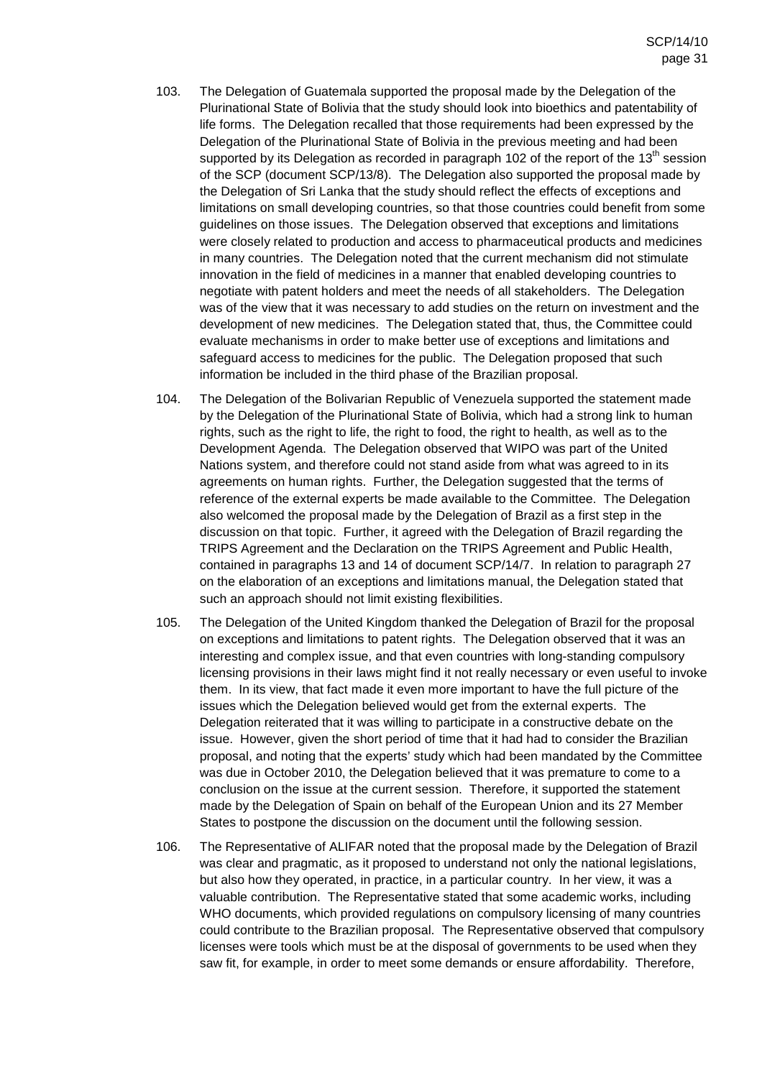- 103. The Delegation of Guatemala supported the proposal made by the Delegation of the Plurinational State of Bolivia that the study should look into bioethics and patentability of life forms. The Delegation recalled that those requirements had been expressed by the Delegation of the Plurinational State of Bolivia in the previous meeting and had been supported by its Delegation as recorded in paragraph 102 of the report of the  $13<sup>th</sup>$  session of the SCP (document SCP/13/8). The Delegation also supported the proposal made by the Delegation of Sri Lanka that the study should reflect the effects of exceptions and limitations on small developing countries, so that those countries could benefit from some guidelines on those issues. The Delegation observed that exceptions and limitations were closely related to production and access to pharmaceutical products and medicines in many countries. The Delegation noted that the current mechanism did not stimulate innovation in the field of medicines in a manner that enabled developing countries to negotiate with patent holders and meet the needs of all stakeholders. The Delegation was of the view that it was necessary to add studies on the return on investment and the development of new medicines. The Delegation stated that, thus, the Committee could evaluate mechanisms in order to make better use of exceptions and limitations and safeguard access to medicines for the public. The Delegation proposed that such information be included in the third phase of the Brazilian proposal.
- 104. The Delegation of the Bolivarian Republic of Venezuela supported the statement made by the Delegation of the Plurinational State of Bolivia, which had a strong link to human rights, such as the right to life, the right to food, the right to health, as well as to the Development Agenda. The Delegation observed that WIPO was part of the United Nations system, and therefore could not stand aside from what was agreed to in its agreements on human rights. Further, the Delegation suggested that the terms of reference of the external experts be made available to the Committee. The Delegation also welcomed the proposal made by the Delegation of Brazil as a first step in the discussion on that topic. Further, it agreed with the Delegation of Brazil regarding the TRIPS Agreement and the Declaration on the TRIPS Agreement and Public Health, contained in paragraphs 13 and 14 of document SCP/14/7. In relation to paragraph 27 on the elaboration of an exceptions and limitations manual, the Delegation stated that such an approach should not limit existing flexibilities.
- 105. The Delegation of the United Kingdom thanked the Delegation of Brazil for the proposal on exceptions and limitations to patent rights. The Delegation observed that it was an interesting and complex issue, and that even countries with long-standing compulsory licensing provisions in their laws might find it not really necessary or even useful to invoke them. In its view, that fact made it even more important to have the full picture of the issues which the Delegation believed would get from the external experts. The Delegation reiterated that it was willing to participate in a constructive debate on the issue. However, given the short period of time that it had had to consider the Brazilian proposal, and noting that the experts' study which had been mandated by the Committee was due in October 2010, the Delegation believed that it was premature to come to a conclusion on the issue at the current session. Therefore, it supported the statement made by the Delegation of Spain on behalf of the European Union and its 27 Member States to postpone the discussion on the document until the following session.
- 106. The Representative of ALIFAR noted that the proposal made by the Delegation of Brazil was clear and pragmatic, as it proposed to understand not only the national legislations, but also how they operated, in practice, in a particular country. In her view, it was a valuable contribution. The Representative stated that some academic works, including WHO documents, which provided regulations on compulsory licensing of many countries could contribute to the Brazilian proposal. The Representative observed that compulsory licenses were tools which must be at the disposal of governments to be used when they saw fit, for example, in order to meet some demands or ensure affordability. Therefore,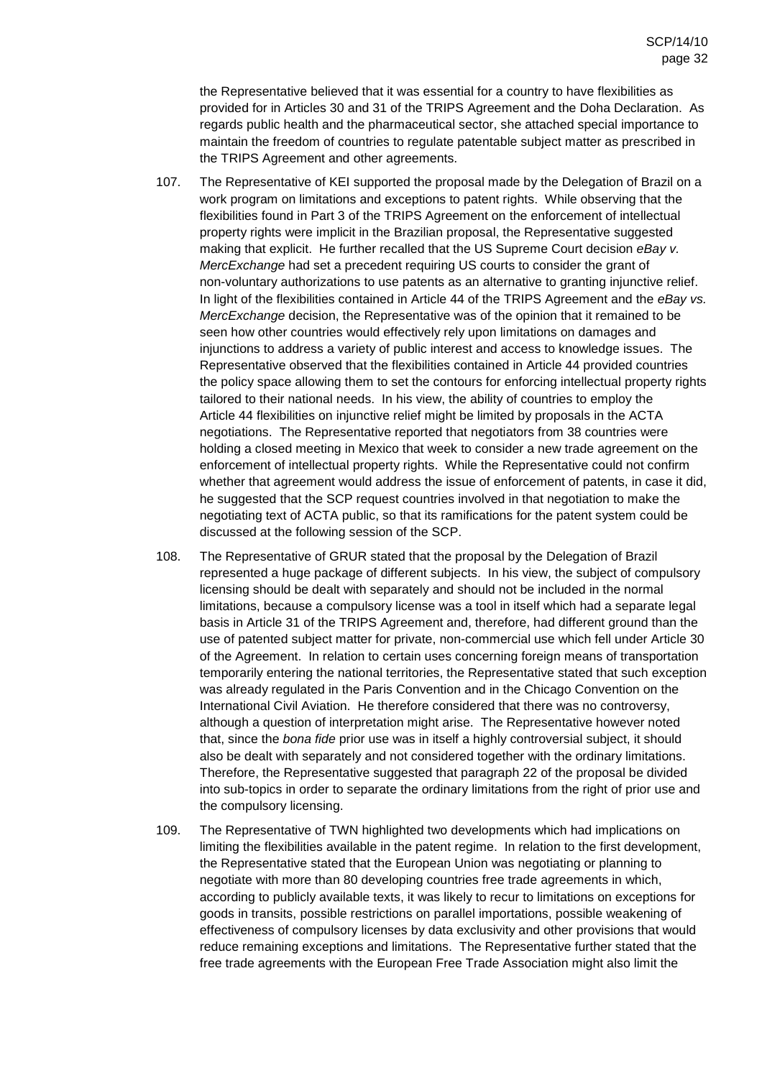the Representative believed that it was essential for a country to have flexibilities as provided for in Articles 30 and 31 of the TRIPS Agreement and the Doha Declaration. As regards public health and the pharmaceutical sector, she attached special importance to maintain the freedom of countries to regulate patentable subject matter as prescribed in the TRIPS Agreement and other agreements.

- 107. The Representative of KEI supported the proposal made by the Delegation of Brazil on a work program on limitations and exceptions to patent rights. While observing that the flexibilities found in Part 3 of the TRIPS Agreement on the enforcement of intellectual property rights were implicit in the Brazilian proposal, the Representative suggested making that explicit. He further recalled that the US Supreme Court decision eBay v. MercExchange had set a precedent requiring US courts to consider the grant of non-voluntary authorizations to use patents as an alternative to granting injunctive relief. In light of the flexibilities contained in Article 44 of the TRIPS Agreement and the eBay vs. MercExchange decision, the Representative was of the opinion that it remained to be seen how other countries would effectively rely upon limitations on damages and injunctions to address a variety of public interest and access to knowledge issues. The Representative observed that the flexibilities contained in Article 44 provided countries the policy space allowing them to set the contours for enforcing intellectual property rights tailored to their national needs. In his view, the ability of countries to employ the Article 44 flexibilities on injunctive relief might be limited by proposals in the ACTA negotiations. The Representative reported that negotiators from 38 countries were holding a closed meeting in Mexico that week to consider a new trade agreement on the enforcement of intellectual property rights. While the Representative could not confirm whether that agreement would address the issue of enforcement of patents, in case it did, he suggested that the SCP request countries involved in that negotiation to make the negotiating text of ACTA public, so that its ramifications for the patent system could be discussed at the following session of the SCP.
- 108. The Representative of GRUR stated that the proposal by the Delegation of Brazil represented a huge package of different subjects. In his view, the subject of compulsory licensing should be dealt with separately and should not be included in the normal limitations, because a compulsory license was a tool in itself which had a separate legal basis in Article 31 of the TRIPS Agreement and, therefore, had different ground than the use of patented subject matter for private, non-commercial use which fell under Article 30 of the Agreement. In relation to certain uses concerning foreign means of transportation temporarily entering the national territories, the Representative stated that such exception was already regulated in the Paris Convention and in the Chicago Convention on the International Civil Aviation. He therefore considered that there was no controversy, although a question of interpretation might arise. The Representative however noted that, since the bona fide prior use was in itself a highly controversial subject, it should also be dealt with separately and not considered together with the ordinary limitations. Therefore, the Representative suggested that paragraph 22 of the proposal be divided into sub-topics in order to separate the ordinary limitations from the right of prior use and the compulsory licensing.
- 109. The Representative of TWN highlighted two developments which had implications on limiting the flexibilities available in the patent regime. In relation to the first development, the Representative stated that the European Union was negotiating or planning to negotiate with more than 80 developing countries free trade agreements in which, according to publicly available texts, it was likely to recur to limitations on exceptions for goods in transits, possible restrictions on parallel importations, possible weakening of effectiveness of compulsory licenses by data exclusivity and other provisions that would reduce remaining exceptions and limitations. The Representative further stated that the free trade agreements with the European Free Trade Association might also limit the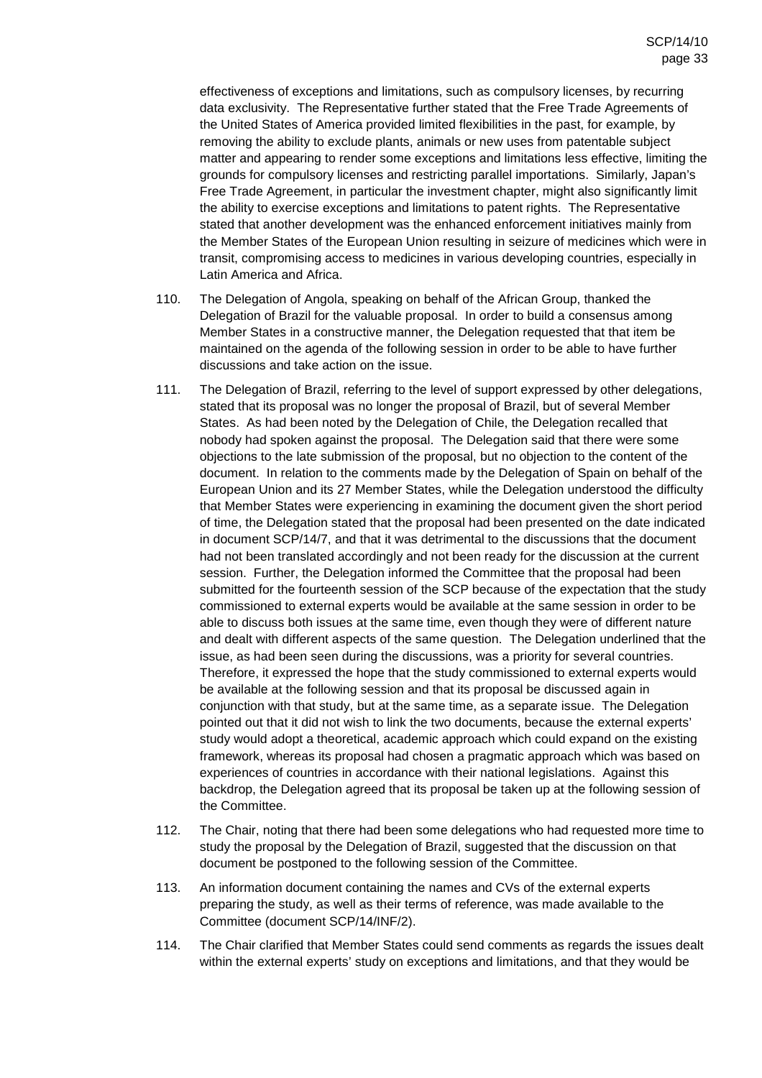effectiveness of exceptions and limitations, such as compulsory licenses, by recurring data exclusivity. The Representative further stated that the Free Trade Agreements of the United States of America provided limited flexibilities in the past, for example, by removing the ability to exclude plants, animals or new uses from patentable subject matter and appearing to render some exceptions and limitations less effective, limiting the grounds for compulsory licenses and restricting parallel importations. Similarly, Japan's Free Trade Agreement, in particular the investment chapter, might also significantly limit the ability to exercise exceptions and limitations to patent rights. The Representative stated that another development was the enhanced enforcement initiatives mainly from the Member States of the European Union resulting in seizure of medicines which were in transit, compromising access to medicines in various developing countries, especially in Latin America and Africa.

- 110. The Delegation of Angola, speaking on behalf of the African Group, thanked the Delegation of Brazil for the valuable proposal. In order to build a consensus among Member States in a constructive manner, the Delegation requested that that item be maintained on the agenda of the following session in order to be able to have further discussions and take action on the issue.
- 111. The Delegation of Brazil, referring to the level of support expressed by other delegations, stated that its proposal was no longer the proposal of Brazil, but of several Member States. As had been noted by the Delegation of Chile, the Delegation recalled that nobody had spoken against the proposal. The Delegation said that there were some objections to the late submission of the proposal, but no objection to the content of the document. In relation to the comments made by the Delegation of Spain on behalf of the European Union and its 27 Member States, while the Delegation understood the difficulty that Member States were experiencing in examining the document given the short period of time, the Delegation stated that the proposal had been presented on the date indicated in document SCP/14/7, and that it was detrimental to the discussions that the document had not been translated accordingly and not been ready for the discussion at the current session. Further, the Delegation informed the Committee that the proposal had been submitted for the fourteenth session of the SCP because of the expectation that the study commissioned to external experts would be available at the same session in order to be able to discuss both issues at the same time, even though they were of different nature and dealt with different aspects of the same question. The Delegation underlined that the issue, as had been seen during the discussions, was a priority for several countries. Therefore, it expressed the hope that the study commissioned to external experts would be available at the following session and that its proposal be discussed again in conjunction with that study, but at the same time, as a separate issue. The Delegation pointed out that it did not wish to link the two documents, because the external experts' study would adopt a theoretical, academic approach which could expand on the existing framework, whereas its proposal had chosen a pragmatic approach which was based on experiences of countries in accordance with their national legislations. Against this backdrop, the Delegation agreed that its proposal be taken up at the following session of the Committee.
- 112. The Chair, noting that there had been some delegations who had requested more time to study the proposal by the Delegation of Brazil, suggested that the discussion on that document be postponed to the following session of the Committee.
- 113. An information document containing the names and CVs of the external experts preparing the study, as well as their terms of reference, was made available to the Committee (document SCP/14/INF/2).
- 114. The Chair clarified that Member States could send comments as regards the issues dealt within the external experts' study on exceptions and limitations, and that they would be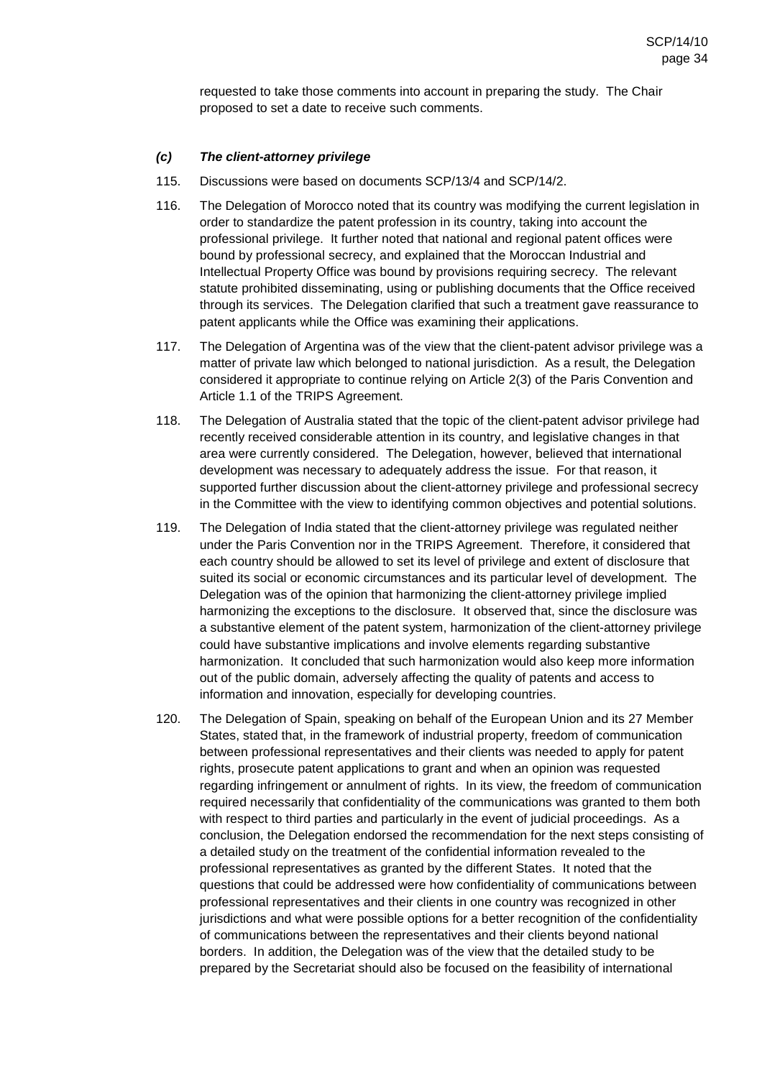requested to take those comments into account in preparing the study. The Chair proposed to set a date to receive such comments.

#### **(c) The client-attorney privilege**

- 115. Discussions were based on documents SCP/13/4 and SCP/14/2.
- 116. The Delegation of Morocco noted that its country was modifying the current legislation in order to standardize the patent profession in its country, taking into account the professional privilege. It further noted that national and regional patent offices were bound by professional secrecy, and explained that the Moroccan Industrial and Intellectual Property Office was bound by provisions requiring secrecy. The relevant statute prohibited disseminating, using or publishing documents that the Office received through its services. The Delegation clarified that such a treatment gave reassurance to patent applicants while the Office was examining their applications.
- 117. The Delegation of Argentina was of the view that the client-patent advisor privilege was a matter of private law which belonged to national jurisdiction. As a result, the Delegation considered it appropriate to continue relying on Article 2(3) of the Paris Convention and Article 1.1 of the TRIPS Agreement.
- 118. The Delegation of Australia stated that the topic of the client-patent advisor privilege had recently received considerable attention in its country, and legislative changes in that area were currently considered. The Delegation, however, believed that international development was necessary to adequately address the issue. For that reason, it supported further discussion about the client-attorney privilege and professional secrecy in the Committee with the view to identifying common objectives and potential solutions.
- 119. The Delegation of India stated that the client-attorney privilege was regulated neither under the Paris Convention nor in the TRIPS Agreement. Therefore, it considered that each country should be allowed to set its level of privilege and extent of disclosure that suited its social or economic circumstances and its particular level of development. The Delegation was of the opinion that harmonizing the client-attorney privilege implied harmonizing the exceptions to the disclosure. It observed that, since the disclosure was a substantive element of the patent system, harmonization of the client-attorney privilege could have substantive implications and involve elements regarding substantive harmonization. It concluded that such harmonization would also keep more information out of the public domain, adversely affecting the quality of patents and access to information and innovation, especially for developing countries.
- 120. The Delegation of Spain, speaking on behalf of the European Union and its 27 Member States, stated that, in the framework of industrial property, freedom of communication between professional representatives and their clients was needed to apply for patent rights, prosecute patent applications to grant and when an opinion was requested regarding infringement or annulment of rights. In its view, the freedom of communication required necessarily that confidentiality of the communications was granted to them both with respect to third parties and particularly in the event of judicial proceedings. As a conclusion, the Delegation endorsed the recommendation for the next steps consisting of a detailed study on the treatment of the confidential information revealed to the professional representatives as granted by the different States. It noted that the questions that could be addressed were how confidentiality of communications between professional representatives and their clients in one country was recognized in other jurisdictions and what were possible options for a better recognition of the confidentiality of communications between the representatives and their clients beyond national borders. In addition, the Delegation was of the view that the detailed study to be prepared by the Secretariat should also be focused on the feasibility of international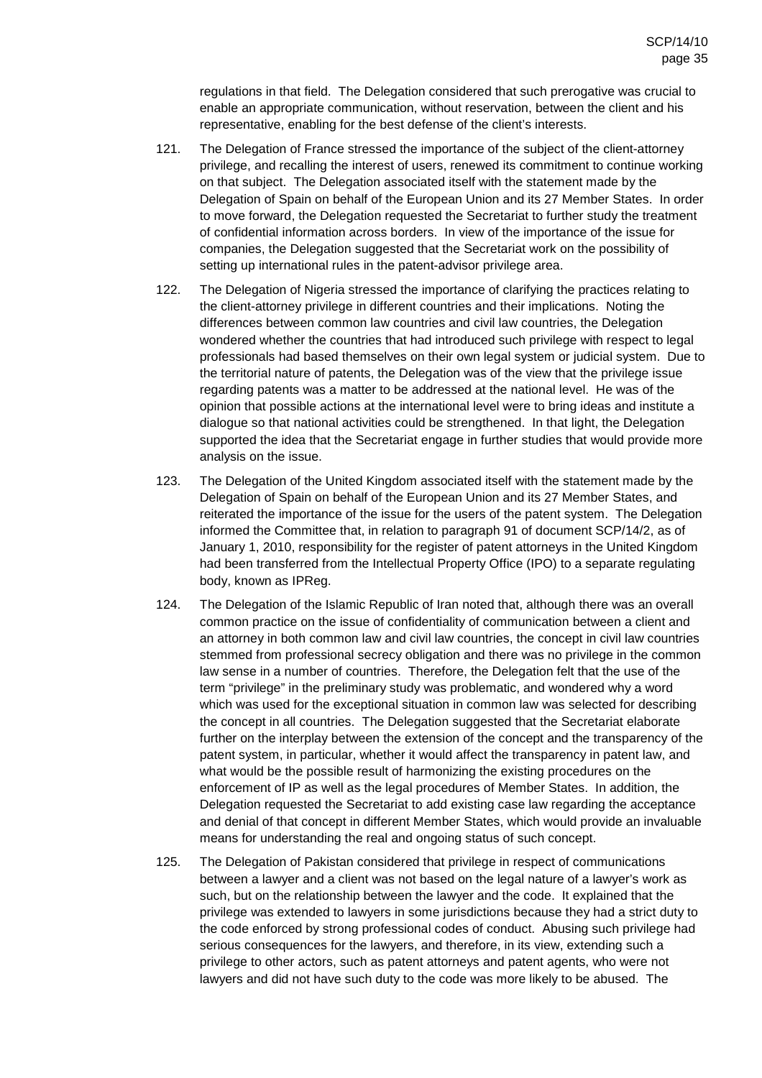regulations in that field. The Delegation considered that such prerogative was crucial to enable an appropriate communication, without reservation, between the client and his representative, enabling for the best defense of the client's interests.

- 121. The Delegation of France stressed the importance of the subject of the client-attorney privilege, and recalling the interest of users, renewed its commitment to continue working on that subject. The Delegation associated itself with the statement made by the Delegation of Spain on behalf of the European Union and its 27 Member States. In order to move forward, the Delegation requested the Secretariat to further study the treatment of confidential information across borders. In view of the importance of the issue for companies, the Delegation suggested that the Secretariat work on the possibility of setting up international rules in the patent-advisor privilege area.
- 122. The Delegation of Nigeria stressed the importance of clarifying the practices relating to the client-attorney privilege in different countries and their implications. Noting the differences between common law countries and civil law countries, the Delegation wondered whether the countries that had introduced such privilege with respect to legal professionals had based themselves on their own legal system or judicial system. Due to the territorial nature of patents, the Delegation was of the view that the privilege issue regarding patents was a matter to be addressed at the national level. He was of the opinion that possible actions at the international level were to bring ideas and institute a dialogue so that national activities could be strengthened. In that light, the Delegation supported the idea that the Secretariat engage in further studies that would provide more analysis on the issue.
- 123. The Delegation of the United Kingdom associated itself with the statement made by the Delegation of Spain on behalf of the European Union and its 27 Member States, and reiterated the importance of the issue for the users of the patent system. The Delegation informed the Committee that, in relation to paragraph 91 of document SCP/14/2, as of January 1, 2010, responsibility for the register of patent attorneys in the United Kingdom had been transferred from the Intellectual Property Office (IPO) to a separate regulating body, known as IPReg.
- 124. The Delegation of the Islamic Republic of Iran noted that, although there was an overall common practice on the issue of confidentiality of communication between a client and an attorney in both common law and civil law countries, the concept in civil law countries stemmed from professional secrecy obligation and there was no privilege in the common law sense in a number of countries. Therefore, the Delegation felt that the use of the term "privilege" in the preliminary study was problematic, and wondered why a word which was used for the exceptional situation in common law was selected for describing the concept in all countries. The Delegation suggested that the Secretariat elaborate further on the interplay between the extension of the concept and the transparency of the patent system, in particular, whether it would affect the transparency in patent law, and what would be the possible result of harmonizing the existing procedures on the enforcement of IP as well as the legal procedures of Member States. In addition, the Delegation requested the Secretariat to add existing case law regarding the acceptance and denial of that concept in different Member States, which would provide an invaluable means for understanding the real and ongoing status of such concept.
- 125. The Delegation of Pakistan considered that privilege in respect of communications between a lawyer and a client was not based on the legal nature of a lawyer's work as such, but on the relationship between the lawyer and the code. It explained that the privilege was extended to lawyers in some jurisdictions because they had a strict duty to the code enforced by strong professional codes of conduct. Abusing such privilege had serious consequences for the lawyers, and therefore, in its view, extending such a privilege to other actors, such as patent attorneys and patent agents, who were not lawyers and did not have such duty to the code was more likely to be abused. The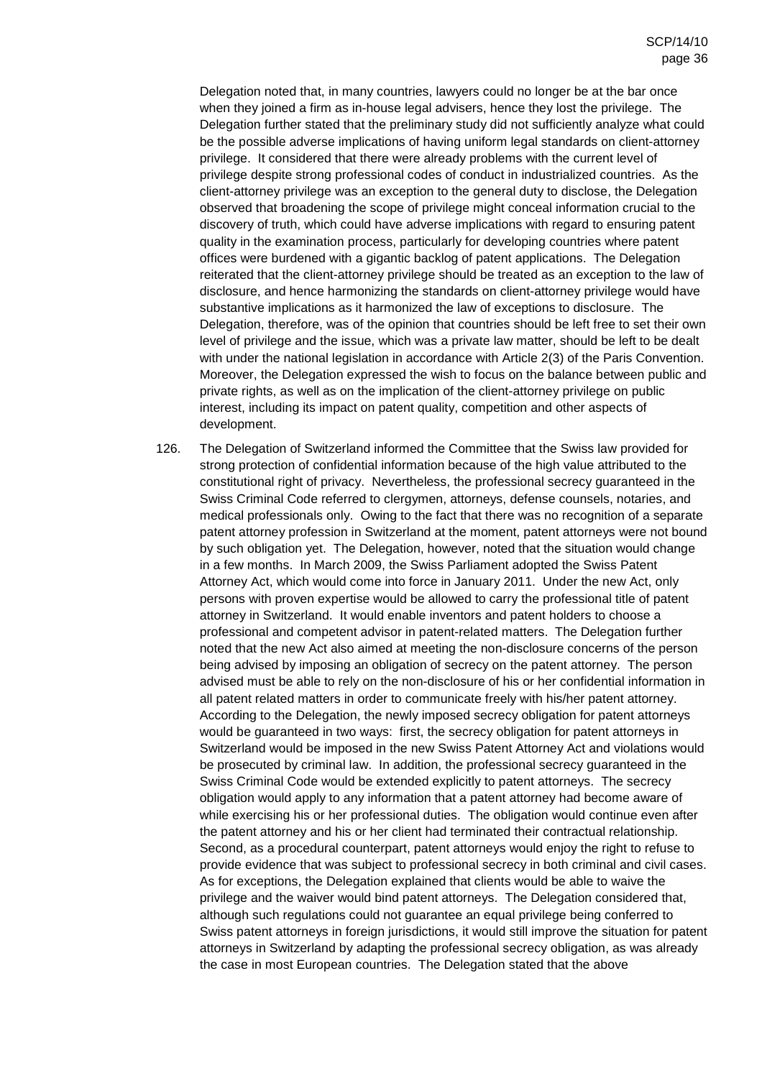Delegation noted that, in many countries, lawyers could no longer be at the bar once when they joined a firm as in-house legal advisers, hence they lost the privilege. The Delegation further stated that the preliminary study did not sufficiently analyze what could be the possible adverse implications of having uniform legal standards on client-attorney privilege. It considered that there were already problems with the current level of privilege despite strong professional codes of conduct in industrialized countries. As the client-attorney privilege was an exception to the general duty to disclose, the Delegation observed that broadening the scope of privilege might conceal information crucial to the discovery of truth, which could have adverse implications with regard to ensuring patent quality in the examination process, particularly for developing countries where patent offices were burdened with a gigantic backlog of patent applications. The Delegation reiterated that the client-attorney privilege should be treated as an exception to the law of disclosure, and hence harmonizing the standards on client-attorney privilege would have substantive implications as it harmonized the law of exceptions to disclosure. The Delegation, therefore, was of the opinion that countries should be left free to set their own level of privilege and the issue, which was a private law matter, should be left to be dealt with under the national legislation in accordance with Article 2(3) of the Paris Convention. Moreover, the Delegation expressed the wish to focus on the balance between public and private rights, as well as on the implication of the client-attorney privilege on public interest, including its impact on patent quality, competition and other aspects of development.

126. The Delegation of Switzerland informed the Committee that the Swiss law provided for strong protection of confidential information because of the high value attributed to the constitutional right of privacy. Nevertheless, the professional secrecy guaranteed in the Swiss Criminal Code referred to clergymen, attorneys, defense counsels, notaries, and medical professionals only. Owing to the fact that there was no recognition of a separate patent attorney profession in Switzerland at the moment, patent attorneys were not bound by such obligation yet. The Delegation, however, noted that the situation would change in a few months. In March 2009, the Swiss Parliament adopted the Swiss Patent Attorney Act, which would come into force in January 2011. Under the new Act, only persons with proven expertise would be allowed to carry the professional title of patent attorney in Switzerland. It would enable inventors and patent holders to choose a professional and competent advisor in patent-related matters. The Delegation further noted that the new Act also aimed at meeting the non-disclosure concerns of the person being advised by imposing an obligation of secrecy on the patent attorney. The person advised must be able to rely on the non-disclosure of his or her confidential information in all patent related matters in order to communicate freely with his/her patent attorney. According to the Delegation, the newly imposed secrecy obligation for patent attorneys would be guaranteed in two ways: first, the secrecy obligation for patent attorneys in Switzerland would be imposed in the new Swiss Patent Attorney Act and violations would be prosecuted by criminal law. In addition, the professional secrecy guaranteed in the Swiss Criminal Code would be extended explicitly to patent attorneys. The secrecy obligation would apply to any information that a patent attorney had become aware of while exercising his or her professional duties. The obligation would continue even after the patent attorney and his or her client had terminated their contractual relationship. Second, as a procedural counterpart, patent attorneys would enjoy the right to refuse to provide evidence that was subject to professional secrecy in both criminal and civil cases. As for exceptions, the Delegation explained that clients would be able to waive the privilege and the waiver would bind patent attorneys. The Delegation considered that, although such regulations could not guarantee an equal privilege being conferred to Swiss patent attorneys in foreign jurisdictions, it would still improve the situation for patent attorneys in Switzerland by adapting the professional secrecy obligation, as was already the case in most European countries. The Delegation stated that the above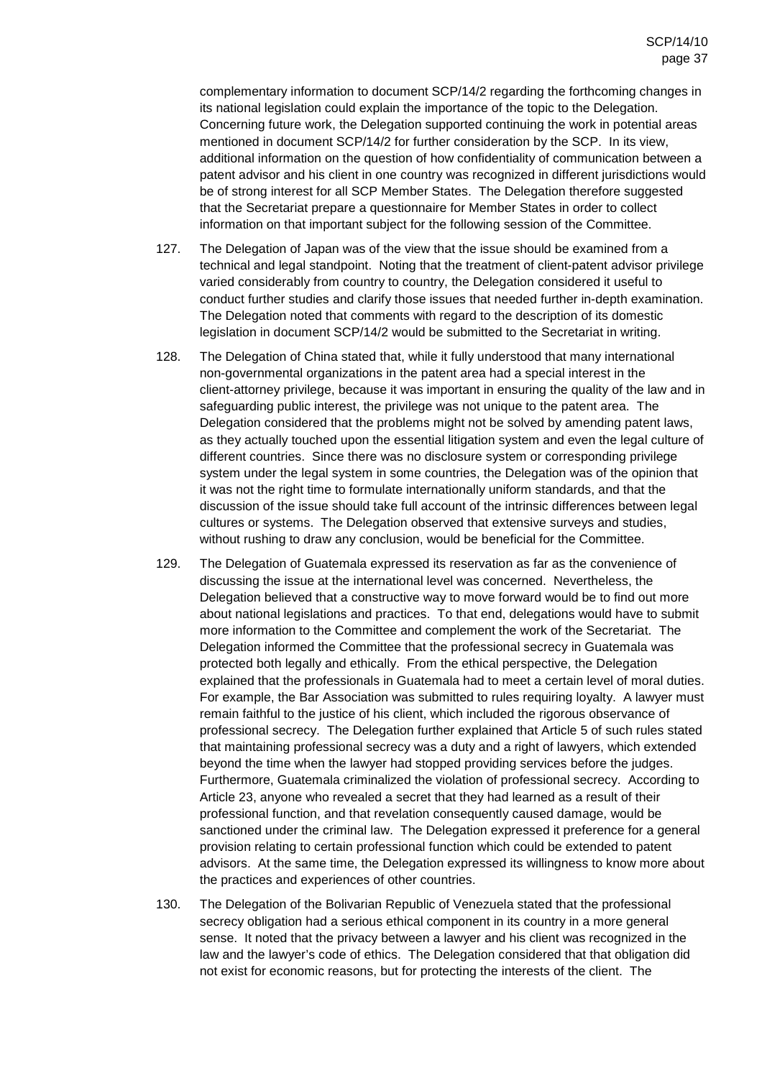complementary information to document SCP/14/2 regarding the forthcoming changes in its national legislation could explain the importance of the topic to the Delegation. Concerning future work, the Delegation supported continuing the work in potential areas mentioned in document SCP/14/2 for further consideration by the SCP. In its view, additional information on the question of how confidentiality of communication between a patent advisor and his client in one country was recognized in different jurisdictions would be of strong interest for all SCP Member States. The Delegation therefore suggested that the Secretariat prepare a questionnaire for Member States in order to collect information on that important subject for the following session of the Committee.

- 127. The Delegation of Japan was of the view that the issue should be examined from a technical and legal standpoint. Noting that the treatment of client-patent advisor privilege varied considerably from country to country, the Delegation considered it useful to conduct further studies and clarify those issues that needed further in-depth examination. The Delegation noted that comments with regard to the description of its domestic legislation in document SCP/14/2 would be submitted to the Secretariat in writing.
- 128. The Delegation of China stated that, while it fully understood that many international non-governmental organizations in the patent area had a special interest in the client-attorney privilege, because it was important in ensuring the quality of the law and in safeguarding public interest, the privilege was not unique to the patent area. The Delegation considered that the problems might not be solved by amending patent laws, as they actually touched upon the essential litigation system and even the legal culture of different countries. Since there was no disclosure system or corresponding privilege system under the legal system in some countries, the Delegation was of the opinion that it was not the right time to formulate internationally uniform standards, and that the discussion of the issue should take full account of the intrinsic differences between legal cultures or systems. The Delegation observed that extensive surveys and studies, without rushing to draw any conclusion, would be beneficial for the Committee.
- 129. The Delegation of Guatemala expressed its reservation as far as the convenience of discussing the issue at the international level was concerned. Nevertheless, the Delegation believed that a constructive way to move forward would be to find out more about national legislations and practices. To that end, delegations would have to submit more information to the Committee and complement the work of the Secretariat. The Delegation informed the Committee that the professional secrecy in Guatemala was protected both legally and ethically. From the ethical perspective, the Delegation explained that the professionals in Guatemala had to meet a certain level of moral duties. For example, the Bar Association was submitted to rules requiring loyalty. A lawyer must remain faithful to the justice of his client, which included the rigorous observance of professional secrecy. The Delegation further explained that Article 5 of such rules stated that maintaining professional secrecy was a duty and a right of lawyers, which extended beyond the time when the lawyer had stopped providing services before the judges. Furthermore, Guatemala criminalized the violation of professional secrecy. According to Article 23, anyone who revealed a secret that they had learned as a result of their professional function, and that revelation consequently caused damage, would be sanctioned under the criminal law. The Delegation expressed it preference for a general provision relating to certain professional function which could be extended to patent advisors. At the same time, the Delegation expressed its willingness to know more about the practices and experiences of other countries.
- 130. The Delegation of the Bolivarian Republic of Venezuela stated that the professional secrecy obligation had a serious ethical component in its country in a more general sense. It noted that the privacy between a lawyer and his client was recognized in the law and the lawyer's code of ethics. The Delegation considered that that obligation did not exist for economic reasons, but for protecting the interests of the client. The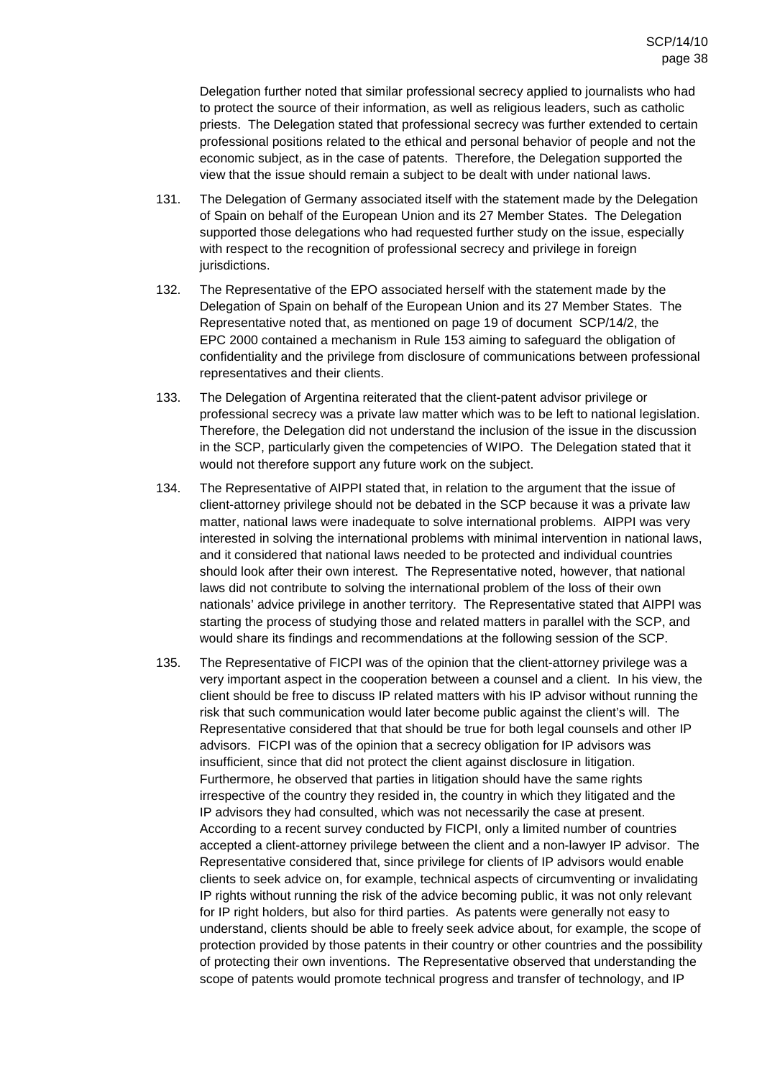Delegation further noted that similar professional secrecy applied to journalists who had to protect the source of their information, as well as religious leaders, such as catholic priests. The Delegation stated that professional secrecy was further extended to certain professional positions related to the ethical and personal behavior of people and not the economic subject, as in the case of patents. Therefore, the Delegation supported the view that the issue should remain a subject to be dealt with under national laws.

- 131. The Delegation of Germany associated itself with the statement made by the Delegation of Spain on behalf of the European Union and its 27 Member States. The Delegation supported those delegations who had requested further study on the issue, especially with respect to the recognition of professional secrecy and privilege in foreign jurisdictions.
- 132. The Representative of the EPO associated herself with the statement made by the Delegation of Spain on behalf of the European Union and its 27 Member States. The Representative noted that, as mentioned on page 19 of document SCP/14/2, the EPC 2000 contained a mechanism in Rule 153 aiming to safeguard the obligation of confidentiality and the privilege from disclosure of communications between professional representatives and their clients.
- 133. The Delegation of Argentina reiterated that the client-patent advisor privilege or professional secrecy was a private law matter which was to be left to national legislation. Therefore, the Delegation did not understand the inclusion of the issue in the discussion in the SCP, particularly given the competencies of WIPO. The Delegation stated that it would not therefore support any future work on the subject.
- 134. The Representative of AIPPI stated that, in relation to the argument that the issue of client-attorney privilege should not be debated in the SCP because it was a private law matter, national laws were inadequate to solve international problems. AIPPI was very interested in solving the international problems with minimal intervention in national laws, and it considered that national laws needed to be protected and individual countries should look after their own interest. The Representative noted, however, that national laws did not contribute to solving the international problem of the loss of their own nationals' advice privilege in another territory. The Representative stated that AIPPI was starting the process of studying those and related matters in parallel with the SCP, and would share its findings and recommendations at the following session of the SCP.
- 135. The Representative of FICPI was of the opinion that the client-attorney privilege was a very important aspect in the cooperation between a counsel and a client. In his view, the client should be free to discuss IP related matters with his IP advisor without running the risk that such communication would later become public against the client's will. The Representative considered that that should be true for both legal counsels and other IP advisors. FICPI was of the opinion that a secrecy obligation for IP advisors was insufficient, since that did not protect the client against disclosure in litigation. Furthermore, he observed that parties in litigation should have the same rights irrespective of the country they resided in, the country in which they litigated and the IP advisors they had consulted, which was not necessarily the case at present. According to a recent survey conducted by FICPI, only a limited number of countries accepted a client-attorney privilege between the client and a non-lawyer IP advisor. The Representative considered that, since privilege for clients of IP advisors would enable clients to seek advice on, for example, technical aspects of circumventing or invalidating IP rights without running the risk of the advice becoming public, it was not only relevant for IP right holders, but also for third parties. As patents were generally not easy to understand, clients should be able to freely seek advice about, for example, the scope of protection provided by those patents in their country or other countries and the possibility of protecting their own inventions. The Representative observed that understanding the scope of patents would promote technical progress and transfer of technology, and IP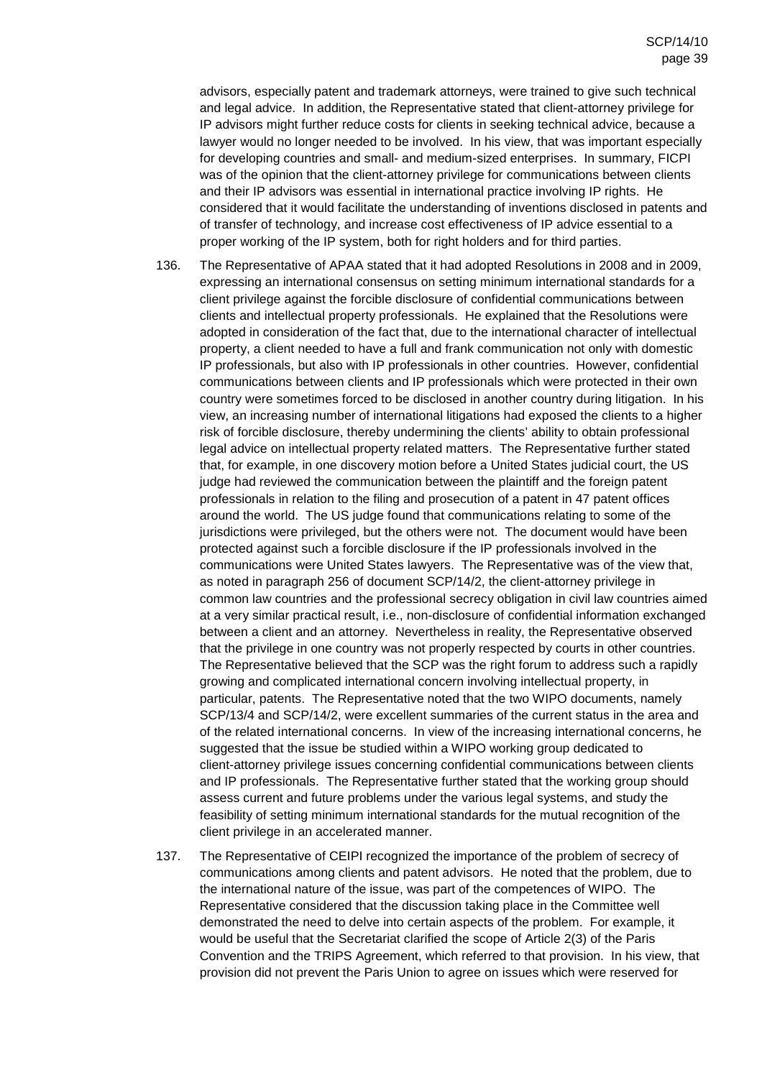advisors, especially patent and trademark attorneys, were trained to give such technical and legal advice. In addition, the Representative stated that client-attorney privilege for IP advisors might further reduce costs for clients in seeking technical advice, because a lawyer would no longer needed to be involved. In his view, that was important especially for developing countries and small- and medium-sized enterprises. In summary, FICPI was of the opinion that the client-attorney privilege for communications between clients and their IP advisors was essential in international practice involving IP rights. He considered that it would facilitate the understanding of inventions disclosed in patents and of transfer of technology, and increase cost effectiveness of IP advice essential to a proper working of the IP system, both for right holders and for third parties.

- 136. The Representative of APAA stated that it had adopted Resolutions in 2008 and in 2009, expressing an international consensus on setting minimum international standards for a client privilege against the forcible disclosure of confidential communications between clients and intellectual property professionals. He explained that the Resolutions were adopted in consideration of the fact that, due to the international character of intellectual property, a client needed to have a full and frank communication not only with domestic IP professionals, but also with IP professionals in other countries. However, confidential communications between clients and IP professionals which were protected in their own country were sometimes forced to be disclosed in another country during litigation. In his view, an increasing number of international litigations had exposed the clients to a higher risk of forcible disclosure, thereby undermining the clients' ability to obtain professional legal advice on intellectual property related matters. The Representative further stated that, for example, in one discovery motion before a United States judicial court, the US judge had reviewed the communication between the plaintiff and the foreign patent professionals in relation to the filing and prosecution of a patent in 47 patent offices around the world. The US judge found that communications relating to some of the jurisdictions were privileged, but the others were not. The document would have been protected against such a forcible disclosure if the IP professionals involved in the communications were United States lawyers. The Representative was of the view that, as noted in paragraph 256 of document SCP/14/2, the client-attorney privilege in common law countries and the professional secrecy obligation in civil law countries aimed at a very similar practical result, i.e., non-disclosure of confidential information exchanged between a client and an attorney. Nevertheless in reality, the Representative observed that the privilege in one country was not properly respected by courts in other countries. The Representative believed that the SCP was the right forum to address such a rapidly growing and complicated international concern involving intellectual property, in particular, patents. The Representative noted that the two WIPO documents, namely SCP/13/4 and SCP/14/2, were excellent summaries of the current status in the area and of the related international concerns. In view of the increasing international concerns, he suggested that the issue be studied within a WIPO working group dedicated to client-attorney privilege issues concerning confidential communications between clients and IP professionals. The Representative further stated that the working group should assess current and future problems under the various legal systems, and study the feasibility of setting minimum international standards for the mutual recognition of the client privilege in an accelerated manner.
- 137. The Representative of CEIPI recognized the importance of the problem of secrecy of communications among clients and patent advisors. He noted that the problem, due to the international nature of the issue, was part of the competences of WIPO. The Representative considered that the discussion taking place in the Committee well demonstrated the need to delve into certain aspects of the problem. For example, it would be useful that the Secretariat clarified the scope of Article 2(3) of the Paris Convention and the TRIPS Agreement, which referred to that provision. In his view, that provision did not prevent the Paris Union to agree on issues which were reserved for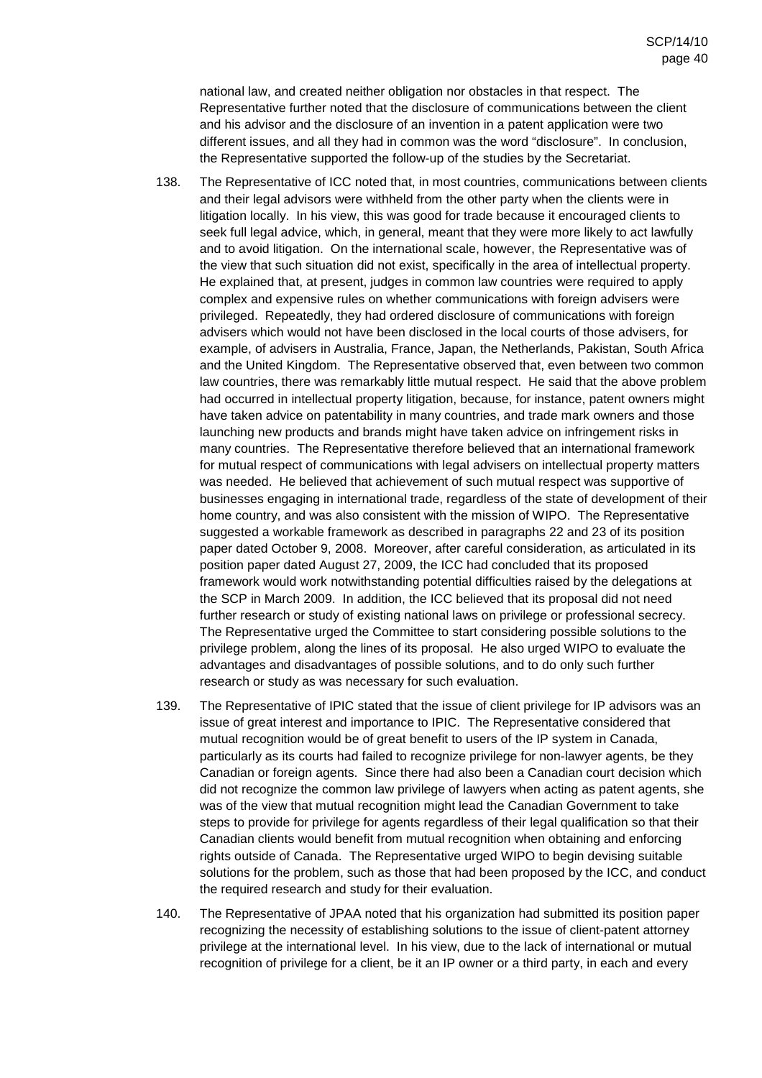national law, and created neither obligation nor obstacles in that respect. The Representative further noted that the disclosure of communications between the client and his advisor and the disclosure of an invention in a patent application were two different issues, and all they had in common was the word "disclosure". In conclusion, the Representative supported the follow-up of the studies by the Secretariat.

- 138. The Representative of ICC noted that, in most countries, communications between clients and their legal advisors were withheld from the other party when the clients were in litigation locally. In his view, this was good for trade because it encouraged clients to seek full legal advice, which, in general, meant that they were more likely to act lawfully and to avoid litigation. On the international scale, however, the Representative was of the view that such situation did not exist, specifically in the area of intellectual property. He explained that, at present, judges in common law countries were required to apply complex and expensive rules on whether communications with foreign advisers were privileged. Repeatedly, they had ordered disclosure of communications with foreign advisers which would not have been disclosed in the local courts of those advisers, for example, of advisers in Australia, France, Japan, the Netherlands, Pakistan, South Africa and the United Kingdom. The Representative observed that, even between two common law countries, there was remarkably little mutual respect. He said that the above problem had occurred in intellectual property litigation, because, for instance, patent owners might have taken advice on patentability in many countries, and trade mark owners and those launching new products and brands might have taken advice on infringement risks in many countries. The Representative therefore believed that an international framework for mutual respect of communications with legal advisers on intellectual property matters was needed. He believed that achievement of such mutual respect was supportive of businesses engaging in international trade, regardless of the state of development of their home country, and was also consistent with the mission of WIPO. The Representative suggested a workable framework as described in paragraphs 22 and 23 of its position paper dated October 9, 2008. Moreover, after careful consideration, as articulated in its position paper dated August 27, 2009, the ICC had concluded that its proposed framework would work notwithstanding potential difficulties raised by the delegations at the SCP in March 2009. In addition, the ICC believed that its proposal did not need further research or study of existing national laws on privilege or professional secrecy. The Representative urged the Committee to start considering possible solutions to the privilege problem, along the lines of its proposal. He also urged WIPO to evaluate the advantages and disadvantages of possible solutions, and to do only such further research or study as was necessary for such evaluation.
- 139. The Representative of IPIC stated that the issue of client privilege for IP advisors was an issue of great interest and importance to IPIC. The Representative considered that mutual recognition would be of great benefit to users of the IP system in Canada, particularly as its courts had failed to recognize privilege for non-lawyer agents, be they Canadian or foreign agents. Since there had also been a Canadian court decision which did not recognize the common law privilege of lawyers when acting as patent agents, she was of the view that mutual recognition might lead the Canadian Government to take steps to provide for privilege for agents regardless of their legal qualification so that their Canadian clients would benefit from mutual recognition when obtaining and enforcing rights outside of Canada. The Representative urged WIPO to begin devising suitable solutions for the problem, such as those that had been proposed by the ICC, and conduct the required research and study for their evaluation.
- 140. The Representative of JPAA noted that his organization had submitted its position paper recognizing the necessity of establishing solutions to the issue of client-patent attorney privilege at the international level. In his view, due to the lack of international or mutual recognition of privilege for a client, be it an IP owner or a third party, in each and every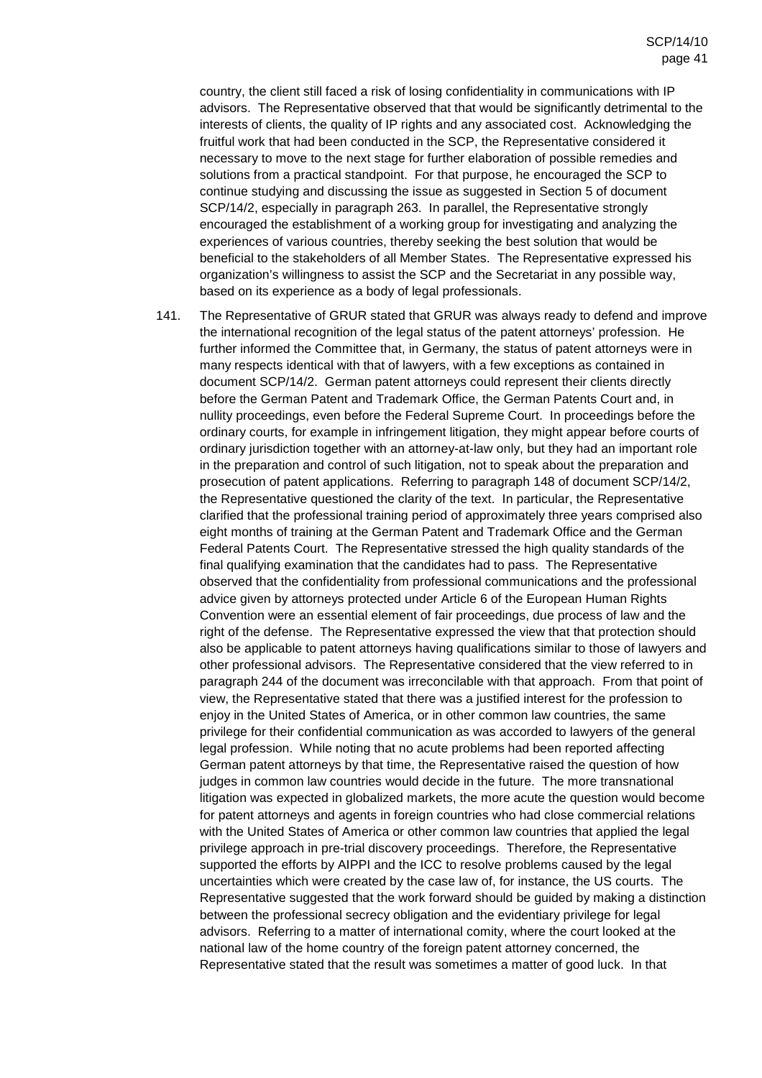country, the client still faced a risk of losing confidentiality in communications with IP advisors. The Representative observed that that would be significantly detrimental to the interests of clients, the quality of IP rights and any associated cost. Acknowledging the fruitful work that had been conducted in the SCP, the Representative considered it necessary to move to the next stage for further elaboration of possible remedies and solutions from a practical standpoint. For that purpose, he encouraged the SCP to continue studying and discussing the issue as suggested in Section 5 of document SCP/14/2, especially in paragraph 263. In parallel, the Representative strongly encouraged the establishment of a working group for investigating and analyzing the experiences of various countries, thereby seeking the best solution that would be beneficial to the stakeholders of all Member States. The Representative expressed his organization's willingness to assist the SCP and the Secretariat in any possible way, based on its experience as a body of legal professionals.

141. The Representative of GRUR stated that GRUR was always ready to defend and improve the international recognition of the legal status of the patent attorneys' profession. He further informed the Committee that, in Germany, the status of patent attorneys were in many respects identical with that of lawyers, with a few exceptions as contained in document SCP/14/2. German patent attorneys could represent their clients directly before the German Patent and Trademark Office, the German Patents Court and, in nullity proceedings, even before the Federal Supreme Court. In proceedings before the ordinary courts, for example in infringement litigation, they might appear before courts of ordinary jurisdiction together with an attorney-at-law only, but they had an important role in the preparation and control of such litigation, not to speak about the preparation and prosecution of patent applications. Referring to paragraph 148 of document SCP/14/2, the Representative questioned the clarity of the text. In particular, the Representative clarified that the professional training period of approximately three years comprised also eight months of training at the German Patent and Trademark Office and the German Federal Patents Court. The Representative stressed the high quality standards of the final qualifying examination that the candidates had to pass. The Representative observed that the confidentiality from professional communications and the professional advice given by attorneys protected under Article 6 of the European Human Rights Convention were an essential element of fair proceedings, due process of law and the right of the defense. The Representative expressed the view that that protection should also be applicable to patent attorneys having qualifications similar to those of lawyers and other professional advisors. The Representative considered that the view referred to in paragraph 244 of the document was irreconcilable with that approach. From that point of view, the Representative stated that there was a justified interest for the profession to enjoy in the United States of America, or in other common law countries, the same privilege for their confidential communication as was accorded to lawyers of the general legal profession. While noting that no acute problems had been reported affecting German patent attorneys by that time, the Representative raised the question of how judges in common law countries would decide in the future. The more transnational litigation was expected in globalized markets, the more acute the question would become for patent attorneys and agents in foreign countries who had close commercial relations with the United States of America or other common law countries that applied the legal privilege approach in pre-trial discovery proceedings. Therefore, the Representative supported the efforts by AIPPI and the ICC to resolve problems caused by the legal uncertainties which were created by the case law of, for instance, the US courts. The Representative suggested that the work forward should be guided by making a distinction between the professional secrecy obligation and the evidentiary privilege for legal advisors. Referring to a matter of international comity, where the court looked at the national law of the home country of the foreign patent attorney concerned, the Representative stated that the result was sometimes a matter of good luck. In that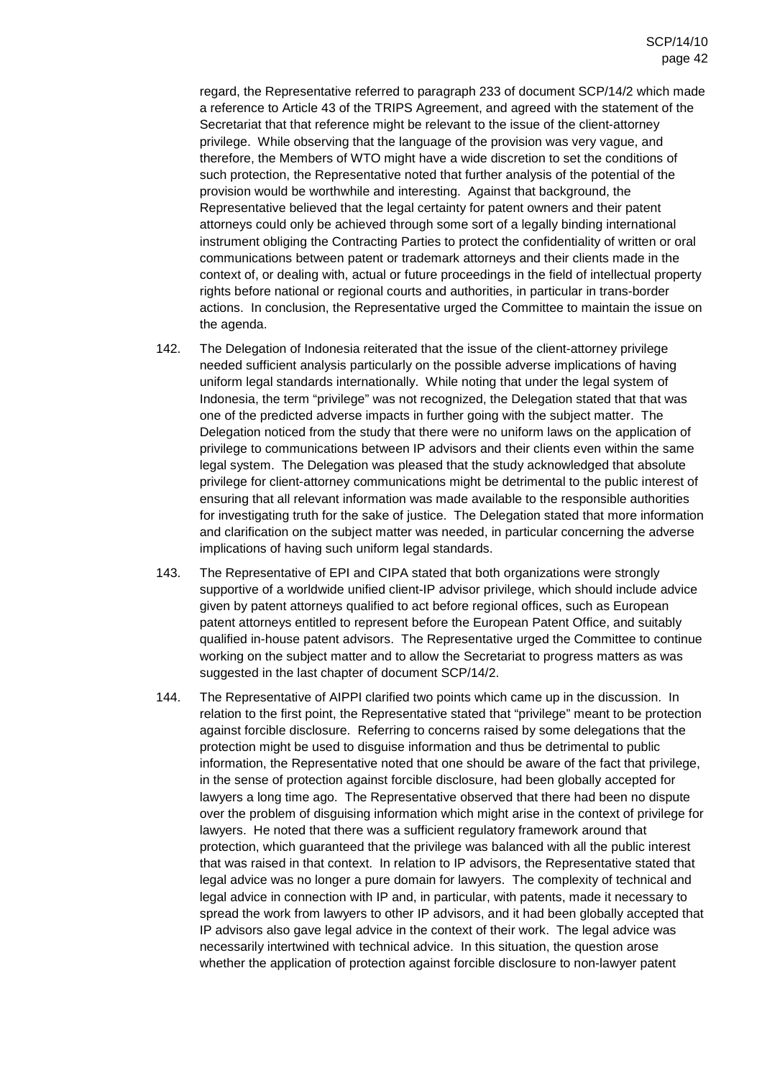regard, the Representative referred to paragraph 233 of document SCP/14/2 which made a reference to Article 43 of the TRIPS Agreement, and agreed with the statement of the Secretariat that that reference might be relevant to the issue of the client-attorney privilege. While observing that the language of the provision was very vague, and therefore, the Members of WTO might have a wide discretion to set the conditions of such protection, the Representative noted that further analysis of the potential of the provision would be worthwhile and interesting. Against that background, the Representative believed that the legal certainty for patent owners and their patent attorneys could only be achieved through some sort of a legally binding international instrument obliging the Contracting Parties to protect the confidentiality of written or oral communications between patent or trademark attorneys and their clients made in the context of, or dealing with, actual or future proceedings in the field of intellectual property rights before national or regional courts and authorities, in particular in trans-border actions. In conclusion, the Representative urged the Committee to maintain the issue on the agenda.

- 142. The Delegation of Indonesia reiterated that the issue of the client-attorney privilege needed sufficient analysis particularly on the possible adverse implications of having uniform legal standards internationally. While noting that under the legal system of Indonesia, the term "privilege" was not recognized, the Delegation stated that that was one of the predicted adverse impacts in further going with the subject matter. The Delegation noticed from the study that there were no uniform laws on the application of privilege to communications between IP advisors and their clients even within the same legal system. The Delegation was pleased that the study acknowledged that absolute privilege for client-attorney communications might be detrimental to the public interest of ensuring that all relevant information was made available to the responsible authorities for investigating truth for the sake of justice. The Delegation stated that more information and clarification on the subject matter was needed, in particular concerning the adverse implications of having such uniform legal standards.
- 143. The Representative of EPI and CIPA stated that both organizations were strongly supportive of a worldwide unified client-IP advisor privilege, which should include advice given by patent attorneys qualified to act before regional offices, such as European patent attorneys entitled to represent before the European Patent Office, and suitably qualified in-house patent advisors. The Representative urged the Committee to continue working on the subject matter and to allow the Secretariat to progress matters as was suggested in the last chapter of document SCP/14/2.
- 144. The Representative of AIPPI clarified two points which came up in the discussion. In relation to the first point, the Representative stated that "privilege" meant to be protection against forcible disclosure. Referring to concerns raised by some delegations that the protection might be used to disguise information and thus be detrimental to public information, the Representative noted that one should be aware of the fact that privilege, in the sense of protection against forcible disclosure, had been globally accepted for lawyers a long time ago. The Representative observed that there had been no dispute over the problem of disguising information which might arise in the context of privilege for lawyers. He noted that there was a sufficient regulatory framework around that protection, which guaranteed that the privilege was balanced with all the public interest that was raised in that context. In relation to IP advisors, the Representative stated that legal advice was no longer a pure domain for lawyers. The complexity of technical and legal advice in connection with IP and, in particular, with patents, made it necessary to spread the work from lawyers to other IP advisors, and it had been globally accepted that IP advisors also gave legal advice in the context of their work. The legal advice was necessarily intertwined with technical advice. In this situation, the question arose whether the application of protection against forcible disclosure to non-lawyer patent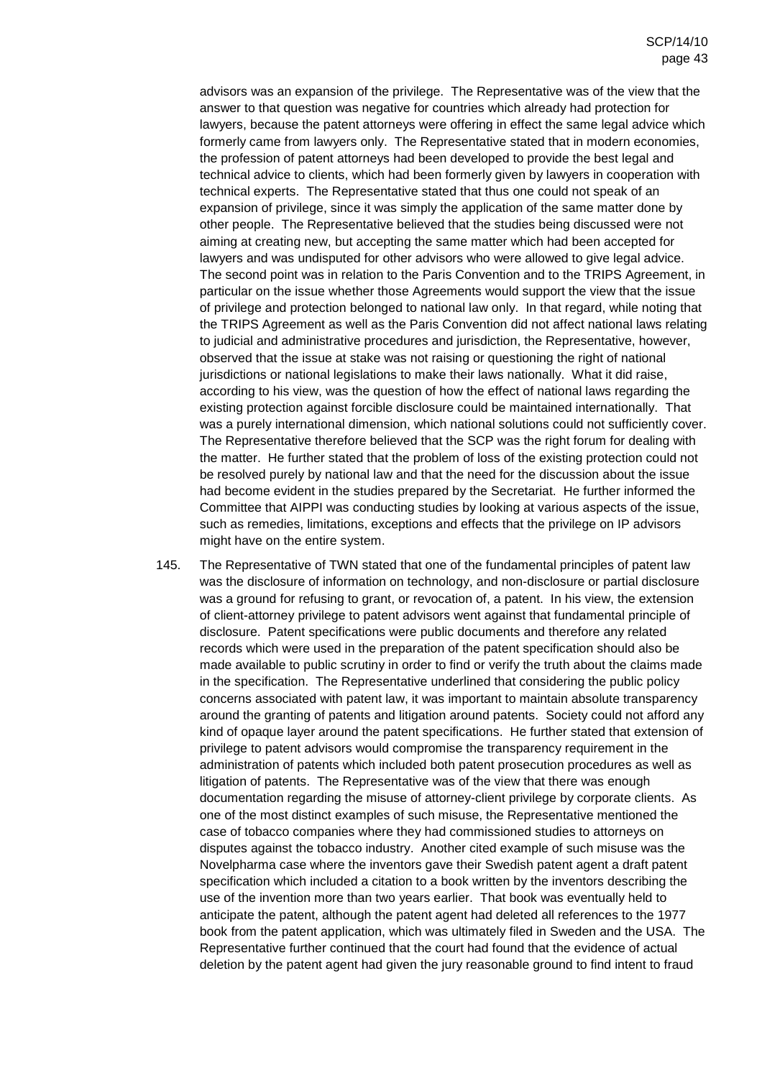advisors was an expansion of the privilege. The Representative was of the view that the answer to that question was negative for countries which already had protection for lawyers, because the patent attorneys were offering in effect the same legal advice which formerly came from lawyers only. The Representative stated that in modern economies, the profession of patent attorneys had been developed to provide the best legal and technical advice to clients, which had been formerly given by lawyers in cooperation with technical experts. The Representative stated that thus one could not speak of an expansion of privilege, since it was simply the application of the same matter done by other people. The Representative believed that the studies being discussed were not aiming at creating new, but accepting the same matter which had been accepted for lawyers and was undisputed for other advisors who were allowed to give legal advice. The second point was in relation to the Paris Convention and to the TRIPS Agreement, in particular on the issue whether those Agreements would support the view that the issue of privilege and protection belonged to national law only. In that regard, while noting that the TRIPS Agreement as well as the Paris Convention did not affect national laws relating to judicial and administrative procedures and jurisdiction, the Representative, however, observed that the issue at stake was not raising or questioning the right of national jurisdictions or national legislations to make their laws nationally. What it did raise, according to his view, was the question of how the effect of national laws regarding the existing protection against forcible disclosure could be maintained internationally. That was a purely international dimension, which national solutions could not sufficiently cover. The Representative therefore believed that the SCP was the right forum for dealing with the matter. He further stated that the problem of loss of the existing protection could not be resolved purely by national law and that the need for the discussion about the issue had become evident in the studies prepared by the Secretariat. He further informed the Committee that AIPPI was conducting studies by looking at various aspects of the issue, such as remedies, limitations, exceptions and effects that the privilege on IP advisors might have on the entire system.

145. The Representative of TWN stated that one of the fundamental principles of patent law was the disclosure of information on technology, and non-disclosure or partial disclosure was a ground for refusing to grant, or revocation of, a patent. In his view, the extension of client-attorney privilege to patent advisors went against that fundamental principle of disclosure. Patent specifications were public documents and therefore any related records which were used in the preparation of the patent specification should also be made available to public scrutiny in order to find or verify the truth about the claims made in the specification. The Representative underlined that considering the public policy concerns associated with patent law, it was important to maintain absolute transparency around the granting of patents and litigation around patents. Society could not afford any kind of opaque layer around the patent specifications. He further stated that extension of privilege to patent advisors would compromise the transparency requirement in the administration of patents which included both patent prosecution procedures as well as litigation of patents. The Representative was of the view that there was enough documentation regarding the misuse of attorney-client privilege by corporate clients. As one of the most distinct examples of such misuse, the Representative mentioned the case of tobacco companies where they had commissioned studies to attorneys on disputes against the tobacco industry. Another cited example of such misuse was the Novelpharma case where the inventors gave their Swedish patent agent a draft patent specification which included a citation to a book written by the inventors describing the use of the invention more than two years earlier. That book was eventually held to anticipate the patent, although the patent agent had deleted all references to the 1977 book from the patent application, which was ultimately filed in Sweden and the USA. The Representative further continued that the court had found that the evidence of actual deletion by the patent agent had given the jury reasonable ground to find intent to fraud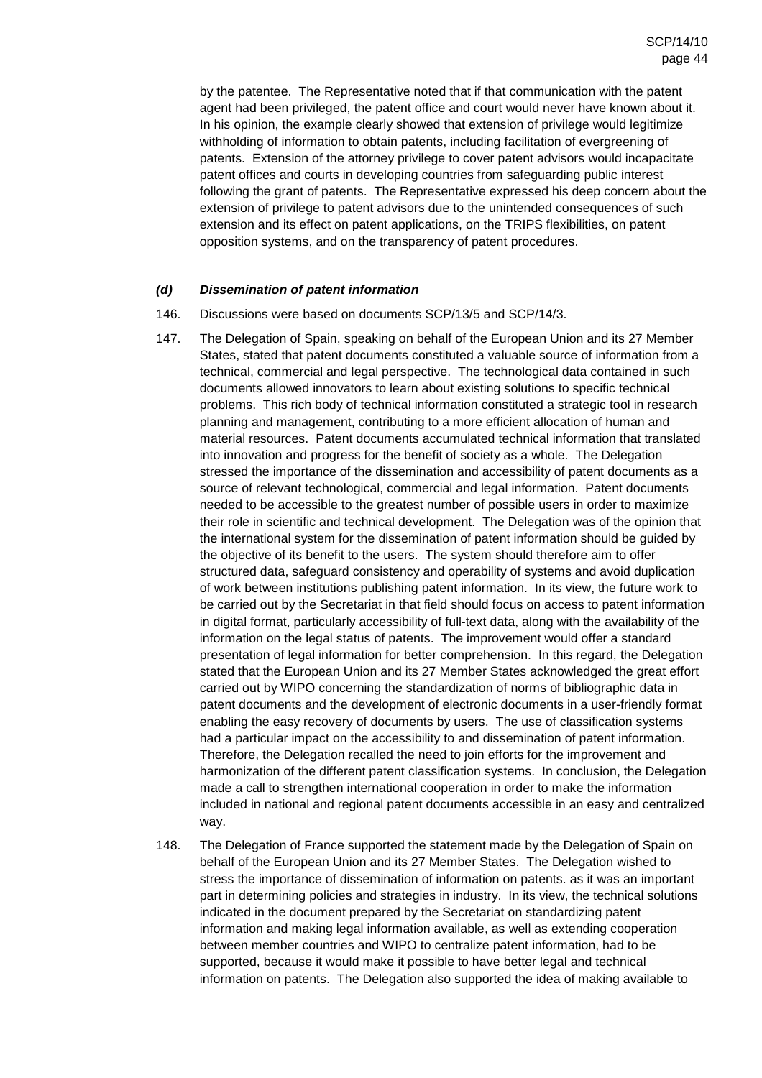by the patentee. The Representative noted that if that communication with the patent agent had been privileged, the patent office and court would never have known about it. In his opinion, the example clearly showed that extension of privilege would legitimize withholding of information to obtain patents, including facilitation of evergreening of patents. Extension of the attorney privilege to cover patent advisors would incapacitate patent offices and courts in developing countries from safeguarding public interest following the grant of patents. The Representative expressed his deep concern about the extension of privilege to patent advisors due to the unintended consequences of such extension and its effect on patent applications, on the TRIPS flexibilities, on patent opposition systems, and on the transparency of patent procedures.

## **(d) Dissemination of patent information**

- 146. Discussions were based on documents SCP/13/5 and SCP/14/3.
- 147. The Delegation of Spain, speaking on behalf of the European Union and its 27 Member States, stated that patent documents constituted a valuable source of information from a technical, commercial and legal perspective. The technological data contained in such documents allowed innovators to learn about existing solutions to specific technical problems. This rich body of technical information constituted a strategic tool in research planning and management, contributing to a more efficient allocation of human and material resources. Patent documents accumulated technical information that translated into innovation and progress for the benefit of society as a whole. The Delegation stressed the importance of the dissemination and accessibility of patent documents as a source of relevant technological, commercial and legal information. Patent documents needed to be accessible to the greatest number of possible users in order to maximize their role in scientific and technical development. The Delegation was of the opinion that the international system for the dissemination of patent information should be guided by the objective of its benefit to the users. The system should therefore aim to offer structured data, safeguard consistency and operability of systems and avoid duplication of work between institutions publishing patent information. In its view, the future work to be carried out by the Secretariat in that field should focus on access to patent information in digital format, particularly accessibility of full-text data, along with the availability of the information on the legal status of patents. The improvement would offer a standard presentation of legal information for better comprehension. In this regard, the Delegation stated that the European Union and its 27 Member States acknowledged the great effort carried out by WIPO concerning the standardization of norms of bibliographic data in patent documents and the development of electronic documents in a user-friendly format enabling the easy recovery of documents by users. The use of classification systems had a particular impact on the accessibility to and dissemination of patent information. Therefore, the Delegation recalled the need to join efforts for the improvement and harmonization of the different patent classification systems. In conclusion, the Delegation made a call to strengthen international cooperation in order to make the information included in national and regional patent documents accessible in an easy and centralized way.
- 148. The Delegation of France supported the statement made by the Delegation of Spain on behalf of the European Union and its 27 Member States. The Delegation wished to stress the importance of dissemination of information on patents. as it was an important part in determining policies and strategies in industry. In its view, the technical solutions indicated in the document prepared by the Secretariat on standardizing patent information and making legal information available, as well as extending cooperation between member countries and WIPO to centralize patent information, had to be supported, because it would make it possible to have better legal and technical information on patents. The Delegation also supported the idea of making available to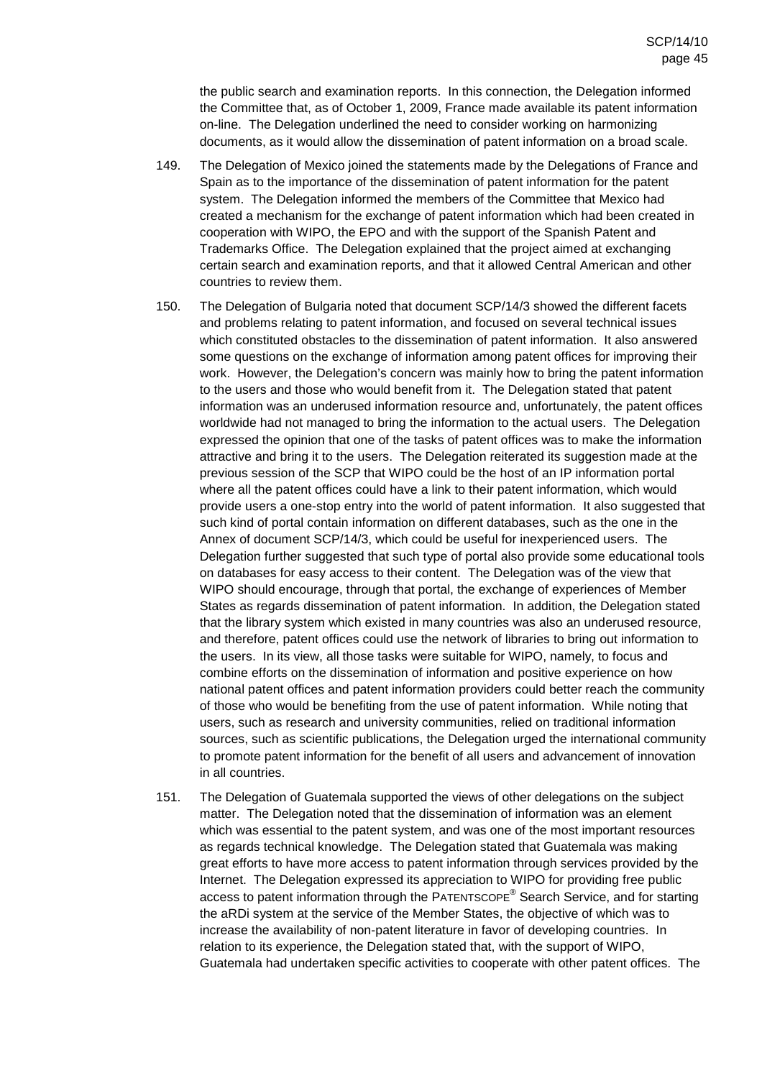the public search and examination reports. In this connection, the Delegation informed the Committee that, as of October 1, 2009, France made available its patent information on-line. The Delegation underlined the need to consider working on harmonizing documents, as it would allow the dissemination of patent information on a broad scale.

- 149. The Delegation of Mexico joined the statements made by the Delegations of France and Spain as to the importance of the dissemination of patent information for the patent system. The Delegation informed the members of the Committee that Mexico had created a mechanism for the exchange of patent information which had been created in cooperation with WIPO, the EPO and with the support of the Spanish Patent and Trademarks Office. The Delegation explained that the project aimed at exchanging certain search and examination reports, and that it allowed Central American and other countries to review them.
- 150. The Delegation of Bulgaria noted that document SCP/14/3 showed the different facets and problems relating to patent information, and focused on several technical issues which constituted obstacles to the dissemination of patent information. It also answered some questions on the exchange of information among patent offices for improving their work. However, the Delegation's concern was mainly how to bring the patent information to the users and those who would benefit from it. The Delegation stated that patent information was an underused information resource and, unfortunately, the patent offices worldwide had not managed to bring the information to the actual users. The Delegation expressed the opinion that one of the tasks of patent offices was to make the information attractive and bring it to the users. The Delegation reiterated its suggestion made at the previous session of the SCP that WIPO could be the host of an IP information portal where all the patent offices could have a link to their patent information, which would provide users a one-stop entry into the world of patent information. It also suggested that such kind of portal contain information on different databases, such as the one in the Annex of document SCP/14/3, which could be useful for inexperienced users. The Delegation further suggested that such type of portal also provide some educational tools on databases for easy access to their content. The Delegation was of the view that WIPO should encourage, through that portal, the exchange of experiences of Member States as regards dissemination of patent information. In addition, the Delegation stated that the library system which existed in many countries was also an underused resource, and therefore, patent offices could use the network of libraries to bring out information to the users. In its view, all those tasks were suitable for WIPO, namely, to focus and combine efforts on the dissemination of information and positive experience on how national patent offices and patent information providers could better reach the community of those who would be benefiting from the use of patent information. While noting that users, such as research and university communities, relied on traditional information sources, such as scientific publications, the Delegation urged the international community to promote patent information for the benefit of all users and advancement of innovation in all countries.
- 151. The Delegation of Guatemala supported the views of other delegations on the subject matter. The Delegation noted that the dissemination of information was an element which was essential to the patent system, and was one of the most important resources as regards technical knowledge. The Delegation stated that Guatemala was making great efforts to have more access to patent information through services provided by the Internet. The Delegation expressed its appreciation to WIPO for providing free public access to patent information through the PATENTSCOPE® Search Service, and for starting the aRDi system at the service of the Member States, the objective of which was to increase the availability of non-patent literature in favor of developing countries. In relation to its experience, the Delegation stated that, with the support of WIPO, Guatemala had undertaken specific activities to cooperate with other patent offices. The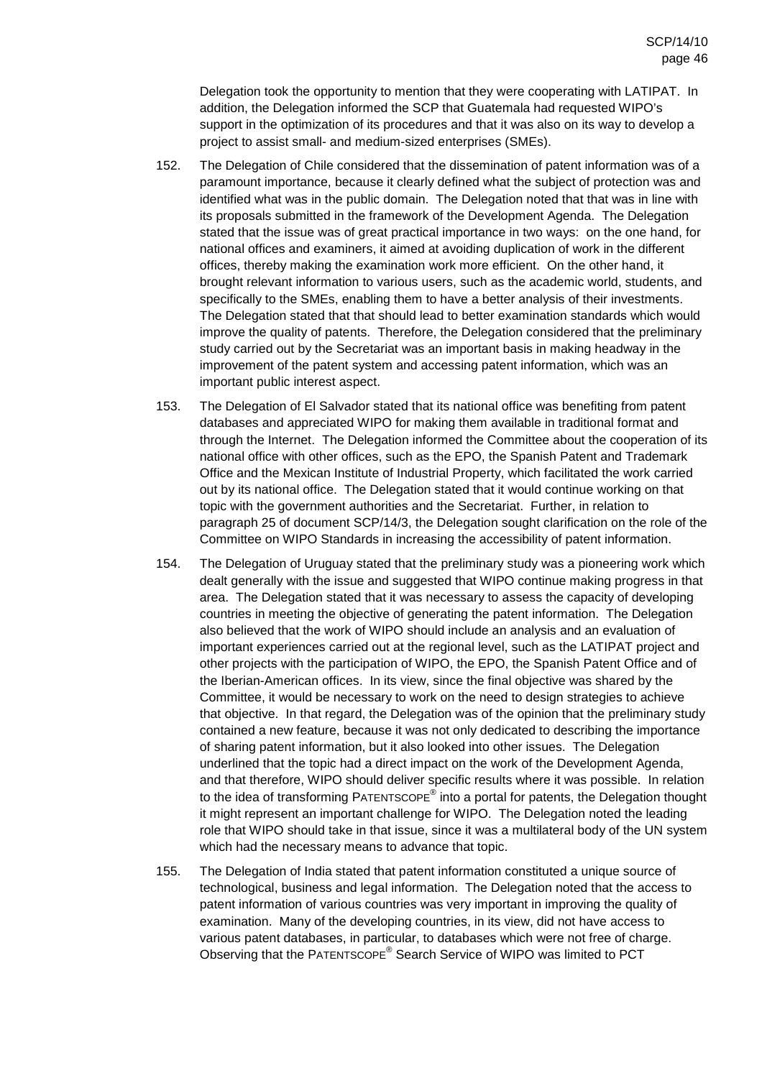Delegation took the opportunity to mention that they were cooperating with LATIPAT. In addition, the Delegation informed the SCP that Guatemala had requested WIPO's support in the optimization of its procedures and that it was also on its way to develop a project to assist small- and medium-sized enterprises (SMEs).

- 152. The Delegation of Chile considered that the dissemination of patent information was of a paramount importance, because it clearly defined what the subject of protection was and identified what was in the public domain. The Delegation noted that that was in line with its proposals submitted in the framework of the Development Agenda. The Delegation stated that the issue was of great practical importance in two ways: on the one hand, for national offices and examiners, it aimed at avoiding duplication of work in the different offices, thereby making the examination work more efficient. On the other hand, it brought relevant information to various users, such as the academic world, students, and specifically to the SMEs, enabling them to have a better analysis of their investments. The Delegation stated that that should lead to better examination standards which would improve the quality of patents. Therefore, the Delegation considered that the preliminary study carried out by the Secretariat was an important basis in making headway in the improvement of the patent system and accessing patent information, which was an important public interest aspect.
- 153. The Delegation of El Salvador stated that its national office was benefiting from patent databases and appreciated WIPO for making them available in traditional format and through the Internet. The Delegation informed the Committee about the cooperation of its national office with other offices, such as the EPO, the Spanish Patent and Trademark Office and the Mexican Institute of Industrial Property, which facilitated the work carried out by its national office. The Delegation stated that it would continue working on that topic with the government authorities and the Secretariat. Further, in relation to paragraph 25 of document SCP/14/3, the Delegation sought clarification on the role of the Committee on WIPO Standards in increasing the accessibility of patent information.
- 154. The Delegation of Uruguay stated that the preliminary study was a pioneering work which dealt generally with the issue and suggested that WIPO continue making progress in that area. The Delegation stated that it was necessary to assess the capacity of developing countries in meeting the objective of generating the patent information. The Delegation also believed that the work of WIPO should include an analysis and an evaluation of important experiences carried out at the regional level, such as the LATIPAT project and other projects with the participation of WIPO, the EPO, the Spanish Patent Office and of the Iberian-American offices. In its view, since the final objective was shared by the Committee, it would be necessary to work on the need to design strategies to achieve that objective. In that regard, the Delegation was of the opinion that the preliminary study contained a new feature, because it was not only dedicated to describing the importance of sharing patent information, but it also looked into other issues. The Delegation underlined that the topic had a direct impact on the work of the Development Agenda, and that therefore, WIPO should deliver specific results where it was possible. In relation to the idea of transforming PATENTSCOPE<sup>®</sup> into a portal for patents, the Delegation thought it might represent an important challenge for WIPO. The Delegation noted the leading role that WIPO should take in that issue, since it was a multilateral body of the UN system which had the necessary means to advance that topic.
- 155. The Delegation of India stated that patent information constituted a unique source of technological, business and legal information. The Delegation noted that the access to patent information of various countries was very important in improving the quality of examination. Many of the developing countries, in its view, did not have access to various patent databases, in particular, to databases which were not free of charge. Observing that the PATENTSCOPE® Search Service of WIPO was limited to PCT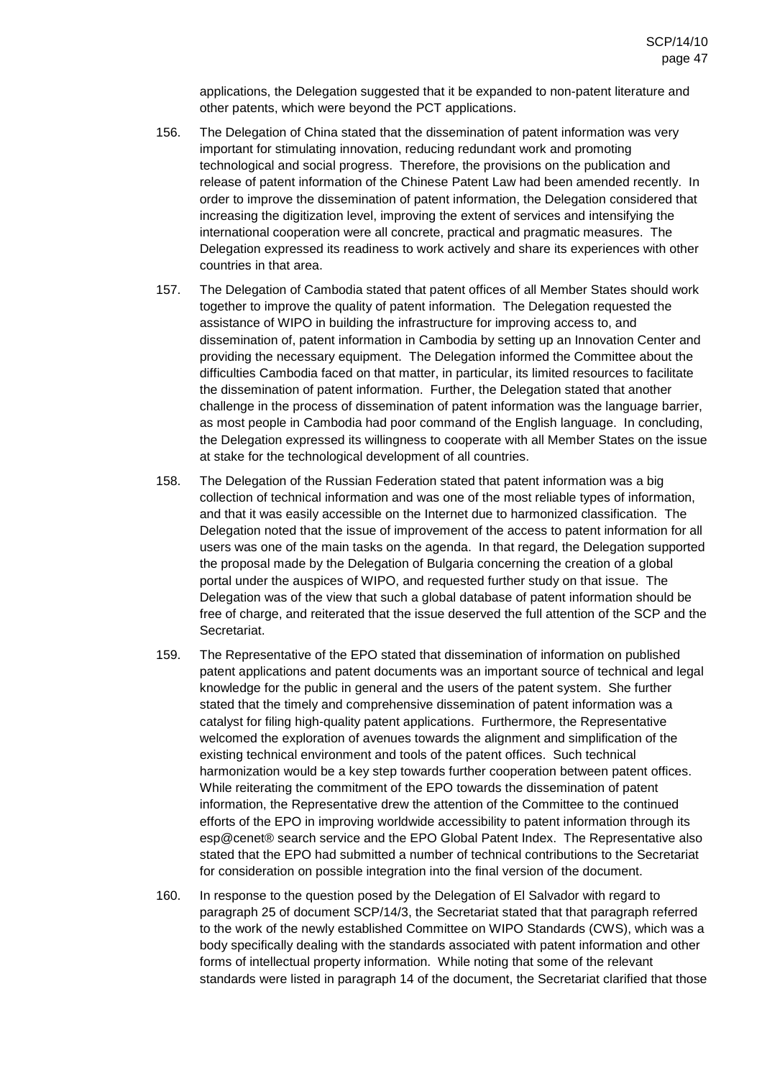applications, the Delegation suggested that it be expanded to non-patent literature and other patents, which were beyond the PCT applications.

- 156. The Delegation of China stated that the dissemination of patent information was very important for stimulating innovation, reducing redundant work and promoting technological and social progress. Therefore, the provisions on the publication and release of patent information of the Chinese Patent Law had been amended recently. In order to improve the dissemination of patent information, the Delegation considered that increasing the digitization level, improving the extent of services and intensifying the international cooperation were all concrete, practical and pragmatic measures. The Delegation expressed its readiness to work actively and share its experiences with other countries in that area.
- 157. The Delegation of Cambodia stated that patent offices of all Member States should work together to improve the quality of patent information. The Delegation requested the assistance of WIPO in building the infrastructure for improving access to, and dissemination of, patent information in Cambodia by setting up an Innovation Center and providing the necessary equipment. The Delegation informed the Committee about the difficulties Cambodia faced on that matter, in particular, its limited resources to facilitate the dissemination of patent information. Further, the Delegation stated that another challenge in the process of dissemination of patent information was the language barrier, as most people in Cambodia had poor command of the English language. In concluding, the Delegation expressed its willingness to cooperate with all Member States on the issue at stake for the technological development of all countries.
- 158. The Delegation of the Russian Federation stated that patent information was a big collection of technical information and was one of the most reliable types of information, and that it was easily accessible on the Internet due to harmonized classification. The Delegation noted that the issue of improvement of the access to patent information for all users was one of the main tasks on the agenda. In that regard, the Delegation supported the proposal made by the Delegation of Bulgaria concerning the creation of a global portal under the auspices of WIPO, and requested further study on that issue. The Delegation was of the view that such a global database of patent information should be free of charge, and reiterated that the issue deserved the full attention of the SCP and the Secretariat.
- 159. The Representative of the EPO stated that dissemination of information on published patent applications and patent documents was an important source of technical and legal knowledge for the public in general and the users of the patent system. She further stated that the timely and comprehensive dissemination of patent information was a catalyst for filing high-quality patent applications. Furthermore, the Representative welcomed the exploration of avenues towards the alignment and simplification of the existing technical environment and tools of the patent offices. Such technical harmonization would be a key step towards further cooperation between patent offices. While reiterating the commitment of the EPO towards the dissemination of patent information, the Representative drew the attention of the Committee to the continued efforts of the EPO in improving worldwide accessibility to patent information through its esp@cenet® search service and the EPO Global Patent Index. The Representative also stated that the EPO had submitted a number of technical contributions to the Secretariat for consideration on possible integration into the final version of the document.
- 160. In response to the question posed by the Delegation of El Salvador with regard to paragraph 25 of document SCP/14/3, the Secretariat stated that that paragraph referred to the work of the newly established Committee on WIPO Standards (CWS), which was a body specifically dealing with the standards associated with patent information and other forms of intellectual property information. While noting that some of the relevant standards were listed in paragraph 14 of the document, the Secretariat clarified that those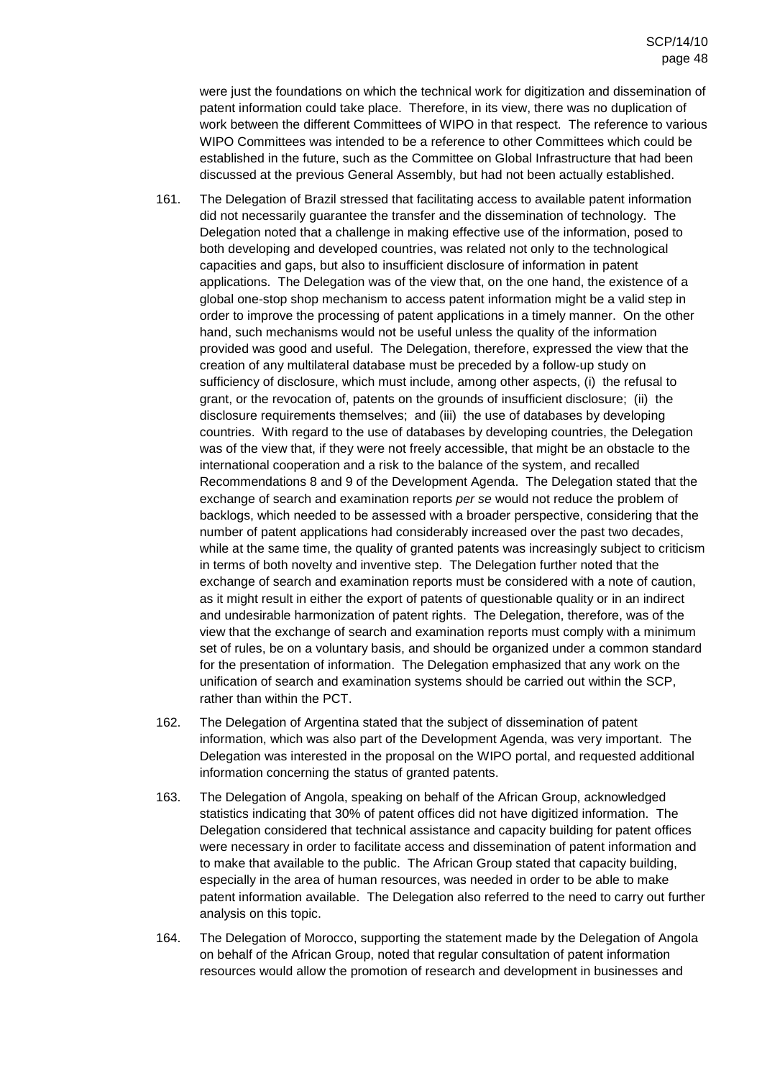were just the foundations on which the technical work for digitization and dissemination of patent information could take place. Therefore, in its view, there was no duplication of work between the different Committees of WIPO in that respect. The reference to various WIPO Committees was intended to be a reference to other Committees which could be established in the future, such as the Committee on Global Infrastructure that had been discussed at the previous General Assembly, but had not been actually established.

- 161. The Delegation of Brazil stressed that facilitating access to available patent information did not necessarily guarantee the transfer and the dissemination of technology. The Delegation noted that a challenge in making effective use of the information, posed to both developing and developed countries, was related not only to the technological capacities and gaps, but also to insufficient disclosure of information in patent applications. The Delegation was of the view that, on the one hand, the existence of a global one-stop shop mechanism to access patent information might be a valid step in order to improve the processing of patent applications in a timely manner. On the other hand, such mechanisms would not be useful unless the quality of the information provided was good and useful. The Delegation, therefore, expressed the view that the creation of any multilateral database must be preceded by a follow-up study on sufficiency of disclosure, which must include, among other aspects, (i) the refusal to grant, or the revocation of, patents on the grounds of insufficient disclosure; (ii) the disclosure requirements themselves; and (iii) the use of databases by developing countries. With regard to the use of databases by developing countries, the Delegation was of the view that, if they were not freely accessible, that might be an obstacle to the international cooperation and a risk to the balance of the system, and recalled Recommendations 8 and 9 of the Development Agenda. The Delegation stated that the exchange of search and examination reports per se would not reduce the problem of backlogs, which needed to be assessed with a broader perspective, considering that the number of patent applications had considerably increased over the past two decades, while at the same time, the quality of granted patents was increasingly subject to criticism in terms of both novelty and inventive step. The Delegation further noted that the exchange of search and examination reports must be considered with a note of caution, as it might result in either the export of patents of questionable quality or in an indirect and undesirable harmonization of patent rights. The Delegation, therefore, was of the view that the exchange of search and examination reports must comply with a minimum set of rules, be on a voluntary basis, and should be organized under a common standard for the presentation of information. The Delegation emphasized that any work on the unification of search and examination systems should be carried out within the SCP, rather than within the PCT.
- 162. The Delegation of Argentina stated that the subject of dissemination of patent information, which was also part of the Development Agenda, was very important. The Delegation was interested in the proposal on the WIPO portal, and requested additional information concerning the status of granted patents.
- 163. The Delegation of Angola, speaking on behalf of the African Group, acknowledged statistics indicating that 30% of patent offices did not have digitized information. The Delegation considered that technical assistance and capacity building for patent offices were necessary in order to facilitate access and dissemination of patent information and to make that available to the public. The African Group stated that capacity building, especially in the area of human resources, was needed in order to be able to make patent information available. The Delegation also referred to the need to carry out further analysis on this topic.
- 164. The Delegation of Morocco, supporting the statement made by the Delegation of Angola on behalf of the African Group, noted that regular consultation of patent information resources would allow the promotion of research and development in businesses and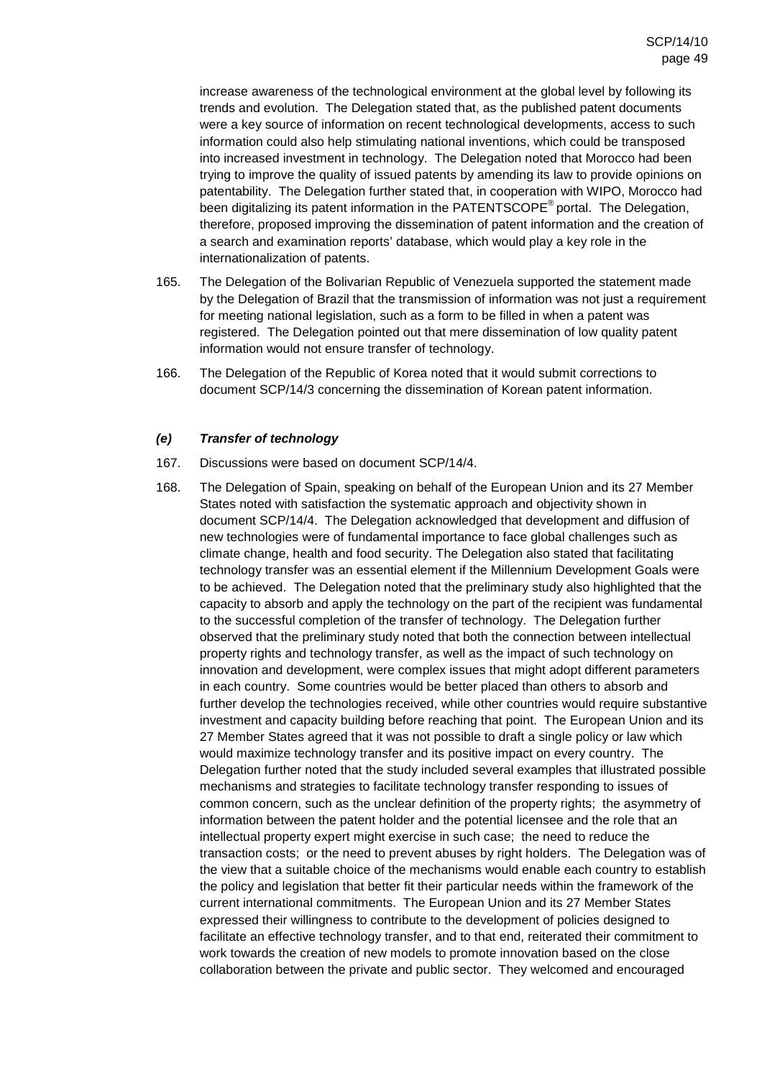increase awareness of the technological environment at the global level by following its trends and evolution. The Delegation stated that, as the published patent documents were a key source of information on recent technological developments, access to such information could also help stimulating national inventions, which could be transposed into increased investment in technology. The Delegation noted that Morocco had been trying to improve the quality of issued patents by amending its law to provide opinions on patentability. The Delegation further stated that, in cooperation with WIPO, Morocco had been digitalizing its patent information in the PATENTSCOPE<sup>®</sup> portal. The Delegation, therefore, proposed improving the dissemination of patent information and the creation of a search and examination reports' database, which would play a key role in the internationalization of patents.

- 165. The Delegation of the Bolivarian Republic of Venezuela supported the statement made by the Delegation of Brazil that the transmission of information was not just a requirement for meeting national legislation, such as a form to be filled in when a patent was registered. The Delegation pointed out that mere dissemination of low quality patent information would not ensure transfer of technology.
- 166. The Delegation of the Republic of Korea noted that it would submit corrections to document SCP/14/3 concerning the dissemination of Korean patent information.

### **(e) Transfer of technology**

- 167. Discussions were based on document SCP/14/4.
- 168. The Delegation of Spain, speaking on behalf of the European Union and its 27 Member States noted with satisfaction the systematic approach and objectivity shown in document SCP/14/4. The Delegation acknowledged that development and diffusion of new technologies were of fundamental importance to face global challenges such as climate change, health and food security. The Delegation also stated that facilitating technology transfer was an essential element if the Millennium Development Goals were to be achieved. The Delegation noted that the preliminary study also highlighted that the capacity to absorb and apply the technology on the part of the recipient was fundamental to the successful completion of the transfer of technology. The Delegation further observed that the preliminary study noted that both the connection between intellectual property rights and technology transfer, as well as the impact of such technology on innovation and development, were complex issues that might adopt different parameters in each country. Some countries would be better placed than others to absorb and further develop the technologies received, while other countries would require substantive investment and capacity building before reaching that point. The European Union and its 27 Member States agreed that it was not possible to draft a single policy or law which would maximize technology transfer and its positive impact on every country. The Delegation further noted that the study included several examples that illustrated possible mechanisms and strategies to facilitate technology transfer responding to issues of common concern, such as the unclear definition of the property rights; the asymmetry of information between the patent holder and the potential licensee and the role that an intellectual property expert might exercise in such case; the need to reduce the transaction costs; or the need to prevent abuses by right holders. The Delegation was of the view that a suitable choice of the mechanisms would enable each country to establish the policy and legislation that better fit their particular needs within the framework of the current international commitments. The European Union and its 27 Member States expressed their willingness to contribute to the development of policies designed to facilitate an effective technology transfer, and to that end, reiterated their commitment to work towards the creation of new models to promote innovation based on the close collaboration between the private and public sector. They welcomed and encouraged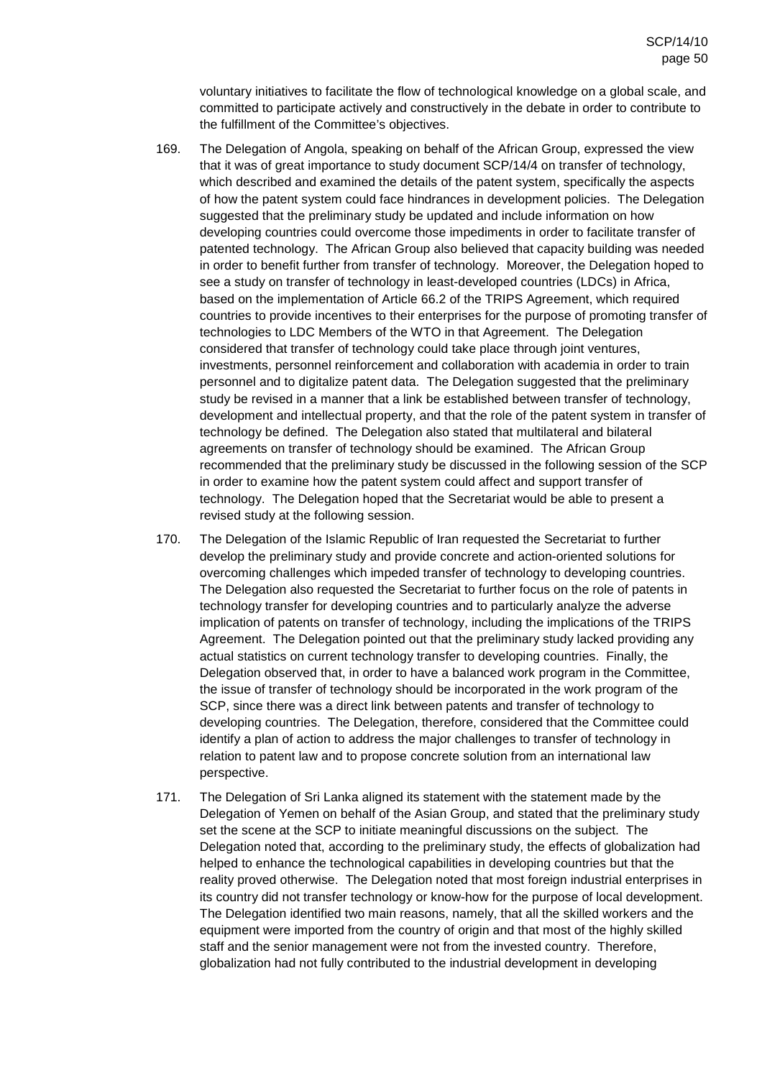voluntary initiatives to facilitate the flow of technological knowledge on a global scale, and committed to participate actively and constructively in the debate in order to contribute to the fulfillment of the Committee's objectives.

- 169. The Delegation of Angola, speaking on behalf of the African Group, expressed the view that it was of great importance to study document SCP/14/4 on transfer of technology, which described and examined the details of the patent system, specifically the aspects of how the patent system could face hindrances in development policies. The Delegation suggested that the preliminary study be updated and include information on how developing countries could overcome those impediments in order to facilitate transfer of patented technology. The African Group also believed that capacity building was needed in order to benefit further from transfer of technology. Moreover, the Delegation hoped to see a study on transfer of technology in least-developed countries (LDCs) in Africa, based on the implementation of Article 66.2 of the TRIPS Agreement, which required countries to provide incentives to their enterprises for the purpose of promoting transfer of technologies to LDC Members of the WTO in that Agreement. The Delegation considered that transfer of technology could take place through joint ventures, investments, personnel reinforcement and collaboration with academia in order to train personnel and to digitalize patent data. The Delegation suggested that the preliminary study be revised in a manner that a link be established between transfer of technology, development and intellectual property, and that the role of the patent system in transfer of technology be defined. The Delegation also stated that multilateral and bilateral agreements on transfer of technology should be examined. The African Group recommended that the preliminary study be discussed in the following session of the SCP in order to examine how the patent system could affect and support transfer of technology. The Delegation hoped that the Secretariat would be able to present a revised study at the following session.
- 170. The Delegation of the Islamic Republic of Iran requested the Secretariat to further develop the preliminary study and provide concrete and action-oriented solutions for overcoming challenges which impeded transfer of technology to developing countries. The Delegation also requested the Secretariat to further focus on the role of patents in technology transfer for developing countries and to particularly analyze the adverse implication of patents on transfer of technology, including the implications of the TRIPS Agreement. The Delegation pointed out that the preliminary study lacked providing any actual statistics on current technology transfer to developing countries. Finally, the Delegation observed that, in order to have a balanced work program in the Committee, the issue of transfer of technology should be incorporated in the work program of the SCP, since there was a direct link between patents and transfer of technology to developing countries. The Delegation, therefore, considered that the Committee could identify a plan of action to address the major challenges to transfer of technology in relation to patent law and to propose concrete solution from an international law perspective.
- 171. The Delegation of Sri Lanka aligned its statement with the statement made by the Delegation of Yemen on behalf of the Asian Group, and stated that the preliminary study set the scene at the SCP to initiate meaningful discussions on the subject. The Delegation noted that, according to the preliminary study, the effects of globalization had helped to enhance the technological capabilities in developing countries but that the reality proved otherwise. The Delegation noted that most foreign industrial enterprises in its country did not transfer technology or know-how for the purpose of local development. The Delegation identified two main reasons, namely, that all the skilled workers and the equipment were imported from the country of origin and that most of the highly skilled staff and the senior management were not from the invested country. Therefore, globalization had not fully contributed to the industrial development in developing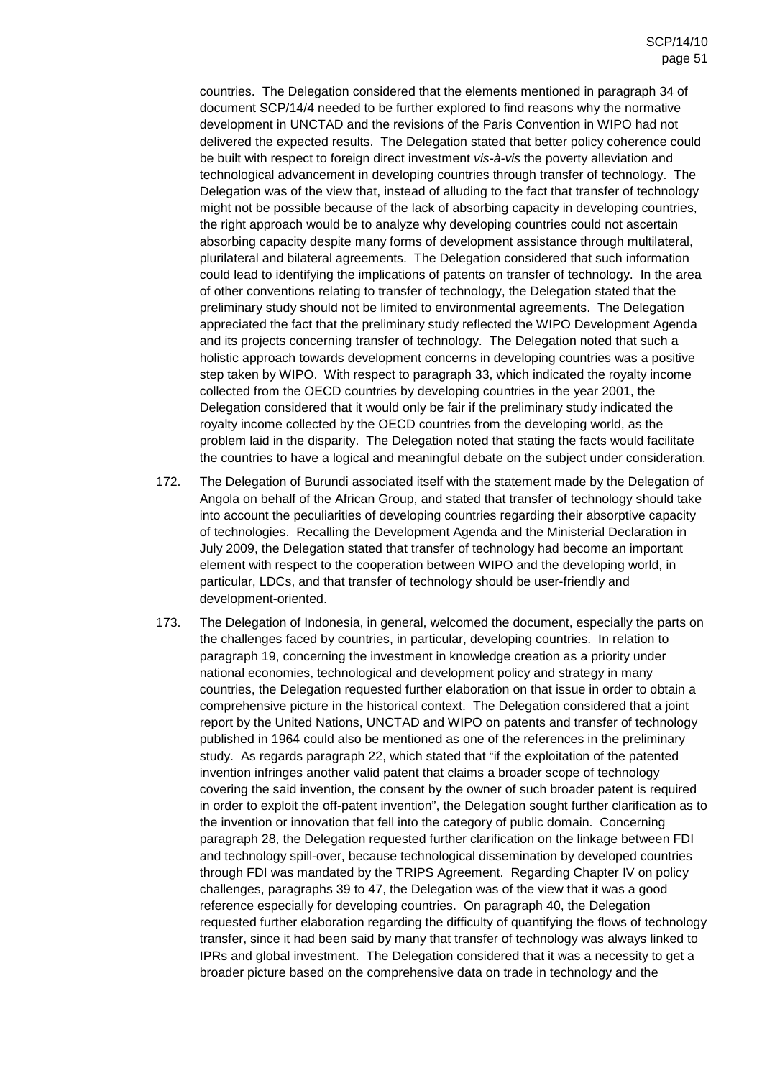countries. The Delegation considered that the elements mentioned in paragraph 34 of document SCP/14/4 needed to be further explored to find reasons why the normative development in UNCTAD and the revisions of the Paris Convention in WIPO had not delivered the expected results. The Delegation stated that better policy coherence could be built with respect to foreign direct investment vis-à-vis the poverty alleviation and technological advancement in developing countries through transfer of technology. The Delegation was of the view that, instead of alluding to the fact that transfer of technology might not be possible because of the lack of absorbing capacity in developing countries, the right approach would be to analyze why developing countries could not ascertain absorbing capacity despite many forms of development assistance through multilateral, plurilateral and bilateral agreements. The Delegation considered that such information could lead to identifying the implications of patents on transfer of technology. In the area of other conventions relating to transfer of technology, the Delegation stated that the preliminary study should not be limited to environmental agreements. The Delegation appreciated the fact that the preliminary study reflected the WIPO Development Agenda and its projects concerning transfer of technology. The Delegation noted that such a holistic approach towards development concerns in developing countries was a positive step taken by WIPO. With respect to paragraph 33, which indicated the royalty income collected from the OECD countries by developing countries in the year 2001, the Delegation considered that it would only be fair if the preliminary study indicated the royalty income collected by the OECD countries from the developing world, as the problem laid in the disparity. The Delegation noted that stating the facts would facilitate the countries to have a logical and meaningful debate on the subject under consideration.

- 172. The Delegation of Burundi associated itself with the statement made by the Delegation of Angola on behalf of the African Group, and stated that transfer of technology should take into account the peculiarities of developing countries regarding their absorptive capacity of technologies. Recalling the Development Agenda and the Ministerial Declaration in July 2009, the Delegation stated that transfer of technology had become an important element with respect to the cooperation between WIPO and the developing world, in particular, LDCs, and that transfer of technology should be user-friendly and development-oriented.
- 173. The Delegation of Indonesia, in general, welcomed the document, especially the parts on the challenges faced by countries, in particular, developing countries. In relation to paragraph 19, concerning the investment in knowledge creation as a priority under national economies, technological and development policy and strategy in many countries, the Delegation requested further elaboration on that issue in order to obtain a comprehensive picture in the historical context. The Delegation considered that a joint report by the United Nations, UNCTAD and WIPO on patents and transfer of technology published in 1964 could also be mentioned as one of the references in the preliminary study. As regards paragraph 22, which stated that "if the exploitation of the patented invention infringes another valid patent that claims a broader scope of technology covering the said invention, the consent by the owner of such broader patent is required in order to exploit the off-patent invention", the Delegation sought further clarification as to the invention or innovation that fell into the category of public domain. Concerning paragraph 28, the Delegation requested further clarification on the linkage between FDI and technology spill-over, because technological dissemination by developed countries through FDI was mandated by the TRIPS Agreement. Regarding Chapter IV on policy challenges, paragraphs 39 to 47, the Delegation was of the view that it was a good reference especially for developing countries. On paragraph 40, the Delegation requested further elaboration regarding the difficulty of quantifying the flows of technology transfer, since it had been said by many that transfer of technology was always linked to IPRs and global investment. The Delegation considered that it was a necessity to get a broader picture based on the comprehensive data on trade in technology and the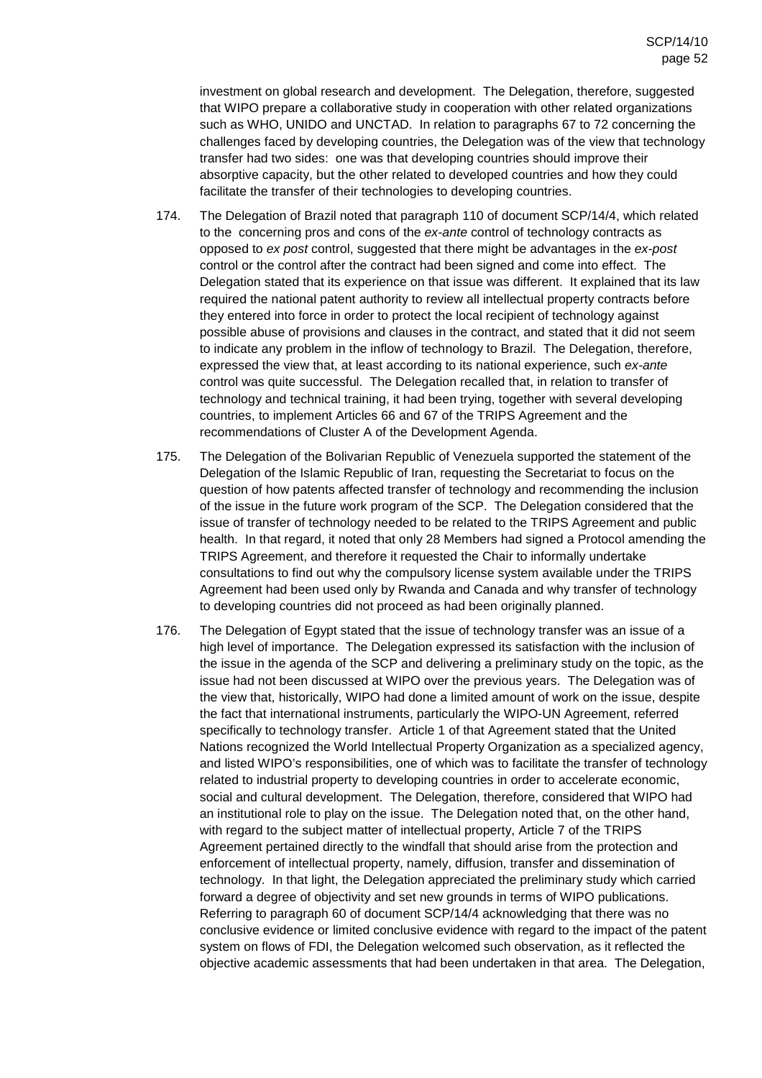investment on global research and development. The Delegation, therefore, suggested that WIPO prepare a collaborative study in cooperation with other related organizations such as WHO, UNIDO and UNCTAD. In relation to paragraphs 67 to 72 concerning the challenges faced by developing countries, the Delegation was of the view that technology transfer had two sides: one was that developing countries should improve their absorptive capacity, but the other related to developed countries and how they could facilitate the transfer of their technologies to developing countries.

- 174. The Delegation of Brazil noted that paragraph 110 of document SCP/14/4, which related to the concerning pros and cons of the ex-ante control of technology contracts as opposed to ex post control, suggested that there might be advantages in the ex-post control or the control after the contract had been signed and come into effect. The Delegation stated that its experience on that issue was different. It explained that its law required the national patent authority to review all intellectual property contracts before they entered into force in order to protect the local recipient of technology against possible abuse of provisions and clauses in the contract, and stated that it did not seem to indicate any problem in the inflow of technology to Brazil. The Delegation, therefore, expressed the view that, at least according to its national experience, such ex-ante control was quite successful. The Delegation recalled that, in relation to transfer of technology and technical training, it had been trying, together with several developing countries, to implement Articles 66 and 67 of the TRIPS Agreement and the recommendations of Cluster A of the Development Agenda.
- 175. The Delegation of the Bolivarian Republic of Venezuela supported the statement of the Delegation of the Islamic Republic of Iran, requesting the Secretariat to focus on the question of how patents affected transfer of technology and recommending the inclusion of the issue in the future work program of the SCP. The Delegation considered that the issue of transfer of technology needed to be related to the TRIPS Agreement and public health. In that regard, it noted that only 28 Members had signed a Protocol amending the TRIPS Agreement, and therefore it requested the Chair to informally undertake consultations to find out why the compulsory license system available under the TRIPS Agreement had been used only by Rwanda and Canada and why transfer of technology to developing countries did not proceed as had been originally planned.
- 176. The Delegation of Egypt stated that the issue of technology transfer was an issue of a high level of importance. The Delegation expressed its satisfaction with the inclusion of the issue in the agenda of the SCP and delivering a preliminary study on the topic, as the issue had not been discussed at WIPO over the previous years. The Delegation was of the view that, historically, WIPO had done a limited amount of work on the issue, despite the fact that international instruments, particularly the WIPO-UN Agreement, referred specifically to technology transfer. Article 1 of that Agreement stated that the United Nations recognized the World Intellectual Property Organization as a specialized agency, and listed WIPO's responsibilities, one of which was to facilitate the transfer of technology related to industrial property to developing countries in order to accelerate economic, social and cultural development. The Delegation, therefore, considered that WIPO had an institutional role to play on the issue. The Delegation noted that, on the other hand, with regard to the subject matter of intellectual property, Article 7 of the TRIPS Agreement pertained directly to the windfall that should arise from the protection and enforcement of intellectual property, namely, diffusion, transfer and dissemination of technology. In that light, the Delegation appreciated the preliminary study which carried forward a degree of objectivity and set new grounds in terms of WIPO publications. Referring to paragraph 60 of document SCP/14/4 acknowledging that there was no conclusive evidence or limited conclusive evidence with regard to the impact of the patent system on flows of FDI, the Delegation welcomed such observation, as it reflected the objective academic assessments that had been undertaken in that area. The Delegation,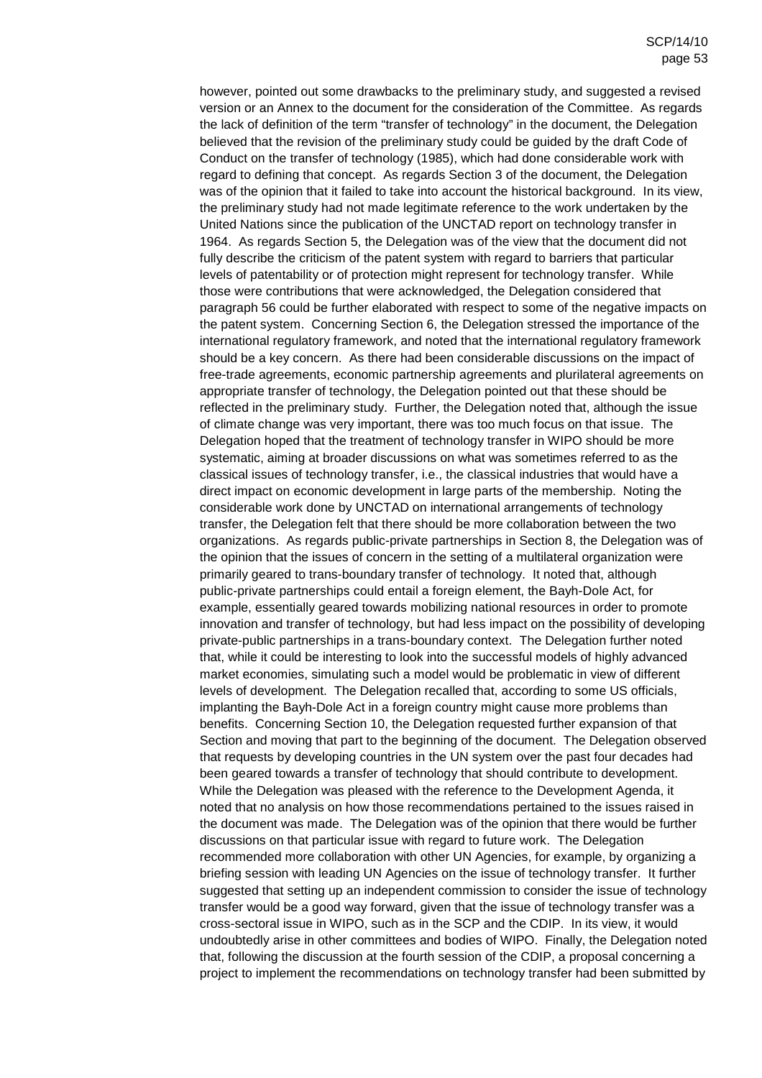however, pointed out some drawbacks to the preliminary study, and suggested a revised version or an Annex to the document for the consideration of the Committee. As regards the lack of definition of the term "transfer of technology" in the document, the Delegation believed that the revision of the preliminary study could be guided by the draft Code of Conduct on the transfer of technology (1985), which had done considerable work with regard to defining that concept. As regards Section 3 of the document, the Delegation was of the opinion that it failed to take into account the historical background. In its view, the preliminary study had not made legitimate reference to the work undertaken by the United Nations since the publication of the UNCTAD report on technology transfer in 1964. As regards Section 5, the Delegation was of the view that the document did not fully describe the criticism of the patent system with regard to barriers that particular levels of patentability or of protection might represent for technology transfer. While those were contributions that were acknowledged, the Delegation considered that paragraph 56 could be further elaborated with respect to some of the negative impacts on the patent system. Concerning Section 6, the Delegation stressed the importance of the international regulatory framework, and noted that the international regulatory framework should be a key concern. As there had been considerable discussions on the impact of free-trade agreements, economic partnership agreements and plurilateral agreements on appropriate transfer of technology, the Delegation pointed out that these should be reflected in the preliminary study. Further, the Delegation noted that, although the issue of climate change was very important, there was too much focus on that issue. The Delegation hoped that the treatment of technology transfer in WIPO should be more systematic, aiming at broader discussions on what was sometimes referred to as the classical issues of technology transfer, i.e., the classical industries that would have a direct impact on economic development in large parts of the membership. Noting the considerable work done by UNCTAD on international arrangements of technology transfer, the Delegation felt that there should be more collaboration between the two organizations. As regards public-private partnerships in Section 8, the Delegation was of the opinion that the issues of concern in the setting of a multilateral organization were primarily geared to trans-boundary transfer of technology. It noted that, although public-private partnerships could entail a foreign element, the Bayh-Dole Act, for example, essentially geared towards mobilizing national resources in order to promote innovation and transfer of technology, but had less impact on the possibility of developing private-public partnerships in a trans-boundary context. The Delegation further noted that, while it could be interesting to look into the successful models of highly advanced market economies, simulating such a model would be problematic in view of different levels of development. The Delegation recalled that, according to some US officials, implanting the Bayh-Dole Act in a foreign country might cause more problems than benefits. Concerning Section 10, the Delegation requested further expansion of that Section and moving that part to the beginning of the document. The Delegation observed that requests by developing countries in the UN system over the past four decades had been geared towards a transfer of technology that should contribute to development. While the Delegation was pleased with the reference to the Development Agenda, it noted that no analysis on how those recommendations pertained to the issues raised in the document was made. The Delegation was of the opinion that there would be further discussions on that particular issue with regard to future work. The Delegation recommended more collaboration with other UN Agencies, for example, by organizing a briefing session with leading UN Agencies on the issue of technology transfer. It further suggested that setting up an independent commission to consider the issue of technology transfer would be a good way forward, given that the issue of technology transfer was a cross-sectoral issue in WIPO, such as in the SCP and the CDIP. In its view, it would undoubtedly arise in other committees and bodies of WIPO. Finally, the Delegation noted that, following the discussion at the fourth session of the CDIP, a proposal concerning a project to implement the recommendations on technology transfer had been submitted by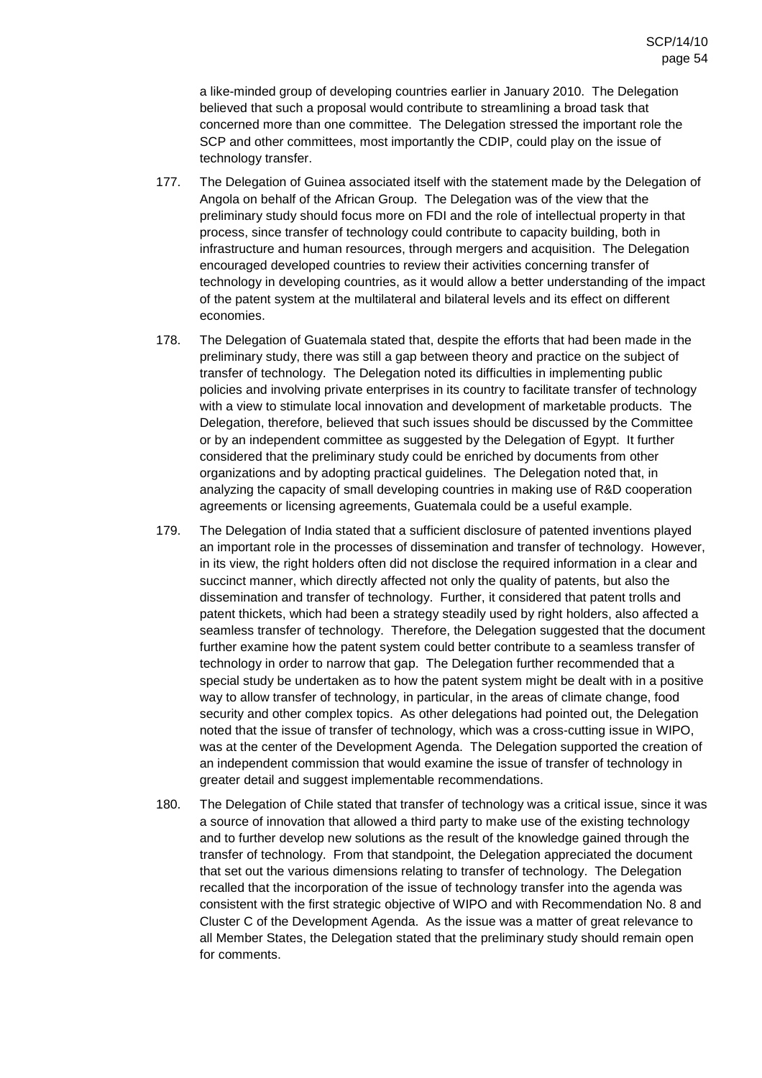a like-minded group of developing countries earlier in January 2010. The Delegation believed that such a proposal would contribute to streamlining a broad task that concerned more than one committee. The Delegation stressed the important role the SCP and other committees, most importantly the CDIP, could play on the issue of technology transfer.

- 177. The Delegation of Guinea associated itself with the statement made by the Delegation of Angola on behalf of the African Group. The Delegation was of the view that the preliminary study should focus more on FDI and the role of intellectual property in that process, since transfer of technology could contribute to capacity building, both in infrastructure and human resources, through mergers and acquisition. The Delegation encouraged developed countries to review their activities concerning transfer of technology in developing countries, as it would allow a better understanding of the impact of the patent system at the multilateral and bilateral levels and its effect on different economies.
- 178. The Delegation of Guatemala stated that, despite the efforts that had been made in the preliminary study, there was still a gap between theory and practice on the subject of transfer of technology. The Delegation noted its difficulties in implementing public policies and involving private enterprises in its country to facilitate transfer of technology with a view to stimulate local innovation and development of marketable products. The Delegation, therefore, believed that such issues should be discussed by the Committee or by an independent committee as suggested by the Delegation of Egypt. It further considered that the preliminary study could be enriched by documents from other organizations and by adopting practical guidelines. The Delegation noted that, in analyzing the capacity of small developing countries in making use of R&D cooperation agreements or licensing agreements, Guatemala could be a useful example.
- 179. The Delegation of India stated that a sufficient disclosure of patented inventions played an important role in the processes of dissemination and transfer of technology. However, in its view, the right holders often did not disclose the required information in a clear and succinct manner, which directly affected not only the quality of patents, but also the dissemination and transfer of technology. Further, it considered that patent trolls and patent thickets, which had been a strategy steadily used by right holders, also affected a seamless transfer of technology. Therefore, the Delegation suggested that the document further examine how the patent system could better contribute to a seamless transfer of technology in order to narrow that gap. The Delegation further recommended that a special study be undertaken as to how the patent system might be dealt with in a positive way to allow transfer of technology, in particular, in the areas of climate change, food security and other complex topics. As other delegations had pointed out, the Delegation noted that the issue of transfer of technology, which was a cross-cutting issue in WIPO, was at the center of the Development Agenda. The Delegation supported the creation of an independent commission that would examine the issue of transfer of technology in greater detail and suggest implementable recommendations.
- 180. The Delegation of Chile stated that transfer of technology was a critical issue, since it was a source of innovation that allowed a third party to make use of the existing technology and to further develop new solutions as the result of the knowledge gained through the transfer of technology. From that standpoint, the Delegation appreciated the document that set out the various dimensions relating to transfer of technology. The Delegation recalled that the incorporation of the issue of technology transfer into the agenda was consistent with the first strategic objective of WIPO and with Recommendation No. 8 and Cluster C of the Development Agenda. As the issue was a matter of great relevance to all Member States, the Delegation stated that the preliminary study should remain open for comments.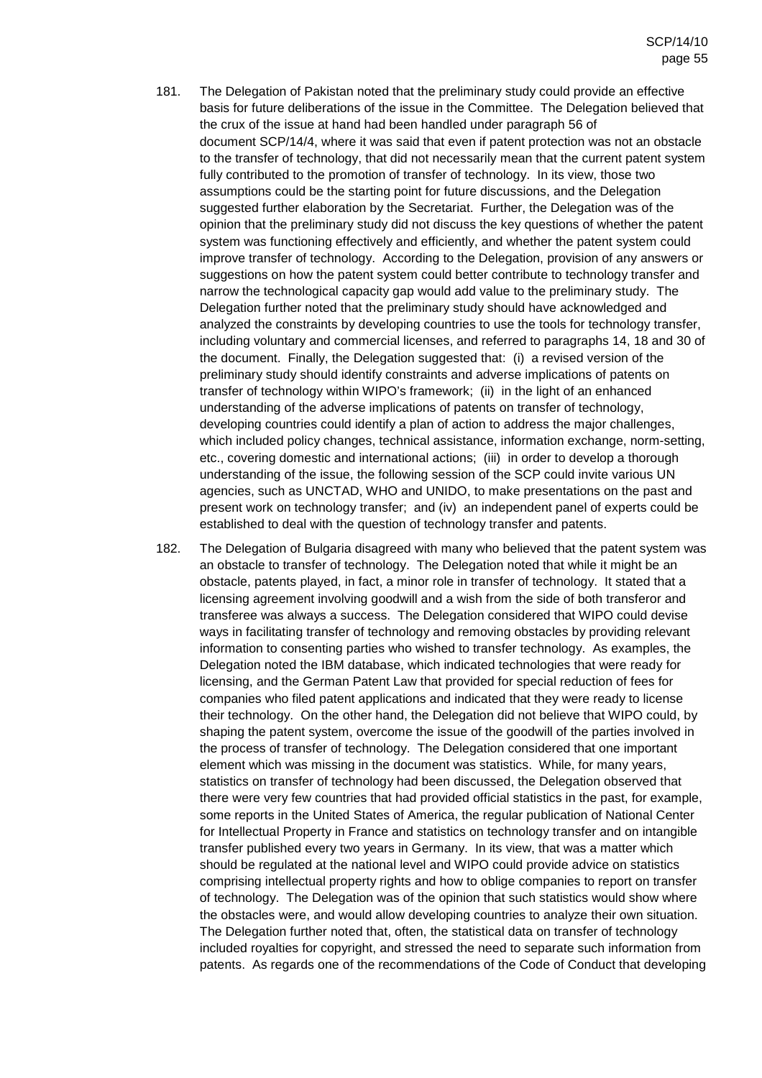- 181. The Delegation of Pakistan noted that the preliminary study could provide an effective basis for future deliberations of the issue in the Committee. The Delegation believed that the crux of the issue at hand had been handled under paragraph 56 of document SCP/14/4, where it was said that even if patent protection was not an obstacle to the transfer of technology, that did not necessarily mean that the current patent system fully contributed to the promotion of transfer of technology. In its view, those two assumptions could be the starting point for future discussions, and the Delegation suggested further elaboration by the Secretariat. Further, the Delegation was of the opinion that the preliminary study did not discuss the key questions of whether the patent system was functioning effectively and efficiently, and whether the patent system could improve transfer of technology. According to the Delegation, provision of any answers or suggestions on how the patent system could better contribute to technology transfer and narrow the technological capacity gap would add value to the preliminary study. The Delegation further noted that the preliminary study should have acknowledged and analyzed the constraints by developing countries to use the tools for technology transfer, including voluntary and commercial licenses, and referred to paragraphs 14, 18 and 30 of the document. Finally, the Delegation suggested that: (i) a revised version of the preliminary study should identify constraints and adverse implications of patents on transfer of technology within WIPO's framework; (ii) in the light of an enhanced understanding of the adverse implications of patents on transfer of technology, developing countries could identify a plan of action to address the major challenges, which included policy changes, technical assistance, information exchange, norm-setting, etc., covering domestic and international actions; (iii) in order to develop a thorough understanding of the issue, the following session of the SCP could invite various UN agencies, such as UNCTAD, WHO and UNIDO, to make presentations on the past and present work on technology transfer; and (iv) an independent panel of experts could be established to deal with the question of technology transfer and patents.
- 182. The Delegation of Bulgaria disagreed with many who believed that the patent system was an obstacle to transfer of technology. The Delegation noted that while it might be an obstacle, patents played, in fact, a minor role in transfer of technology. It stated that a licensing agreement involving goodwill and a wish from the side of both transferor and transferee was always a success. The Delegation considered that WIPO could devise ways in facilitating transfer of technology and removing obstacles by providing relevant information to consenting parties who wished to transfer technology. As examples, the Delegation noted the IBM database, which indicated technologies that were ready for licensing, and the German Patent Law that provided for special reduction of fees for companies who filed patent applications and indicated that they were ready to license their technology. On the other hand, the Delegation did not believe that WIPO could, by shaping the patent system, overcome the issue of the goodwill of the parties involved in the process of transfer of technology. The Delegation considered that one important element which was missing in the document was statistics. While, for many years, statistics on transfer of technology had been discussed, the Delegation observed that there were very few countries that had provided official statistics in the past, for example, some reports in the United States of America, the regular publication of National Center for Intellectual Property in France and statistics on technology transfer and on intangible transfer published every two years in Germany. In its view, that was a matter which should be regulated at the national level and WIPO could provide advice on statistics comprising intellectual property rights and how to oblige companies to report on transfer of technology. The Delegation was of the opinion that such statistics would show where the obstacles were, and would allow developing countries to analyze their own situation. The Delegation further noted that, often, the statistical data on transfer of technology included royalties for copyright, and stressed the need to separate such information from patents. As regards one of the recommendations of the Code of Conduct that developing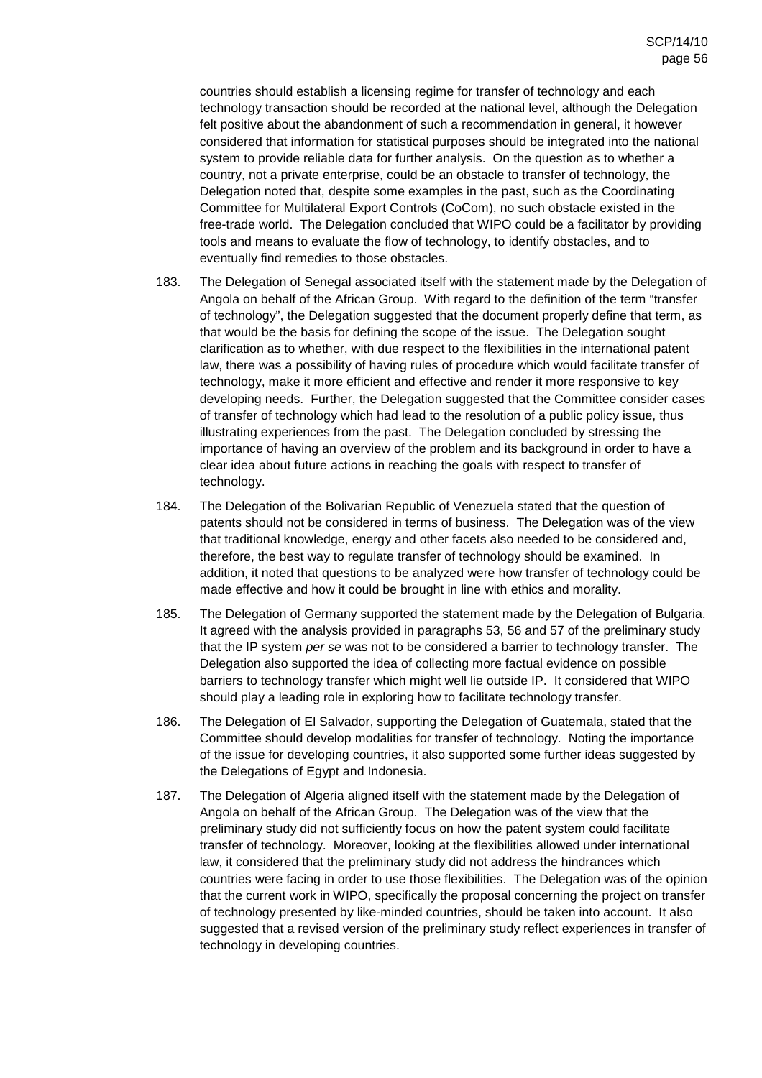countries should establish a licensing regime for transfer of technology and each technology transaction should be recorded at the national level, although the Delegation felt positive about the abandonment of such a recommendation in general, it however considered that information for statistical purposes should be integrated into the national system to provide reliable data for further analysis. On the question as to whether a country, not a private enterprise, could be an obstacle to transfer of technology, the Delegation noted that, despite some examples in the past, such as the Coordinating Committee for Multilateral Export Controls (CoCom), no such obstacle existed in the free-trade world. The Delegation concluded that WIPO could be a facilitator by providing tools and means to evaluate the flow of technology, to identify obstacles, and to eventually find remedies to those obstacles.

- 183. The Delegation of Senegal associated itself with the statement made by the Delegation of Angola on behalf of the African Group. With regard to the definition of the term "transfer of technology", the Delegation suggested that the document properly define that term, as that would be the basis for defining the scope of the issue. The Delegation sought clarification as to whether, with due respect to the flexibilities in the international patent law, there was a possibility of having rules of procedure which would facilitate transfer of technology, make it more efficient and effective and render it more responsive to key developing needs. Further, the Delegation suggested that the Committee consider cases of transfer of technology which had lead to the resolution of a public policy issue, thus illustrating experiences from the past. The Delegation concluded by stressing the importance of having an overview of the problem and its background in order to have a clear idea about future actions in reaching the goals with respect to transfer of technology.
- 184. The Delegation of the Bolivarian Republic of Venezuela stated that the question of patents should not be considered in terms of business. The Delegation was of the view that traditional knowledge, energy and other facets also needed to be considered and, therefore, the best way to regulate transfer of technology should be examined. In addition, it noted that questions to be analyzed were how transfer of technology could be made effective and how it could be brought in line with ethics and morality.
- 185. The Delegation of Germany supported the statement made by the Delegation of Bulgaria. It agreed with the analysis provided in paragraphs 53, 56 and 57 of the preliminary study that the IP system per se was not to be considered a barrier to technology transfer. The Delegation also supported the idea of collecting more factual evidence on possible barriers to technology transfer which might well lie outside IP. It considered that WIPO should play a leading role in exploring how to facilitate technology transfer.
- 186. The Delegation of El Salvador, supporting the Delegation of Guatemala, stated that the Committee should develop modalities for transfer of technology. Noting the importance of the issue for developing countries, it also supported some further ideas suggested by the Delegations of Egypt and Indonesia.
- 187. The Delegation of Algeria aligned itself with the statement made by the Delegation of Angola on behalf of the African Group. The Delegation was of the view that the preliminary study did not sufficiently focus on how the patent system could facilitate transfer of technology. Moreover, looking at the flexibilities allowed under international law, it considered that the preliminary study did not address the hindrances which countries were facing in order to use those flexibilities. The Delegation was of the opinion that the current work in WIPO, specifically the proposal concerning the project on transfer of technology presented by like-minded countries, should be taken into account. It also suggested that a revised version of the preliminary study reflect experiences in transfer of technology in developing countries.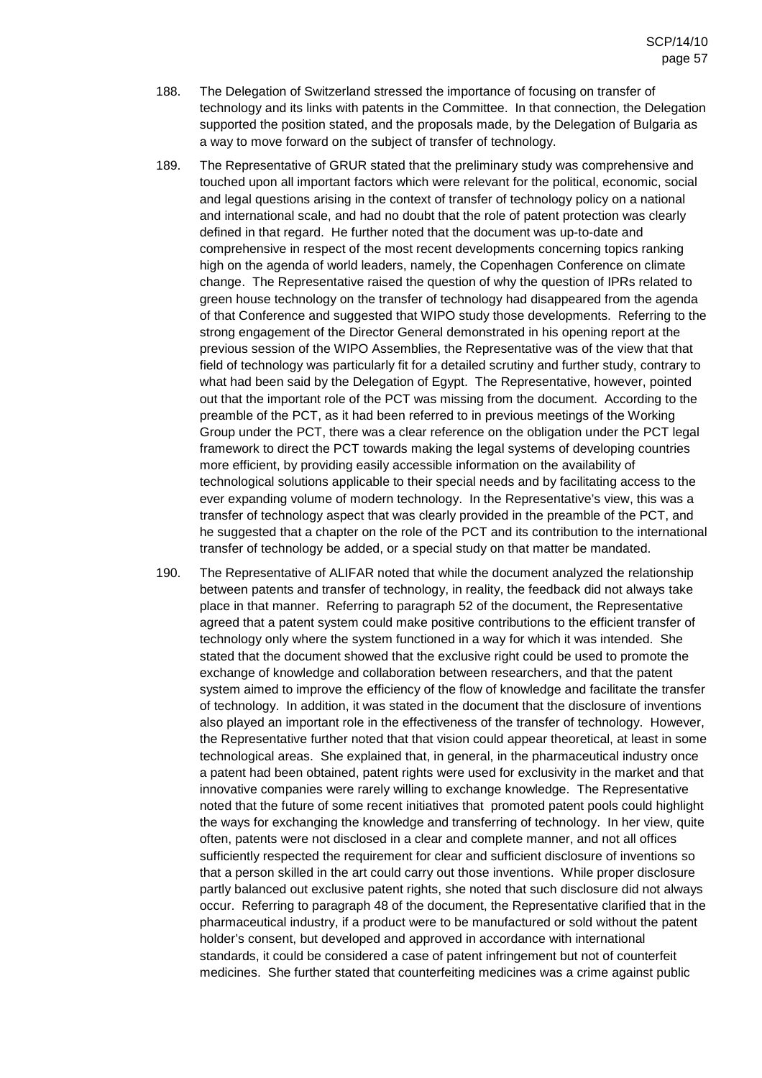- 188. The Delegation of Switzerland stressed the importance of focusing on transfer of technology and its links with patents in the Committee. In that connection, the Delegation supported the position stated, and the proposals made, by the Delegation of Bulgaria as a way to move forward on the subject of transfer of technology.
- 189. The Representative of GRUR stated that the preliminary study was comprehensive and touched upon all important factors which were relevant for the political, economic, social and legal questions arising in the context of transfer of technology policy on a national and international scale, and had no doubt that the role of patent protection was clearly defined in that regard. He further noted that the document was up-to-date and comprehensive in respect of the most recent developments concerning topics ranking high on the agenda of world leaders, namely, the Copenhagen Conference on climate change. The Representative raised the question of why the question of IPRs related to green house technology on the transfer of technology had disappeared from the agenda of that Conference and suggested that WIPO study those developments. Referring to the strong engagement of the Director General demonstrated in his opening report at the previous session of the WIPO Assemblies, the Representative was of the view that that field of technology was particularly fit for a detailed scrutiny and further study, contrary to what had been said by the Delegation of Egypt. The Representative, however, pointed out that the important role of the PCT was missing from the document. According to the preamble of the PCT, as it had been referred to in previous meetings of the Working Group under the PCT, there was a clear reference on the obligation under the PCT legal framework to direct the PCT towards making the legal systems of developing countries more efficient, by providing easily accessible information on the availability of technological solutions applicable to their special needs and by facilitating access to the ever expanding volume of modern technology. In the Representative's view, this was a transfer of technology aspect that was clearly provided in the preamble of the PCT, and he suggested that a chapter on the role of the PCT and its contribution to the international transfer of technology be added, or a special study on that matter be mandated.
- 190. The Representative of ALIFAR noted that while the document analyzed the relationship between patents and transfer of technology, in reality, the feedback did not always take place in that manner. Referring to paragraph 52 of the document, the Representative agreed that a patent system could make positive contributions to the efficient transfer of technology only where the system functioned in a way for which it was intended. She stated that the document showed that the exclusive right could be used to promote the exchange of knowledge and collaboration between researchers, and that the patent system aimed to improve the efficiency of the flow of knowledge and facilitate the transfer of technology. In addition, it was stated in the document that the disclosure of inventions also played an important role in the effectiveness of the transfer of technology. However, the Representative further noted that that vision could appear theoretical, at least in some technological areas. She explained that, in general, in the pharmaceutical industry once a patent had been obtained, patent rights were used for exclusivity in the market and that innovative companies were rarely willing to exchange knowledge. The Representative noted that the future of some recent initiatives that promoted patent pools could highlight the ways for exchanging the knowledge and transferring of technology. In her view, quite often, patents were not disclosed in a clear and complete manner, and not all offices sufficiently respected the requirement for clear and sufficient disclosure of inventions so that a person skilled in the art could carry out those inventions. While proper disclosure partly balanced out exclusive patent rights, she noted that such disclosure did not always occur. Referring to paragraph 48 of the document, the Representative clarified that in the pharmaceutical industry, if a product were to be manufactured or sold without the patent holder's consent, but developed and approved in accordance with international standards, it could be considered a case of patent infringement but not of counterfeit medicines. She further stated that counterfeiting medicines was a crime against public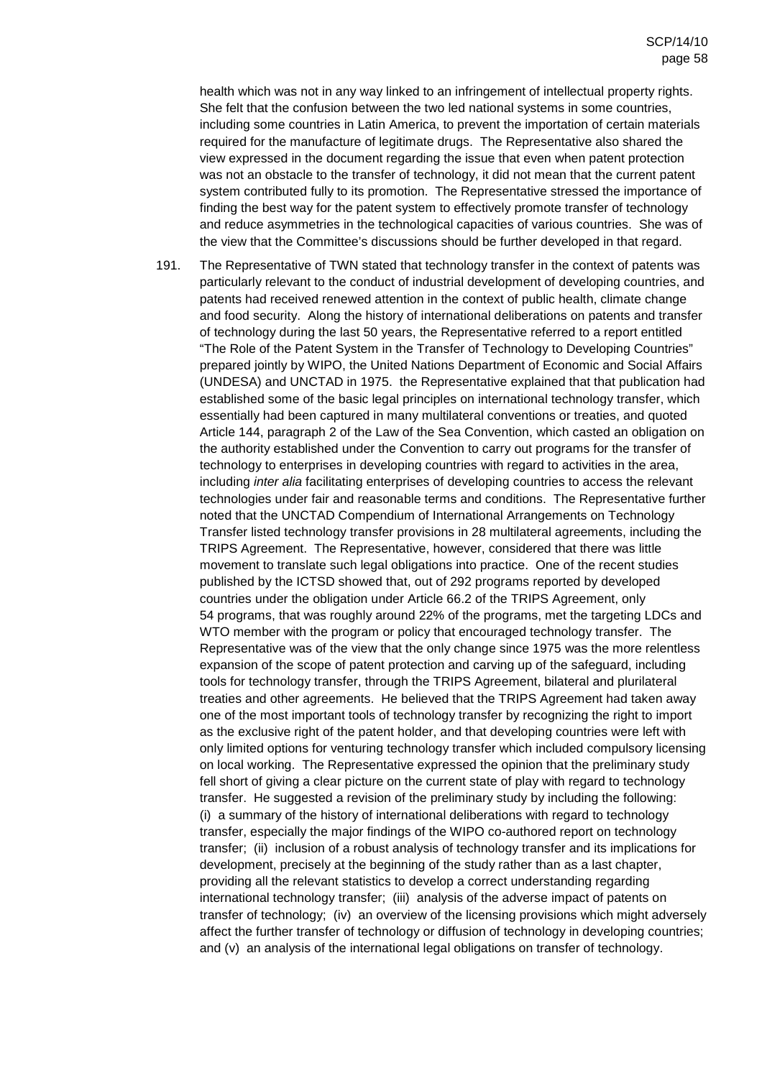health which was not in any way linked to an infringement of intellectual property rights. She felt that the confusion between the two led national systems in some countries, including some countries in Latin America, to prevent the importation of certain materials required for the manufacture of legitimate drugs. The Representative also shared the view expressed in the document regarding the issue that even when patent protection was not an obstacle to the transfer of technology, it did not mean that the current patent system contributed fully to its promotion. The Representative stressed the importance of finding the best way for the patent system to effectively promote transfer of technology and reduce asymmetries in the technological capacities of various countries. She was of the view that the Committee's discussions should be further developed in that regard.

191. The Representative of TWN stated that technology transfer in the context of patents was particularly relevant to the conduct of industrial development of developing countries, and patents had received renewed attention in the context of public health, climate change and food security. Along the history of international deliberations on patents and transfer of technology during the last 50 years, the Representative referred to a report entitled "The Role of the Patent System in the Transfer of Technology to Developing Countries" prepared jointly by WIPO, the United Nations Department of Economic and Social Affairs (UNDESA) and UNCTAD in 1975. the Representative explained that that publication had established some of the basic legal principles on international technology transfer, which essentially had been captured in many multilateral conventions or treaties, and quoted Article 144, paragraph 2 of the Law of the Sea Convention, which casted an obligation on the authority established under the Convention to carry out programs for the transfer of technology to enterprises in developing countries with regard to activities in the area, including inter alia facilitating enterprises of developing countries to access the relevant technologies under fair and reasonable terms and conditions. The Representative further noted that the UNCTAD Compendium of International Arrangements on Technology Transfer listed technology transfer provisions in 28 multilateral agreements, including the TRIPS Agreement. The Representative, however, considered that there was little movement to translate such legal obligations into practice. One of the recent studies published by the ICTSD showed that, out of 292 programs reported by developed countries under the obligation under Article 66.2 of the TRIPS Agreement, only 54 programs, that was roughly around 22% of the programs, met the targeting LDCs and WTO member with the program or policy that encouraged technology transfer. The Representative was of the view that the only change since 1975 was the more relentless expansion of the scope of patent protection and carving up of the safeguard, including tools for technology transfer, through the TRIPS Agreement, bilateral and plurilateral treaties and other agreements. He believed that the TRIPS Agreement had taken away one of the most important tools of technology transfer by recognizing the right to import as the exclusive right of the patent holder, and that developing countries were left with only limited options for venturing technology transfer which included compulsory licensing on local working. The Representative expressed the opinion that the preliminary study fell short of giving a clear picture on the current state of play with regard to technology transfer. He suggested a revision of the preliminary study by including the following: (i) a summary of the history of international deliberations with regard to technology transfer, especially the major findings of the WIPO co-authored report on technology transfer; (ii) inclusion of a robust analysis of technology transfer and its implications for development, precisely at the beginning of the study rather than as a last chapter, providing all the relevant statistics to develop a correct understanding regarding international technology transfer; (iii) analysis of the adverse impact of patents on transfer of technology; (iv) an overview of the licensing provisions which might adversely affect the further transfer of technology or diffusion of technology in developing countries; and (v) an analysis of the international legal obligations on transfer of technology.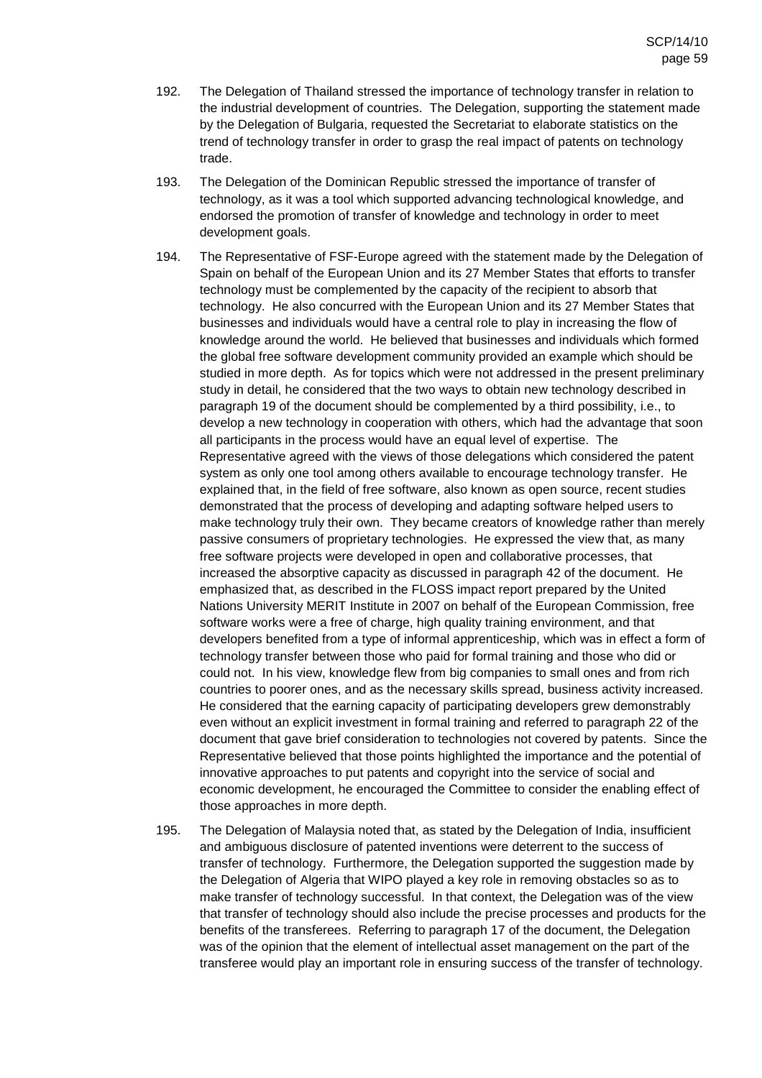- 192. The Delegation of Thailand stressed the importance of technology transfer in relation to the industrial development of countries. The Delegation, supporting the statement made by the Delegation of Bulgaria, requested the Secretariat to elaborate statistics on the trend of technology transfer in order to grasp the real impact of patents on technology trade.
- 193. The Delegation of the Dominican Republic stressed the importance of transfer of technology, as it was a tool which supported advancing technological knowledge, and endorsed the promotion of transfer of knowledge and technology in order to meet development goals.
- 194. The Representative of FSF-Europe agreed with the statement made by the Delegation of Spain on behalf of the European Union and its 27 Member States that efforts to transfer technology must be complemented by the capacity of the recipient to absorb that technology. He also concurred with the European Union and its 27 Member States that businesses and individuals would have a central role to play in increasing the flow of knowledge around the world. He believed that businesses and individuals which formed the global free software development community provided an example which should be studied in more depth. As for topics which were not addressed in the present preliminary study in detail, he considered that the two ways to obtain new technology described in paragraph 19 of the document should be complemented by a third possibility, i.e., to develop a new technology in cooperation with others, which had the advantage that soon all participants in the process would have an equal level of expertise. The Representative agreed with the views of those delegations which considered the patent system as only one tool among others available to encourage technology transfer. He explained that, in the field of free software, also known as open source, recent studies demonstrated that the process of developing and adapting software helped users to make technology truly their own. They became creators of knowledge rather than merely passive consumers of proprietary technologies. He expressed the view that, as many free software projects were developed in open and collaborative processes, that increased the absorptive capacity as discussed in paragraph 42 of the document. He emphasized that, as described in the FLOSS impact report prepared by the United Nations University MERIT Institute in 2007 on behalf of the European Commission, free software works were a free of charge, high quality training environment, and that developers benefited from a type of informal apprenticeship, which was in effect a form of technology transfer between those who paid for formal training and those who did or could not. In his view, knowledge flew from big companies to small ones and from rich countries to poorer ones, and as the necessary skills spread, business activity increased. He considered that the earning capacity of participating developers grew demonstrably even without an explicit investment in formal training and referred to paragraph 22 of the document that gave brief consideration to technologies not covered by patents. Since the Representative believed that those points highlighted the importance and the potential of innovative approaches to put patents and copyright into the service of social and economic development, he encouraged the Committee to consider the enabling effect of those approaches in more depth.
- 195. The Delegation of Malaysia noted that, as stated by the Delegation of India, insufficient and ambiguous disclosure of patented inventions were deterrent to the success of transfer of technology. Furthermore, the Delegation supported the suggestion made by the Delegation of Algeria that WIPO played a key role in removing obstacles so as to make transfer of technology successful. In that context, the Delegation was of the view that transfer of technology should also include the precise processes and products for the benefits of the transferees. Referring to paragraph 17 of the document, the Delegation was of the opinion that the element of intellectual asset management on the part of the transferee would play an important role in ensuring success of the transfer of technology.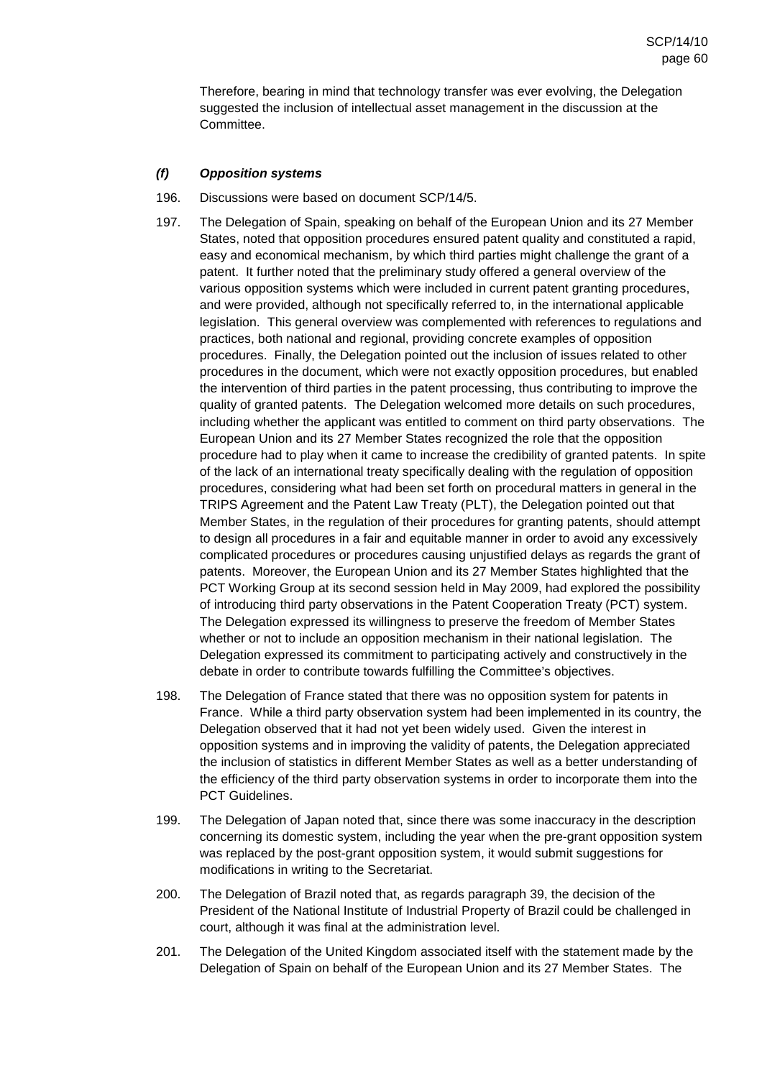Therefore, bearing in mind that technology transfer was ever evolving, the Delegation suggested the inclusion of intellectual asset management in the discussion at the Committee.

# **(f) Opposition systems**

- 196. Discussions were based on document SCP/14/5.
- 197. The Delegation of Spain, speaking on behalf of the European Union and its 27 Member States, noted that opposition procedures ensured patent quality and constituted a rapid, easy and economical mechanism, by which third parties might challenge the grant of a patent. It further noted that the preliminary study offered a general overview of the various opposition systems which were included in current patent granting procedures, and were provided, although not specifically referred to, in the international applicable legislation. This general overview was complemented with references to regulations and practices, both national and regional, providing concrete examples of opposition procedures. Finally, the Delegation pointed out the inclusion of issues related to other procedures in the document, which were not exactly opposition procedures, but enabled the intervention of third parties in the patent processing, thus contributing to improve the quality of granted patents. The Delegation welcomed more details on such procedures, including whether the applicant was entitled to comment on third party observations. The European Union and its 27 Member States recognized the role that the opposition procedure had to play when it came to increase the credibility of granted patents. In spite of the lack of an international treaty specifically dealing with the regulation of opposition procedures, considering what had been set forth on procedural matters in general in the TRIPS Agreement and the Patent Law Treaty (PLT), the Delegation pointed out that Member States, in the regulation of their procedures for granting patents, should attempt to design all procedures in a fair and equitable manner in order to avoid any excessively complicated procedures or procedures causing unjustified delays as regards the grant of patents. Moreover, the European Union and its 27 Member States highlighted that the PCT Working Group at its second session held in May 2009, had explored the possibility of introducing third party observations in the Patent Cooperation Treaty (PCT) system. The Delegation expressed its willingness to preserve the freedom of Member States whether or not to include an opposition mechanism in their national legislation. The Delegation expressed its commitment to participating actively and constructively in the debate in order to contribute towards fulfilling the Committee's objectives.
- 198. The Delegation of France stated that there was no opposition system for patents in France. While a third party observation system had been implemented in its country, the Delegation observed that it had not yet been widely used. Given the interest in opposition systems and in improving the validity of patents, the Delegation appreciated the inclusion of statistics in different Member States as well as a better understanding of the efficiency of the third party observation systems in order to incorporate them into the PCT Guidelines.
- 199. The Delegation of Japan noted that, since there was some inaccuracy in the description concerning its domestic system, including the year when the pre-grant opposition system was replaced by the post-grant opposition system, it would submit suggestions for modifications in writing to the Secretariat.
- 200. The Delegation of Brazil noted that, as regards paragraph 39, the decision of the President of the National Institute of Industrial Property of Brazil could be challenged in court, although it was final at the administration level.
- 201. The Delegation of the United Kingdom associated itself with the statement made by the Delegation of Spain on behalf of the European Union and its 27 Member States. The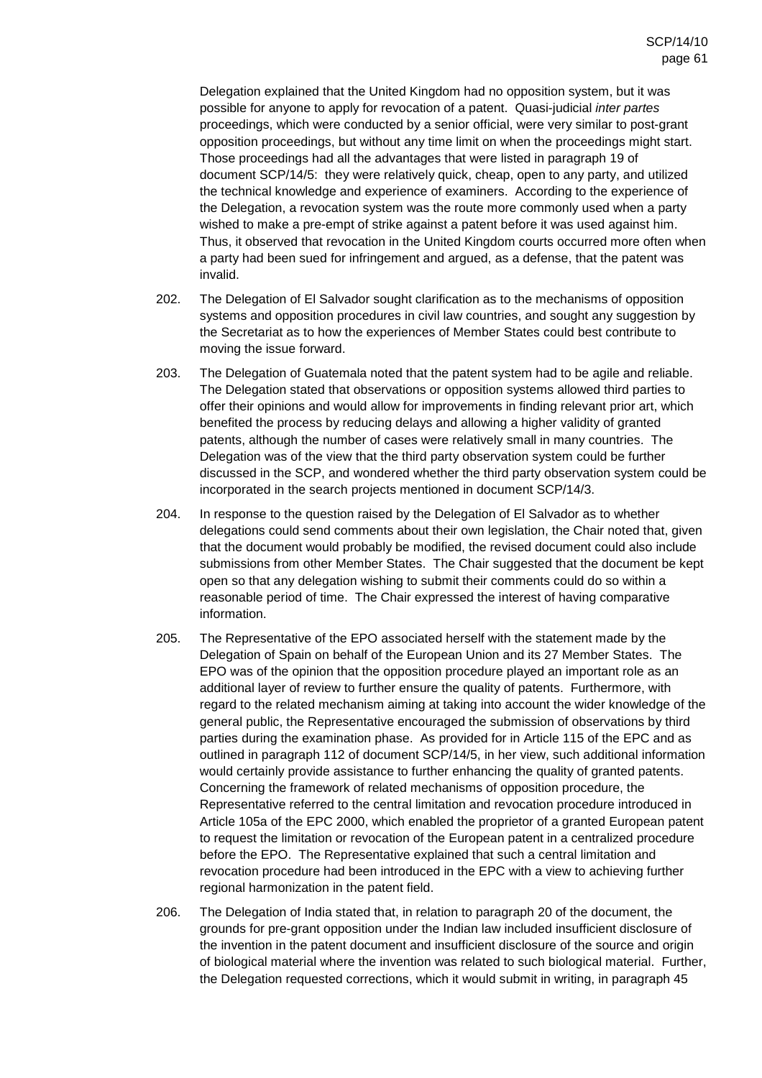Delegation explained that the United Kingdom had no opposition system, but it was possible for anyone to apply for revocation of a patent. Quasi-judicial inter partes proceedings, which were conducted by a senior official, were very similar to post-grant opposition proceedings, but without any time limit on when the proceedings might start. Those proceedings had all the advantages that were listed in paragraph 19 of document SCP/14/5: they were relatively quick, cheap, open to any party, and utilized the technical knowledge and experience of examiners. According to the experience of the Delegation, a revocation system was the route more commonly used when a party wished to make a pre-empt of strike against a patent before it was used against him. Thus, it observed that revocation in the United Kingdom courts occurred more often when a party had been sued for infringement and argued, as a defense, that the patent was invalid.

- 202. The Delegation of El Salvador sought clarification as to the mechanisms of opposition systems and opposition procedures in civil law countries, and sought any suggestion by the Secretariat as to how the experiences of Member States could best contribute to moving the issue forward.
- 203. The Delegation of Guatemala noted that the patent system had to be agile and reliable. The Delegation stated that observations or opposition systems allowed third parties to offer their opinions and would allow for improvements in finding relevant prior art, which benefited the process by reducing delays and allowing a higher validity of granted patents, although the number of cases were relatively small in many countries. The Delegation was of the view that the third party observation system could be further discussed in the SCP, and wondered whether the third party observation system could be incorporated in the search projects mentioned in document SCP/14/3.
- 204. In response to the question raised by the Delegation of El Salvador as to whether delegations could send comments about their own legislation, the Chair noted that, given that the document would probably be modified, the revised document could also include submissions from other Member States. The Chair suggested that the document be kept open so that any delegation wishing to submit their comments could do so within a reasonable period of time. The Chair expressed the interest of having comparative information.
- 205. The Representative of the EPO associated herself with the statement made by the Delegation of Spain on behalf of the European Union and its 27 Member States. The EPO was of the opinion that the opposition procedure played an important role as an additional layer of review to further ensure the quality of patents. Furthermore, with regard to the related mechanism aiming at taking into account the wider knowledge of the general public, the Representative encouraged the submission of observations by third parties during the examination phase. As provided for in Article 115 of the EPC and as outlined in paragraph 112 of document SCP/14/5, in her view, such additional information would certainly provide assistance to further enhancing the quality of granted patents. Concerning the framework of related mechanisms of opposition procedure, the Representative referred to the central limitation and revocation procedure introduced in Article 105a of the EPC 2000, which enabled the proprietor of a granted European patent to request the limitation or revocation of the European patent in a centralized procedure before the EPO. The Representative explained that such a central limitation and revocation procedure had been introduced in the EPC with a view to achieving further regional harmonization in the patent field.
- 206. The Delegation of India stated that, in relation to paragraph 20 of the document, the grounds for pre-grant opposition under the Indian law included insufficient disclosure of the invention in the patent document and insufficient disclosure of the source and origin of biological material where the invention was related to such biological material. Further, the Delegation requested corrections, which it would submit in writing, in paragraph 45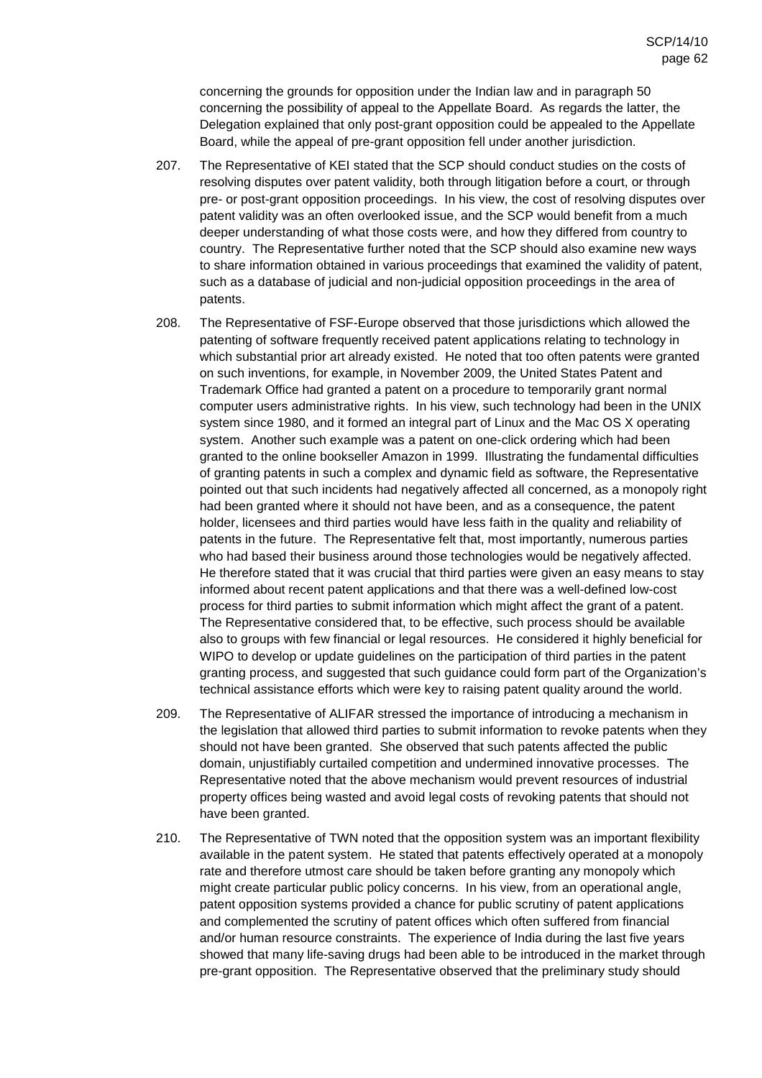concerning the grounds for opposition under the Indian law and in paragraph 50 concerning the possibility of appeal to the Appellate Board. As regards the latter, the Delegation explained that only post-grant opposition could be appealed to the Appellate Board, while the appeal of pre-grant opposition fell under another jurisdiction.

- 207. The Representative of KEI stated that the SCP should conduct studies on the costs of resolving disputes over patent validity, both through litigation before a court, or through pre- or post-grant opposition proceedings. In his view, the cost of resolving disputes over patent validity was an often overlooked issue, and the SCP would benefit from a much deeper understanding of what those costs were, and how they differed from country to country. The Representative further noted that the SCP should also examine new ways to share information obtained in various proceedings that examined the validity of patent, such as a database of judicial and non-judicial opposition proceedings in the area of patents.
- 208. The Representative of FSF-Europe observed that those jurisdictions which allowed the patenting of software frequently received patent applications relating to technology in which substantial prior art already existed. He noted that too often patents were granted on such inventions, for example, in November 2009, the United States Patent and Trademark Office had granted a patent on a procedure to temporarily grant normal computer users administrative rights. In his view, such technology had been in the UNIX system since 1980, and it formed an integral part of Linux and the Mac OS X operating system. Another such example was a patent on one-click ordering which had been granted to the online bookseller Amazon in 1999. Illustrating the fundamental difficulties of granting patents in such a complex and dynamic field as software, the Representative pointed out that such incidents had negatively affected all concerned, as a monopoly right had been granted where it should not have been, and as a consequence, the patent holder, licensees and third parties would have less faith in the quality and reliability of patents in the future. The Representative felt that, most importantly, numerous parties who had based their business around those technologies would be negatively affected. He therefore stated that it was crucial that third parties were given an easy means to stay informed about recent patent applications and that there was a well-defined low-cost process for third parties to submit information which might affect the grant of a patent. The Representative considered that, to be effective, such process should be available also to groups with few financial or legal resources. He considered it highly beneficial for WIPO to develop or update guidelines on the participation of third parties in the patent granting process, and suggested that such guidance could form part of the Organization's technical assistance efforts which were key to raising patent quality around the world.
- 209. The Representative of ALIFAR stressed the importance of introducing a mechanism in the legislation that allowed third parties to submit information to revoke patents when they should not have been granted. She observed that such patents affected the public domain, unjustifiably curtailed competition and undermined innovative processes. The Representative noted that the above mechanism would prevent resources of industrial property offices being wasted and avoid legal costs of revoking patents that should not have been granted.
- 210. The Representative of TWN noted that the opposition system was an important flexibility available in the patent system. He stated that patents effectively operated at a monopoly rate and therefore utmost care should be taken before granting any monopoly which might create particular public policy concerns. In his view, from an operational angle, patent opposition systems provided a chance for public scrutiny of patent applications and complemented the scrutiny of patent offices which often suffered from financial and/or human resource constraints. The experience of India during the last five years showed that many life-saving drugs had been able to be introduced in the market through pre-grant opposition. The Representative observed that the preliminary study should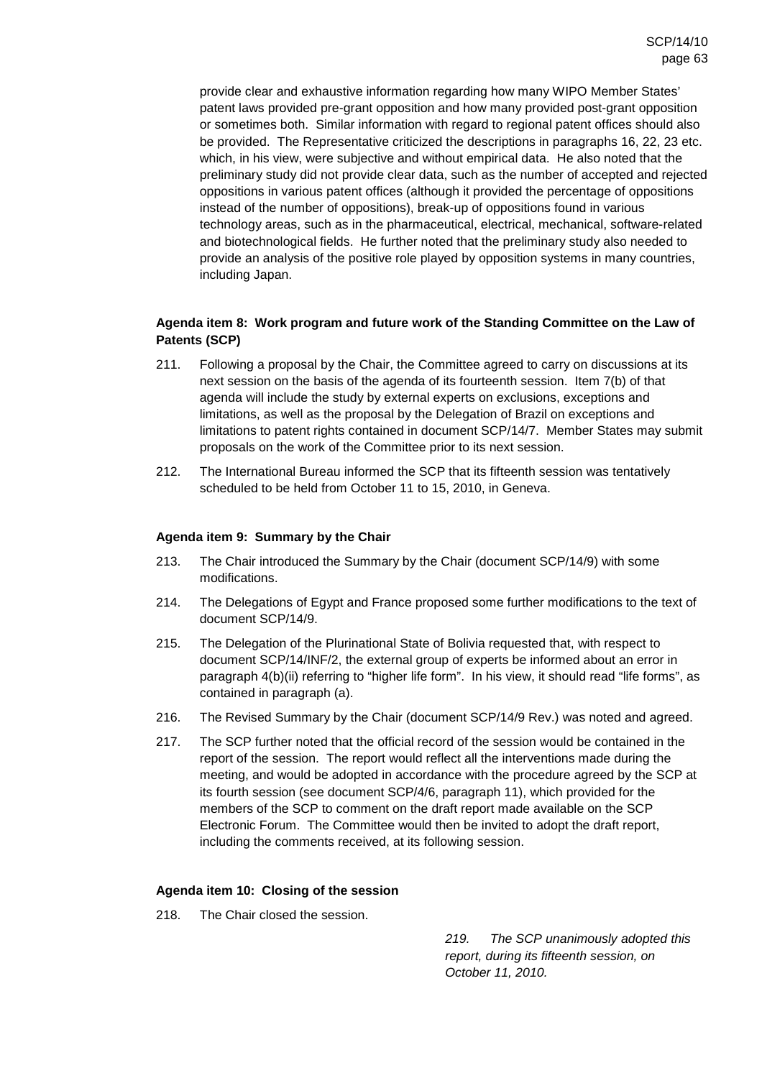provide clear and exhaustive information regarding how many WIPO Member States' patent laws provided pre-grant opposition and how many provided post-grant opposition or sometimes both. Similar information with regard to regional patent offices should also be provided. The Representative criticized the descriptions in paragraphs 16, 22, 23 etc. which, in his view, were subjective and without empirical data. He also noted that the preliminary study did not provide clear data, such as the number of accepted and rejected oppositions in various patent offices (although it provided the percentage of oppositions instead of the number of oppositions), break-up of oppositions found in various technology areas, such as in the pharmaceutical, electrical, mechanical, software-related and biotechnological fields. He further noted that the preliminary study also needed to provide an analysis of the positive role played by opposition systems in many countries, including Japan.

# **Agenda item 8: Work program and future work of the Standing Committee on the Law of Patents (SCP)**

- 211. Following a proposal by the Chair, the Committee agreed to carry on discussions at its next session on the basis of the agenda of its fourteenth session. Item 7(b) of that agenda will include the study by external experts on exclusions, exceptions and limitations, as well as the proposal by the Delegation of Brazil on exceptions and limitations to patent rights contained in document SCP/14/7. Member States may submit proposals on the work of the Committee prior to its next session.
- 212. The International Bureau informed the SCP that its fifteenth session was tentatively scheduled to be held from October 11 to 15, 2010, in Geneva.

## **Agenda item 9: Summary by the Chair**

- 213. The Chair introduced the Summary by the Chair (document SCP/14/9) with some modifications.
- 214. The Delegations of Egypt and France proposed some further modifications to the text of document SCP/14/9.
- 215. The Delegation of the Plurinational State of Bolivia requested that, with respect to document SCP/14/INF/2, the external group of experts be informed about an error in paragraph 4(b)(ii) referring to "higher life form". In his view, it should read "life forms", as contained in paragraph (a).
- 216. The Revised Summary by the Chair (document SCP/14/9 Rev.) was noted and agreed.
- 217. The SCP further noted that the official record of the session would be contained in the report of the session. The report would reflect all the interventions made during the meeting, and would be adopted in accordance with the procedure agreed by the SCP at its fourth session (see document SCP/4/6, paragraph 11), which provided for the members of the SCP to comment on the draft report made available on the SCP Electronic Forum. The Committee would then be invited to adopt the draft report, including the comments received, at its following session.

## **Agenda item 10: Closing of the session**

218. The Chair closed the session.

219. The SCP unanimously adopted this report, during its fifteenth session, on October 11, 2010.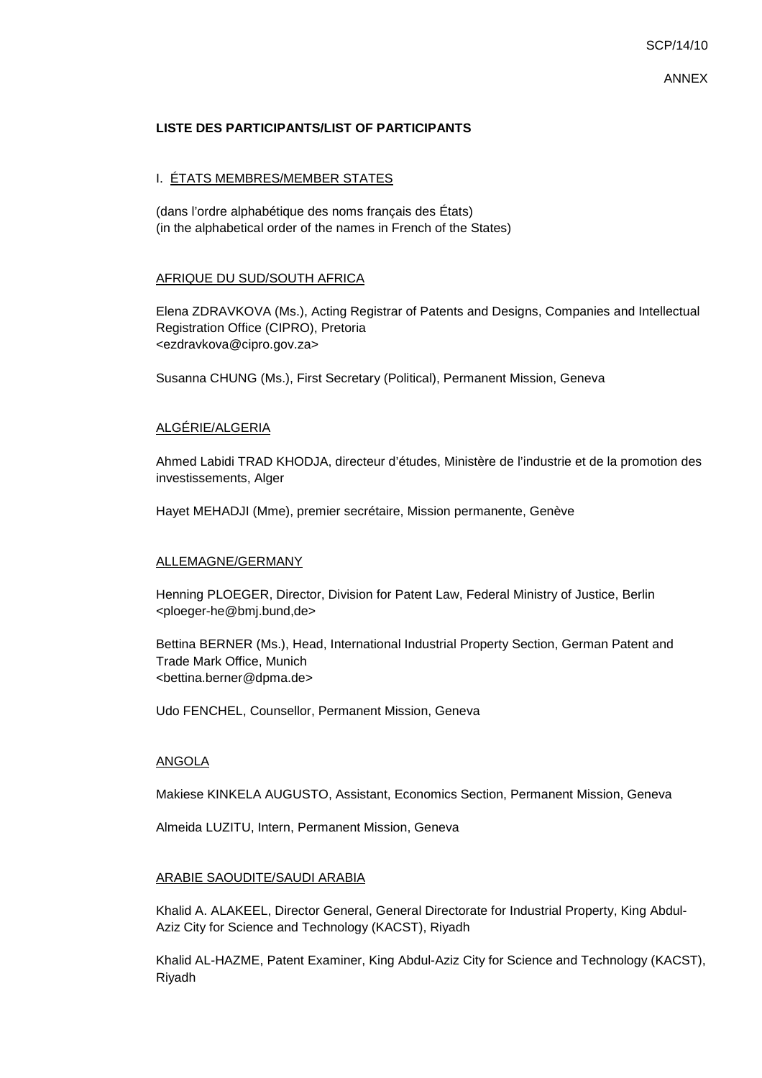ANNEX

### **LISTE DES PARTICIPANTS/LIST OF PARTICIPANTS**

### I. ÉTATS MEMBRES/MEMBER STATES

(dans l'ordre alphabétique des noms français des États) (in the alphabetical order of the names in French of the States)

### AFRIQUE DU SUD/SOUTH AFRICA

Elena ZDRAVKOVA (Ms.), Acting Registrar of Patents and Designs, Companies and Intellectual Registration Office (CIPRO), Pretoria <ezdravkova@cipro.gov.za>

Susanna CHUNG (Ms.), First Secretary (Political), Permanent Mission, Geneva

### ALGÉRIE/ALGERIA

Ahmed Labidi TRAD KHODJA, directeur d'études, Ministère de l'industrie et de la promotion des investissements, Alger

Hayet MEHADJI (Mme), premier secrétaire, Mission permanente, Genève

### ALLEMAGNE/GERMANY

Henning PLOEGER, Director, Division for Patent Law, Federal Ministry of Justice, Berlin <ploeger-he@bmj.bund,de>

Bettina BERNER (Ms.), Head, International Industrial Property Section, German Patent and Trade Mark Office, Munich <bettina.berner@dpma.de>

Udo FENCHEL, Counsellor, Permanent Mission, Geneva

### ANGOLA

Makiese KINKELA AUGUSTO, Assistant, Economics Section, Permanent Mission, Geneva

Almeida LUZITU, Intern, Permanent Mission, Geneva

### ARABIE SAOUDITE/SAUDI ARABIA

Khalid A. ALAKEEL, Director General, General Directorate for Industrial Property, King Abdul-Aziz City for Science and Technology (KACST), Riyadh

Khalid AL-HAZME, Patent Examiner, King Abdul-Aziz City for Science and Technology (KACST), Riyadh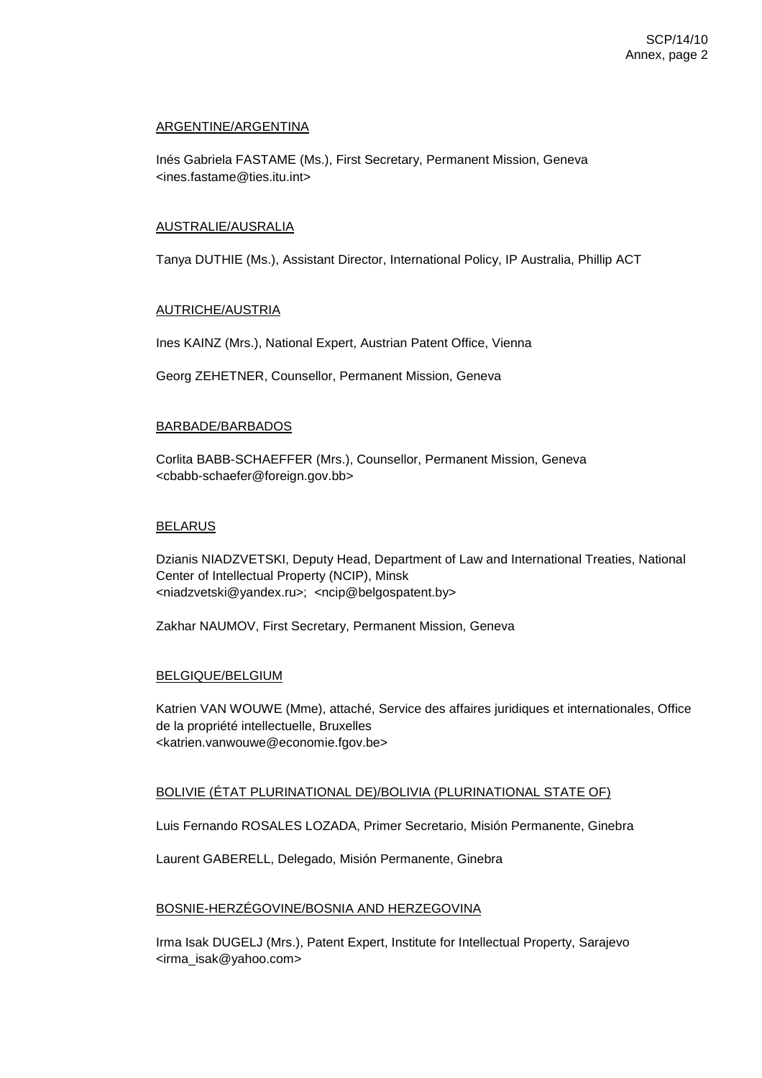## ARGENTINE/ARGENTINA

Inés Gabriela FASTAME (Ms.), First Secretary, Permanent Mission, Geneva <ines.fastame@ties.itu.int>

### AUSTRALIE/AUSRALIA

Tanya DUTHIE (Ms.), Assistant Director, International Policy, IP Australia, Phillip ACT

## AUTRICHE/AUSTRIA

Ines KAINZ (Mrs.), National Expert, Austrian Patent Office, Vienna

Georg ZEHETNER, Counsellor, Permanent Mission, Geneva

### BARBADE/BARBADOS

Corlita BABB-SCHAEFFER (Mrs.), Counsellor, Permanent Mission, Geneva <cbabb-schaefer@foreign.gov.bb>

### BELARUS

Dzianis NIADZVETSKI, Deputy Head, Department of Law and International Treaties, National Center of Intellectual Property (NCIP), Minsk <niadzvetski@yandex.ru>; <ncip@belgospatent.by>

Zakhar NAUMOV, First Secretary, Permanent Mission, Geneva

### BELGIQUE/BELGIUM

Katrien VAN WOUWE (Mme), attaché, Service des affaires juridiques et internationales, Office de la propriété intellectuelle, Bruxelles <katrien.vanwouwe@economie.fgov.be>

## BOLIVIE (ÉTAT PLURINATIONAL DE)/BOLIVIA (PLURINATIONAL STATE OF)

Luis Fernando ROSALES LOZADA, Primer Secretario, Misión Permanente, Ginebra

Laurent GABERELL, Delegado, Misión Permanente, Ginebra

### BOSNIE-HERZÉGOVINE/BOSNIA AND HERZEGOVINA

Irma Isak DUGELJ (Mrs.), Patent Expert, Institute for Intellectual Property, Sarajevo <irma\_isak@yahoo.com>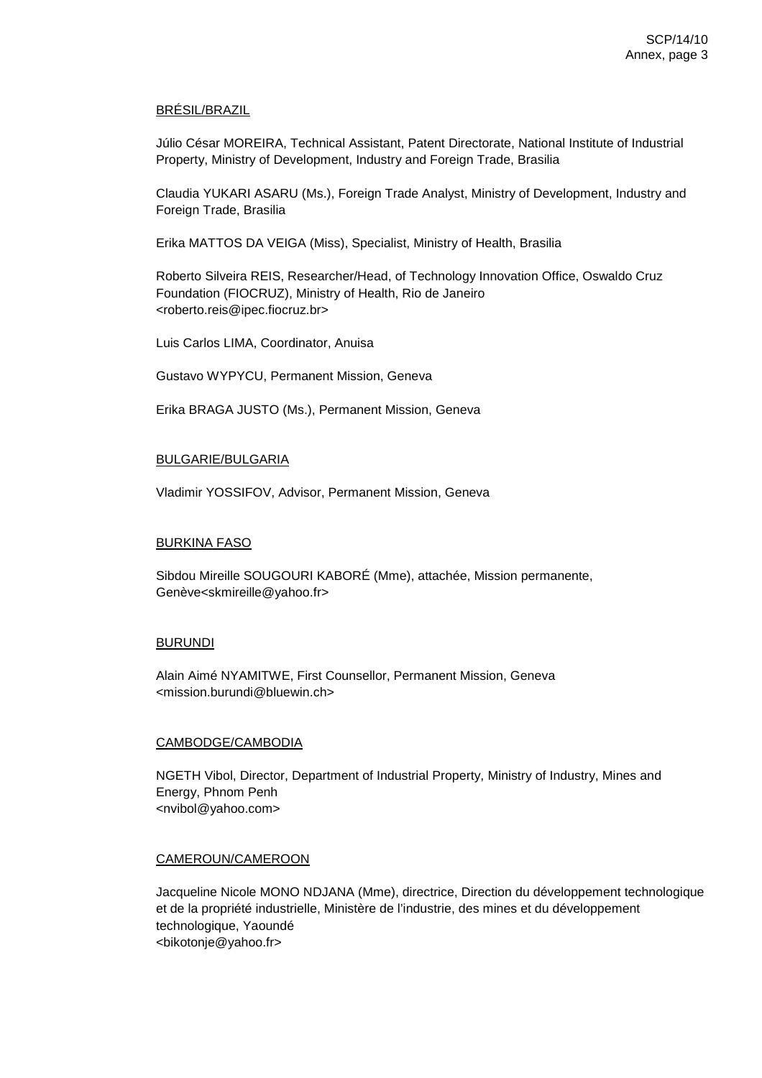## BRÉSIL/BRAZIL

Júlio César MOREIRA, Technical Assistant, Patent Directorate, National Institute of Industrial Property, Ministry of Development, Industry and Foreign Trade, Brasilia

Claudia YUKARI ASARU (Ms.), Foreign Trade Analyst, Ministry of Development, Industry and Foreign Trade, Brasilia

Erika MATTOS DA VEIGA (Miss), Specialist, Ministry of Health, Brasilia

Roberto Silveira REIS, Researcher/Head, of Technology Innovation Office, Oswaldo Cruz Foundation (FIOCRUZ), Ministry of Health, Rio de Janeiro <roberto.reis@ipec.fiocruz.br>

Luis Carlos LIMA, Coordinator, Anuisa

Gustavo WYPYCU, Permanent Mission, Geneva

Erika BRAGA JUSTO (Ms.), Permanent Mission, Geneva

### BULGARIE/BULGARIA

Vladimir YOSSIFOV, Advisor, Permanent Mission, Geneva

#### BURKINA FASO

Sibdou Mireille SOUGOURI KABORÉ (Mme), attachée, Mission permanente, Genève<skmireille@yahoo.fr>

#### BURUNDI

Alain Aimé NYAMITWE, First Counsellor, Permanent Mission, Geneva <mission.burundi@bluewin.ch>

### CAMBODGE/CAMBODIA

NGETH Vibol, Director, Department of Industrial Property, Ministry of Industry, Mines and Energy, Phnom Penh <nvibol@yahoo.com>

### CAMEROUN/CAMEROON

Jacqueline Nicole MONO NDJANA (Mme), directrice, Direction du développement technologique et de la propriété industrielle, Ministère de l'industrie, des mines et du développement technologique, Yaoundé <bikotonje@yahoo.fr>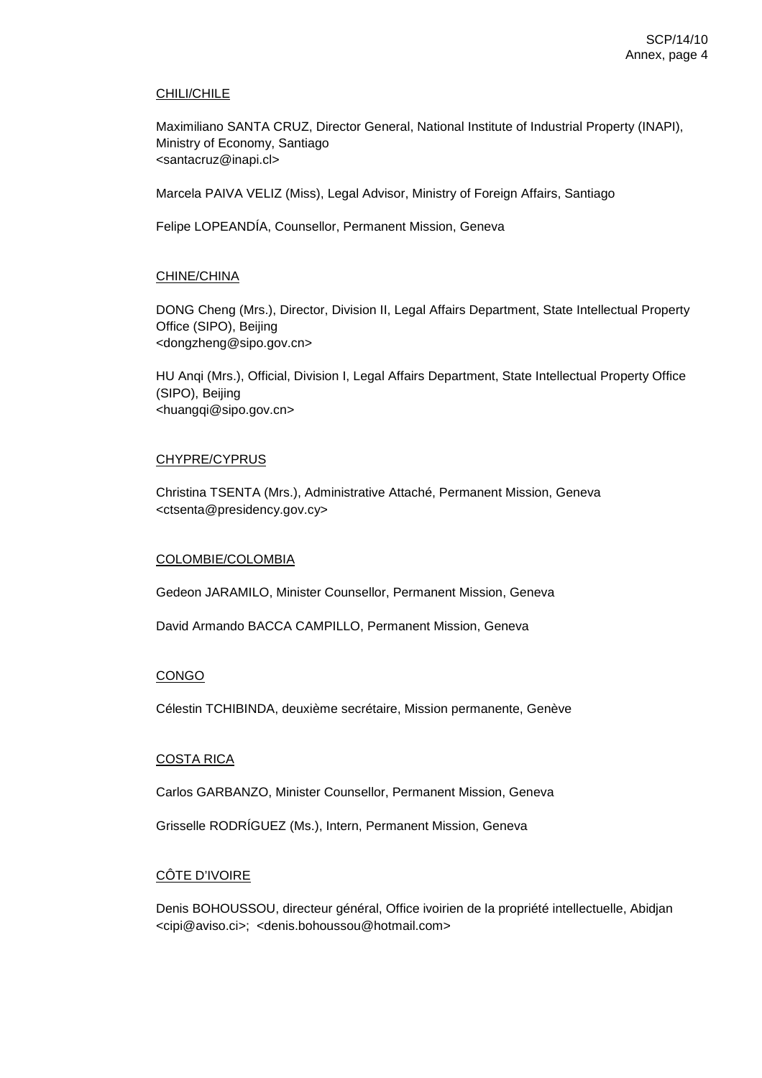### CHILI/CHILE

Maximiliano SANTA CRUZ, Director General, National Institute of Industrial Property (INAPI), Ministry of Economy, Santiago <santacruz@inapi.cl>

Marcela PAIVA VELIZ (Miss), Legal Advisor, Ministry of Foreign Affairs, Santiago

Felipe LOPEANDÍA, Counsellor, Permanent Mission, Geneva

### CHINE/CHINA

DONG Cheng (Mrs.), Director, Division II, Legal Affairs Department, State Intellectual Property Office (SIPO), Beijing <dongzheng@sipo.gov.cn>

HU Anqi (Mrs.), Official, Division I, Legal Affairs Department, State Intellectual Property Office (SIPO), Beijing <huangqi@sipo.gov.cn>

### CHYPRE/CYPRUS

Christina TSENTA (Mrs.), Administrative Attaché, Permanent Mission, Geneva <ctsenta@presidency.gov.cy>

### COLOMBIE/COLOMBIA

Gedeon JARAMILO, Minister Counsellor, Permanent Mission, Geneva

David Armando BACCA CAMPILLO, Permanent Mission, Geneva

### CONGO

Célestin TCHIBINDA, deuxième secrétaire, Mission permanente, Genève

### COSTA RICA

Carlos GARBANZO, Minister Counsellor, Permanent Mission, Geneva

Grisselle RODRÍGUEZ (Ms.), Intern, Permanent Mission, Geneva

# CÔTE D'IVOIRE

Denis BOHOUSSOU, directeur général, Office ivoirien de la propriété intellectuelle, Abidjan <cipi@aviso.ci>; <denis.bohoussou@hotmail.com>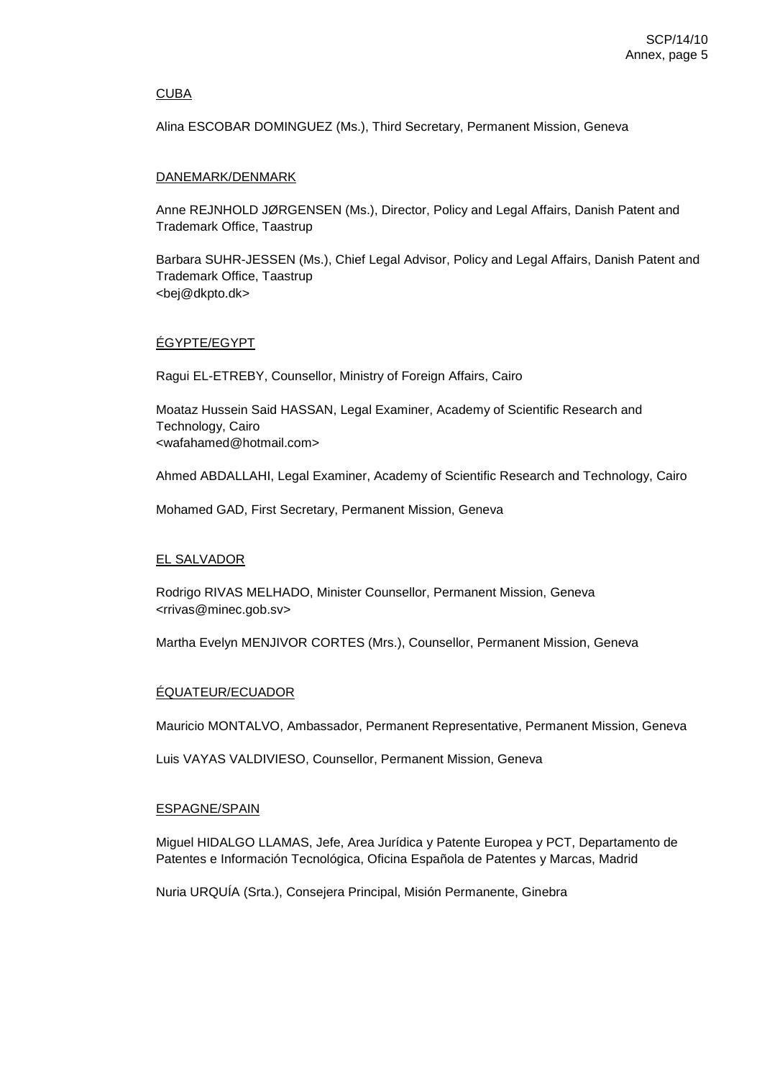### CUBA

Alina ESCOBAR DOMINGUEZ (Ms.), Third Secretary, Permanent Mission, Geneva

### DANEMARK/DENMARK

Anne REJNHOLD JØRGENSEN (Ms.), Director, Policy and Legal Affairs, Danish Patent and Trademark Office, Taastrup

Barbara SUHR-JESSEN (Ms.), Chief Legal Advisor, Policy and Legal Affairs, Danish Patent and Trademark Office, Taastrup <bej@dkpto.dk>

# ÉGYPTE/EGYPT

Ragui EL-ETREBY, Counsellor, Ministry of Foreign Affairs, Cairo

Moataz Hussein Said HASSAN, Legal Examiner, Academy of Scientific Research and Technology, Cairo <wafahamed@hotmail.com>

Ahmed ABDALLAHI, Legal Examiner, Academy of Scientific Research and Technology, Cairo

Mohamed GAD, First Secretary, Permanent Mission, Geneva

## EL SALVADOR

Rodrigo RIVAS MELHADO, Minister Counsellor, Permanent Mission, Geneva <rrivas@minec.gob.sv>

Martha Evelyn MENJIVOR CORTES (Mrs.), Counsellor, Permanent Mission, Geneva

## ÉQUATEUR/ECUADOR

Mauricio MONTALVO, Ambassador, Permanent Representative, Permanent Mission, Geneva

Luis VAYAS VALDIVIESO, Counsellor, Permanent Mission, Geneva

### ESPAGNE/SPAIN

Miguel HIDALGO LLAMAS, Jefe, Area Jurídica y Patente Europea y PCT, Departamento de Patentes e Información Tecnológica, Oficina Española de Patentes y Marcas, Madrid

Nuria URQUÍA (Srta.), Consejera Principal, Misión Permanente, Ginebra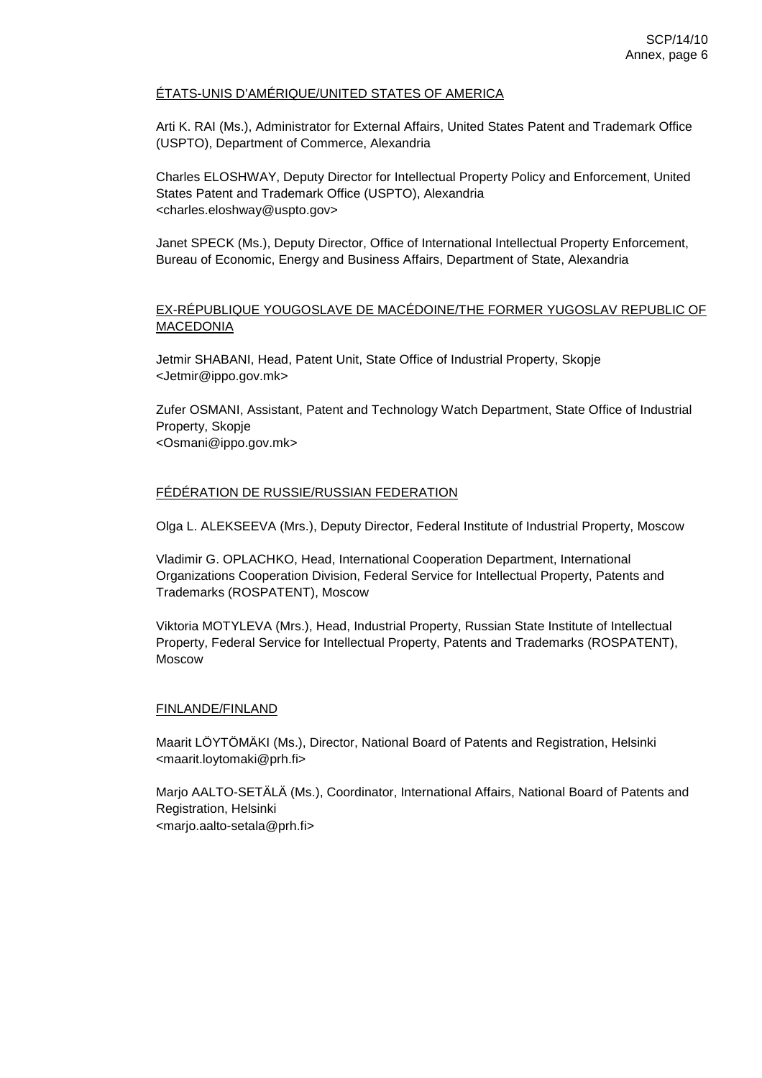## ÉTATS-UNIS D'AMÉRIQUE/UNITED STATES OF AMERICA

Arti K. RAI (Ms.), Administrator for External Affairs, United States Patent and Trademark Office (USPTO), Department of Commerce, Alexandria

Charles ELOSHWAY, Deputy Director for Intellectual Property Policy and Enforcement, United States Patent and Trademark Office (USPTO), Alexandria <charles.eloshway@uspto.gov>

Janet SPECK (Ms.), Deputy Director, Office of International Intellectual Property Enforcement, Bureau of Economic, Energy and Business Affairs, Department of State, Alexandria

# EX-RÉPUBLIQUE YOUGOSLAVE DE MACÉDOINE/THE FORMER YUGOSLAV REPUBLIC OF MACEDONIA

Jetmir SHABANI, Head, Patent Unit, State Office of Industrial Property, Skopje <Jetmir@ippo.gov.mk>

Zufer OSMANI, Assistant, Patent and Technology Watch Department, State Office of Industrial Property, Skopje <Osmani@ippo.gov.mk>

## FÉDÉRATION DE RUSSIE/RUSSIAN FEDERATION

Olga L. ALEKSEEVA (Mrs.), Deputy Director, Federal Institute of Industrial Property, Moscow

Vladimir G. OPLACHKO, Head, International Cooperation Department, International Organizations Cooperation Division, Federal Service for Intellectual Property, Patents and Trademarks (ROSPATENT), Moscow

Viktoria MOTYLEVA (Mrs.), Head, Industrial Property, Russian State Institute of Intellectual Property, Federal Service for Intellectual Property, Patents and Trademarks (ROSPATENT), Moscow

## FINLANDE/FINLAND

Maarit LÖYTÖMÄKI (Ms.), Director, National Board of Patents and Registration, Helsinki <maarit.loytomaki@prh.fi>

Marjo AALTO-SETÄLÄ (Ms.), Coordinator, International Affairs, National Board of Patents and Registration, Helsinki <marjo.aalto-setala@prh.fi>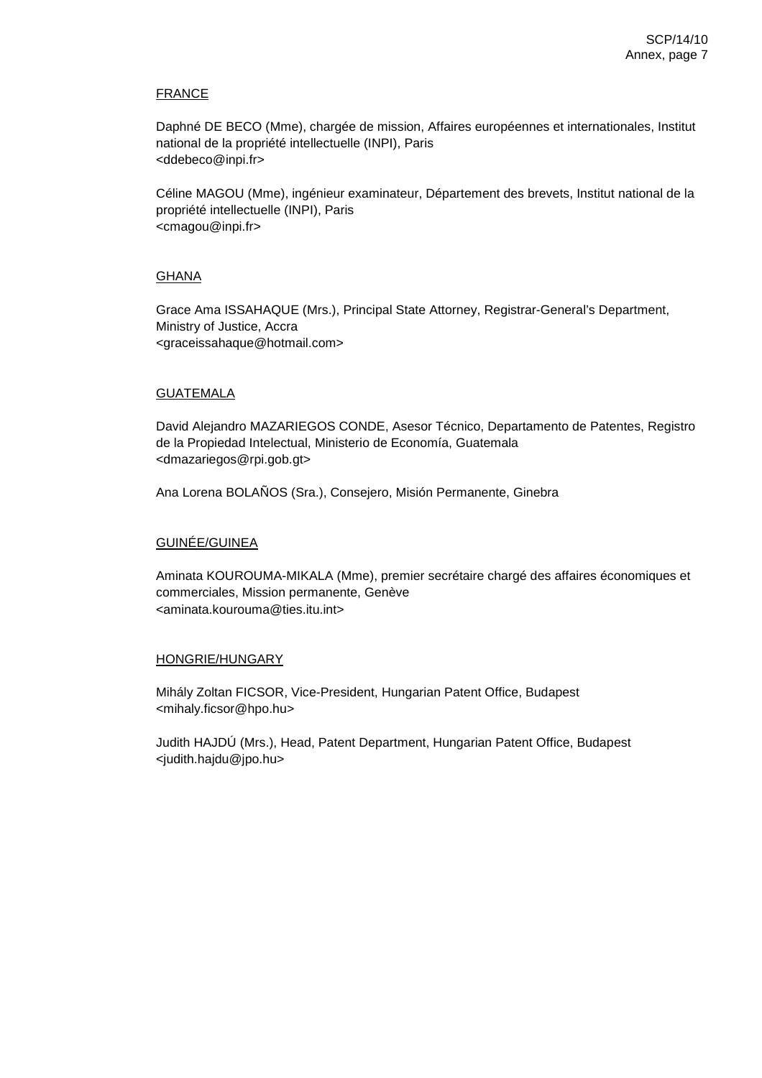## FRANCE

Daphné DE BECO (Mme), chargée de mission, Affaires européennes et internationales, Institut national de la propriété intellectuelle (INPI), Paris <ddebeco@inpi.fr>

Céline MAGOU (Mme), ingénieur examinateur, Département des brevets, Institut national de la propriété intellectuelle (INPI), Paris <cmagou@inpi.fr>

## GHANA

Grace Ama ISSAHAQUE (Mrs.), Principal State Attorney, Registrar-General's Department, Ministry of Justice, Accra <graceissahaque@hotmail.com>

## GUATEMALA

David Alejandro MAZARIEGOS CONDE, Asesor Técnico, Departamento de Patentes, Registro de la Propiedad Intelectual, Ministerio de Economía, Guatemala <dmazariegos@rpi.gob.gt>

Ana Lorena BOLAÑOS (Sra.), Consejero, Misión Permanente, Ginebra

## GUINÉE/GUINEA

Aminata KOUROUMA-MIKALA (Mme), premier secrétaire chargé des affaires économiques et commerciales, Mission permanente, Genève <aminata.kourouma@ties.itu.int>

## HONGRIE/HUNGARY

Mihály Zoltan FICSOR, Vice-President, Hungarian Patent Office, Budapest <mihaly.ficsor@hpo.hu>

Judith HAJDÚ (Mrs.), Head, Patent Department, Hungarian Patent Office, Budapest <judith.hajdu@jpo.hu>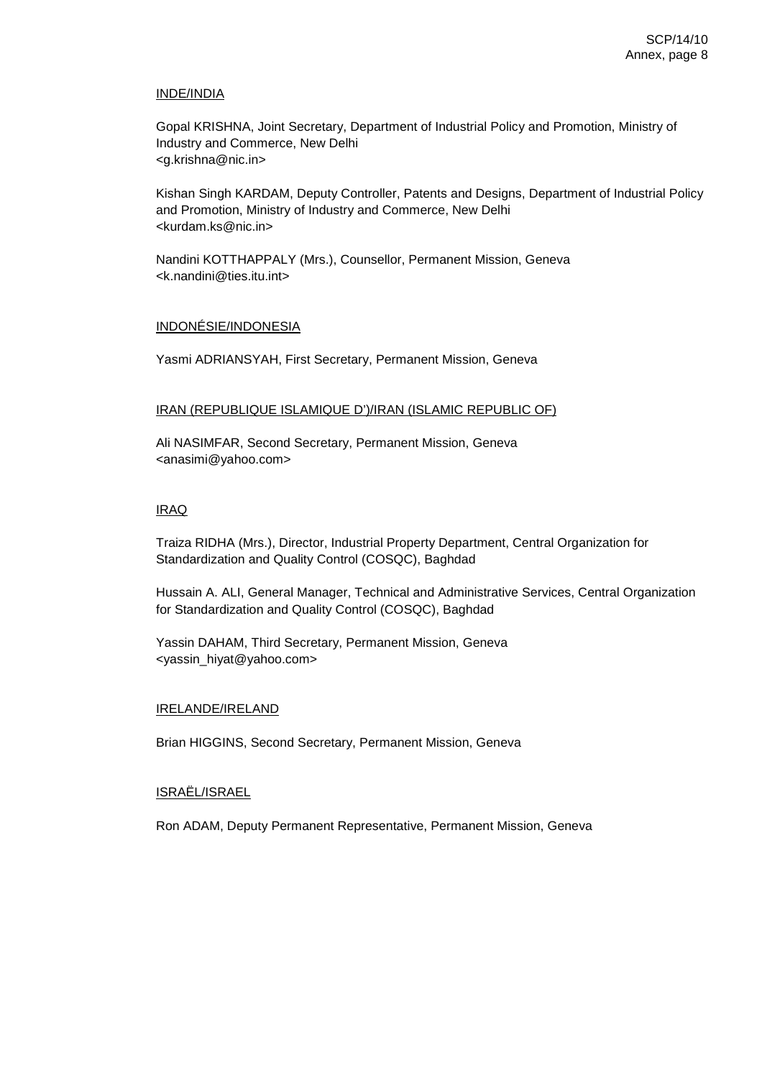### INDE/INDIA

Gopal KRISHNA, Joint Secretary, Department of Industrial Policy and Promotion, Ministry of Industry and Commerce, New Delhi <g.krishna@nic.in>

Kishan Singh KARDAM, Deputy Controller, Patents and Designs, Department of Industrial Policy and Promotion, Ministry of Industry and Commerce, New Delhi <kurdam.ks@nic.in>

Nandini KOTTHAPPALY (Mrs.), Counsellor, Permanent Mission, Geneva <k.nandini@ties.itu.int>

## INDONÉSIE/INDONESIA

Yasmi ADRIANSYAH, First Secretary, Permanent Mission, Geneva

### IRAN (REPUBLIQUE ISLAMIQUE D')/IRAN (ISLAMIC REPUBLIC OF)

Ali NASIMFAR, Second Secretary, Permanent Mission, Geneva <anasimi@yahoo.com>

### IRAQ

Traiza RIDHA (Mrs.), Director, Industrial Property Department, Central Organization for Standardization and Quality Control (COSQC), Baghdad

Hussain A. ALI, General Manager, Technical and Administrative Services, Central Organization for Standardization and Quality Control (COSQC), Baghdad

Yassin DAHAM, Third Secretary, Permanent Mission, Geneva <yassin\_hiyat@yahoo.com>

### IRELANDE/IRELAND

Brian HIGGINS, Second Secretary, Permanent Mission, Geneva

### ISRAËL/ISRAEL

Ron ADAM, Deputy Permanent Representative, Permanent Mission, Geneva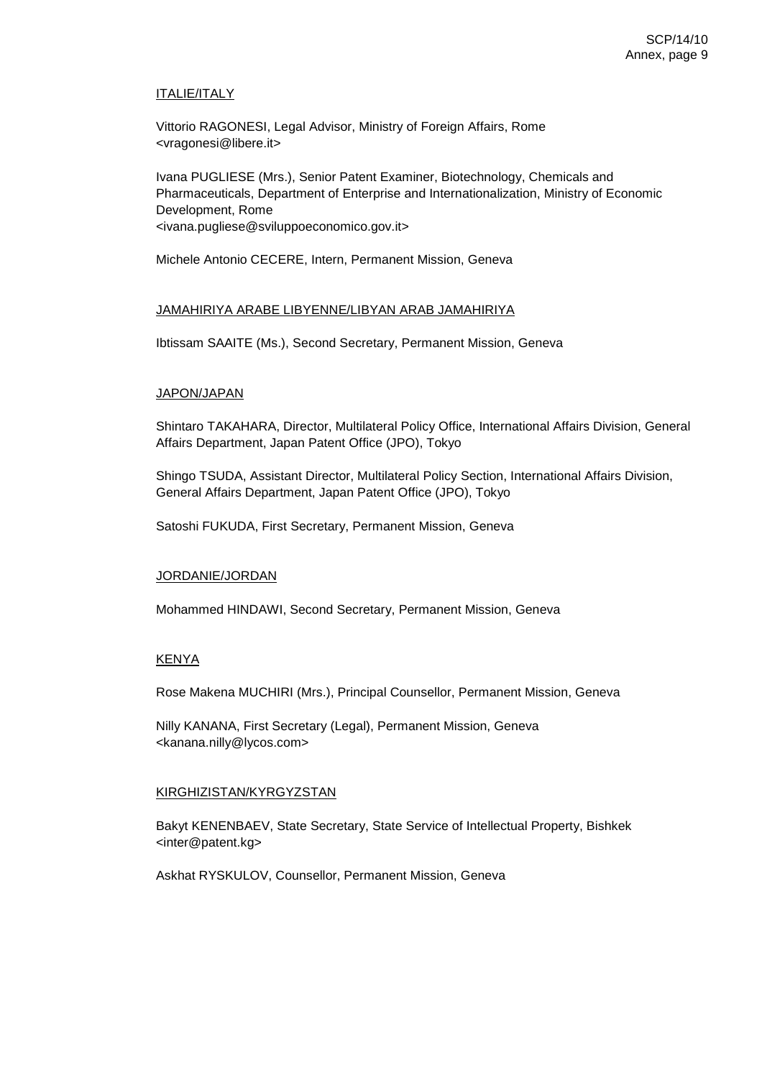## ITALIE/ITALY

Vittorio RAGONESI, Legal Advisor, Ministry of Foreign Affairs, Rome <vragonesi@libere.it>

Ivana PUGLIESE (Mrs.), Senior Patent Examiner, Biotechnology, Chemicals and Pharmaceuticals, Department of Enterprise and Internationalization, Ministry of Economic Development, Rome <ivana.pugliese@sviluppoeconomico.gov.it>

Michele Antonio CECERE, Intern, Permanent Mission, Geneva

## JAMAHIRIYA ARABE LIBYENNE/LIBYAN ARAB JAMAHIRIYA

Ibtissam SAAITE (Ms.), Second Secretary, Permanent Mission, Geneva

### JAPON/JAPAN

Shintaro TAKAHARA, Director, Multilateral Policy Office, International Affairs Division, General Affairs Department, Japan Patent Office (JPO), Tokyo

Shingo TSUDA, Assistant Director, Multilateral Policy Section, International Affairs Division, General Affairs Department, Japan Patent Office (JPO), Tokyo

Satoshi FUKUDA, First Secretary, Permanent Mission, Geneva

### JORDANIE/JORDAN

Mohammed HINDAWI, Second Secretary, Permanent Mission, Geneva

## KENYA

Rose Makena MUCHIRI (Mrs.), Principal Counsellor, Permanent Mission, Geneva

Nilly KANANA, First Secretary (Legal), Permanent Mission, Geneva <kanana.nilly@lycos.com>

## KIRGHIZISTAN/KYRGYZSTAN

Bakyt KENENBAEV, State Secretary, State Service of Intellectual Property, Bishkek <inter@patent.kg>

Askhat RYSKULOV, Counsellor, Permanent Mission, Geneva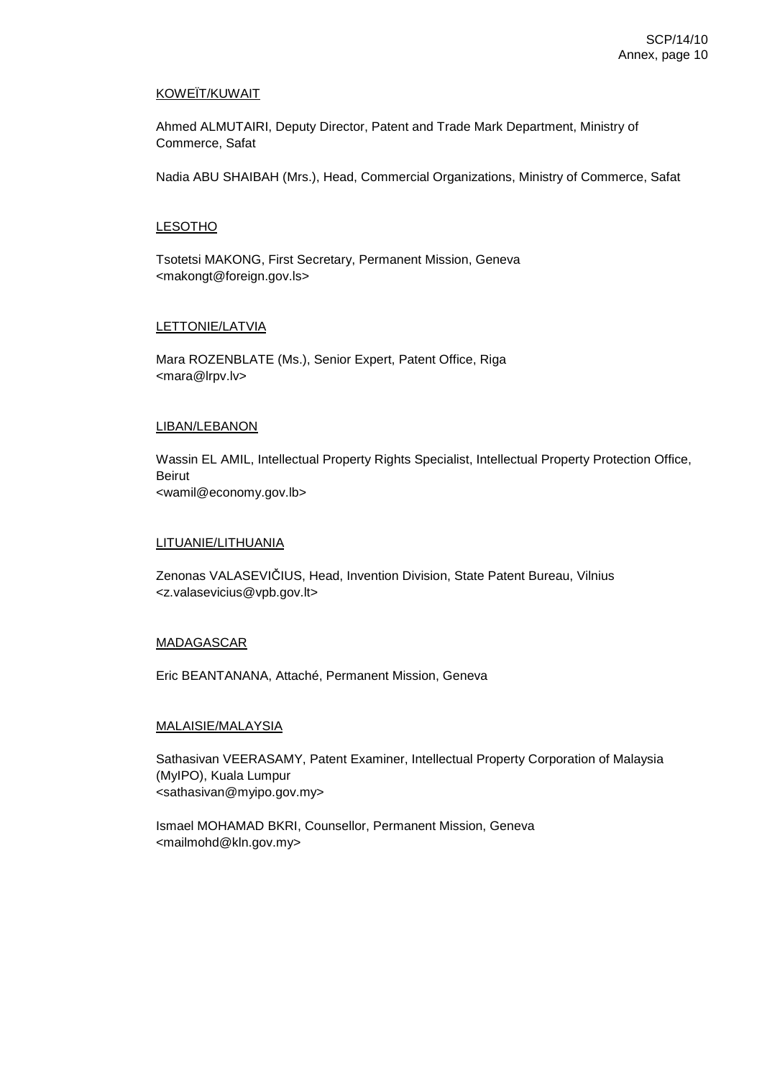# KOWEÏT/KUWAIT

Ahmed ALMUTAIRI, Deputy Director, Patent and Trade Mark Department, Ministry of Commerce, Safat

Nadia ABU SHAIBAH (Mrs.), Head, Commercial Organizations, Ministry of Commerce, Safat

## **LESOTHO**

Tsotetsi MAKONG, First Secretary, Permanent Mission, Geneva <makongt@foreign.gov.ls>

### LETTONIE/LATVIA

Mara ROZENBLATE (Ms.), Senior Expert, Patent Office, Riga <mara@lrpv.lv>

#### LIBAN/LEBANON

Wassin EL AMIL, Intellectual Property Rights Specialist, Intellectual Property Protection Office, Beirut <wamil@economy.gov.lb>

#### LITUANIE/LITHUANIA

Zenonas VALASEVIČIUS, Head, Invention Division, State Patent Bureau, Vilnius <z.valasevicius@vpb.gov.lt>

#### MADAGASCAR

Eric BEANTANANA, Attaché, Permanent Mission, Geneva

#### MALAISIE/MALAYSIA

Sathasivan VEERASAMY, Patent Examiner, Intellectual Property Corporation of Malaysia (MyIPO), Kuala Lumpur <sathasivan@myipo.gov.my>

Ismael MOHAMAD BKRI, Counsellor, Permanent Mission, Geneva <mailmohd@kln.gov.my>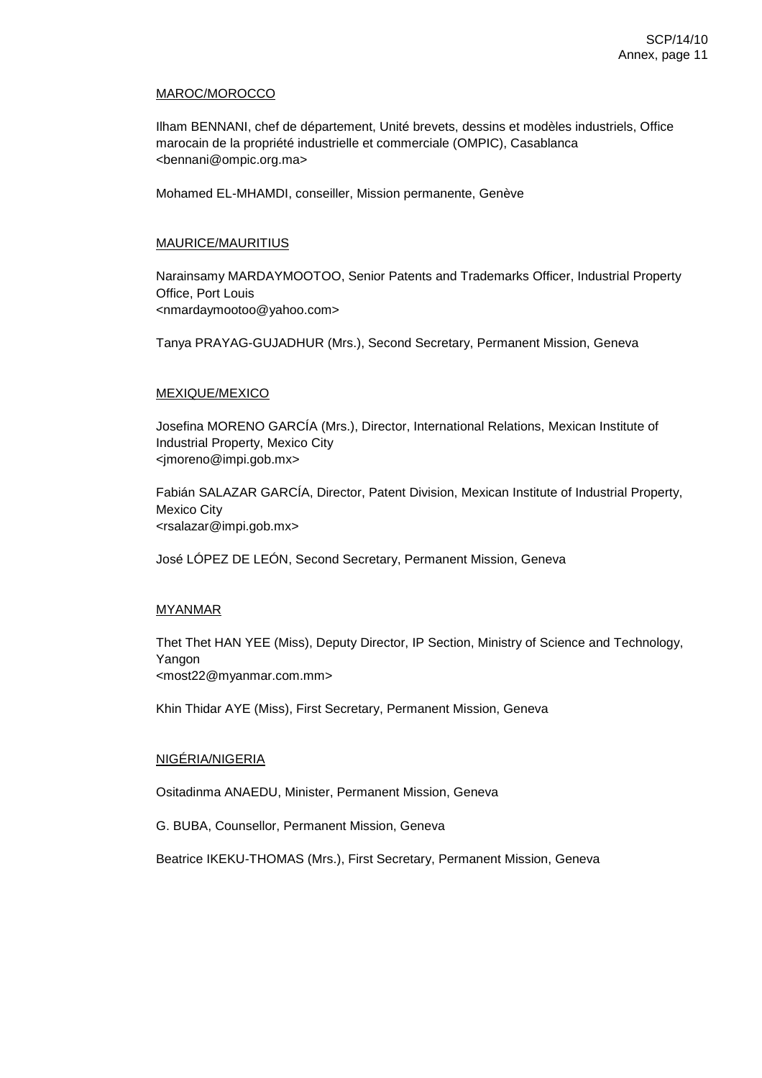#### MAROC/MOROCCO

Ilham BENNANI, chef de département, Unité brevets, dessins et modèles industriels, Office marocain de la propriété industrielle et commerciale (OMPIC), Casablanca <bennani@ompic.org.ma>

Mohamed EL-MHAMDI, conseiller, Mission permanente, Genève

### MAURICE/MAURITIUS

Narainsamy MARDAYMOOTOO, Senior Patents and Trademarks Officer, Industrial Property Office, Port Louis <nmardaymootoo@yahoo.com>

Tanya PRAYAG-GUJADHUR (Mrs.), Second Secretary, Permanent Mission, Geneva

### MEXIQUE/MEXICO

Josefina MORENO GARCÍA (Mrs.), Director, International Relations, Mexican Institute of Industrial Property, Mexico City <jmoreno@impi.gob.mx>

Fabián SALAZAR GARCÍA, Director, Patent Division, Mexican Institute of Industrial Property, Mexico City <rsalazar@impi.gob.mx>

José LÓPEZ DE LEÓN, Second Secretary, Permanent Mission, Geneva

## MYANMAR

Thet Thet HAN YEE (Miss), Deputy Director, IP Section, Ministry of Science and Technology, Yangon

<most22@myanmar.com.mm>

Khin Thidar AYE (Miss), First Secretary, Permanent Mission, Geneva

## NIGÉRIA/NIGERIA

Ositadinma ANAEDU, Minister, Permanent Mission, Geneva

G. BUBA, Counsellor, Permanent Mission, Geneva

Beatrice IKEKU-THOMAS (Mrs.), First Secretary, Permanent Mission, Geneva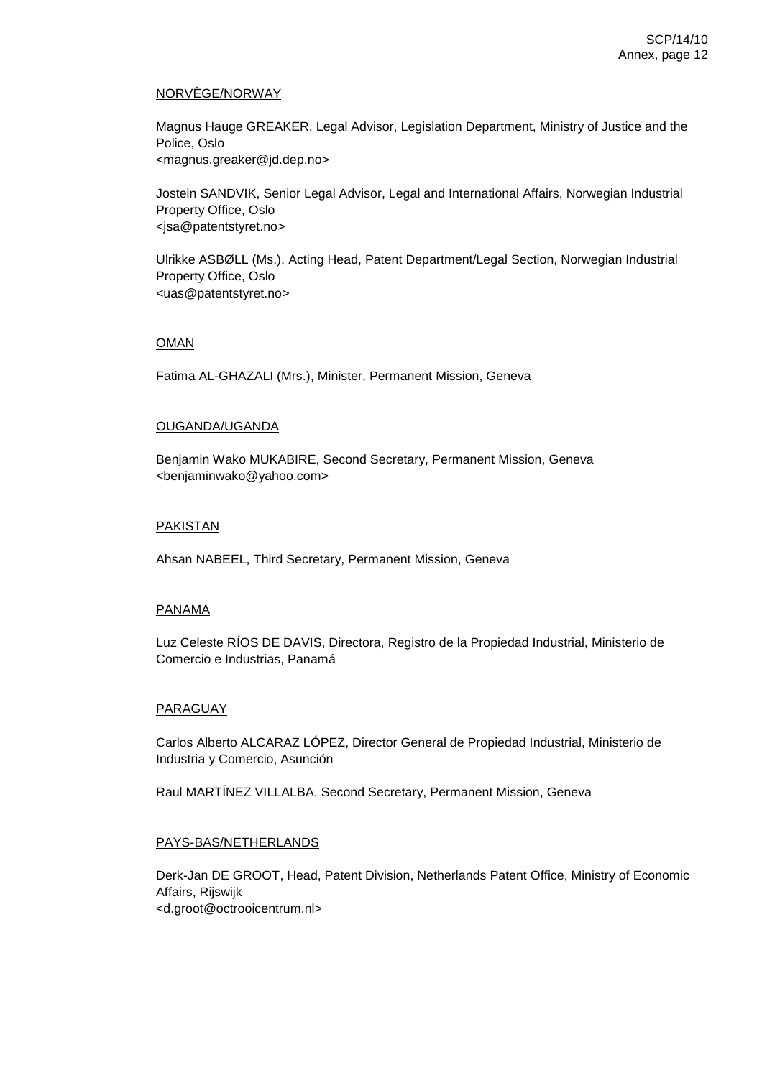## NORVÈGE/NORWAY

Magnus Hauge GREAKER, Legal Advisor, Legislation Department, Ministry of Justice and the Police, Oslo <magnus.greaker@jd.dep.no>

Jostein SANDVIK, Senior Legal Advisor, Legal and International Affairs, Norwegian Industrial Property Office, Oslo <jsa@patentstyret.no>

Ulrikke ASBØLL (Ms.), Acting Head, Patent Department/Legal Section, Norwegian Industrial Property Office, Oslo <uas@patentstyret.no>

### OMAN

Fatima AL-GHAZALI (Mrs.), Minister, Permanent Mission, Geneva

### OUGANDA/UGANDA

Benjamin Wako MUKABIRE, Second Secretary, Permanent Mission, Geneva <benjaminwako@yahoo.com>

### PAKISTAN

Ahsan NABEEL, Third Secretary, Permanent Mission, Geneva

#### PANAMA

Luz Celeste RÍOS DE DAVIS, Directora, Registro de la Propiedad Industrial, Ministerio de Comercio e Industrias, Panamá

#### PARAGUAY

Carlos Alberto ALCARAZ LÓPEZ, Director General de Propiedad Industrial, Ministerio de Industria y Comercio, Asunción

Raul MARTÍNEZ VILLALBA, Second Secretary, Permanent Mission, Geneva

#### PAYS-BAS/NETHERLANDS

Derk-Jan DE GROOT, Head, Patent Division, Netherlands Patent Office, Ministry of Economic Affairs, Rijswijk <d.groot@octrooicentrum.nl>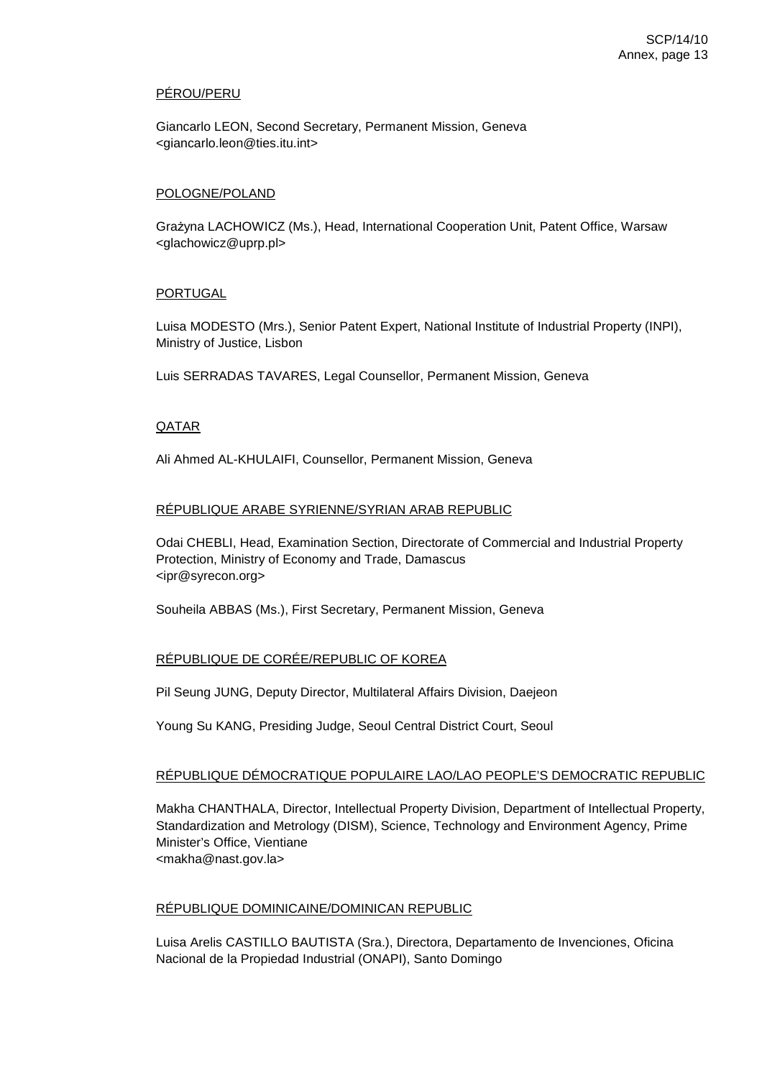## PÉROU/PERU

Giancarlo LEON, Second Secretary, Permanent Mission, Geneva <giancarlo.leon@ties.itu.int>

#### POLOGNE/POLAND

Grażyna LACHOWICZ (Ms.), Head, International Cooperation Unit, Patent Office, Warsaw <glachowicz@uprp.pl>

#### PORTUGAL

Luisa MODESTO (Mrs.), Senior Patent Expert, National Institute of Industrial Property (INPI), Ministry of Justice, Lisbon

Luis SERRADAS TAVARES, Legal Counsellor, Permanent Mission, Geneva

#### **QATAR**

Ali Ahmed AL-KHULAIFI, Counsellor, Permanent Mission, Geneva

### RÉPUBLIQUE ARABE SYRIENNE/SYRIAN ARAB REPUBLIC

Odai CHEBLI, Head, Examination Section, Directorate of Commercial and Industrial Property Protection, Ministry of Economy and Trade, Damascus <ipr@syrecon.org>

Souheila ABBAS (Ms.), First Secretary, Permanent Mission, Geneva

## RÉPUBLIQUE DE CORÉE/REPUBLIC OF KOREA

Pil Seung JUNG, Deputy Director, Multilateral Affairs Division, Daejeon

Young Su KANG, Presiding Judge, Seoul Central District Court, Seoul

#### RÉPUBLIQUE DÉMOCRATIQUE POPULAIRE LAO/LAO PEOPLE'S DEMOCRATIC REPUBLIC

Makha CHANTHALA, Director, Intellectual Property Division, Department of Intellectual Property, Standardization and Metrology (DISM), Science, Technology and Environment Agency, Prime Minister's Office, Vientiane <makha@nast.gov.la>

#### RÉPUBLIQUE DOMINICAINE/DOMINICAN REPUBLIC

Luisa Arelis CASTILLO BAUTISTA (Sra.), Directora, Departamento de Invenciones, Oficina Nacional de la Propiedad Industrial (ONAPI), Santo Domingo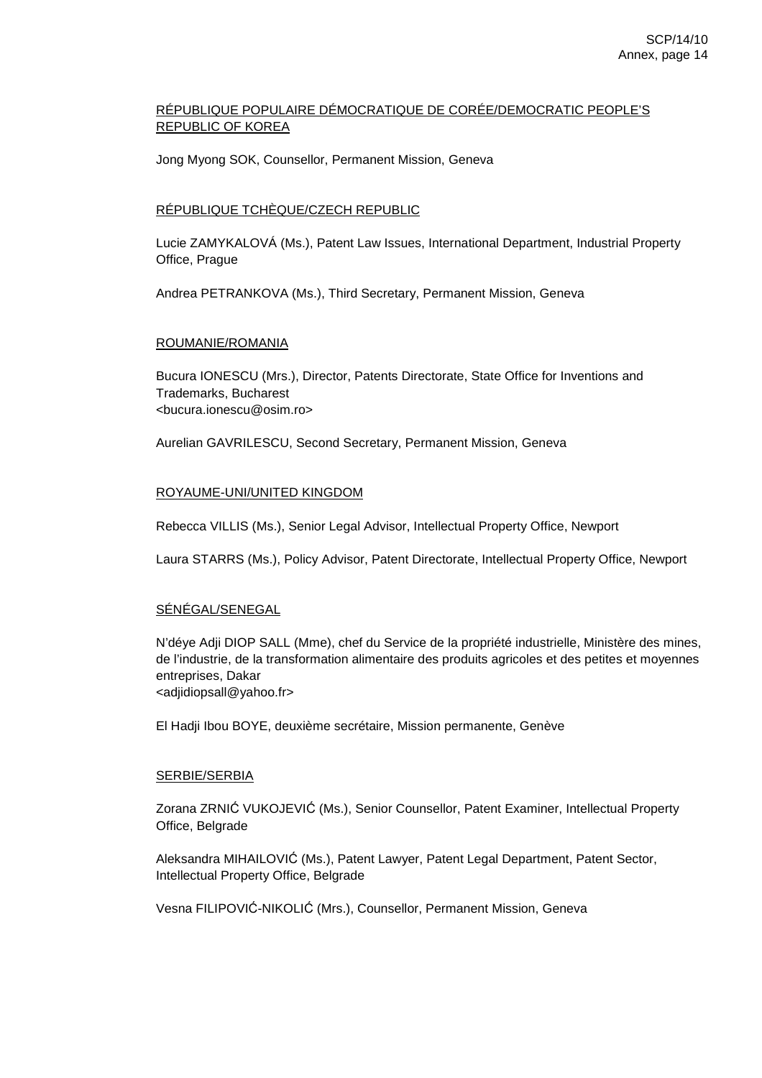# RÉPUBLIQUE POPULAIRE DÉMOCRATIQUE DE CORÉE/DEMOCRATIC PEOPLE'S REPUBLIC OF KOREA

Jong Myong SOK, Counsellor, Permanent Mission, Geneva

## RÉPUBLIQUE TCHÈQUE/CZECH REPUBLIC

Lucie ZAMYKALOVÁ (Ms.), Patent Law Issues, International Department, Industrial Property Office, Prague

Andrea PETRANKOVA (Ms.), Third Secretary, Permanent Mission, Geneva

### ROUMANIE/ROMANIA

Bucura IONESCU (Mrs.), Director, Patents Directorate, State Office for Inventions and Trademarks, Bucharest <bucura.ionescu@osim.ro>

Aurelian GAVRILESCU, Second Secretary, Permanent Mission, Geneva

## ROYAUME-UNI/UNITED KINGDOM

Rebecca VILLIS (Ms.), Senior Legal Advisor, Intellectual Property Office, Newport

Laura STARRS (Ms.), Policy Advisor, Patent Directorate, Intellectual Property Office, Newport

## SÉNÉGAL/SENEGAL

N'déye Adji DIOP SALL (Mme), chef du Service de la propriété industrielle, Ministère des mines, de l'industrie, de la transformation alimentaire des produits agricoles et des petites et moyennes entreprises, Dakar <adjidiopsall@yahoo.fr>

El Hadji Ibou BOYE, deuxième secrétaire, Mission permanente, Genève

## SERBIE/SERBIA

Zorana ZRNIĆ VUKOJEVIĆ (Ms.), Senior Counsellor, Patent Examiner, Intellectual Property Office, Belgrade

Aleksandra MIHAILOVIĆ (Ms.), Patent Lawyer, Patent Legal Department, Patent Sector, Intellectual Property Office, Belgrade

Vesna FILIPOVIĆ-NIKOLIĆ (Mrs.), Counsellor, Permanent Mission, Geneva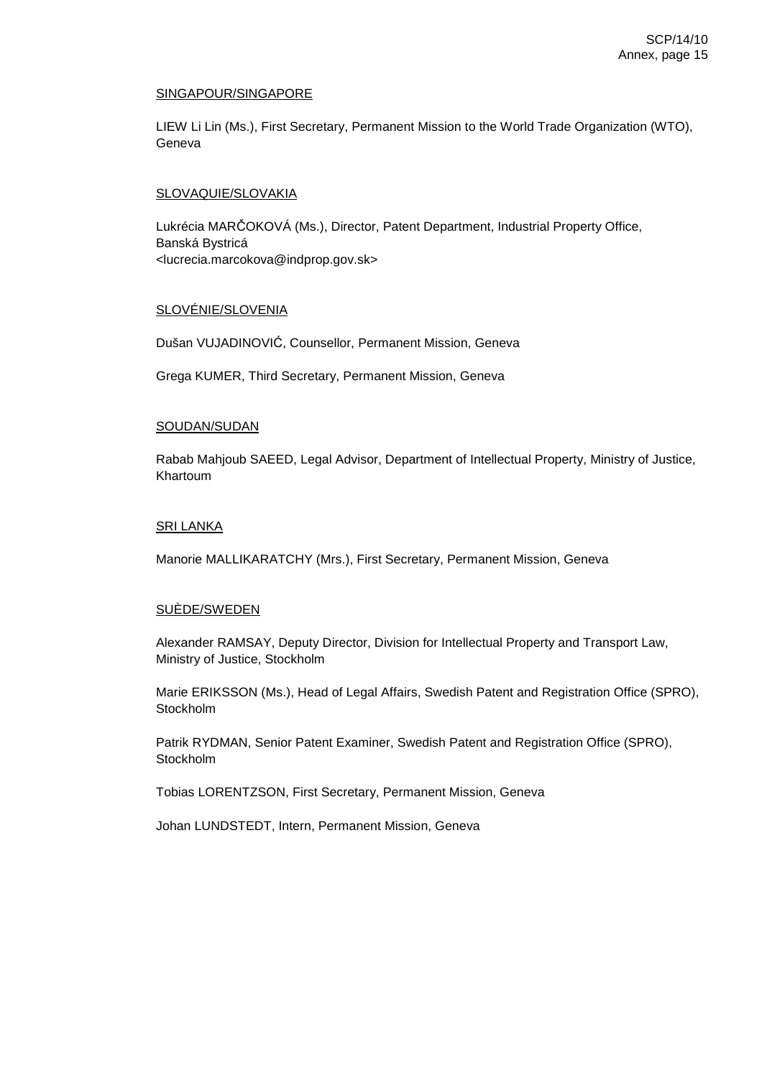### SINGAPOUR/SINGAPORE

LIEW Li Lin (Ms.), First Secretary, Permanent Mission to the World Trade Organization (WTO), Geneva

## SLOVAQUIE/SLOVAKIA

Lukrécia MARČOKOVÁ (Ms.), Director, Patent Department, Industrial Property Office, Banská Bystricá <lucrecia.marcokova@indprop.gov.sk>

## SLOVÉNIE/SLOVENIA

Dušan VUJADINOVIĆ, Counsellor, Permanent Mission, Geneva

Grega KUMER, Third Secretary, Permanent Mission, Geneva

### SOUDAN/SUDAN

Rabab Mahjoub SAEED, Legal Advisor, Department of Intellectual Property, Ministry of Justice, Khartoum

### SRI LANKA

Manorie MALLIKARATCHY (Mrs.), First Secretary, Permanent Mission, Geneva

## SUÈDE/SWEDEN

Alexander RAMSAY, Deputy Director, Division for Intellectual Property and Transport Law, Ministry of Justice, Stockholm

Marie ERIKSSON (Ms.), Head of Legal Affairs, Swedish Patent and Registration Office (SPRO), Stockholm

Patrik RYDMAN, Senior Patent Examiner, Swedish Patent and Registration Office (SPRO), Stockholm

Tobias LORENTZSON, First Secretary, Permanent Mission, Geneva

Johan LUNDSTEDT, Intern, Permanent Mission, Geneva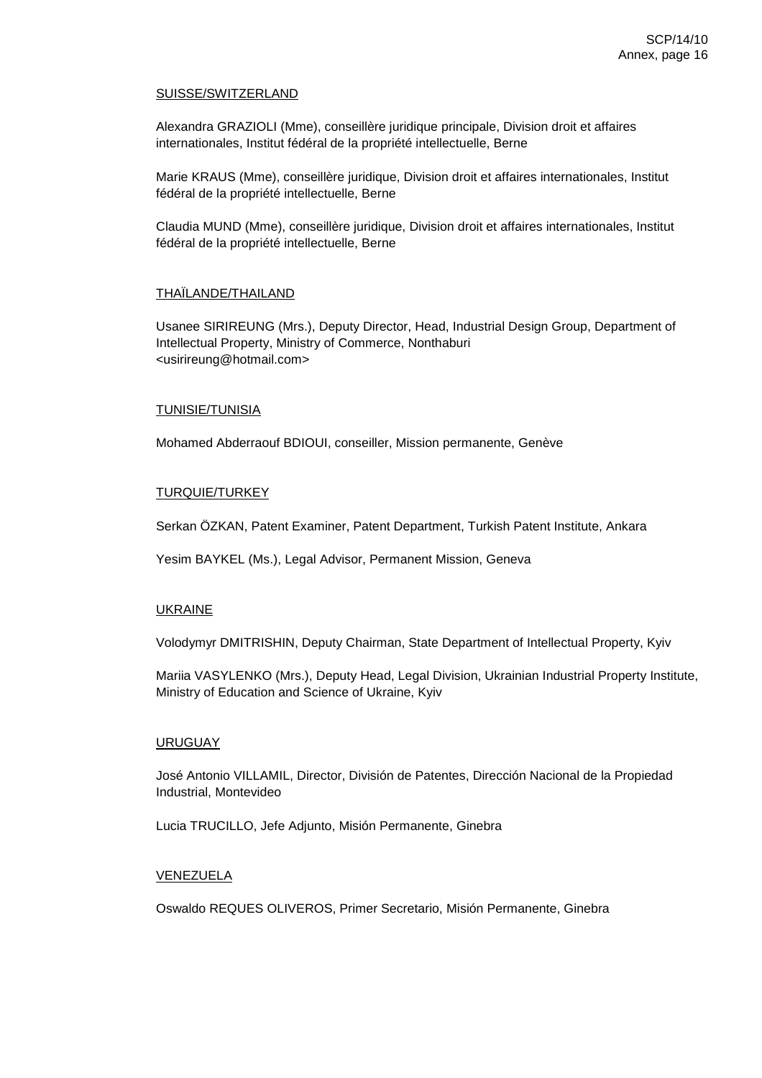#### SUISSE/SWITZERLAND

Alexandra GRAZIOLI (Mme), conseillère juridique principale, Division droit et affaires internationales, Institut fédéral de la propriété intellectuelle, Berne

Marie KRAUS (Mme), conseillère juridique, Division droit et affaires internationales, Institut fédéral de la propriété intellectuelle, Berne

Claudia MUND (Mme), conseillère juridique, Division droit et affaires internationales, Institut fédéral de la propriété intellectuelle, Berne

### THAÏLANDE/THAILAND

Usanee SIRIREUNG (Mrs.), Deputy Director, Head, Industrial Design Group, Department of Intellectual Property, Ministry of Commerce, Nonthaburi <usirireung@hotmail.com>

### TUNISIE/TUNISIA

Mohamed Abderraouf BDIOUI, conseiller, Mission permanente, Genève

### TURQUIE/TURKEY

Serkan ÖZKAN, Patent Examiner, Patent Department, Turkish Patent Institute, Ankara

Yesim BAYKEL (Ms.), Legal Advisor, Permanent Mission, Geneva

## UKRAINE

Volodymyr DMITRISHIN, Deputy Chairman, State Department of Intellectual Property, Kyiv

Mariia VASYLENKO (Mrs.), Deputy Head, Legal Division, Ukrainian Industrial Property Institute, Ministry of Education and Science of Ukraine, Kyiv

#### **URUGUAY**

José Antonio VILLAMIL, Director, División de Patentes, Dirección Nacional de la Propiedad Industrial, Montevideo

Lucia TRUCILLO, Jefe Adjunto, Misión Permanente, Ginebra

## VENEZUELA

Oswaldo REQUES OLIVEROS, Primer Secretario, Misión Permanente, Ginebra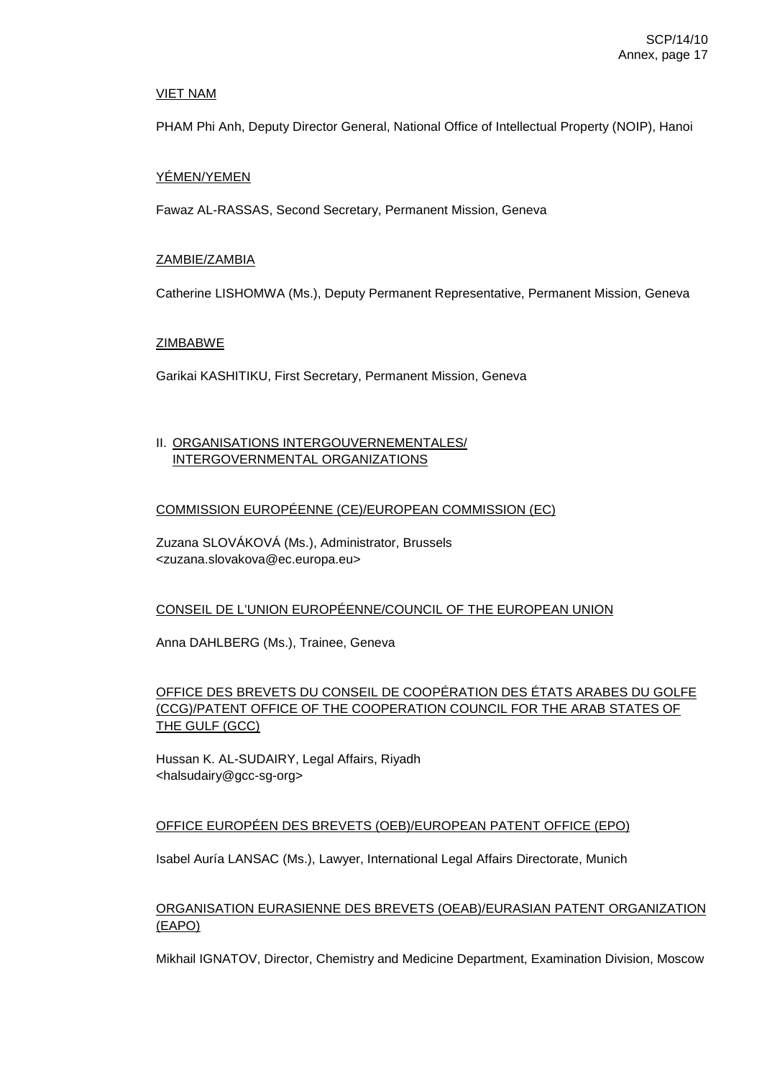### VIET NAM

PHAM Phi Anh, Deputy Director General, National Office of Intellectual Property (NOIP), Hanoi

#### YÉMEN/YEMEN

Fawaz AL-RASSAS, Second Secretary, Permanent Mission, Geneva

### ZAMBIE/ZAMBIA

Catherine LISHOMWA (Ms.), Deputy Permanent Representative, Permanent Mission, Geneva

### ZIMBABWE

Garikai KASHITIKU, First Secretary, Permanent Mission, Geneva

## II. ORGANISATIONS INTERGOUVERNEMENTALES/ INTERGOVERNMENTAL ORGANIZATIONS

### COMMISSION EUROPÉENNE (CE)/EUROPEAN COMMISSION (EC)

Zuzana SLOVÁKOVÁ (Ms.), Administrator, Brussels <zuzana.slovakova@ec.europa.eu>

## CONSEIL DE L'UNION EUROPÉENNE/COUNCIL OF THE EUROPEAN UNION

Anna DAHLBERG (Ms.), Trainee, Geneva

# OFFICE DES BREVETS DU CONSEIL DE COOPÉRATION DES ÉTATS ARABES DU GOLFE (CCG)/PATENT OFFICE OF THE COOPERATION COUNCIL FOR THE ARAB STATES OF THE GULF (GCC)

Hussan K. AL-SUDAIRY, Legal Affairs, Riyadh <halsudairy@gcc-sg-org>

## OFFICE EUROPÉEN DES BREVETS (OEB)/EUROPEAN PATENT OFFICE (EPO)

Isabel Auría LANSAC (Ms.), Lawyer, International Legal Affairs Directorate, Munich

# ORGANISATION EURASIENNE DES BREVETS (OEAB)/EURASIAN PATENT ORGANIZATION (EAPO)

Mikhail IGNATOV, Director, Chemistry and Medicine Department, Examination Division, Moscow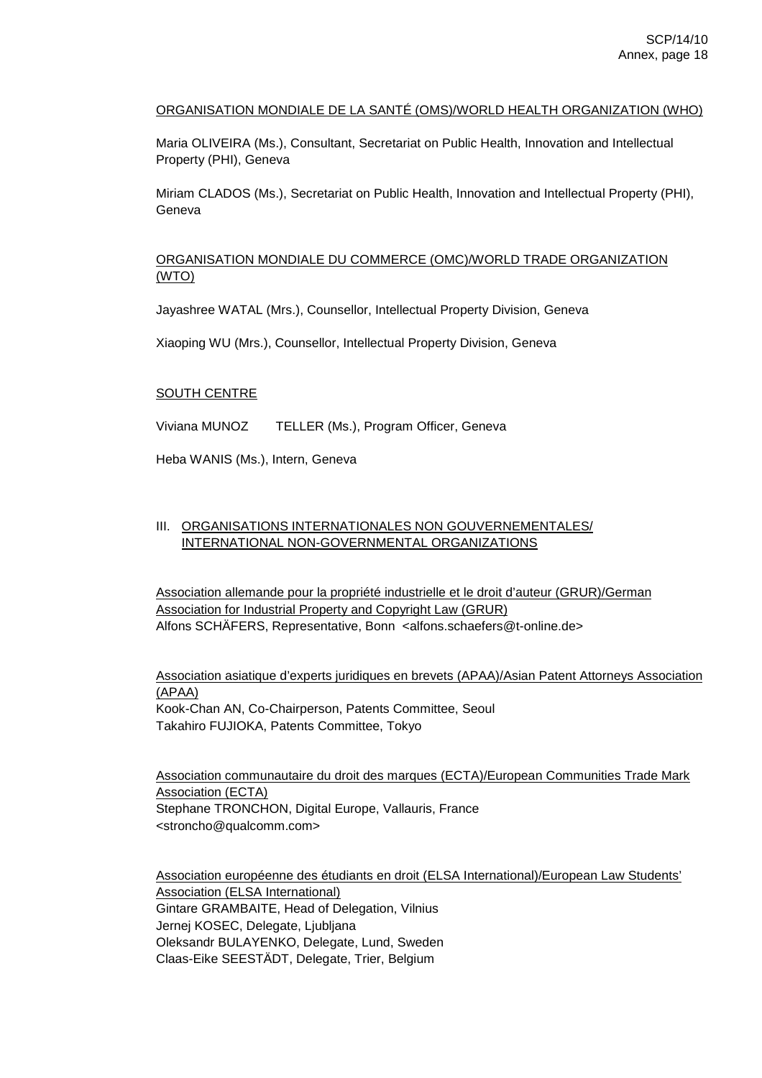## ORGANISATION MONDIALE DE LA SANTÉ (OMS)/WORLD HEALTH ORGANIZATION (WHO)

Maria OLIVEIRA (Ms.), Consultant, Secretariat on Public Health, Innovation and Intellectual Property (PHI), Geneva

Miriam CLADOS (Ms.), Secretariat on Public Health, Innovation and Intellectual Property (PHI), Geneva

## ORGANISATION MONDIALE DU COMMERCE (OMC)/WORLD TRADE ORGANIZATION (WTO)

Jayashree WATAL (Mrs.), Counsellor, Intellectual Property Division, Geneva

Xiaoping WU (Mrs.), Counsellor, Intellectual Property Division, Geneva

#### SOUTH CENTRE

Viviana MUNOZ TELLER (Ms.), Program Officer, Geneva

Heba WANIS (Ms.), Intern, Geneva

## III. ORGANISATIONS INTERNATIONALES NON GOUVERNEMENTALES/ INTERNATIONAL NON-GOVERNMENTAL ORGANIZATIONS

Association allemande pour la propriété industrielle et le droit d'auteur (GRUR)/German Association for Industrial Property and Copyright Law (GRUR) Alfons SCHÄFERS, Representative, Bonn <alfons.schaefers@t-online.de>

Association asiatique d'experts juridiques en brevets (APAA)/Asian Patent Attorneys Association (APAA) Kook-Chan AN, Co-Chairperson, Patents Committee, Seoul Takahiro FUJIOKA, Patents Committee, Tokyo

Association communautaire du droit des marques (ECTA)/European Communities Trade Mark Association (ECTA) Stephane TRONCHON, Digital Europe, Vallauris, France <stroncho@qualcomm.com>

Association européenne des étudiants en droit (ELSA International)/European Law Students' Association (ELSA International) Gintare GRAMBAITE, Head of Delegation, Vilnius Jernej KOSEC, Delegate, Ljubljana Oleksandr BULAYENKO, Delegate, Lund, Sweden Claas-Eike SEESTÄDT, Delegate, Trier, Belgium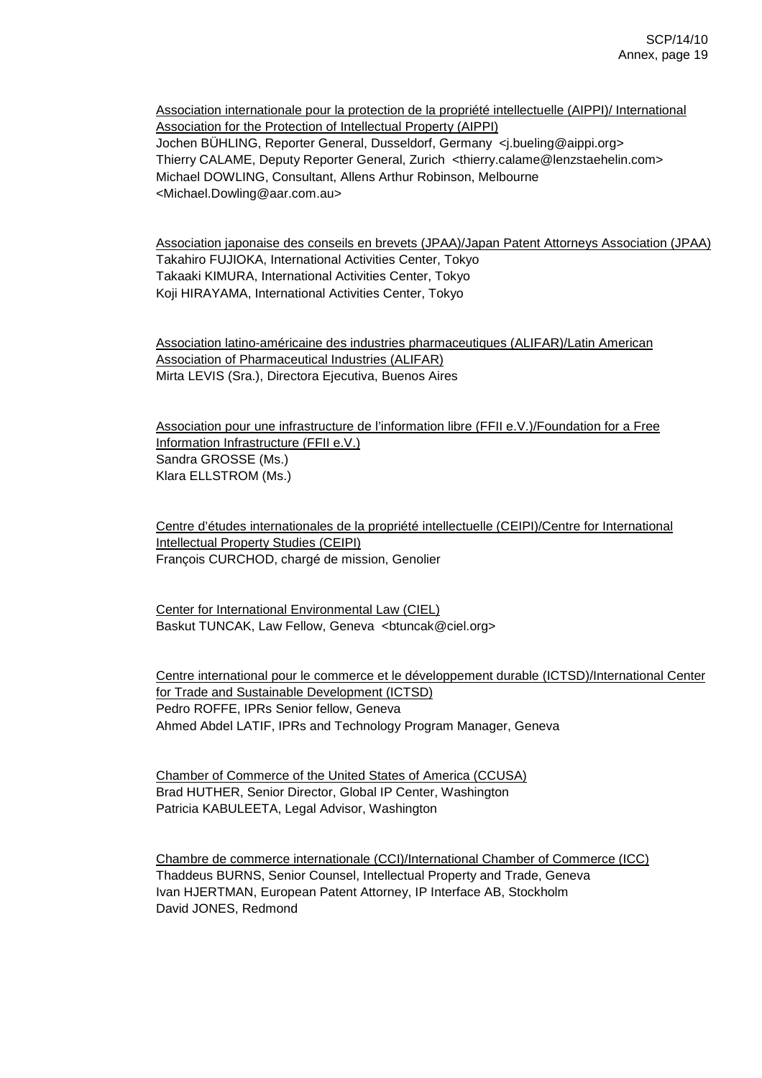Association internationale pour la protection de la propriété intellectuelle (AIPPI)/ International Association for the Protection of Intellectual Property (AIPPI) Jochen BÜHLING, Reporter General, Dusseldorf, Germany <j.bueling@aippi.org> Thierry CALAME, Deputy Reporter General, Zurich <thierry.calame@lenzstaehelin.com> Michael DOWLING, Consultant, Allens Arthur Robinson, Melbourne <Michael.Dowling@aar.com.au>

Association japonaise des conseils en brevets (JPAA)/Japan Patent Attorneys Association (JPAA) Takahiro FUJIOKA, International Activities Center, Tokyo Takaaki KIMURA, International Activities Center, Tokyo Koji HIRAYAMA, International Activities Center, Tokyo

Association latino-américaine des industries pharmaceutiques (ALIFAR)/Latin American Association of Pharmaceutical Industries (ALIFAR) Mirta LEVIS (Sra.), Directora Ejecutiva, Buenos Aires

Association pour une infrastructure de l'information libre (FFII e.V.)/Foundation for a Free Information Infrastructure (FFII e.V.) Sandra GROSSE (Ms.) Klara ELLSTROM (Ms.)

Centre d'études internationales de la propriété intellectuelle (CEIPI)/Centre for International Intellectual Property Studies (CEIPI) François CURCHOD, chargé de mission, Genolier

Center for International Environmental Law (CIEL) Baskut TUNCAK, Law Fellow, Geneva <br/> <br/>htuncak@ciel.org>

Centre international pour le commerce et le développement durable (ICTSD)/International Center for Trade and Sustainable Development (ICTSD) Pedro ROFFE, IPRs Senior fellow, Geneva Ahmed Abdel LATIF, IPRs and Technology Program Manager, Geneva

Chamber of Commerce of the United States of America (CCUSA) Brad HUTHER, Senior Director, Global IP Center, Washington Patricia KABULEETA, Legal Advisor, Washington

Chambre de commerce internationale (CCI)/International Chamber of Commerce (ICC) Thaddeus BURNS, Senior Counsel, Intellectual Property and Trade, Geneva Ivan HJERTMAN, European Patent Attorney, IP Interface AB, Stockholm David JONES, Redmond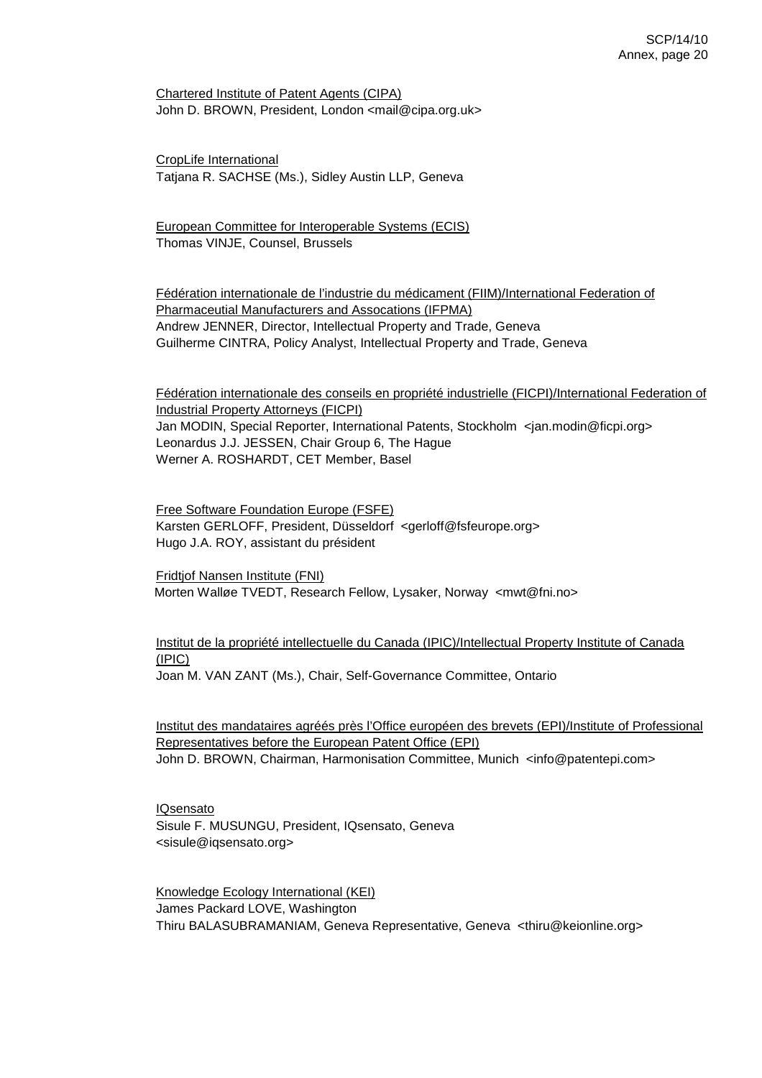Chartered Institute of Patent Agents (CIPA) John D. BROWN, President, London <mail@cipa.org.uk>

CropLife International Tatjana R. SACHSE (Ms.), Sidley Austin LLP, Geneva

European Committee for Interoperable Systems (ECIS) Thomas VINJE, Counsel, Brussels

Fédération internationale de l'industrie du médicament (FIIM)/International Federation of Pharmaceutial Manufacturers and Assocations (IFPMA) Andrew JENNER, Director, Intellectual Property and Trade, Geneva Guilherme CINTRA, Policy Analyst, Intellectual Property and Trade, Geneva

Fédération internationale des conseils en propriété industrielle (FICPI)/International Federation of Industrial Property Attorneys (FICPI) Jan MODIN, Special Reporter, International Patents, Stockholm <jan.modin@ficpi.org> Leonardus J.J. JESSEN, Chair Group 6, The Hague Werner A. ROSHARDT, CET Member, Basel

Free Software Foundation Europe (FSFE) Karsten GERLOFF, President, Düsseldorf <gerloff@fsfeurope.org> Hugo J.A. ROY, assistant du président

Fridtjof Nansen Institute (FNI) Morten Walløe TVEDT, Research Fellow, Lysaker, Norway <mwt@fni.no>

Institut de la propriété intellectuelle du Canada (IPIC)/Intellectual Property Institute of Canada (IPIC)

Joan M. VAN ZANT (Ms.), Chair, Self-Governance Committee, Ontario

Institut des mandataires agréés près l'Office européen des brevets (EPI)/Institute of Professional Representatives before the European Patent Office (EPI) John D. BROWN, Chairman, Harmonisation Committee, Munich <info@patentepi.com>

IQsensato Sisule F. MUSUNGU, President, IQsensato, Geneva <sisule@iqsensato.org>

Knowledge Ecology International (KEI) James Packard LOVE, Washington Thiru BALASUBRAMANIAM, Geneva Representative, Geneva <thiru@keionline.org>